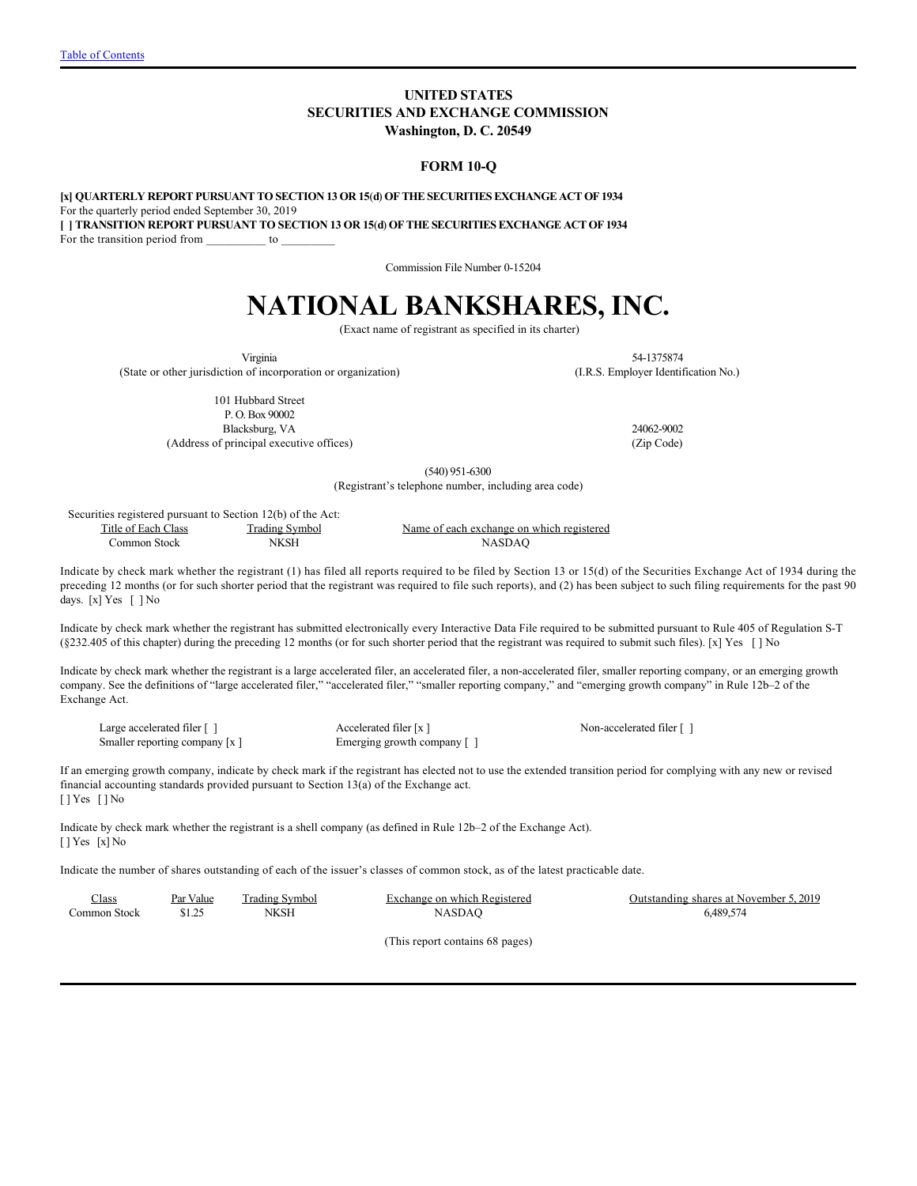# **UNITED STATES SECURITIES AND EXCHANGE COMMISSION Washington, D. C. 20549**

### **FORM 10-Q**

**[x] QUARTERLY REPORT PURSUANT TO SECTION 13 OR 15**(**d**) **OF THE SECURITIES EXCHANGE ACT OF 1934** For the quarterly period ended September 30, 2019 **[ ] TRANSITION REPORT PURSUANT TO SECTION 13 OR 15**(**d**) **OF THE SECURITIES EXCHANGE ACT OF 1934** For the transition period from \_\_\_\_\_\_\_\_\_\_\_ to

Commission File Number 0-15204

# **NATIONAL BANKSHARES, INC.**

(Exact name of registrant as specified in its charter)

Virginia (State or other jurisdiction of incorporation or organization)

54-1375874 (I.R.S. Employer Identification No.)

101 Hubbard Street P. O. Box 90002

(Address of principal executive offices) (Zip Code)

Blacksburg, VA 24062-9002

(540) 951-6300

(Registrant's telephone number, including area code)

Securities registered pursuant to Section 12(b) of the Act: Title of Each Class Common Stock Trading Symbol NKSH

Name of each exchange on which registered NASDAQ

Indicate by check mark whether the registrant (1) has filed all reports required to be filed by Section 13 or 15(d) of the Securities Exchange Act of 1934 during the preceding 12 months (or for such shorter period that the registrant was required to file such reports), and (2) has been subject to such filing requirements for the past 90 days. [x] Yes [] No

Indicate by check mark whether the registrant has submitted electronically every Interactive Data File required to be submitted pursuant to Rule 405 of Regulation S-T (§232.405 of this chapter) during the preceding 12 months (or for such shorter period that the registrant was required to submit such files). [x] Yes [ ] No

Indicate by check mark whether the registrant is a large accelerated filer, an accelerated filer, a non-accelerated filer, smaller reporting company, or an emerging growth company. See the definitions of "large accelerated filer," "accelerated filer," "smaller reporting company," and "emerging growth company" in Rule 12b–2 of the Exchange Act.

Large accelerated filer [ ]  $\qquad \qquad$  Accelerated filer [ x ]  $\qquad \qquad$  Non-accelerated filer [ ] Smaller reporting company [x ] Emerging growth company [ ]

If an emerging growth company, indicate by check mark if the registrant has elected not to use the extended transition period for complying with any new or revised financial accounting standards provided pursuant to Section 13(a) of the Exchange act. [ ] Yes [ ] No

Indicate by check mark whether the registrant is a shell company (as defined in Rule 12b–2 of the Exchange Act). [ ] Yes [x] No

Indicate the number of shares outstanding of each of the issuer's classes of common stock, as of the latest practicable date.

| Class        | Par Value | Trading Symbol | Exchange on which Registered | Outstanding shares at November 5, 2019 |
|--------------|-----------|----------------|------------------------------|----------------------------------------|
| Common Stock |           | NKSH           | NASDAO                       | 6.489.574                              |
|              |           |                |                              |                                        |

(This report contains 68 pages)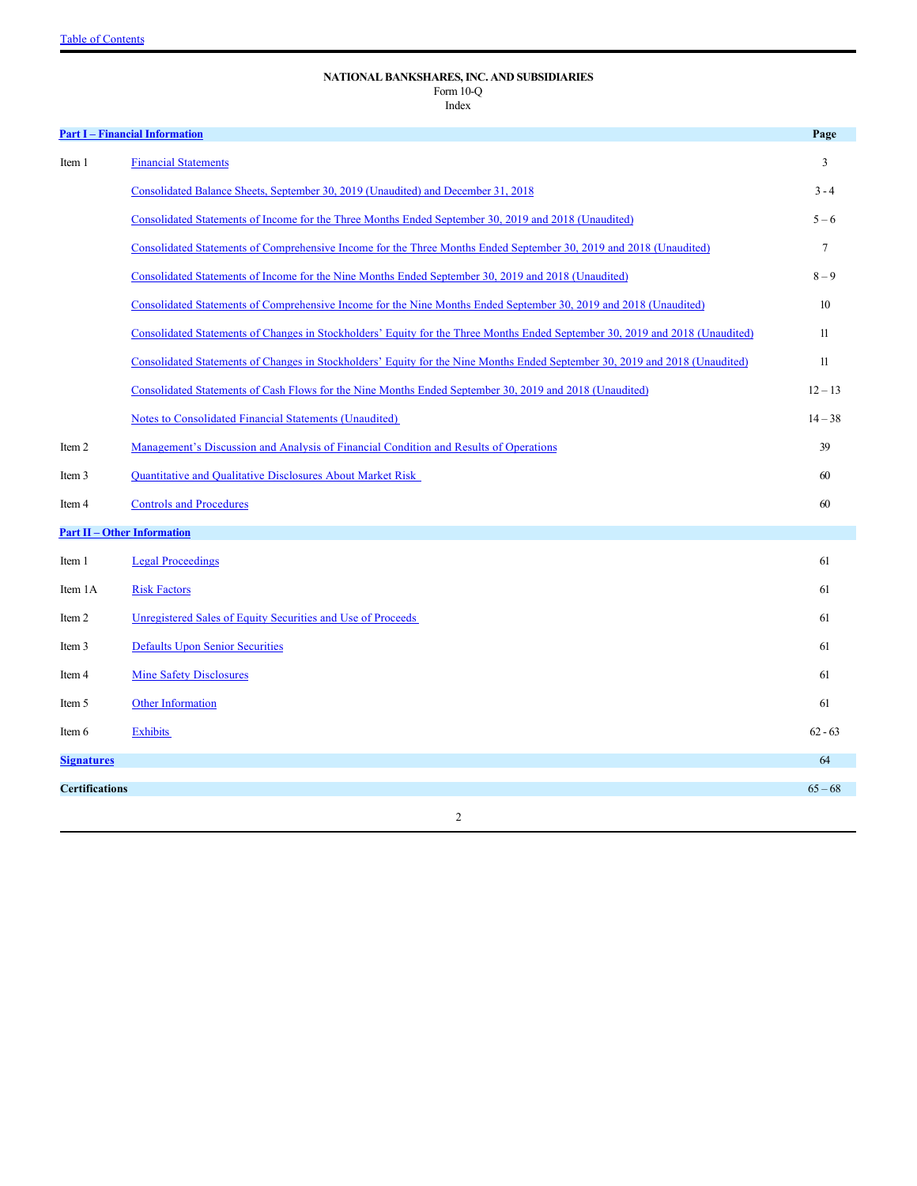# <span id="page-1-0"></span>**NATIONAL BANKSHARES, INC. AND SUBSIDIARIES** Form 10-Q

Index

|                       | <b>Part I - Financial Information</b>                                                                                         | Page           |
|-----------------------|-------------------------------------------------------------------------------------------------------------------------------|----------------|
| Item 1                | <b>Financial Statements</b>                                                                                                   | 3              |
|                       | Consolidated Balance Sheets, September 30, 2019 (Unaudited) and December 31, 2018                                             | $3 - 4$        |
|                       | Consolidated Statements of Income for the Three Months Ended September 30, 2019 and 2018 (Unaudited)                          | $5 - 6$        |
|                       | Consolidated Statements of Comprehensive Income for the Three Months Ended September 30, 2019 and 2018 (Unaudited)            | $\overline{7}$ |
|                       | Consolidated Statements of Income for the Nine Months Ended September 30, 2019 and 2018 (Unaudited)                           | $8 - 9$        |
|                       | Consolidated Statements of Comprehensive Income for the Nine Months Ended September 30, 2019 and 2018 (Unaudited)             | 10             |
|                       | Consolidated Statements of Changes in Stockholders' Equity for the Three Months Ended September 30, 2019 and 2018 (Unaudited) | 11             |
|                       | Consolidated Statements of Changes in Stockholders' Equity for the Nine Months Ended September 30, 2019 and 2018 (Unaudited)  | 11             |
|                       | Consolidated Statements of Cash Flows for the Nine Months Ended September 30, 2019 and 2018 (Unaudited)                       | $12 - 13$      |
|                       | Notes to Consolidated Financial Statements (Unaudited)                                                                        | $14 - 38$      |
| Item 2                | Management's Discussion and Analysis of Financial Condition and Results of Operations                                         | 39             |
| Item 3                | <b>Quantitative and Qualitative Disclosures About Market Risk</b>                                                             | 60             |
| Item 4                | <b>Controls and Procedures</b>                                                                                                | 60             |
|                       | <b>Part II - Other Information</b>                                                                                            |                |
| Item 1                | <b>Legal Proceedings</b>                                                                                                      | 61             |
| Item 1A               | <b>Risk Factors</b>                                                                                                           | 61             |
| Item 2                | Unregistered Sales of Equity Securities and Use of Proceeds                                                                   | 61             |
| Item 3                | <b>Defaults Upon Senior Securities</b>                                                                                        | 61             |
| Item 4                | <b>Mine Safety Disclosures</b>                                                                                                | 61             |
| Item 5                | <b>Other Information</b>                                                                                                      | 61             |
| Item 6                | <b>Exhibits</b>                                                                                                               | $62 - 63$      |
| <b>Signatures</b>     |                                                                                                                               | 64             |
| <b>Certifications</b> |                                                                                                                               | $65 - 68$      |
|                       | $\overline{2}$                                                                                                                |                |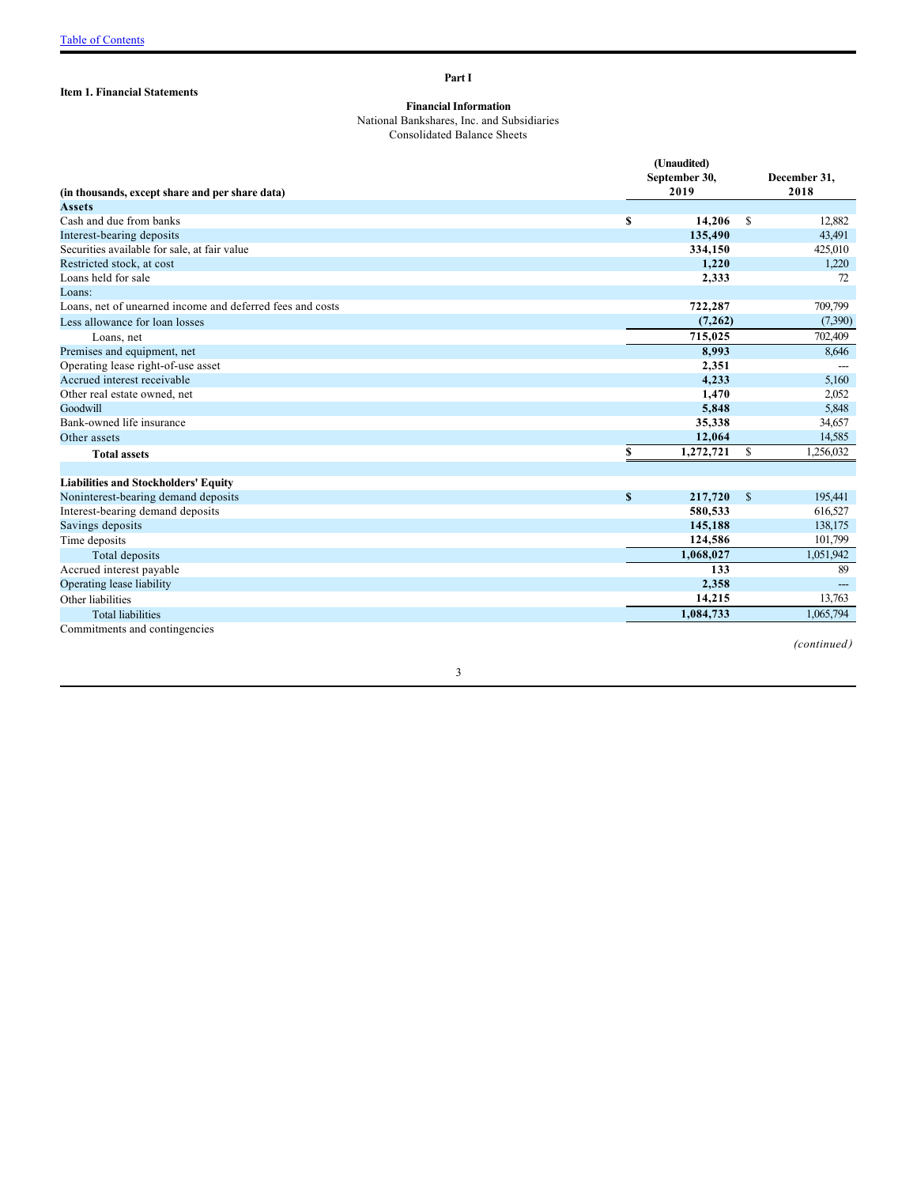# <span id="page-2-1"></span>**Item 1. Financial Statements**

<span id="page-2-0"></span>**Part I**

### <span id="page-2-2"></span>**Financial Information**

National Bankshares, Inc. and Subsidiaries Consolidated Balance Sheets

|                                                                  |              | (Unaudited)<br>September 30,<br>2019 |               | December 31,<br>2018 |
|------------------------------------------------------------------|--------------|--------------------------------------|---------------|----------------------|
| (in thousands, except share and per share data)<br><b>Assets</b> |              |                                      |               |                      |
| Cash and due from banks                                          | S            | 14,206                               | <sup>\$</sup> | 12,882               |
| Interest-bearing deposits                                        |              | 135,490                              |               | 43,491               |
| Securities available for sale, at fair value                     |              | 334,150                              |               | 425,010              |
| Restricted stock, at cost                                        |              | 1,220                                |               | 1,220                |
| Loans held for sale                                              |              | 2,333                                |               | 72                   |
| Loans:                                                           |              |                                      |               |                      |
| Loans, net of unearned income and deferred fees and costs        |              | 722,287                              |               | 709,799              |
| Less allowance for loan losses                                   |              | (7,262)                              |               | (7,390)              |
| Loans, net                                                       |              | 715,025                              |               | 702,409              |
| Premises and equipment, net                                      |              | 8,993                                |               | 8,646                |
| Operating lease right-of-use asset                               |              | 2,351                                |               |                      |
| Accrued interest receivable                                      |              | 4,233                                |               | 5,160                |
| Other real estate owned, net                                     |              | 1,470                                |               | 2,052                |
| Goodwill                                                         |              | 5,848                                |               | 5,848                |
| Bank-owned life insurance                                        |              | 35,338                               |               | 34,657               |
| Other assets                                                     |              | 12,064                               |               | 14,585               |
| <b>Total assets</b>                                              | \$           | 1,272,721                            | $\mathbb{S}$  | 1,256,032            |
|                                                                  |              |                                      |               |                      |
| <b>Liabilities and Stockholders' Equity</b>                      |              |                                      |               |                      |
| Noninterest-bearing demand deposits                              | $\mathbf{s}$ | 217,720                              | $\mathbb{S}$  | 195,441              |
| Interest-bearing demand deposits                                 |              | 580,533                              |               | 616,527              |
| Savings deposits                                                 |              | 145,188                              |               | 138,175              |
| Time deposits                                                    |              | 124,586                              |               | 101,799              |
|                                                                  |              | 1,068,027                            |               | 1,051,942            |
| Total deposits<br>Accrued interest payable                       |              | 133                                  |               | 89                   |
|                                                                  |              | 2,358                                |               |                      |
| Operating lease liability<br>Other liabilities                   |              | 14,215                               |               |                      |
|                                                                  |              |                                      |               | 13,763               |
| <b>Total liabilities</b>                                         |              | 1,084,733                            |               | 1,065,794            |
| Commitments and contingencies                                    |              |                                      |               |                      |

*(continued )*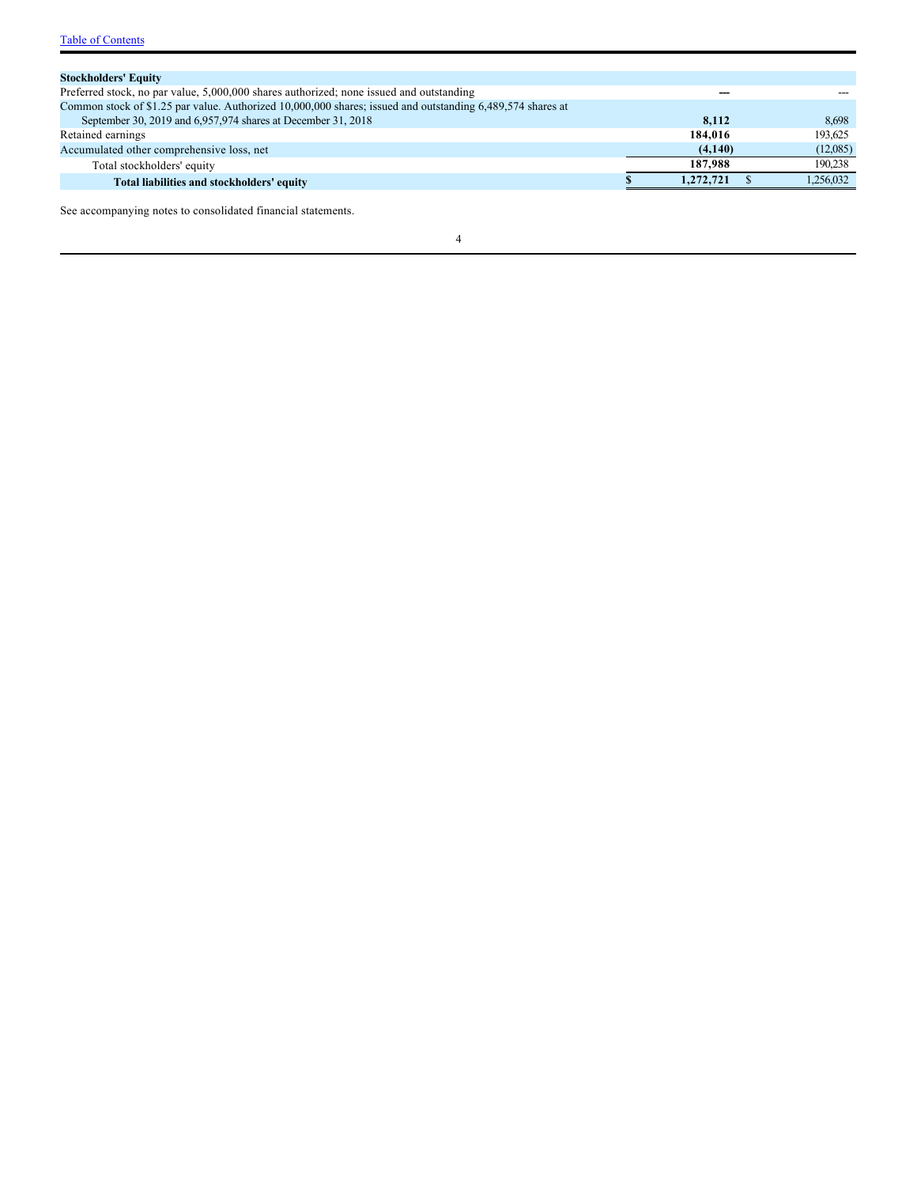| <b>Stockholders' Equity</b>                                                                                |           |           |
|------------------------------------------------------------------------------------------------------------|-----------|-----------|
| Preferred stock, no par value, 5,000,000 shares authorized; none issued and outstanding                    | ---       |           |
| Common stock of \$1.25 par value. Authorized 10,000,000 shares; issued and outstanding 6,489,574 shares at |           |           |
| September 30, 2019 and 6,957,974 shares at December 31, 2018                                               | 8.112     | 8.698     |
| Retained earnings                                                                                          | 184,016   | 193.625   |
| Accumulated other comprehensive loss, net                                                                  | (4,140)   | (12,085)  |
| Total stockholders' equity                                                                                 | 187,988   | 190.238   |
| Total liabilities and stockholders' equity                                                                 | 1,272,721 | 1.256.032 |
|                                                                                                            |           |           |

See accompanying notes to consolidated financial statements.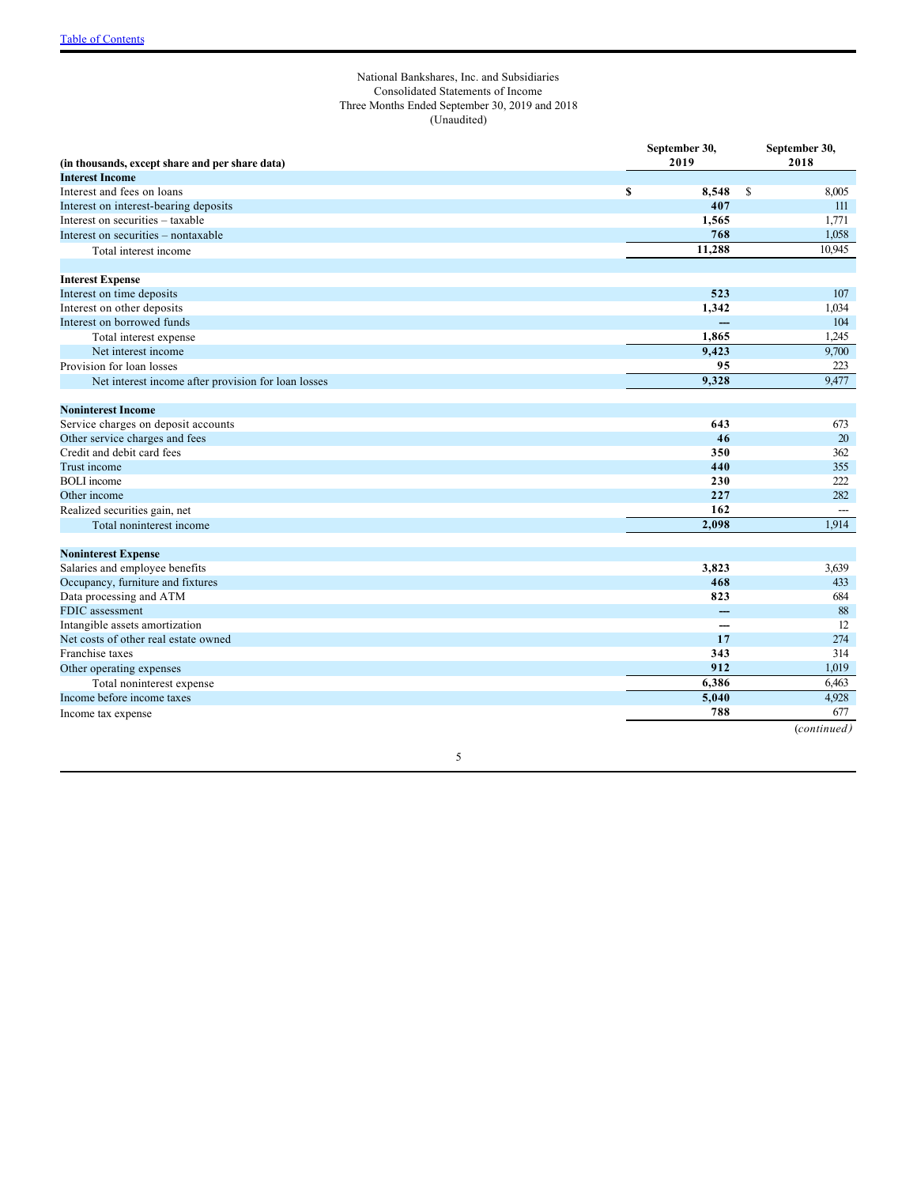### <span id="page-4-0"></span>National Bankshares, Inc. and Subsidiaries Consolidated Statements of Income Three Months Ended September 30, 2019 and 2018 (Unaudited)

|                                                     | September 30, |                          | September 30,          |
|-----------------------------------------------------|---------------|--------------------------|------------------------|
| (in thousands, except share and per share data)     | 2019          |                          | 2018                   |
| <b>Interest Income</b>                              |               |                          |                        |
| Interest and fees on loans                          | $\mathbf S$   | 8,548                    | <sup>\$</sup><br>8,005 |
| Interest on interest-bearing deposits               |               | 407                      | 111                    |
| Interest on securities – taxable                    |               | 1.565                    | 1,771                  |
| Interest on securities – nontaxable                 |               | 768                      | 1,058                  |
| Total interest income                               |               | 11,288                   | 10.945                 |
| <b>Interest Expense</b>                             |               |                          |                        |
| Interest on time deposits                           |               | 523                      | 107                    |
| Interest on other deposits                          |               | 1,342                    | 1,034                  |
| Interest on borrowed funds                          |               | $\overline{\phantom{a}}$ | 104                    |
| Total interest expense                              |               | 1.865                    | 1,245                  |
| Net interest income                                 |               | 9,423                    | 9,700                  |
| Provision for loan losses                           |               | 95                       | 223                    |
| Net interest income after provision for loan losses |               | 9,328                    | 9,477                  |
| <b>Noninterest Income</b>                           |               |                          |                        |
| Service charges on deposit accounts                 |               | 643                      | 673                    |
| Other service charges and fees                      |               | 46                       | 20                     |
| Credit and debit card fees                          |               | 350                      | 362                    |
| Trust income                                        |               | 440                      | 355                    |
| <b>BOLI</b> income                                  |               | 230                      | 222                    |
| Other income                                        |               | 227                      | 282                    |
| Realized securities gain, net                       |               | 162                      | $\qquad \qquad \cdots$ |
| Total noninterest income                            |               | 2,098                    | 1,914                  |
|                                                     |               |                          |                        |
| <b>Noninterest Expense</b>                          |               |                          |                        |
| Salaries and employee benefits                      |               | 3,823                    | 3,639                  |
| Occupancy, furniture and fixtures                   |               | 468                      | 433                    |
| Data processing and ATM                             |               | 823                      | 684                    |
| FDIC assessment                                     |               | --                       | 88<br>12               |
| Intangible assets amortization                      |               | ---                      |                        |
| Net costs of other real estate owned                |               | 17                       | 274                    |
| Franchise taxes                                     |               | 343                      | 314                    |
| Other operating expenses                            |               | 912                      | 1,019                  |
| Total noninterest expense                           |               | 6,386                    | 6,463                  |
| Income before income taxes                          |               | 5,040                    | 4,928                  |
| Income tax expense                                  |               | 788                      | 677                    |
|                                                     |               |                          | (continued)            |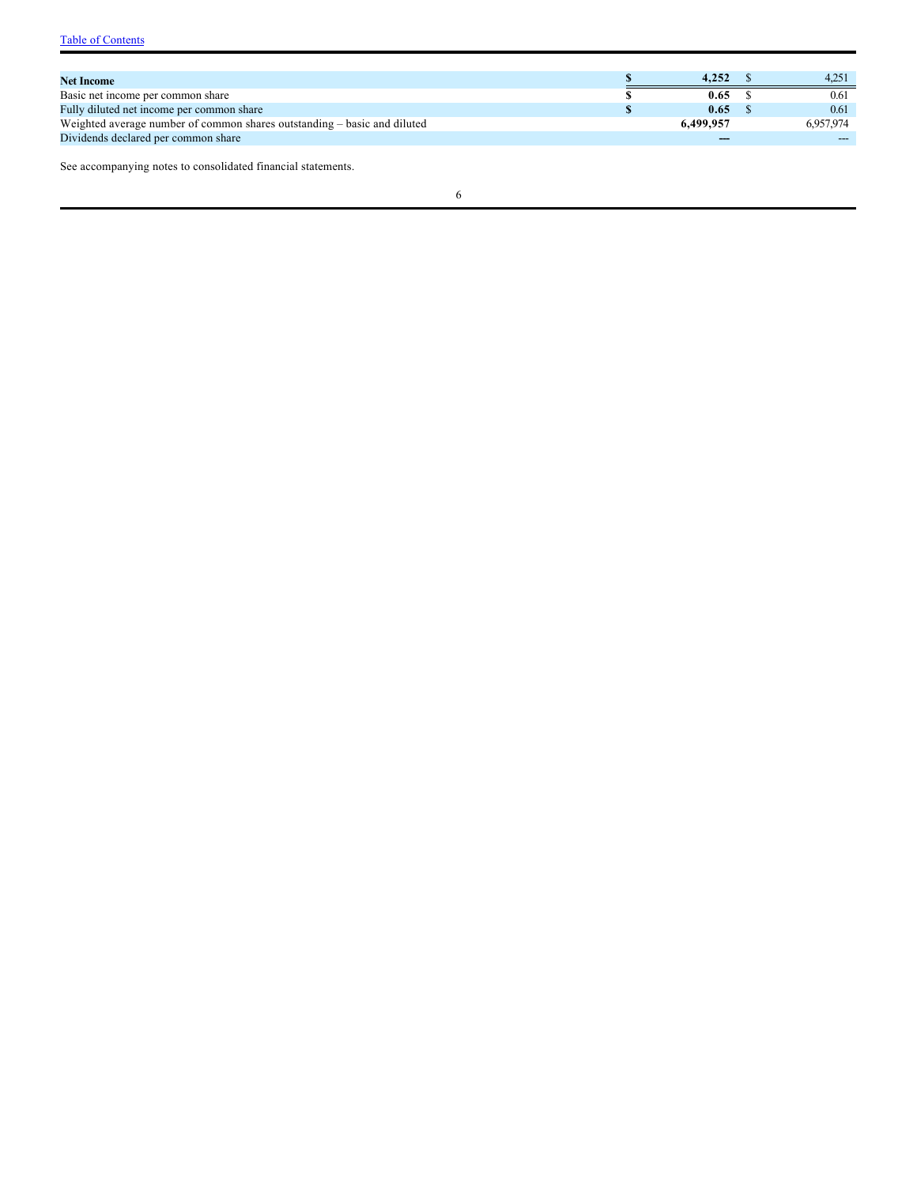| <b>Net Income</b>                                                        | 4.252     | 4.251     |
|--------------------------------------------------------------------------|-----------|-----------|
| Basic net income per common share                                        | 0.65      | 0.61      |
| Fully diluted net income per common share                                | 0.65      | 0.61      |
| Weighted average number of common shares outstanding – basic and diluted | 6,499,957 | 6.957.974 |
| Dividends declared per common share                                      | $- -$     |           |

See accompanying notes to consolidated financial statements.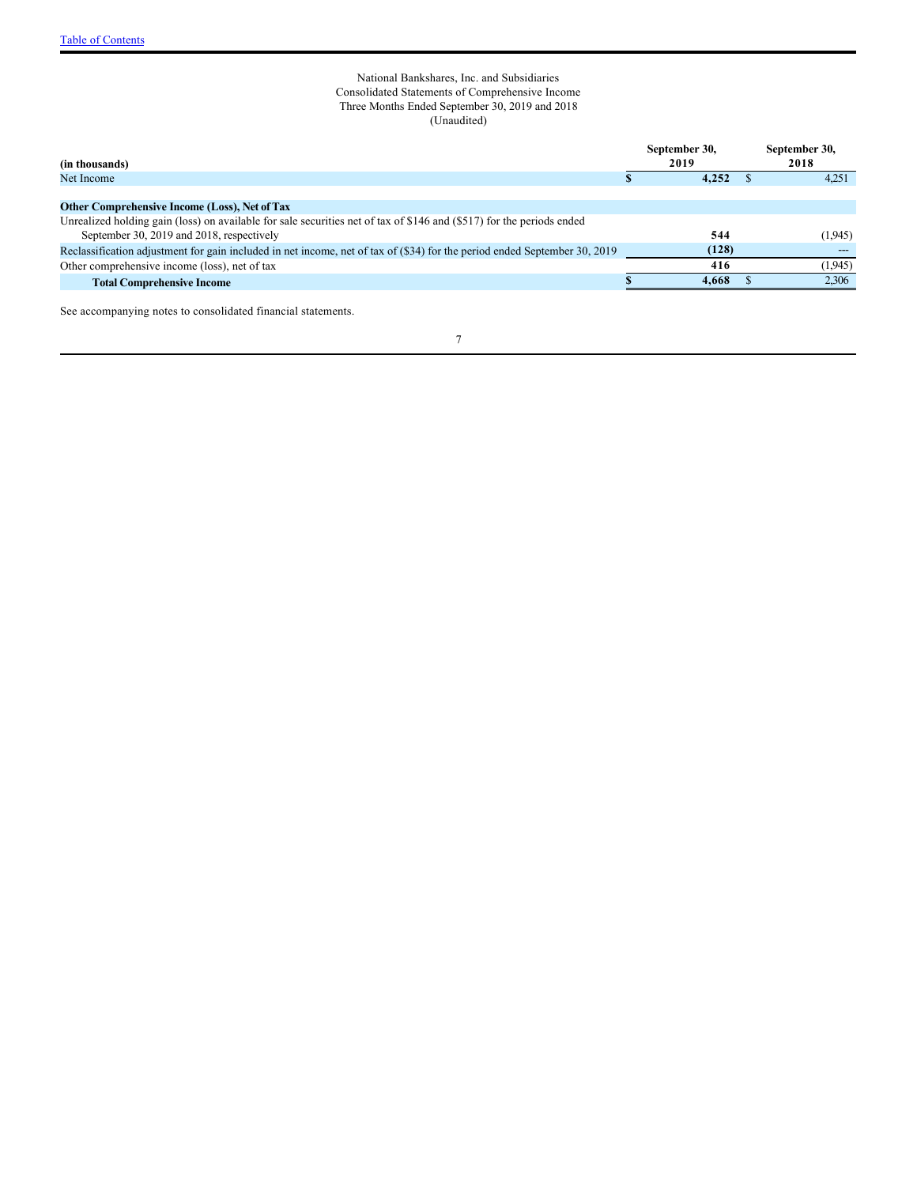### <span id="page-6-0"></span>National Bankshares, Inc. and Subsidiaries Consolidated Statements of Comprehensive Income Three Months Ended September 30, 2019 and 2018 (Unaudited)

| (in thousands)                                                                                                            | September 30,<br>2019 | September 30,<br>2018 |
|---------------------------------------------------------------------------------------------------------------------------|-----------------------|-----------------------|
| Net Income                                                                                                                | 4.252                 | 4,251                 |
|                                                                                                                           |                       |                       |
| Other Comprehensive Income (Loss), Net of Tax                                                                             |                       |                       |
| Unrealized holding gain (loss) on available for sale securities net of tax of \$146 and (\$517) for the periods ended     |                       |                       |
| September 30, 2019 and 2018, respectively                                                                                 | 544                   | (1,945)               |
| Reclassification adjustment for gain included in net income, net of tax of (\$34) for the period ended September 30, 2019 | (128)                 | $---$                 |
| Other comprehensive income (loss), net of tax                                                                             | 416                   | (1,945)               |
| <b>Total Comprehensive Income</b>                                                                                         | 4.668                 | 2,306                 |

See accompanying notes to consolidated financial statements.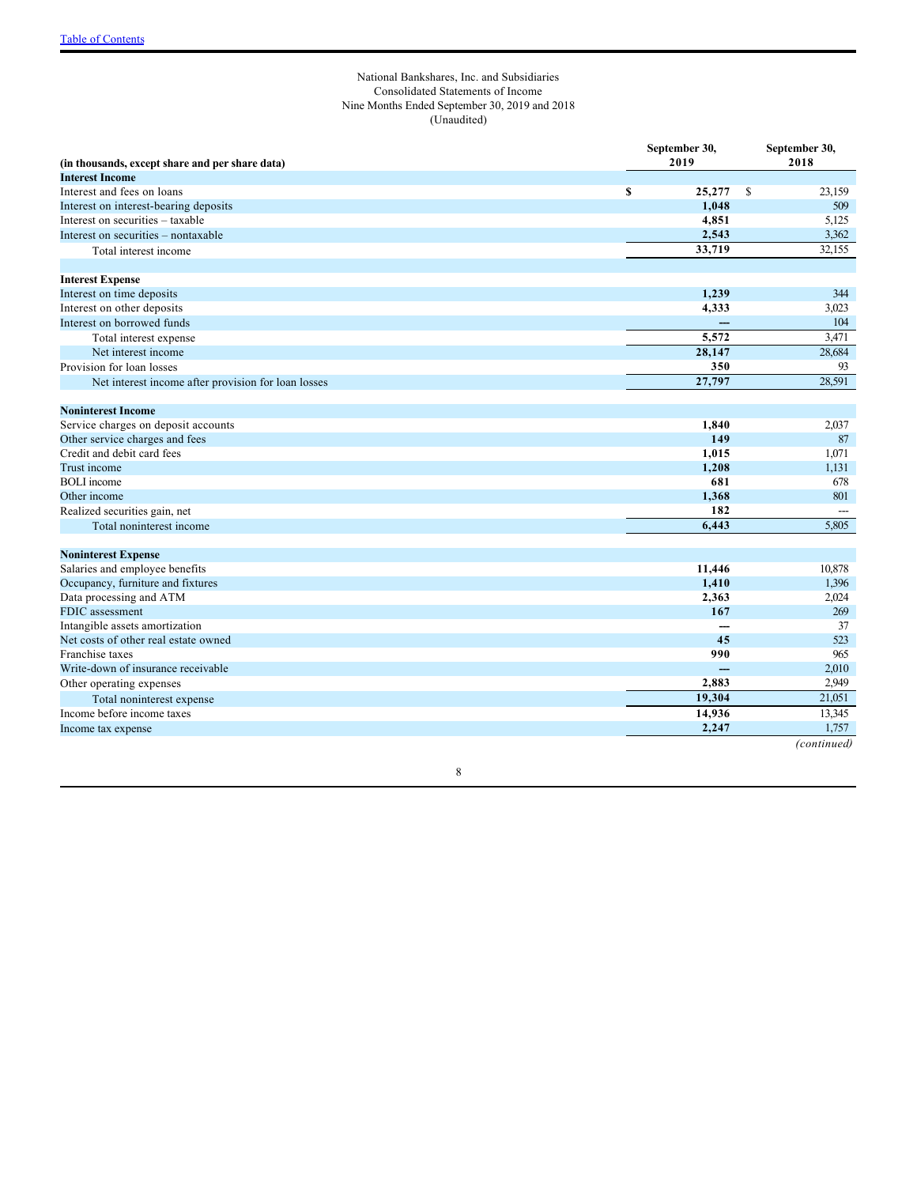### <span id="page-7-0"></span>National Bankshares, Inc. and Subsidiaries Consolidated Statements of Income Nine Months Ended September 30, 2019 and 2018 (Unaudited)

|                                                     | September 30, |                          | September 30, |  |
|-----------------------------------------------------|---------------|--------------------------|---------------|--|
| (in thousands, except share and per share data)     | 2019          |                          | 2018          |  |
| <b>Interest Income</b>                              |               |                          |               |  |
| Interest and fees on loans                          | 25,277<br>S   | <sup>\$</sup>            | 23,159        |  |
| Interest on interest-bearing deposits               | 1,048         |                          | 509           |  |
| Interest on securities - taxable                    | 4,851         |                          | 5,125         |  |
| Interest on securities - nontaxable                 | 2,543         |                          | 3,362         |  |
| Total interest income                               | 33,719        |                          | 32,155        |  |
| <b>Interest Expense</b>                             |               |                          |               |  |
| Interest on time deposits                           | 1,239         |                          | 344           |  |
| Interest on other deposits                          | 4,333         |                          | 3,023         |  |
| Interest on borrowed funds                          |               | ---                      | 104           |  |
| Total interest expense                              | 5,572         |                          | 3,471         |  |
| Net interest income                                 | 28,147        |                          | 28,684        |  |
| Provision for loan losses                           | 350           |                          | 93            |  |
| Net interest income after provision for loan losses | 27,797        |                          | 28,591        |  |
| <b>Noninterest Income</b>                           |               |                          |               |  |
| Service charges on deposit accounts                 | 1,840         |                          | 2,037         |  |
| Other service charges and fees                      | 149           |                          | 87            |  |
| Credit and debit card fees                          | 1,015         |                          | 1,071         |  |
| Trust income                                        | 1,208         |                          | 1,131         |  |
| <b>BOLI</b> income                                  | 681           |                          | 678           |  |
| Other income                                        | 1,368         |                          | 801           |  |
| Realized securities gain, net                       | 182           |                          |               |  |
| Total noninterest income                            | 6.443         |                          | 5.805         |  |
| <b>Noninterest Expense</b>                          |               |                          |               |  |
| Salaries and employee benefits                      | 11,446        |                          | 10,878        |  |
| Occupancy, furniture and fixtures                   | 1,410         |                          | 1,396         |  |
| Data processing and ATM                             | 2,363         |                          | 2,024         |  |
| FDIC assessment                                     | 167           |                          | 269           |  |
| Intangible assets amortization                      |               |                          | 37            |  |
| Net costs of other real estate owned                |               | 45                       | 523           |  |
| Franchise taxes                                     | 990           |                          | 965           |  |
| Write-down of insurance receivable                  |               | $\overline{\phantom{a}}$ | 2,010         |  |
| Other operating expenses                            | 2,883         |                          | 2,949         |  |
| Total noninterest expense                           | 19,304        |                          | 21,051        |  |
| Income before income taxes                          | 14,936        |                          | 13,345        |  |
| Income tax expense                                  | 2,247         |                          | 1.757         |  |
|                                                     |               |                          | (continued)   |  |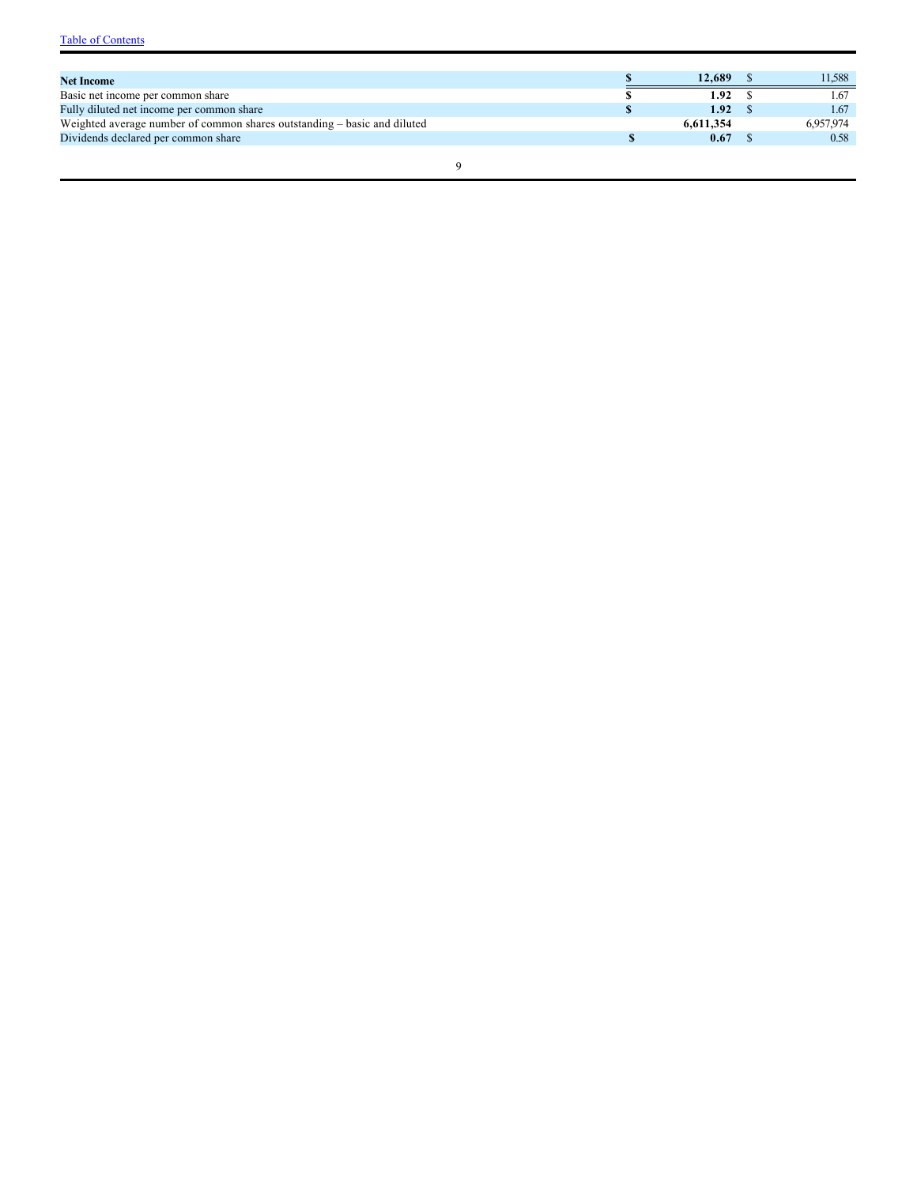| <b>Net Income</b>                                                        | 12.689    | 11.588    |
|--------------------------------------------------------------------------|-----------|-----------|
| Basic net income per common share                                        | 1.92      | 1.67      |
| Fully diluted net income per common share                                | 1.92      | 1.67      |
| Weighted average number of common shares outstanding – basic and diluted | 6.611.354 | 6.957.974 |
| Dividends declared per common share                                      | 0.67      | 0.58      |
|                                                                          |           |           |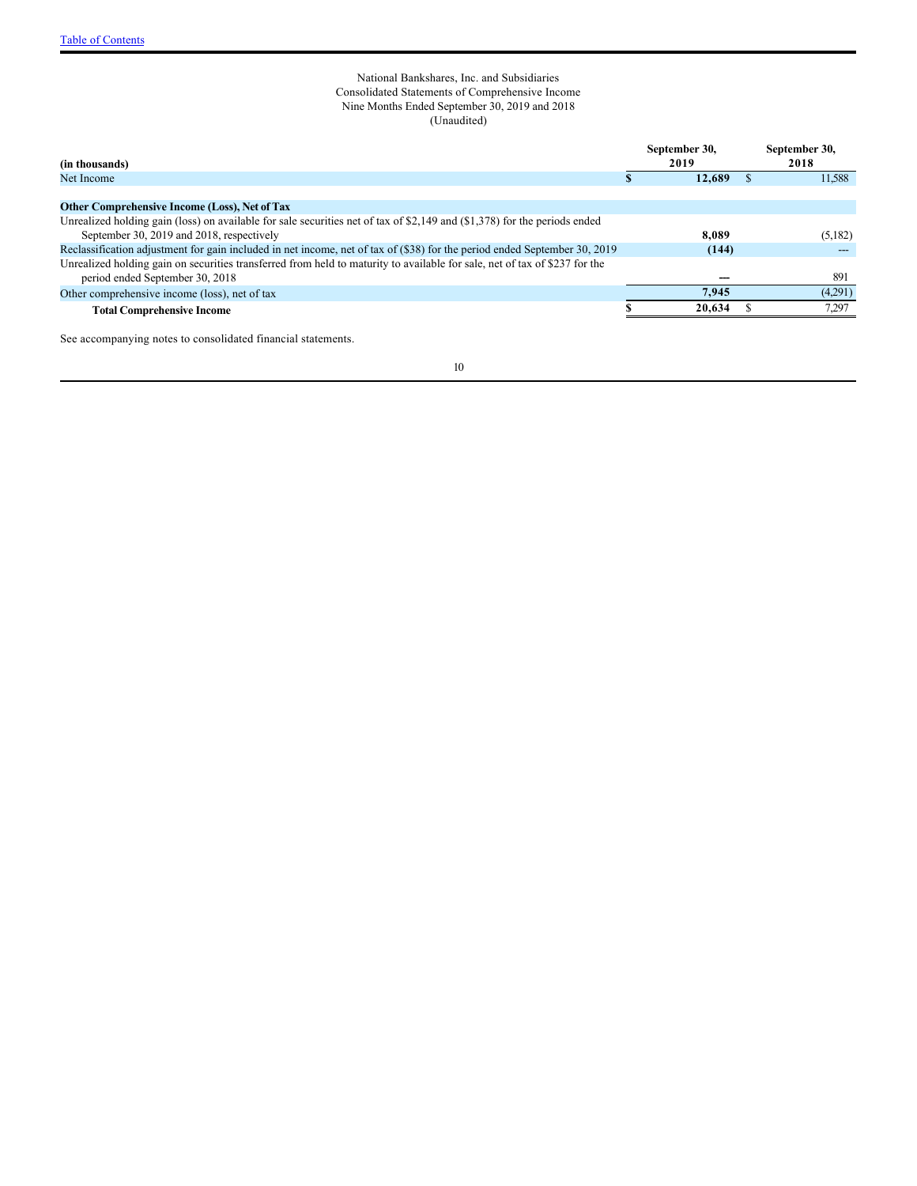### <span id="page-9-0"></span>National Bankshares, Inc. and Subsidiaries Consolidated Statements of Comprehensive Income Nine Months Ended September 30, 2019 and 2018 (Unaudited)

| (in thousands)                                                                                                              | September 30,<br>2019 | September 30,<br>2018 |
|-----------------------------------------------------------------------------------------------------------------------------|-----------------------|-----------------------|
| Net Income                                                                                                                  | 12,689                | 11,588                |
|                                                                                                                             |                       |                       |
| Other Comprehensive Income (Loss), Net of Tax                                                                               |                       |                       |
| Unrealized holding gain (loss) on available for sale securities net of tax of \$2,149 and $(\$1,378)$ for the periods ended |                       |                       |
| September 30, 2019 and 2018, respectively                                                                                   | 8.089                 | (5,182)               |
| Reclassification adjustment for gain included in net income, net of tax of (\$38) for the period ended September 30, 2019   | (144)                 |                       |
| Unrealized holding gain on securities transferred from held to maturity to available for sale, net of tax of \$237 for the  |                       |                       |
| period ended September 30, 2018                                                                                             |                       | 891                   |
| Other comprehensive income (loss), net of tax                                                                               | 7.945                 | (4.291)               |
| <b>Total Comprehensive Income</b>                                                                                           | 20.634                | 7,297                 |
|                                                                                                                             |                       |                       |

See accompanying notes to consolidated financial statements.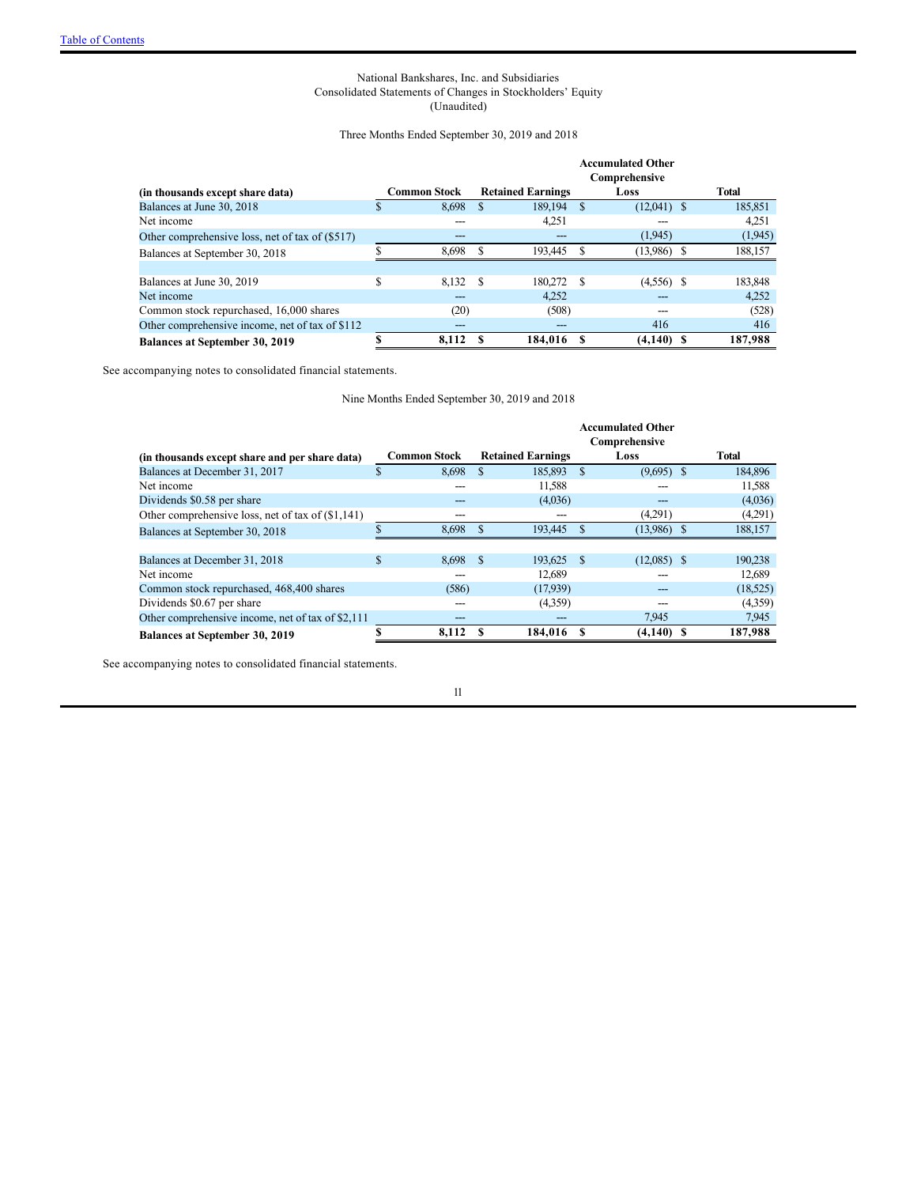### <span id="page-10-0"></span>National Bankshares, Inc. and Subsidiaries Consolidated Statements of Changes in Stockholders' Equity (Unaudited)

### Three Months Ended September 30, 2019 and 2018

|                                                 |    |                     | <b>Accumulated Other</b> |                          |              |               |  |         |
|-------------------------------------------------|----|---------------------|--------------------------|--------------------------|--------------|---------------|--|---------|
|                                                 |    |                     |                          |                          |              | Comprehensive |  |         |
| (in thousands except share data)                |    | <b>Common Stock</b> |                          | <b>Retained Earnings</b> |              | Loss          |  | Total   |
| Balances at June 30, 2018                       | S  | 8,698               | S                        | 189.194                  | <sup>S</sup> | $(12,041)$ \$ |  | 185,851 |
| Net income                                      |    |                     |                          | 4.251                    |              |               |  | 4,251   |
| Other comprehensive loss, net of tax of (\$517) |    |                     |                          |                          |              | (1,945)       |  | (1,945) |
| Balances at September 30, 2018                  | ¢  | 8,698               | S                        | 193.445                  | S            | $(13,986)$ \$ |  | 188,157 |
|                                                 |    |                     |                          |                          |              |               |  |         |
| Balances at June 30, 2019                       | \$ | 8,132               | S                        | 180.272                  | S            | $(4,556)$ \$  |  | 183,848 |
| Net income                                      |    |                     |                          | 4.252                    |              |               |  | 4.252   |
| Common stock repurchased, 16,000 shares         |    | (20)                |                          | (508)                    |              |               |  | (528)   |
| Other comprehensive income, net of tax of \$112 |    | ---                 |                          |                          |              | 416           |  | 416     |
| <b>Balances at September 30, 2019</b>           |    | 8,112               | S                        | 184,016 S                |              | $(4,140)$ \$  |  | 187,988 |

See accompanying notes to consolidated financial statements.

<span id="page-10-1"></span>Nine Months Ended September 30, 2019 and 2018

|                                                   |                     |               |                          |              | <b>Accumulated Other</b><br>Comprehensive |              |
|---------------------------------------------------|---------------------|---------------|--------------------------|--------------|-------------------------------------------|--------------|
| (in thousands except share and per share data)    | <b>Common Stock</b> |               | <b>Retained Earnings</b> |              | Loss                                      | <b>Total</b> |
| Balances at December 31, 2017                     | \$<br>8,698         | \$            | 185,893                  | $\mathbf{s}$ | $(9,695)$ \$                              | 184,896      |
| Net income                                        |                     |               | 11,588                   |              |                                           | 11,588       |
| Dividends \$0.58 per share                        |                     |               | (4,036)                  |              |                                           | (4,036)      |
| Other comprehensive loss, net of tax of (\$1,141) |                     |               |                          |              | (4,291)                                   | (4,291)      |
| Balances at September 30, 2018                    | 8,698               |               | 193,445                  | <b>S</b>     | $(13,986)$ \$                             | 188,157      |
|                                                   |                     |               |                          |              |                                           |              |
| Balances at December 31, 2018                     | \$<br>8,698         | <sup>\$</sup> | 193.625                  | - \$         | $(12,085)$ \$                             | 190,238      |
| Net income                                        |                     |               | 12,689                   |              |                                           | 12,689       |
| Common stock repurchased, 468,400 shares          | (586)               |               | (17.939)                 |              |                                           | (18, 525)    |
| Dividends \$0.67 per share                        |                     |               | (4,359)                  |              |                                           | (4,359)      |
| Other comprehensive income, net of tax of \$2,111 |                     |               |                          |              | 7.945                                     | 7,945        |
| <b>Balances at September 30, 2019</b>             | 8.112               |               | 184,016                  |              | $(4,140)$ \$                              | 187,988      |

See accompanying notes to consolidated financial statements.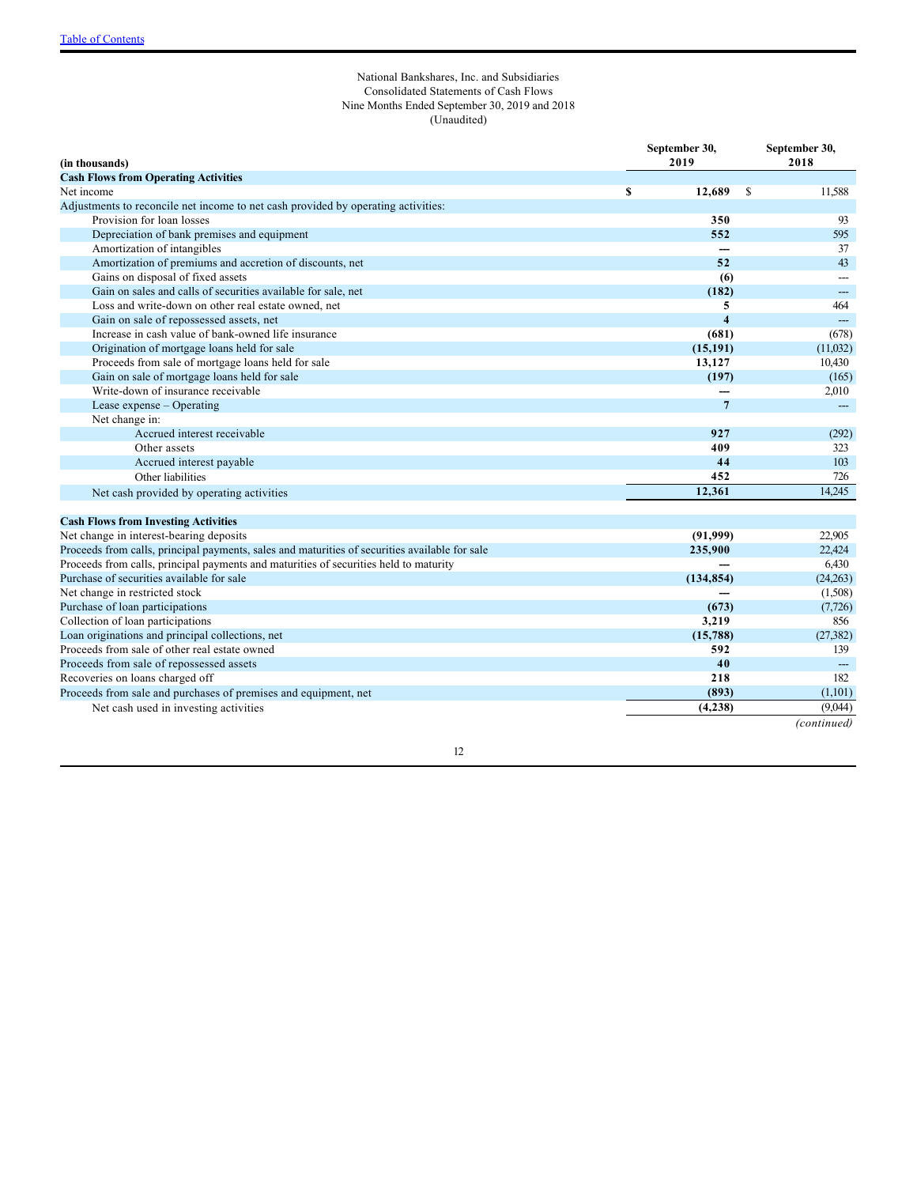### <span id="page-11-0"></span>National Bankshares, Inc. and Subsidiaries Consolidated Statements of Cash Flows Nine Months Ended September 30, 2019 and 2018 (Unaudited)

| (in thousands)                                                                                 | September 30,<br>2019 | September 30,<br>2018    |
|------------------------------------------------------------------------------------------------|-----------------------|--------------------------|
| <b>Cash Flows from Operating Activities</b>                                                    |                       |                          |
| Net income                                                                                     | \$<br>12,689          | -S<br>11,588             |
| Adjustments to reconcile net income to net cash provided by operating activities:              |                       |                          |
| Provision for loan losses                                                                      | 350                   | 93                       |
| Depreciation of bank premises and equipment                                                    | 552                   | 595                      |
| Amortization of intangibles                                                                    |                       | 37                       |
| Amortization of premiums and accretion of discounts, net                                       | 52                    | 43                       |
| Gains on disposal of fixed assets                                                              | (6)                   |                          |
| Gain on sales and calls of securities available for sale, net                                  | (182)                 |                          |
| Loss and write-down on other real estate owned, net                                            | 5                     | 464                      |
| Gain on sale of repossessed assets, net                                                        | $\overline{4}$        | $---$                    |
| Increase in cash value of bank-owned life insurance                                            | (681)                 | (678)                    |
| Origination of mortgage loans held for sale                                                    | (15, 191)             | (11,032)                 |
| Proceeds from sale of mortgage loans held for sale                                             | 13,127                | 10,430                   |
| Gain on sale of mortgage loans held for sale                                                   | (197)                 | (165)                    |
| Write-down of insurance receivable                                                             |                       | 2,010                    |
| Lease expense – Operating                                                                      | $7\phantom{.0}$       | $\overline{\phantom{a}}$ |
| Net change in:                                                                                 |                       |                          |
| Accrued interest receivable                                                                    | 927                   | (292)                    |
| Other assets                                                                                   | 409                   | 323                      |
| Accrued interest payable                                                                       | 44                    | 103                      |
| Other liabilities                                                                              | 452                   | 726                      |
| Net cash provided by operating activities                                                      | 12.361                | 14.245                   |
| <b>Cash Flows from Investing Activities</b>                                                    |                       |                          |
| Net change in interest-bearing deposits                                                        | (91,999)              | 22,905                   |
| Proceeds from calls, principal payments, sales and maturities of securities available for sale | 235,900               | 22,424                   |
| Proceeds from calls, principal payments and maturities of securities held to maturity          |                       | 6,430                    |
| Purchase of securities available for sale                                                      | (134, 854)            | (24,263)                 |
| Net change in restricted stock                                                                 |                       | (1,508)                  |
| Purchase of loan participations                                                                | (673)                 | (7, 726)                 |
| Collection of loan participations                                                              | 3,219                 | 856                      |
| Loan originations and principal collections, net                                               | (15,788)              | (27, 382)                |
| Proceeds from sale of other real estate owned                                                  | 592                   | 139                      |
| Proceeds from sale of repossessed assets                                                       | 40                    |                          |
| Recoveries on loans charged off                                                                | 218                   | 182                      |
| Proceeds from sale and purchases of premises and equipment, net                                | (893)                 | (1,101)                  |
| Net cash used in investing activities                                                          | (4, 238)              | (9,044)                  |
|                                                                                                |                       | (continued)              |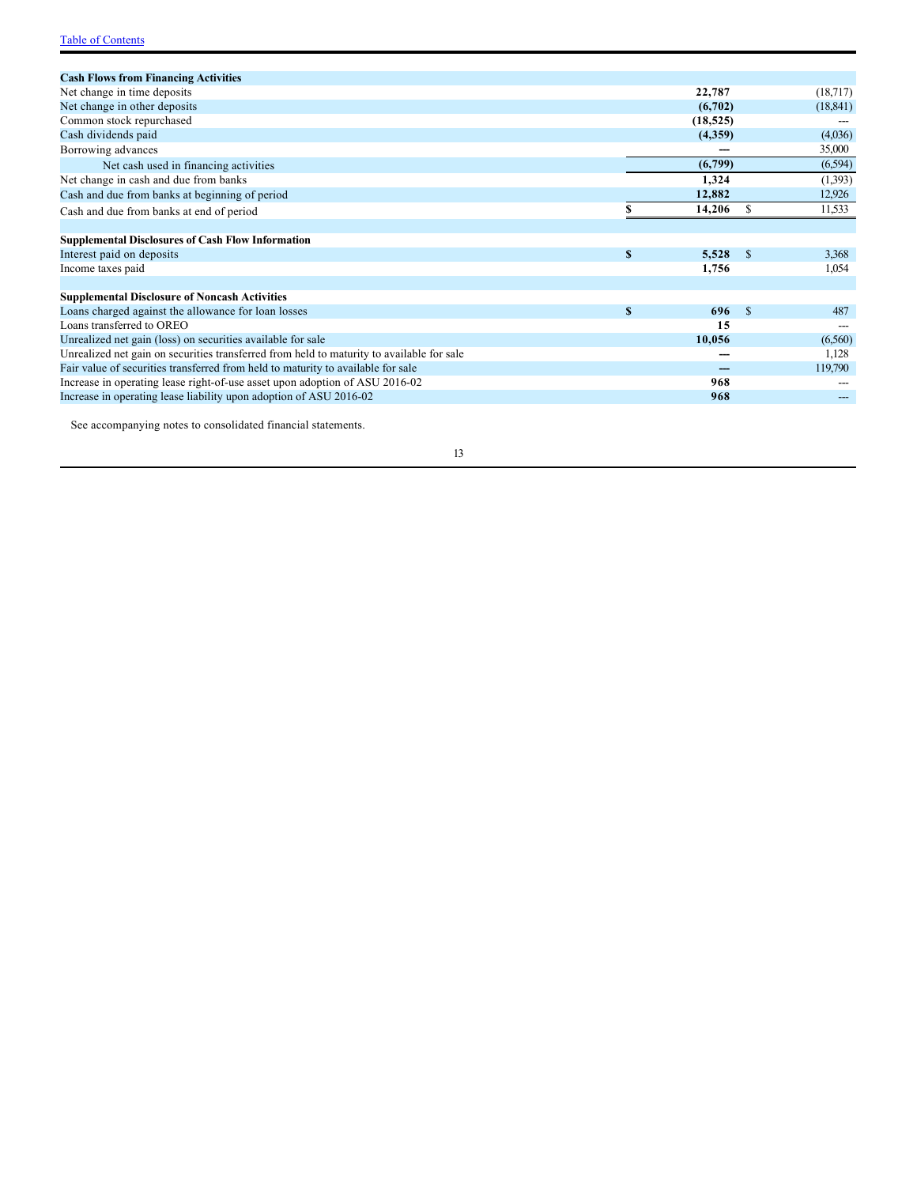| <b>Cash Flows from Financing Activities</b>                                               |           |     |           |
|-------------------------------------------------------------------------------------------|-----------|-----|-----------|
| Net change in time deposits                                                               | 22,787    |     | (18,717)  |
| Net change in other deposits                                                              | (6,702)   |     | (18, 841) |
| Common stock repurchased                                                                  | (18, 525) |     |           |
| Cash dividends paid                                                                       | (4,359)   |     | (4,036)   |
| Borrowing advances                                                                        |           |     | 35,000    |
| Net cash used in financing activities                                                     | (6,799)   |     | (6, 594)  |
| Net change in cash and due from banks                                                     | 1,324     |     | (1,393)   |
| Cash and due from banks at beginning of period                                            | 12,882    |     | 12,926    |
| Cash and due from banks at end of period                                                  | 14,206    | -S  | 11,533    |
|                                                                                           |           |     |           |
| <b>Supplemental Disclosures of Cash Flow Information</b>                                  |           |     |           |
| S<br>Interest paid on deposits                                                            | 5,528     | -\$ | 3,368     |
| Income taxes paid                                                                         | 1,756     |     | 1,054     |
|                                                                                           |           |     |           |
| <b>Supplemental Disclosure of Noncash Activities</b>                                      |           |     |           |
| $\mathbf{s}$<br>Loans charged against the allowance for loan losses                       | 696       | -\$ | 487       |
| Loans transferred to OREO                                                                 | 15        |     |           |
| Unrealized net gain (loss) on securities available for sale                               | 10,056    |     | (6,560)   |
| Unrealized net gain on securities transferred from held to maturity to available for sale |           |     | 1,128     |
| Fair value of securities transferred from held to maturity to available for sale          |           |     | 119,790   |
| Increase in operating lease right-of-use asset upon adoption of ASU 2016-02               | 968       |     |           |
| Increase in operating lease liability upon adoption of ASU 2016-02                        | 968       |     |           |

See accompanying notes to consolidated financial statements.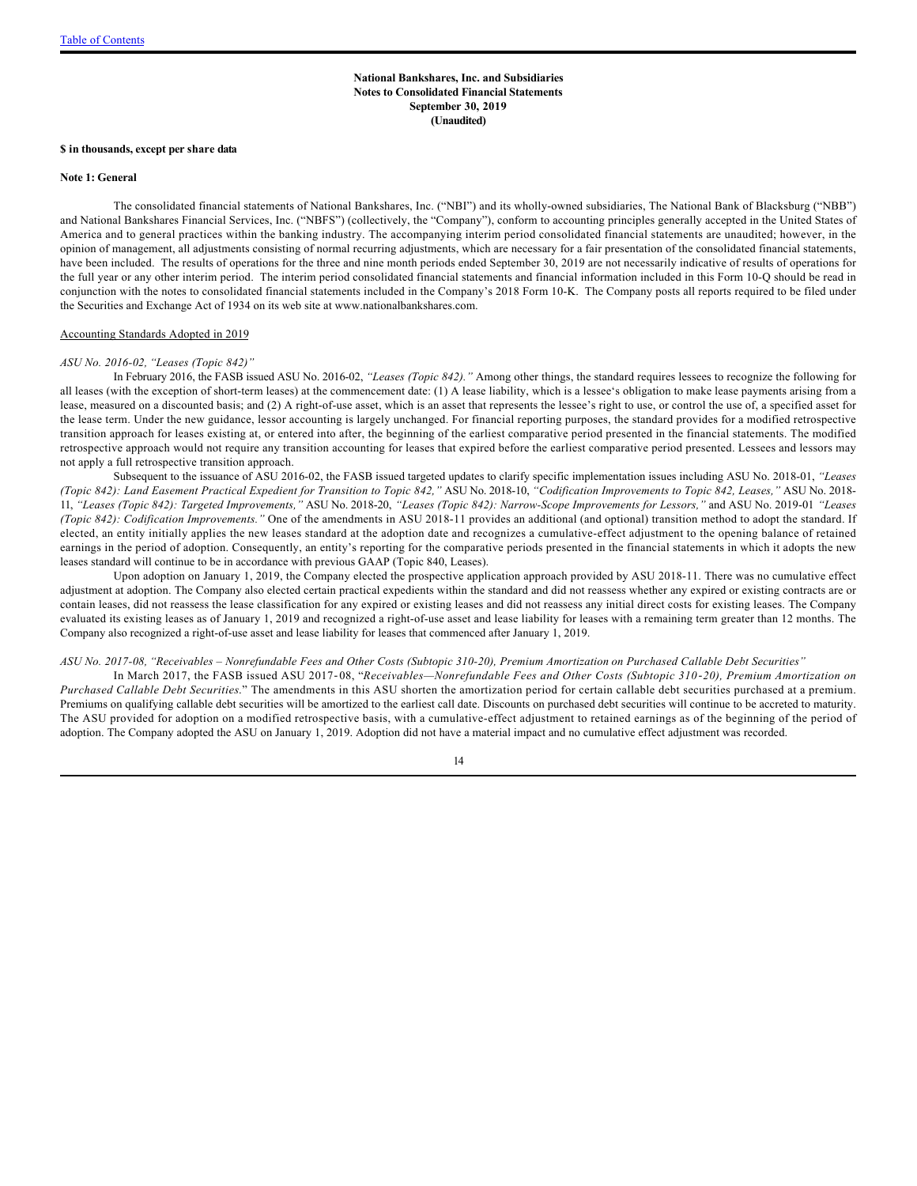#### <span id="page-13-0"></span>**National Bankshares, Inc. and Subsidiaries Notes to Consolidated Financial Statements September 30, 2019 (Unaudited)**

#### **\$ in thousands, except per share data**

#### **Note 1: General**

The consolidated financial statements of National Bankshares, Inc. ("NBI") and its wholly-owned subsidiaries, The National Bank of Blacksburg ("NBB") and National Bankshares Financial Services, Inc. ("NBFS") (collectively, the "Company"), conform to accounting principles generally accepted in the United States of America and to general practices within the banking industry. The accompanying interim period consolidated financial statements are unaudited; however, in the opinion of management, all adjustments consisting of normal recurring adjustments, which are necessary for a fair presentation of the consolidated financial statements, have been included. The results of operations for the three and nine month periods ended September 30, 2019 are not necessarily indicative of results of operations for the full year or any other interim period. The interim period consolidated financial statements and financial information included in this Form 10-Q should be read in conjunction with the notes to consolidated financial statements included in the Company's 2018 Form 10-K. The Company posts all reports required to be filed under the Securities and Exchange Act of 1934 on its web site at www.nationalbankshares.com.

#### Accounting Standards Adopted in 2019

#### *ASU No. 2016-02, "Leases (Topic 842)"*

In February 2016, the FASB issued ASU No. 2016-02, *"Leases (Topic 842)."* Among other things, the standard requires lessees to recognize the following for all leases (with the exception of short-term leases) at the commencement date: (1) A lease liability, which is a lessee's obligation to make lease payments arising from a lease, measured on a discounted basis; and (2) A right-of-use asset, which is an asset that represents the lessee's right to use, or control the use of, a specified asset for the lease term. Under the new guidance, lessor accounting is largely unchanged. For financial reporting purposes, the standard provides for a modified retrospective transition approach for leases existing at, or entered into after, the beginning of the earliest comparative period presented in the financial statements. The modified retrospective approach would not require any transition accounting for leases that expired before the earliest comparative period presented. Lessees and lessors may not apply a full retrospective transition approach.

Subsequent to the issuance of ASU 2016-02, the FASB issued targeted updates to clarify specific implementation issues including ASU No. 2018-01, *"Leases (Topic 842): Land Easement Practical Expedient for Transition to Topic 842,"* ASU No. 2018-10, *"Codification Improvements to Topic 842, Leases,"* ASU No. 2018- 11, *"Leases (Topic 842): Targeted Improvements,"* ASU No. 2018-20, *"Leases (Topic 842): Narrow-Scope Improvements for Lessors,"* and ASU No. 2019-01 *"Leases (Topic 842): Codification Improvements."* One of the amendments in ASU 2018-11 provides an additional (and optional) transition method to adopt the standard. If elected, an entity initially applies the new leases standard at the adoption date and recognizes a cumulative-effect adjustment to the opening balance of retained earnings in the period of adoption. Consequently, an entity's reporting for the comparative periods presented in the financial statements in which it adopts the new leases standard will continue to be in accordance with previous GAAP (Topic 840, Leases).

Upon adoption on January 1, 2019, the Company elected the prospective application approach provided by ASU 2018-11. There was no cumulative effect adjustment at adoption. The Company also elected certain practical expedients within the standard and did not reassess whether any expired or existing contracts are or contain leases, did not reassess the lease classification for any expired or existing leases and did not reassess any initial direct costs for existing leases. The Company evaluated its existing leases as of January 1, 2019 and recognized a right-of-use asset and lease liability for leases with a remaining term greater than 12 months. The Company also recognized a right-of-use asset and lease liability for leases that commenced after January 1, 2019.

#### *ASU No. 2017-08, "Receivables – Nonrefundable Fees and Other Costs (Subtopic 310-20), Premium Amortization on Purchased Callable Debt Securities"*

In March 2017, the FASB issued ASU 2017‐08, "*Receivables—Nonrefundable Fees and Other Costs (Subtopic 310*‐*20), Premium Amortization on Purchased Callable Debt Securities*." The amendments in this ASU shorten the amortization period for certain callable debt securities purchased at a premium. Premiums on qualifying callable debt securities will be amortized to the earliest call date. Discounts on purchased debt securities will continue to be accreted to maturity. The ASU provided for adoption on a modified retrospective basis, with a cumulative-effect adjustment to retained earnings as of the beginning of the period of adoption. The Company adopted the ASU on January 1, 2019. Adoption did not have a material impact and no cumulative effect adjustment was recorded.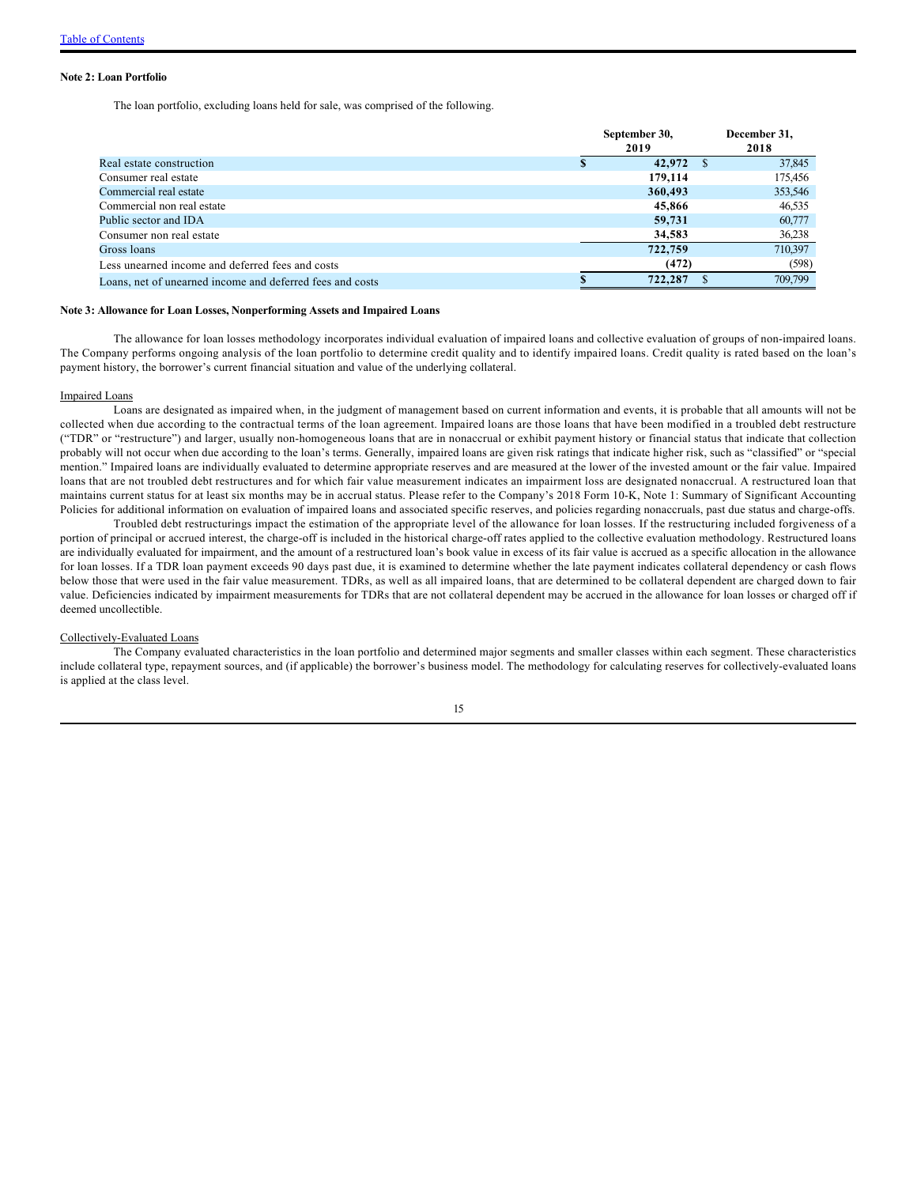#### **Note 2: Loan Portfolio**

The loan portfolio, excluding loans held for sale, was comprised of the following.

|                                                           | September 30,<br>2019 |    | December 31,<br>2018 |
|-----------------------------------------------------------|-----------------------|----|----------------------|
| Real estate construction                                  | 42,972                | -S | 37,845               |
| Consumer real estate                                      | 179,114               |    | 175,456              |
| Commercial real estate                                    | 360,493               |    | 353,546              |
| Commercial non real estate                                | 45,866                |    | 46,535               |
| Public sector and IDA                                     | 59,731                |    | 60,777               |
| Consumer non real estate                                  | 34,583                |    | 36,238               |
| Gross loans                                               | 722,759               |    | 710.397              |
| Less unearned income and deferred fees and costs          | (472)                 |    | (598)                |
| Loans, net of unearned income and deferred fees and costs | 722,287               |    | 709,799              |

#### **Note 3: Allowance for Loan Losses, Nonperforming Assets and Impaired Loans**

The allowance for loan losses methodology incorporates individual evaluation of impaired loans and collective evaluation of groups of non-impaired loans. The Company performs ongoing analysis of the loan portfolio to determine credit quality and to identify impaired loans. Credit quality is rated based on the loan's payment history, the borrower's current financial situation and value of the underlying collateral.

#### Impaired Loans

Loans are designated as impaired when, in the judgment of management based on current information and events, it is probable that all amounts will not be collected when due according to the contractual terms of the loan agreement. Impaired loans are those loans that have been modified in a troubled debt restructure ("TDR" or "restructure") and larger, usually non-homogeneous loans that are in nonaccrual or exhibit payment history or financial status that indicate that collection probably will not occur when due according to the loan's terms. Generally, impaired loans are given risk ratings that indicate higher risk, such as "classified" or "special mention." Impaired loans are individually evaluated to determine appropriate reserves and are measured at the lower of the invested amount or the fair value. Impaired loans that are not troubled debt restructures and for which fair value measurement indicates an impairment loss are designated nonaccrual. A restructured loan that maintains current status for at least six months may be in accrual status. Please refer to the Company's 2018 Form 10-K, Note 1: Summary of Significant Accounting Policies for additional information on evaluation of impaired loans and associated specific reserves, and policies regarding nonaccruals, past due status and charge-offs.

Troubled debt restructurings impact the estimation of the appropriate level of the allowance for loan losses. If the restructuring included forgiveness of a portion of principal or accrued interest, the charge-off is included in the historical charge-off rates applied to the collective evaluation methodology. Restructured loans are individually evaluated for impairment, and the amount of a restructured loan's book value in excess of its fair value is accrued as a specific allocation in the allowance for loan losses. If a TDR loan payment exceeds 90 days past due, it is examined to determine whether the late payment indicates collateral dependency or cash flows below those that were used in the fair value measurement. TDRs, as well as all impaired loans, that are determined to be collateral dependent are charged down to fair value. Deficiencies indicated by impairment measurements for TDRs that are not collateral dependent may be accrued in the allowance for loan losses or charged off if deemed uncollectible.

#### Collectively-Evaluated Loans

The Company evaluated characteristics in the loan portfolio and determined major segments and smaller classes within each segment. These characteristics include collateral type, repayment sources, and (if applicable) the borrower's business model. The methodology for calculating reserves for collectively-evaluated loans is applied at the class level.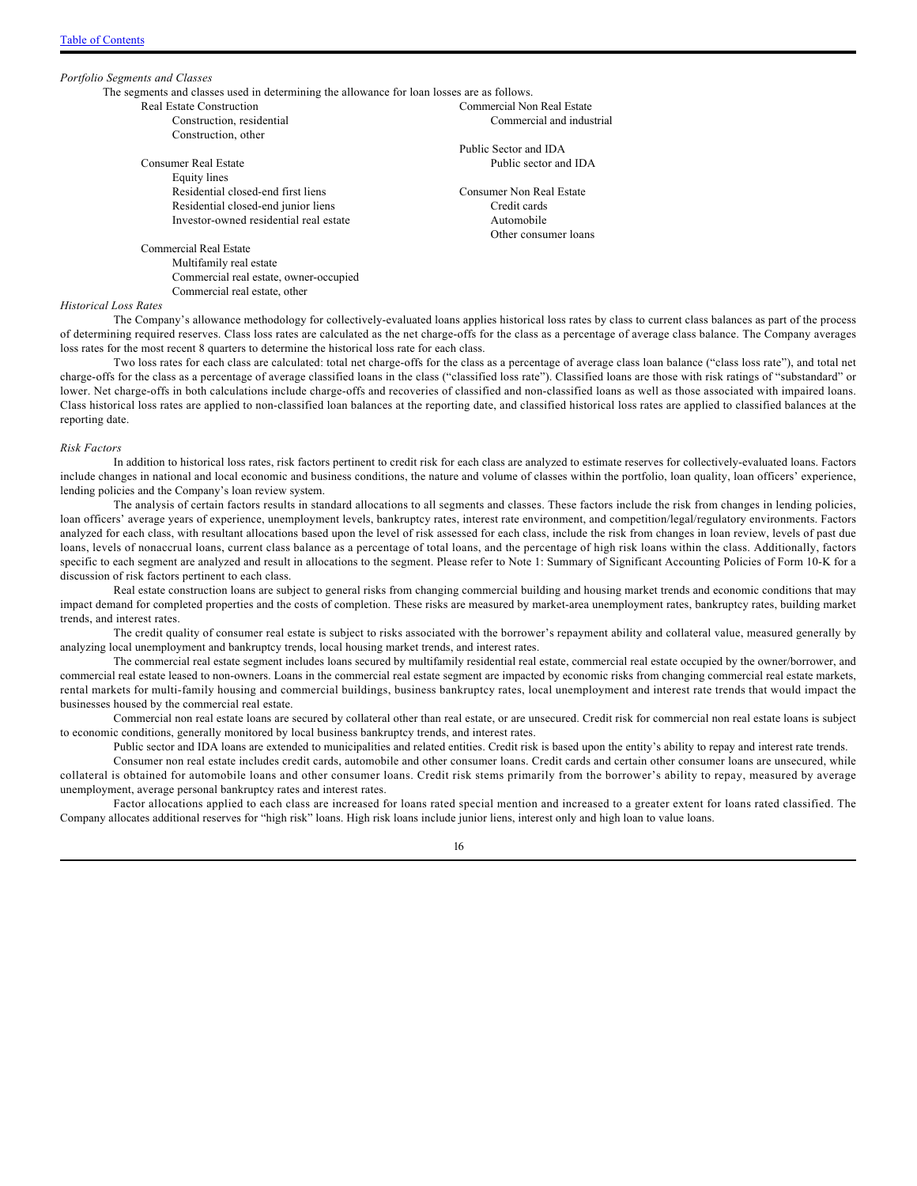*Portfolio Segments and Classes* The segments and classes used in determining the allowance for loan losses are as follows. Real Estate Construction Construction, residential Construction, other Consumer Real Estate Commercial Non Real Estate

Equity lines Residential closed-end first liens Residential closed-end junior liens Investor-owned residential real estate

Commercial Real Estate Multifamily real estate Commercial real estate, owner-occupied Commercial real estate, other

# Public Sector and IDA Public sector and IDA

Consumer Non Real Estate Credit cards Automobile Other consumer loans

Commercial and industrial

#### *Historical Loss Rates*

The Company's allowance methodology for collectively-evaluated loans applies historical loss rates by class to current class balances as part of the process of determining required reserves. Class loss rates are calculated as the net charge-offs for the class as a percentage of average class balance. The Company averages loss rates for the most recent 8 quarters to determine the historical loss rate for each class.

Two loss rates for each class are calculated: total net charge-offs for the class as a percentage of average class loan balance ("class loss rate"), and total net charge-offs for the class as a percentage of average classified loans in the class ("classified loss rate"). Classified loans are those with risk ratings of "substandard" or lower. Net charge-offs in both calculations include charge-offs and recoveries of classified and non-classified loans as well as those associated with impaired loans. Class historical loss rates are applied to non-classified loan balances at the reporting date, and classified historical loss rates are applied to classified balances at the reporting date.

#### *Risk Factors*

In addition to historical loss rates, risk factors pertinent to credit risk for each class are analyzed to estimate reserves for collectively-evaluated loans. Factors include changes in national and local economic and business conditions, the nature and volume of classes within the portfolio, loan quality, loan officers' experience, lending policies and the Company's loan review system.

The analysis of certain factors results in standard allocations to all segments and classes. These factors include the risk from changes in lending policies, loan officers' average years of experience, unemployment levels, bankruptcy rates, interest rate environment, and competition/legal/regulatory environments. Factors analyzed for each class, with resultant allocations based upon the level of risk assessed for each class, include the risk from changes in loan review, levels of past due loans, levels of nonaccrual loans, current class balance as a percentage of total loans, and the percentage of high risk loans within the class. Additionally, factors specific to each segment are analyzed and result in allocations to the segment. Please refer to Note 1: Summary of Significant Accounting Policies of Form 10-K for a discussion of risk factors pertinent to each class.

Real estate construction loans are subject to general risks from changing commercial building and housing market trends and economic conditions that may impact demand for completed properties and the costs of completion. These risks are measured by market-area unemployment rates, bankruptcy rates, building market trends, and interest rates.

The credit quality of consumer real estate is subject to risks associated with the borrower's repayment ability and collateral value, measured generally by analyzing local unemployment and bankruptcy trends, local housing market trends, and interest rates.

The commercial real estate segment includes loans secured by multifamily residential real estate, commercial real estate occupied by the owner/borrower, and commercial real estate leased to non-owners. Loans in the commercial real estate segment are impacted by economic risks from changing commercial real estate markets, rental markets for multi-family housing and commercial buildings, business bankruptcy rates, local unemployment and interest rate trends that would impact the businesses housed by the commercial real estate.

Commercial non real estate loans are secured by collateral other than real estate, or are unsecured. Credit risk for commercial non real estate loans is subject to economic conditions, generally monitored by local business bankruptcy trends, and interest rates.

Public sector and IDA loans are extended to municipalities and related entities. Credit risk is based upon the entity's ability to repay and interest rate trends.

Consumer non real estate includes credit cards, automobile and other consumer loans. Credit cards and certain other consumer loans are unsecured, while collateral is obtained for automobile loans and other consumer loans. Credit risk stems primarily from the borrower's ability to repay, measured by average unemployment, average personal bankruptcy rates and interest rates.

Factor allocations applied to each class are increased for loans rated special mention and increased to a greater extent for loans rated classified. The Company allocates additional reserves for "high risk" loans. High risk loans include junior liens, interest only and high loan to value loans.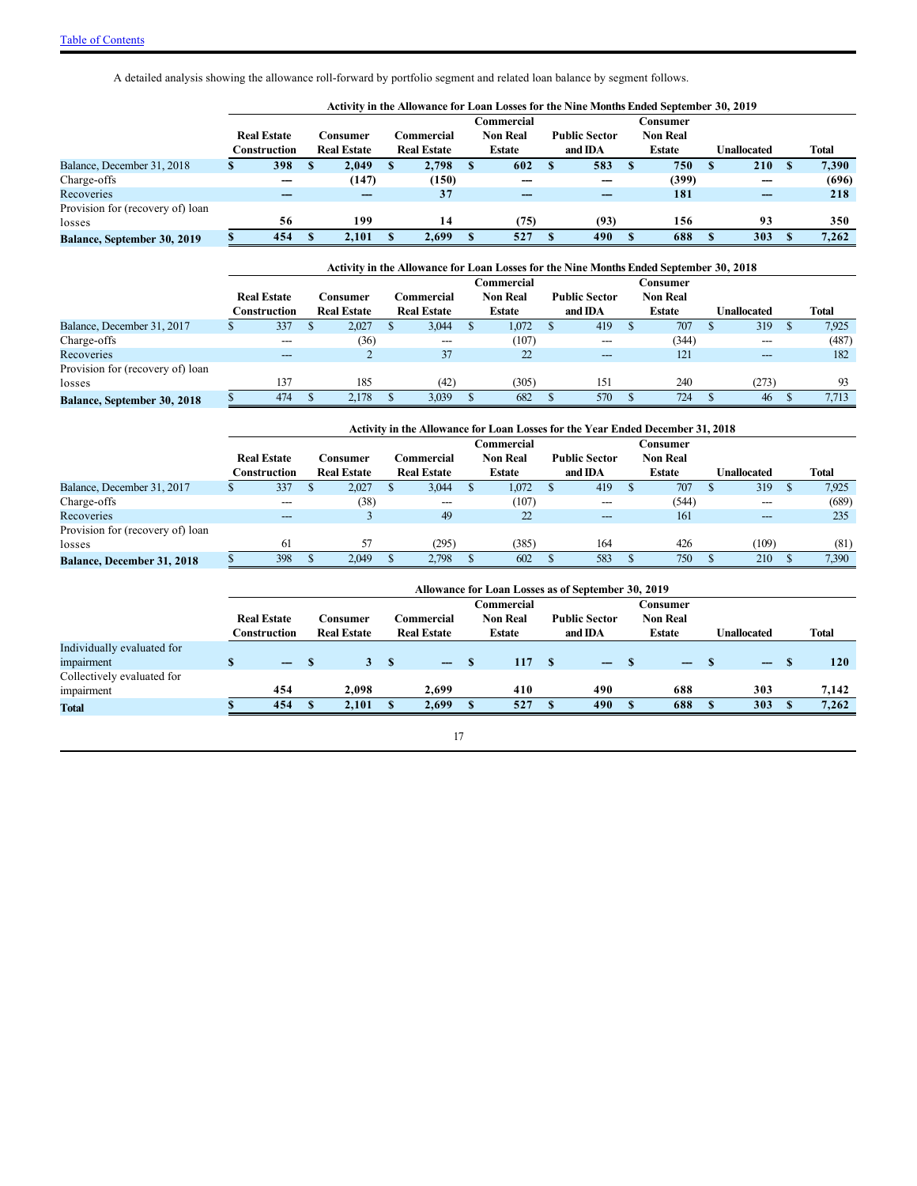A detailed analysis showing the allowance roll-forward by portfolio segment and related loan balance by segment follows.

|                                  |                    |                    |    |                    |                    | Activity in the Allowance for Loan Losses for the Nine Months Ended September 30, 2019 |                 |             |       |
|----------------------------------|--------------------|--------------------|----|--------------------|--------------------|----------------------------------------------------------------------------------------|-----------------|-------------|-------|
|                                  |                    |                    |    |                    | C <b>ommercial</b> |                                                                                        | Consumer        |             |       |
|                                  | <b>Real Estate</b> | Consumer           |    | <b>Commercial</b>  | <b>Non Real</b>    | <b>Public Sector</b>                                                                   | <b>Non Real</b> |             |       |
|                                  | Construction       | <b>Real Estate</b> |    | <b>Real Estate</b> | Estate             | and IDA                                                                                | <b>Estate</b>   | Unallocated | Total |
| Balance, December 31, 2018       | 398                | 2,049              | n. | 2,798              | 602                | 583                                                                                    | 750             | <b>210</b>  | 7,390 |
| Charge-offs                      |                    | (147)              |    | (150)              |                    |                                                                                        | (399)           | ---         | (696) |
| Recoveries                       |                    |                    |    | 37                 |                    |                                                                                        | 181             | ---         | 218   |
| Provision for (recovery of) loan |                    |                    |    |                    |                    |                                                                                        |                 |             |       |
| losses                           | 56                 | 199                |    | 14                 | (75)               | (93)                                                                                   | 156             | 93          | 350   |
| Balance, September 30, 2019      | 454                | 2.101              |    | 2.699              | 527                | 490                                                                                    | 688             | 303         | 7.262 |

|                                    | Activity in the Allowance for Loan Losses for the Nine Months Ended September 30, 2018 |  |                    |  |                    |  |                   |  |                      |  |                 |  |             |  |              |
|------------------------------------|----------------------------------------------------------------------------------------|--|--------------------|--|--------------------|--|-------------------|--|----------------------|--|-----------------|--|-------------|--|--------------|
|                                    |                                                                                        |  |                    |  |                    |  | <b>∃ommercial</b> |  |                      |  | Consumer        |  |             |  |              |
|                                    | <b>Real Estate</b>                                                                     |  | Consumer           |  | Commercial         |  | <b>Non Real</b>   |  | <b>Public Sector</b> |  | <b>Non Real</b> |  |             |  |              |
|                                    | Construction                                                                           |  | <b>Real Estate</b> |  | <b>Real Estate</b> |  | <b>Estate</b>     |  | and IDA              |  | Estate          |  | Unallocated |  | <b>Total</b> |
| Balance, December 31, 2017         | 337                                                                                    |  | 2,027              |  | 3,044              |  | 1,072             |  | 419                  |  | 707             |  | 319         |  | 7,925        |
| Charge-offs                        |                                                                                        |  | (36)               |  | $---$              |  | (107)             |  |                      |  | (344)           |  | ---         |  | (487)        |
| Recoveries                         | ---                                                                                    |  |                    |  | 37                 |  | 22                |  | ---                  |  | 121             |  | $---$       |  | 182          |
| Provision for (recovery of) loan   |                                                                                        |  |                    |  |                    |  |                   |  |                      |  |                 |  |             |  |              |
| losses                             | 137                                                                                    |  | 185                |  | (42)               |  | (305)             |  | 151                  |  | 240             |  | (273)       |  | 93           |
| <b>Balance, September 30, 2018</b> | 474                                                                                    |  | 2.178              |  | 3,039              |  | 682               |  | 570                  |  | 724             |  | 46          |  | 7.713        |

|                                   | Activity in the Allowance for Loan Losses for the Year Ended December 31, 2018 |   |                    |  |                    |  |                 |  |                      |  |                 |  |                    |  |       |
|-----------------------------------|--------------------------------------------------------------------------------|---|--------------------|--|--------------------|--|-----------------|--|----------------------|--|-----------------|--|--------------------|--|-------|
|                                   |                                                                                |   |                    |  |                    |  | Commercial      |  |                      |  | Consumer        |  |                    |  |       |
|                                   | <b>Real Estate</b>                                                             |   | Consumer           |  | Commercial         |  | <b>Non Real</b> |  | <b>Public Sector</b> |  | <b>Non Real</b> |  |                    |  |       |
|                                   | Construction                                                                   |   | <b>Real Estate</b> |  | <b>Real Estate</b> |  | <b>Estate</b>   |  | and IDA              |  | Estate          |  | <b>Unallocated</b> |  | Total |
| Balance, December 31, 2017        | 337                                                                            | D | 2,027              |  | 3,044              |  | 1,072           |  | 419                  |  | 707             |  | 319                |  | 7,925 |
| Charge-offs                       | $- - -$                                                                        |   | (38)               |  | ---                |  | (107)           |  | $---$                |  | (544)           |  | ---                |  | (689) |
| Recoveries                        | ---                                                                            |   |                    |  | 49                 |  | 22              |  | ---                  |  | 161             |  | $---$              |  | 235   |
| Provision for (recovery of) loan  |                                                                                |   |                    |  |                    |  |                 |  |                      |  |                 |  |                    |  |       |
| losses                            | -61                                                                            |   | 57                 |  | (295)              |  | (385)           |  | 164                  |  | 426             |  | (109)              |  | (81)  |
| <b>Balance, December 31, 2018</b> | 398                                                                            |   | 2,049              |  | 2,798              |  | 602             |  | 583                  |  | 750             |  | 210                |  | 7,390 |

|                            | Allowance for Loan Losses as of September 30, 2019 |                    |  |                    |  |                    |  |                 |  |                      |              |                 |   |                   |              |
|----------------------------|----------------------------------------------------|--------------------|--|--------------------|--|--------------------|--|-----------------|--|----------------------|--------------|-----------------|---|-------------------|--------------|
|                            |                                                    |                    |  |                    |  |                    |  | Commercial      |  |                      |              | Consumer        |   |                   |              |
|                            |                                                    | <b>Real Estate</b> |  | Consumer           |  | Commercial         |  | <b>Non Real</b> |  | <b>Public Sector</b> |              | <b>Non Real</b> |   |                   |              |
|                            |                                                    | Construction       |  | <b>Real Estate</b> |  | <b>Real Estate</b> |  | <b>Estate</b>   |  | and IDA              |              | <b>Estate</b>   |   | Unallocated       | <b>Total</b> |
| Individually evaluated for |                                                    |                    |  |                    |  |                    |  |                 |  |                      |              |                 |   |                   |              |
| impairment                 |                                                    | $\qquad \qquad -$  |  |                    |  | $\qquad \qquad -$  |  | 117             |  | $\qquad \qquad -$    |              | $ -$            |   | $\qquad \qquad -$ | 120          |
| Collectively evaluated for |                                                    |                    |  |                    |  |                    |  |                 |  |                      |              |                 |   |                   |              |
| impairment                 |                                                    | 454                |  | 2.098              |  | 2.699              |  | 410             |  | 490                  |              | 688             |   | 303               | 7.142        |
| <b>Total</b>               |                                                    | 454                |  | 2.101              |  | 2.699              |  | 527             |  | 490                  | $\mathbf{F}$ | 688             | S | 303               | 7.262        |

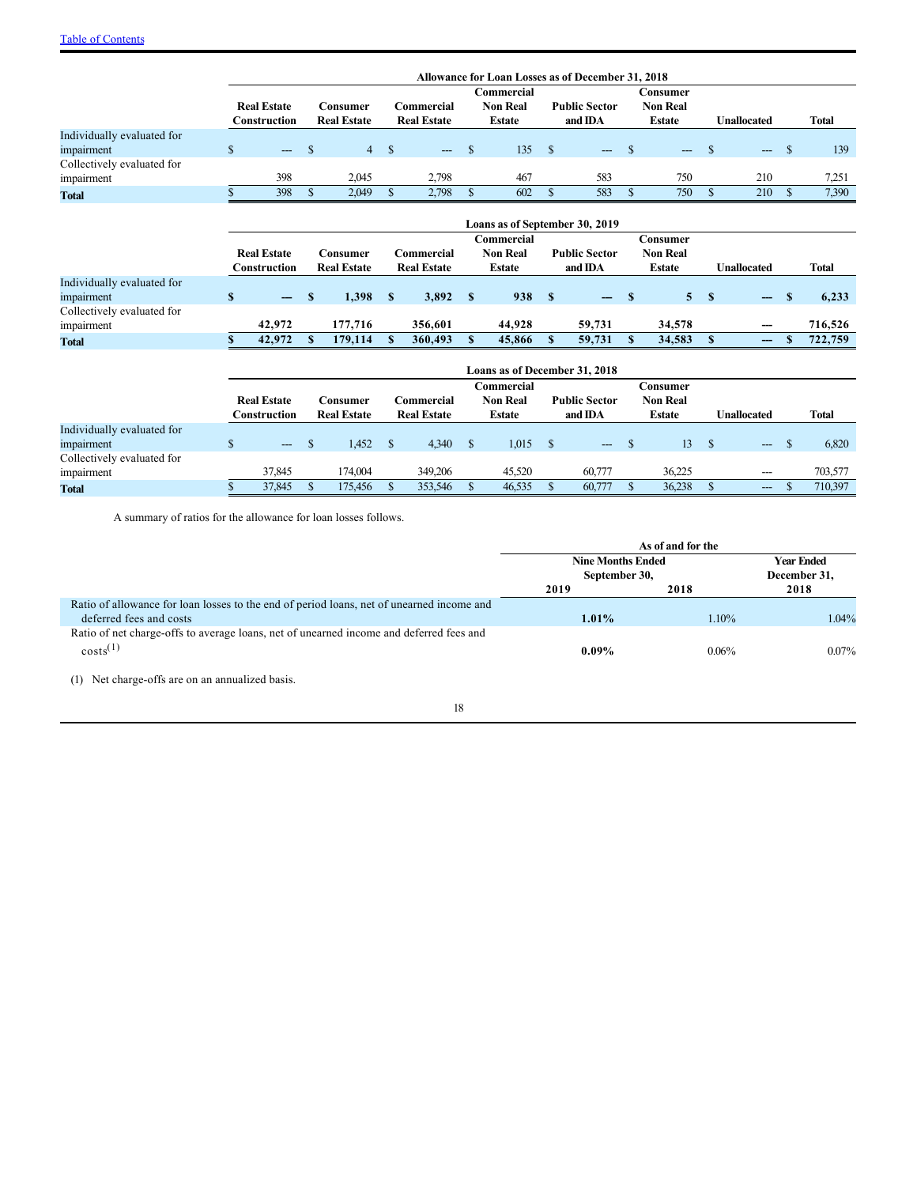|                            |                                    |              |                                |              |                                  |              |                                         |              | Allowance for Loan Losses as of December 31, 2018 |              |                                              |              |                    |              |              |
|----------------------------|------------------------------------|--------------|--------------------------------|--------------|----------------------------------|--------------|-----------------------------------------|--------------|---------------------------------------------------|--------------|----------------------------------------------|--------------|--------------------|--------------|--------------|
|                            | <b>Real Estate</b><br>Construction |              | Consumer<br><b>Real Estate</b> |              | Commercial<br><b>Real Estate</b> |              | Commercial<br><b>Non Real</b><br>Estate |              | <b>Public Sector</b><br>and IDA                   |              | Consumer<br><b>Non Real</b><br><b>Estate</b> |              | <b>Unallocated</b> |              | Total        |
| Individually evaluated for |                                    |              |                                |              |                                  |              |                                         |              |                                                   |              |                                              |              |                    |              |              |
| impairment                 | \$<br>$---$                        | <b>S</b>     | 4 <sup>1</sup>                 | <sup>S</sup> | $\qquad \qquad \cdots$           | <sup>S</sup> | 135                                     | $^{\circ}$   | $---$                                             | <sup>S</sup> | $---$                                        | \$           | $---$              | <sup>S</sup> | 139          |
| Collectively evaluated for |                                    |              |                                |              |                                  |              |                                         |              |                                                   |              |                                              |              |                    |              |              |
| impairment                 | 398                                |              | 2,045                          |              | 2,798                            |              | 467                                     |              | 583                                               |              | 750                                          |              | 210                |              | 7,251        |
| <b>Total</b>               | 398                                | S.           | 2,049                          | \$.          | 2,798                            | $\mathbf{s}$ | 602                                     | \$           | 583                                               | $\mathbf{s}$ | 750                                          | \$           | 210                | $\mathbf{s}$ | 7,390        |
|                            |                                    |              |                                |              |                                  |              |                                         |              | Loans as of September 30, 2019                    |              |                                              |              |                    |              |              |
|                            |                                    |              |                                |              |                                  |              | Commercial                              |              |                                                   |              | Consumer                                     |              |                    |              |              |
|                            | <b>Real Estate</b>                 |              | Consumer                       |              | Commercial                       |              | <b>Non Real</b>                         |              | <b>Public Sector</b>                              |              | <b>Non Real</b>                              |              |                    |              |              |
|                            | Construction                       |              | <b>Real Estate</b>             |              | <b>Real Estate</b>               |              | Estate                                  |              | and IDA                                           |              | <b>Estate</b>                                |              | <b>Unallocated</b> |              | <b>Total</b> |
| Individually evaluated for |                                    |              |                                |              |                                  |              |                                         |              |                                                   |              |                                              |              |                    |              |              |
| impairment                 | \$<br>$\qquad \qquad -$            | S            | 1,398                          | S            | 3,892                            | -S           | 938                                     | $\mathbf{s}$ | $\overline{\phantom{a}}$                          | - \$         | 5 <sup>1</sup>                               | $\mathbf{s}$ | $-$                | S            | 6,233        |
| Collectively evaluated for |                                    |              |                                |              |                                  |              |                                         |              |                                                   |              |                                              |              |                    |              |              |
| impairment                 | 42,972                             |              | 177,716                        |              | 356,601                          |              | 44,928                                  |              | 59,731                                            |              | 34,578                                       |              | ---                |              | 716,526      |
| <b>Total</b>               | 42,972                             | $\mathbf{s}$ | 179,114                        | \$.          | 360,493                          | $\mathbf{s}$ | 45,866                                  | S            | 59,731                                            | $\mathbf{s}$ | 34,583                                       | S            | --                 | S            | 722,759      |

|                            |                        |                    |                    | <b>Loans as of December 31, 2018</b> |     |                        |                 |                          |              |
|----------------------------|------------------------|--------------------|--------------------|--------------------------------------|-----|------------------------|-----------------|--------------------------|--------------|
|                            |                        |                    |                    | Commercial                           |     |                        | Consumer        |                          |              |
|                            | <b>Real Estate</b>     | Consumer           | Commercial         | <b>Non Real</b>                      |     | <b>Public Sector</b>   | <b>Non Real</b> |                          |              |
|                            | Construction           | <b>Real Estate</b> | <b>Real Estate</b> | Estate                               |     | and IDA                | <b>Estate</b>   | Unallocated              | <b>Total</b> |
| Individually evaluated for |                        |                    |                    |                                      |     |                        |                 |                          |              |
| impairment                 | $\qquad \qquad \cdots$ | 1,452              | 4.340              | 1,015                                | - S | $\qquad \qquad \cdots$ | 13              | $\hspace{0.05cm} \ldots$ | 6,820        |
| Collectively evaluated for |                        |                    |                    |                                      |     |                        |                 |                          |              |
| impairment                 | 37.845                 | 74.004             | 349.206            | 45.520                               |     | 60.777                 | 36.225          | $\hspace{0.05cm} \cdots$ | 703.577      |
| <b>Total</b>               | 37,845                 | 175,456            | 353,546            | 46,535                               |     | 60,777                 | 36,238          | $\hspace{0.05cm} \cdots$ | 710,397      |

A summary of ratios for the allowance for loan losses follows.

|                                                                                           |                          | As of and for the |                   |
|-------------------------------------------------------------------------------------------|--------------------------|-------------------|-------------------|
|                                                                                           | <b>Nine Months Ended</b> |                   | <b>Year Ended</b> |
|                                                                                           | September 30,            |                   | December 31,      |
|                                                                                           | 2019                     | 2018              | 2018              |
| Ratio of allowance for loan losses to the end of period loans, net of unearned income and |                          |                   |                   |
| deferred fees and costs                                                                   | $1.01\%$                 | 1.10%             | 1.04%             |
| Ratio of net charge-offs to average loans, net of unearned income and deferred fees and   |                          |                   |                   |
| $\text{costs}^{(1)}$                                                                      | $0.09\%$                 | $0.06\%$          | $0.07\%$          |

(1) Net charge-offs are on an annualized basis.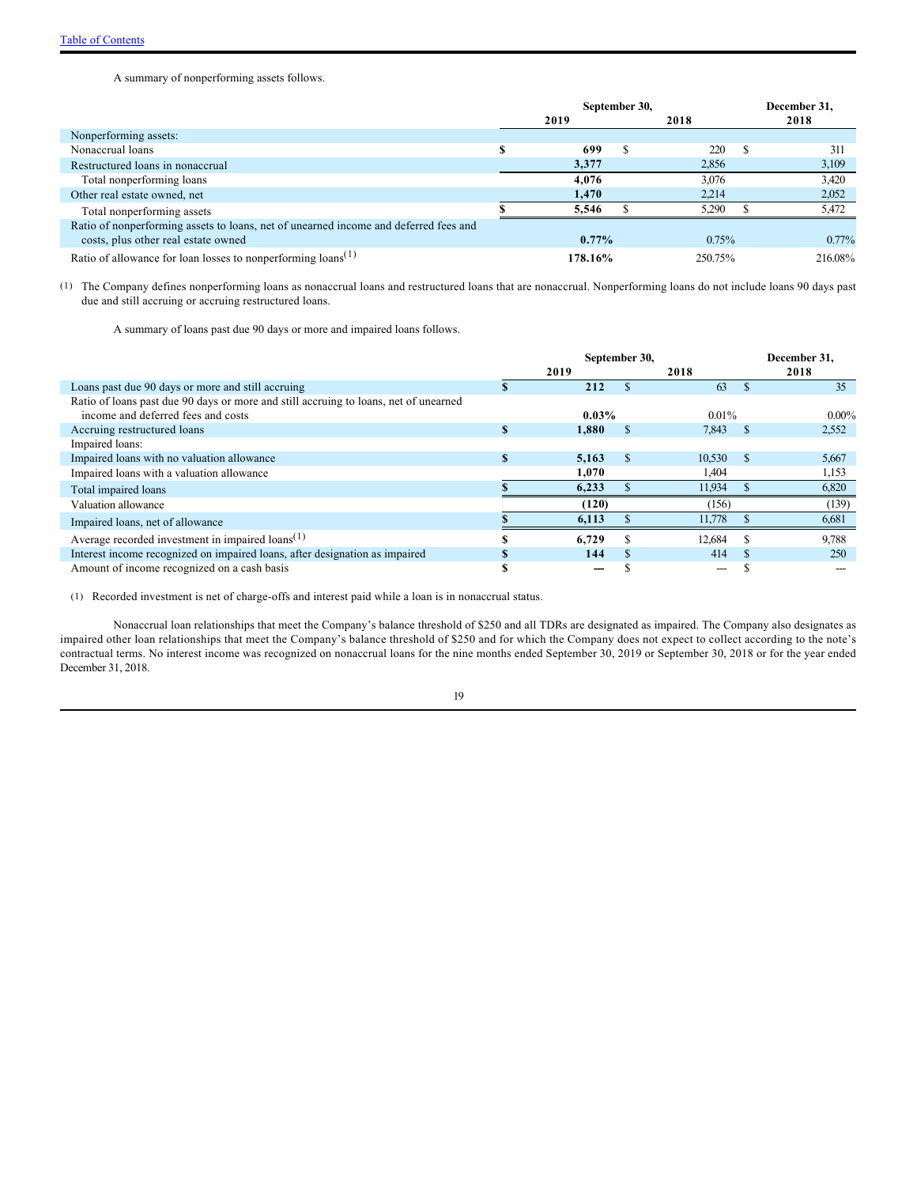A summary of nonperforming assets follows.

|                                                                                      | September 30, |         | December 31, |
|--------------------------------------------------------------------------------------|---------------|---------|--------------|
|                                                                                      | 2019          | 2018    | 2018         |
| Nonperforming assets:                                                                |               |         |              |
| Nonaccrual loans                                                                     | 699           | 220     | 311          |
| Restructured loans in nonaccrual                                                     | 3,377         | 2,856   | 3,109        |
| Total nonperforming loans                                                            | 4.076         | 3,076   | 3,420        |
| Other real estate owned, net                                                         | 1.470         | 2.214   | 2,052        |
| Total nonperforming assets                                                           | 5.546         | 5.290   | 5,472        |
| Ratio of nonperforming assets to loans, net of unearned income and deferred fees and |               |         |              |
| costs, plus other real estate owned                                                  | $0.77\%$      | 0.75%   | $0.77\%$     |
| Ratio of allowance for loan losses to nonperforming $\{$ loans $(1)$                 | 178.16%       | 250.75% | 216.08%      |

(1) The Company defines nonperforming loans as nonaccrual loans and restructured loans that are nonaccrual. Nonperforming loans do not include loans 90 days past due and still accruing or accruing restructured loans.

A summary of loans past due 90 days or more and impaired loans follows.

|                                                                                      |          | September 30, |               |          |          | December 31. |
|--------------------------------------------------------------------------------------|----------|---------------|---------------|----------|----------|--------------|
|                                                                                      |          | 2019          |               | 2018     |          | 2018         |
| Loans past due 90 days or more and still accruing                                    |          | 212           |               | 63       |          | 35           |
| Ratio of loans past due 90 days or more and still accruing to loans, net of unearned |          |               |               |          |          |              |
| income and deferred fees and costs                                                   |          | $0.03\%$      |               | $0.01\%$ |          | $0.00\%$     |
| Accruing restructured loans                                                          | S        | 1,880         | $\mathcal{L}$ | 7,843    | - \$     | 2,552        |
| Impaired loans:                                                                      |          |               |               |          |          |              |
| Impaired loans with no valuation allowance                                           | <b>S</b> | 5.163         | \$.           | 10,530   | <b>S</b> | 5,667        |
| Impaired loans with a valuation allowance                                            |          | 1.070         |               | 1.404    |          | 1,153        |
| Total impaired loans                                                                 |          | 6,233         |               | 11,934   |          | 6,820        |
| Valuation allowance                                                                  |          | (120)         |               | (156)    |          | (139)        |
| Impaired loans, net of allowance                                                     |          | 6,113         |               | 11,778   |          | 6,681        |
| Average recorded investment in impaired $\text{loans}^{(1)}$                         |          | 6.729         |               | 12.684   |          | 9,788        |
| Interest income recognized on impaired loans, after designation as impaired          |          | 144           |               | 414      | S.       | 250          |
| Amount of income recognized on a cash basis                                          |          |               |               | ---      |          |              |

(1) Recorded investment is net of charge-offs and interest paid while a loan is in nonaccrual status.

Nonaccrual loan relationships that meet the Company's balance threshold of \$250 and all TDRs are designated as impaired. The Company also designates as impaired other loan relationships that meet the Company's balance threshold of \$250 and for which the Company does not expect to collect according to the note's contractual terms. No interest income was recognized on nonaccrual loans for the nine months ended September 30, 2019 or September 30, 2018 or for the year ended December 31, 2018.

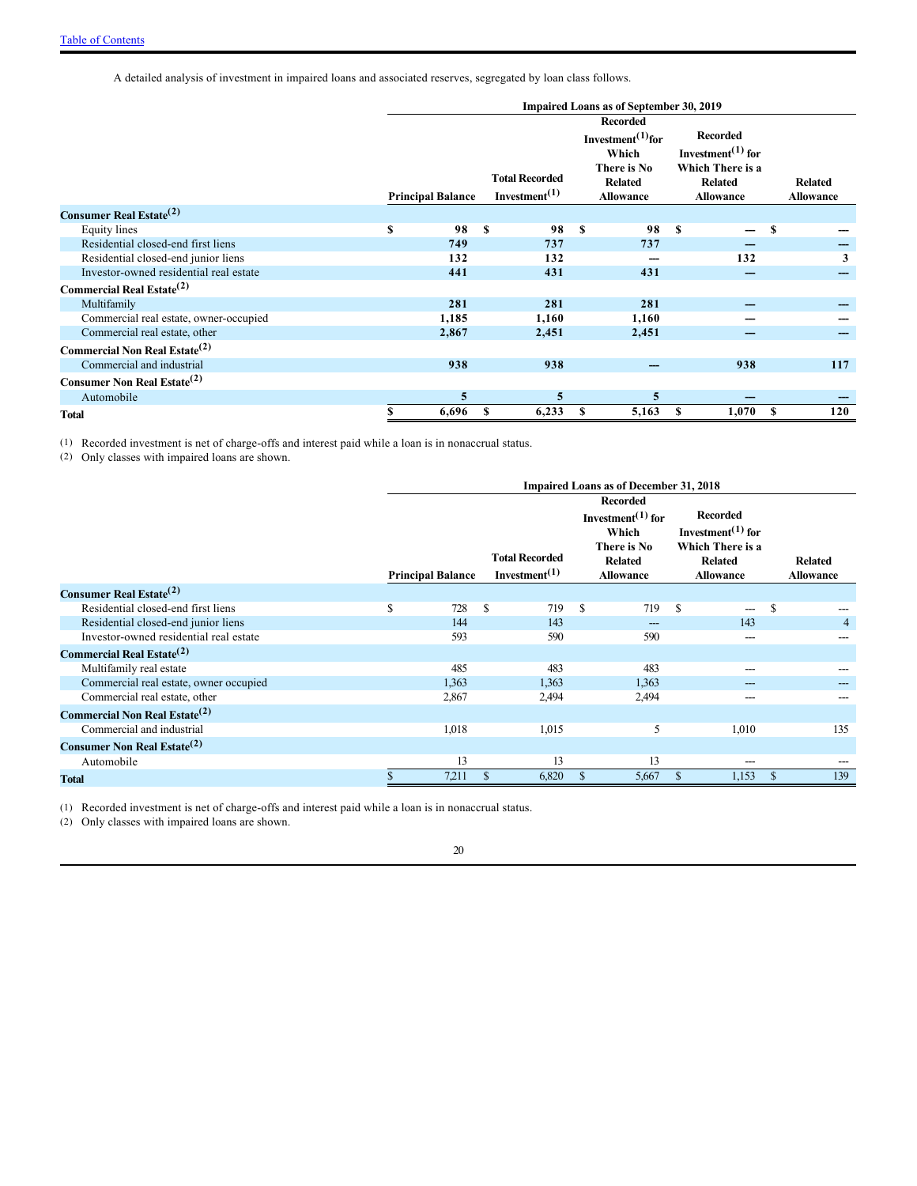A detailed analysis of investment in impaired loans and associated reserves, segregated by loan class follows.

| <b>Impaired Loans as of September 30, 2019</b> |    |                          |    |                                                                 |     |                                                                                                                |    |                                                                                                      |   |                                    |  |
|------------------------------------------------|----|--------------------------|----|-----------------------------------------------------------------|-----|----------------------------------------------------------------------------------------------------------------|----|------------------------------------------------------------------------------------------------------|---|------------------------------------|--|
|                                                |    | <b>Principal Balance</b> |    | <b>Total Recorded</b><br>Investment <sup><math>(1)</math></sup> |     | <b>Recorded</b><br>Investment <sup>(1)</sup> for<br>Which<br>There is No<br><b>Related</b><br><b>Allowance</b> |    | <b>Recorded</b><br>Investment $^{(1)}$ for<br>Which There is a<br><b>Related</b><br><b>Allowance</b> |   | <b>Related</b><br><b>Allowance</b> |  |
| Consumer Real Estate <sup>(2)</sup>            |    |                          |    |                                                                 |     |                                                                                                                |    |                                                                                                      |   |                                    |  |
| Equity lines                                   | \$ | 98                       | -S | 98                                                              | \$. | 98                                                                                                             | -S |                                                                                                      | S |                                    |  |
| Residential closed-end first liens             |    | 749                      |    | 737                                                             |     | 737                                                                                                            |    |                                                                                                      |   |                                    |  |
| Residential closed-end junior liens            |    | 132                      |    | 132                                                             |     |                                                                                                                |    | 132                                                                                                  |   | 3                                  |  |
| Investor-owned residential real estate         |    | 441                      |    | 431                                                             |     | 431                                                                                                            |    |                                                                                                      |   |                                    |  |
| Commercial Real Estate <sup>(2)</sup>          |    |                          |    |                                                                 |     |                                                                                                                |    |                                                                                                      |   |                                    |  |
| Multifamily                                    |    | 281                      |    | 281                                                             |     | 281                                                                                                            |    |                                                                                                      |   |                                    |  |
| Commercial real estate, owner-occupied         |    | 1,185                    |    | 1,160                                                           |     | 1,160                                                                                                          |    |                                                                                                      |   |                                    |  |
| Commercial real estate, other                  |    | 2,867                    |    | 2,451                                                           |     | 2,451                                                                                                          |    |                                                                                                      |   |                                    |  |
| Commercial Non Real Estate <sup>(2)</sup>      |    |                          |    |                                                                 |     |                                                                                                                |    |                                                                                                      |   |                                    |  |
| Commercial and industrial                      |    | 938                      |    | 938                                                             |     |                                                                                                                |    | 938                                                                                                  |   | 117                                |  |
| <b>Consumer Non Real Estate</b> <sup>(2)</sup> |    |                          |    |                                                                 |     |                                                                                                                |    |                                                                                                      |   |                                    |  |
| Automobile                                     |    | 5                        |    | 5                                                               |     | 5                                                                                                              |    |                                                                                                      |   |                                    |  |
| Total                                          |    | 6,696                    | S  | 6,233                                                           | S   | 5,163                                                                                                          | S  | 1,070                                                                                                | S | 120                                |  |

(1) Recorded investment is net of charge-offs and interest paid while a loan is in nonaccrual status.

(2) Only classes with impaired loans are shown.

|                                                  | Impaired Loans as of December 31, 2018 |                          |               |                                                                 |                                                                                                          |       |              |                                                                                            |               |                                    |
|--------------------------------------------------|----------------------------------------|--------------------------|---------------|-----------------------------------------------------------------|----------------------------------------------------------------------------------------------------------|-------|--------------|--------------------------------------------------------------------------------------------|---------------|------------------------------------|
|                                                  |                                        | <b>Principal Balance</b> |               | <b>Total Recorded</b><br>Investment <sup><math>(1)</math></sup> | <b>Recorded</b><br>Investment $^{(1)}$ for<br>Which<br>There is No<br><b>Related</b><br><b>Allowance</b> |       |              | Recorded<br>Investment $(1)$ for<br>Which There is a<br><b>Related</b><br><b>Allowance</b> |               | <b>Related</b><br><b>Allowance</b> |
| Consumer Real Estate <sup>(2)</sup>              |                                        |                          |               |                                                                 |                                                                                                          |       |              |                                                                                            |               |                                    |
| Residential closed-end first liens               | \$                                     | 728                      | S             | 719                                                             | S                                                                                                        | 719   | S            | ---                                                                                        | \$            |                                    |
| Residential closed-end junior liens              |                                        | 144                      |               | 143                                                             |                                                                                                          |       |              | 143                                                                                        |               | $\overline{4}$                     |
| Investor-owned residential real estate           |                                        | 593                      |               | 590                                                             |                                                                                                          | 590   |              | ---                                                                                        |               | ---                                |
| Commercial Real Estate <sup>(2)</sup>            |                                        |                          |               |                                                                 |                                                                                                          |       |              |                                                                                            |               |                                    |
| Multifamily real estate                          |                                        | 485                      |               | 483                                                             |                                                                                                          | 483   |              | ---                                                                                        |               |                                    |
| Commercial real estate, owner occupied           |                                        | 1,363                    |               | 1.363                                                           |                                                                                                          | 1.363 |              |                                                                                            |               |                                    |
| Commercial real estate, other                    |                                        | 2,867                    |               | 2,494                                                           |                                                                                                          | 2,494 |              |                                                                                            |               |                                    |
| <b>Commercial Non Real Estate</b> <sup>(2)</sup> |                                        |                          |               |                                                                 |                                                                                                          |       |              |                                                                                            |               |                                    |
| Commercial and industrial                        |                                        | 1,018                    |               | 1,015                                                           |                                                                                                          | 5     |              | 1,010                                                                                      |               | 135                                |
| Consumer Non Real Estate <sup>(2)</sup>          |                                        |                          |               |                                                                 |                                                                                                          |       |              |                                                                                            |               |                                    |
| Automobile                                       |                                        | 13                       |               | 13                                                              |                                                                                                          | 13    |              | ---                                                                                        |               |                                    |
| <b>Total</b>                                     |                                        | 7,211                    | <sup>\$</sup> | 6,820                                                           | <sup>\$</sup>                                                                                            | 5,667 | $\mathbb{S}$ | 1,153                                                                                      | <sup>\$</sup> | 139                                |

(1) Recorded investment is net of charge-offs and interest paid while a loan is in nonaccrual status.

(2) Only classes with impaired loans are shown.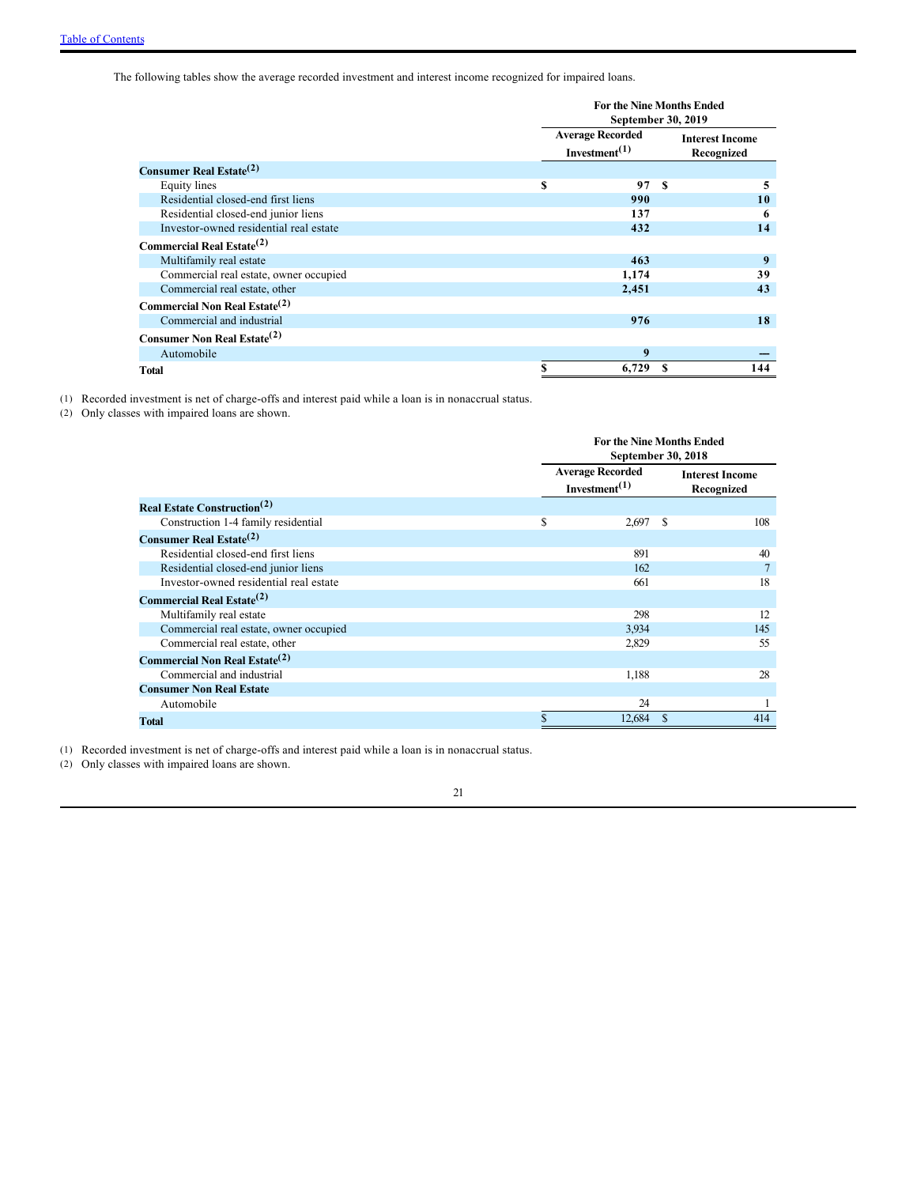The following tables show the average recorded investment and interest income recognized for impaired loans.

|                                           |   | <b>For the Nine Months Ended</b><br>September 30, 2019            |               |  |  |  |  |
|-------------------------------------------|---|-------------------------------------------------------------------|---------------|--|--|--|--|
|                                           |   | <b>Average Recorded</b><br>Investment <sup><math>(1)</math></sup> |               |  |  |  |  |
| Consumer Real Estate <sup>(2)</sup>       |   |                                                                   |               |  |  |  |  |
| <b>Equity</b> lines                       | S | 97                                                                | <b>S</b><br>5 |  |  |  |  |
| Residential closed-end first liens        |   | 990                                                               | 10            |  |  |  |  |
| Residential closed-end junior liens       |   | 137                                                               | 6             |  |  |  |  |
| Investor-owned residential real estate    |   | 432                                                               | 14            |  |  |  |  |
| Commercial Real Estate <sup>(2)</sup>     |   |                                                                   |               |  |  |  |  |
| Multifamily real estate                   |   | 463                                                               | 9             |  |  |  |  |
| Commercial real estate, owner occupied    |   | 1,174                                                             | 39            |  |  |  |  |
| Commercial real estate, other             |   | 2,451                                                             | 43            |  |  |  |  |
| Commercial Non Real Estate <sup>(2)</sup> |   |                                                                   |               |  |  |  |  |
| Commercial and industrial                 |   | 976                                                               | 18            |  |  |  |  |
| Consumer Non Real Estate <sup>(2)</sup>   |   |                                                                   |               |  |  |  |  |
| Automobile                                |   | 9                                                                 |               |  |  |  |  |
| Total                                     |   | 6,729                                                             | 144<br>£.     |  |  |  |  |

(1) Recorded investment is net of charge-offs and interest paid while a loan is in nonaccrual status.

(2) Only classes with impaired loans are shown.

|                                                |                                                                   | <b>For the Nine Months Ended</b><br>September 30, 2018 |                                      |     |  |  |  |
|------------------------------------------------|-------------------------------------------------------------------|--------------------------------------------------------|--------------------------------------|-----|--|--|--|
|                                                | <b>Average Recorded</b><br>Investment <sup><math>(1)</math></sup> |                                                        | <b>Interest Income</b><br>Recognized |     |  |  |  |
| <b>Real Estate Construction</b> <sup>(2)</sup> |                                                                   |                                                        |                                      |     |  |  |  |
| Construction 1-4 family residential            | \$                                                                | $2,697$ \$                                             |                                      | 108 |  |  |  |
| <b>Consumer Real Estate</b> <sup>(2)</sup>     |                                                                   |                                                        |                                      |     |  |  |  |
| Residential closed-end first liens             |                                                                   | 891                                                    |                                      | 40  |  |  |  |
| Residential closed-end junior liens            |                                                                   | 162                                                    |                                      |     |  |  |  |
| Investor-owned residential real estate         |                                                                   | 661                                                    |                                      | 18  |  |  |  |
| Commercial Real Estate <sup>(2)</sup>          |                                                                   |                                                        |                                      |     |  |  |  |
| Multifamily real estate                        |                                                                   | 298                                                    |                                      | 12  |  |  |  |
| Commercial real estate, owner occupied         |                                                                   | 3,934                                                  |                                      | 145 |  |  |  |
| Commercial real estate, other                  |                                                                   | 2,829                                                  |                                      | 55  |  |  |  |
| Commercial Non Real Estate <sup>(2)</sup>      |                                                                   |                                                        |                                      |     |  |  |  |
| Commercial and industrial                      |                                                                   | 1,188                                                  |                                      | 28  |  |  |  |
| <b>Consumer Non Real Estate</b>                |                                                                   |                                                        |                                      |     |  |  |  |
| Automobile                                     |                                                                   | 24                                                     |                                      |     |  |  |  |
| Total                                          |                                                                   | 12,684                                                 | -\$                                  | 414 |  |  |  |

(1) Recorded investment is net of charge-offs and interest paid while a loan is in nonaccrual status.

(2) Only classes with impaired loans are shown.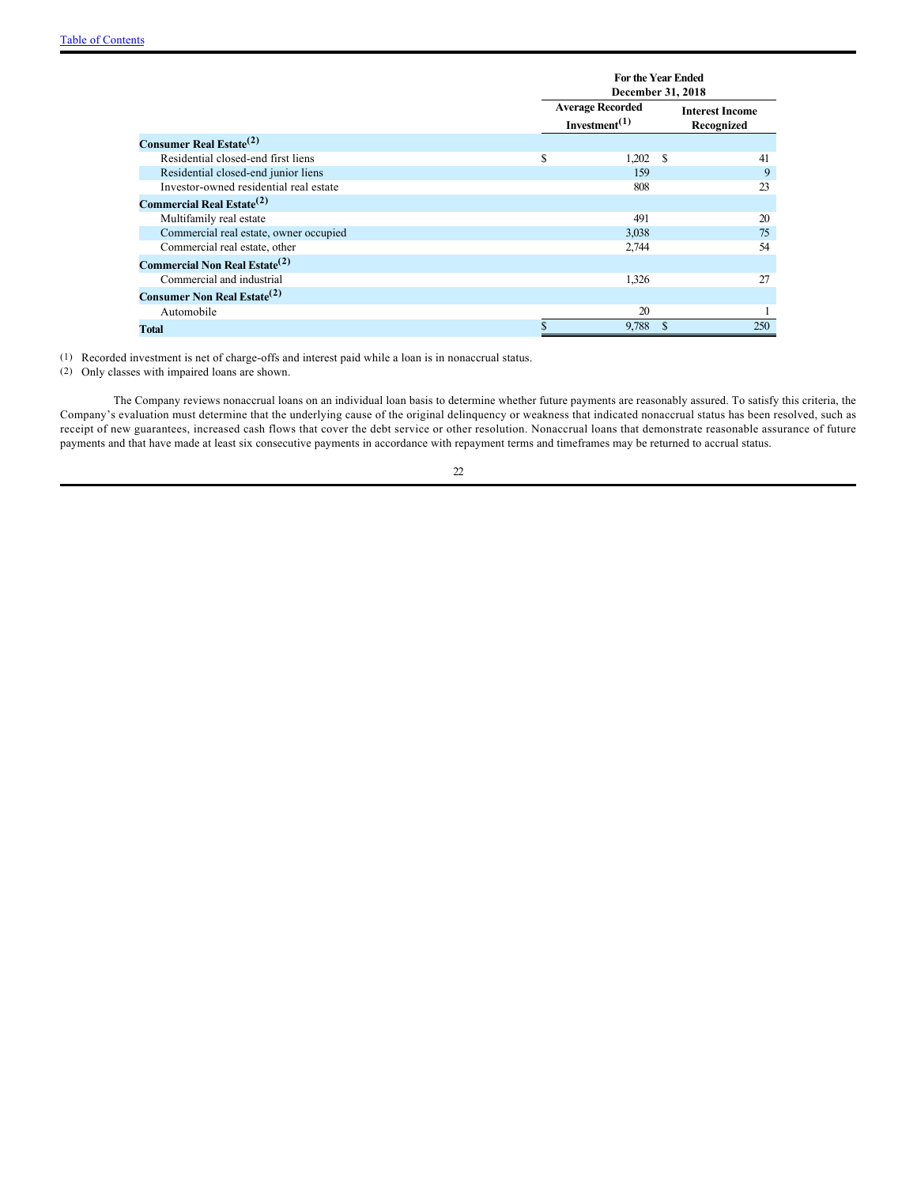|                                                  | <b>For the Year Ended</b><br>December 31, 2018 |     |                                      |  |  |  |
|--------------------------------------------------|------------------------------------------------|-----|--------------------------------------|--|--|--|
|                                                  | <b>Average Recorded</b><br>Investment $(1)$    |     | <b>Interest Income</b><br>Recognized |  |  |  |
| Consumer Real Estate <sup>(2)</sup>              |                                                |     |                                      |  |  |  |
| Residential closed-end first liens               | \$<br>$1,202$ \$                               |     | 41                                   |  |  |  |
| Residential closed-end junior liens              | 159                                            |     | 9                                    |  |  |  |
| Investor-owned residential real estate           | 808                                            |     | 23                                   |  |  |  |
| Commercial Real Estate <sup>(2)</sup>            |                                                |     |                                      |  |  |  |
| Multifamily real estate                          | 491                                            |     | 20                                   |  |  |  |
| Commercial real estate, owner occupied           | 3,038                                          |     | 75                                   |  |  |  |
| Commercial real estate, other                    | 2,744                                          |     | 54                                   |  |  |  |
| <b>Commercial Non Real Estate</b> <sup>(2)</sup> |                                                |     |                                      |  |  |  |
| Commercial and industrial                        | 1,326                                          |     | 27                                   |  |  |  |
| <b>Consumer Non Real Estate</b> <sup>(2)</sup>   |                                                |     |                                      |  |  |  |
| Automobile                                       | 20                                             |     |                                      |  |  |  |
| Total                                            | 9,788                                          | \$. | 250                                  |  |  |  |

(1) Recorded investment is net of charge-offs and interest paid while a loan is in nonaccrual status.

(2) Only classes with impaired loans are shown.

The Company reviews nonaccrual loans on an individual loan basis to determine whether future payments are reasonably assured. To satisfy this criteria, the Company's evaluation must determine that the underlying cause of the original delinquency or weakness that indicated nonaccrual status has been resolved, such as receipt of new guarantees, increased cash flows that cover the debt service or other resolution. Nonaccrual loans that demonstrate reasonable assurance of future payments and that have made at least six consecutive payments in accordance with repayment terms and timeframes may be returned to accrual status.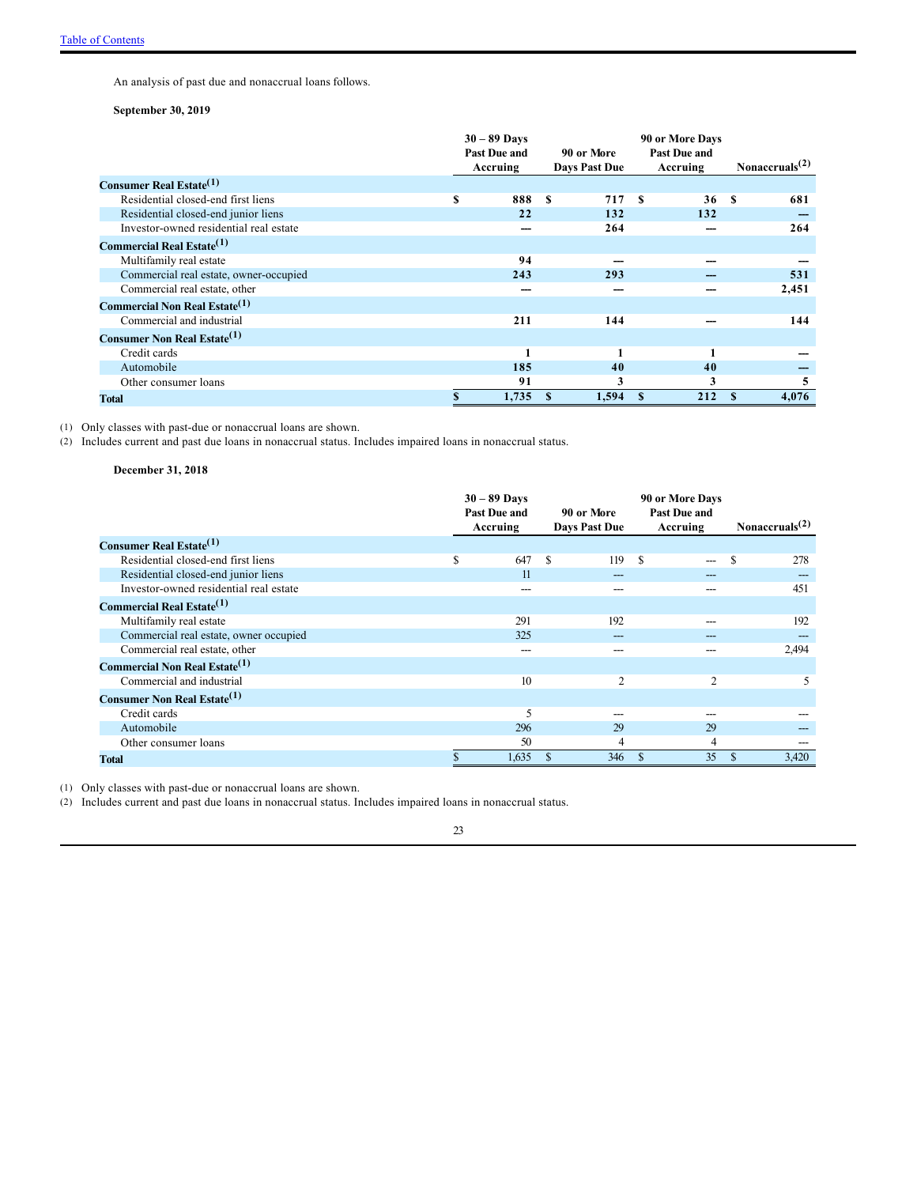An analysis of past due and nonaccrual loans follows.

### **September 30, 2019**

|                                                  | $30 - 89$ Days<br>Past Due and<br>90 or More |          |    |               | 90 or More Days<br>Past Due and |          |                   |       |
|--------------------------------------------------|----------------------------------------------|----------|----|---------------|---------------------------------|----------|-------------------|-------|
|                                                  |                                              | Accruing |    | Days Past Due |                                 | Accruing | Nonaccruals $(2)$ |       |
| <b>Consumer Real Estate</b> <sup>(1)</sup>       |                                              |          |    |               |                                 |          |                   |       |
| Residential closed-end first liens               | S                                            | 888      | £. | 717           | -S                              | 36       | $\mathbf{s}$      | 681   |
| Residential closed-end junior liens              |                                              | 22       |    | 132           |                                 | 132      |                   |       |
| Investor-owned residential real estate           |                                              |          |    | 264           |                                 |          |                   | 264   |
| Commercial Real Estate <sup>(1)</sup>            |                                              |          |    |               |                                 |          |                   |       |
| Multifamily real estate                          |                                              | 94       |    |               |                                 |          |                   |       |
| Commercial real estate, owner-occupied           |                                              | 243      |    | 293           |                                 |          |                   | 531   |
| Commercial real estate, other                    |                                              |          |    |               |                                 |          |                   | 2,451 |
| <b>Commercial Non Real Estate</b> <sup>(1)</sup> |                                              |          |    |               |                                 |          |                   |       |
| Commercial and industrial                        |                                              | 211      |    | 144           |                                 |          |                   | 144   |
| Consumer Non Real Estate <sup>(1)</sup>          |                                              |          |    |               |                                 |          |                   |       |
| Credit cards                                     |                                              |          |    |               |                                 | 1        |                   |       |
| Automobile                                       |                                              | 185      |    | 40            |                                 | 40       |                   |       |
| Other consumer loans                             |                                              | 91       |    | 3             |                                 | 3        |                   | 5     |
| <b>Total</b>                                     |                                              | 1,735    | S  | 1,594         |                                 | 212      | S                 | 4,076 |

(1) Only classes with past-due or nonaccrual loans are shown.

(2) Includes current and past due loans in nonaccrual status. Includes impaired loans in nonaccrual status.

### **December 31, 2018**

|                                           | $30 - 89$ Days<br>Past Due and | 90 or More    | 90 or More Days<br>Past Due and |                    |
|-------------------------------------------|--------------------------------|---------------|---------------------------------|--------------------|
|                                           | Accruing                       | Days Past Due | Accruing                        | Nonaccruals $(2)$  |
| Consumer Real Estate <sup>(1)</sup>       |                                |               |                                 |                    |
| Residential closed-end first liens        | S<br>647                       | S<br>119      | \$.<br>$---$                    | $\mathbf S$<br>278 |
| Residential closed-end junior liens       | 11                             | ---           |                                 |                    |
| Investor-owned residential real estate    | ---                            | ---           |                                 | 451                |
| Commercial Real Estate <sup>(1)</sup>     |                                |               |                                 |                    |
| Multifamily real estate                   | 291                            | 192           |                                 | 192                |
| Commercial real estate, owner occupied    | 325                            | ---           |                                 |                    |
| Commercial real estate, other             | ---                            | ---           |                                 | 2,494              |
| Commercial Non Real Estate <sup>(1)</sup> |                                |               |                                 |                    |
| Commercial and industrial                 | 10                             | 2             | 2                               | 5                  |
| Consumer Non Real Estate <sup>(1)</sup>   |                                |               |                                 |                    |
| Credit cards                              | 5                              | ---           |                                 |                    |
| Automobile                                | 296                            | 29            | 29                              |                    |
| Other consumer loans                      | 50                             | 4             | $\overline{4}$                  | ---                |
| <b>Total</b>                              | 1,635                          | 346<br>S      | 35<br>-S                        | 3,420<br><b>S</b>  |

(1) Only classes with past-due or nonaccrual loans are shown.

(2) Includes current and past due loans in nonaccrual status. Includes impaired loans in nonaccrual status.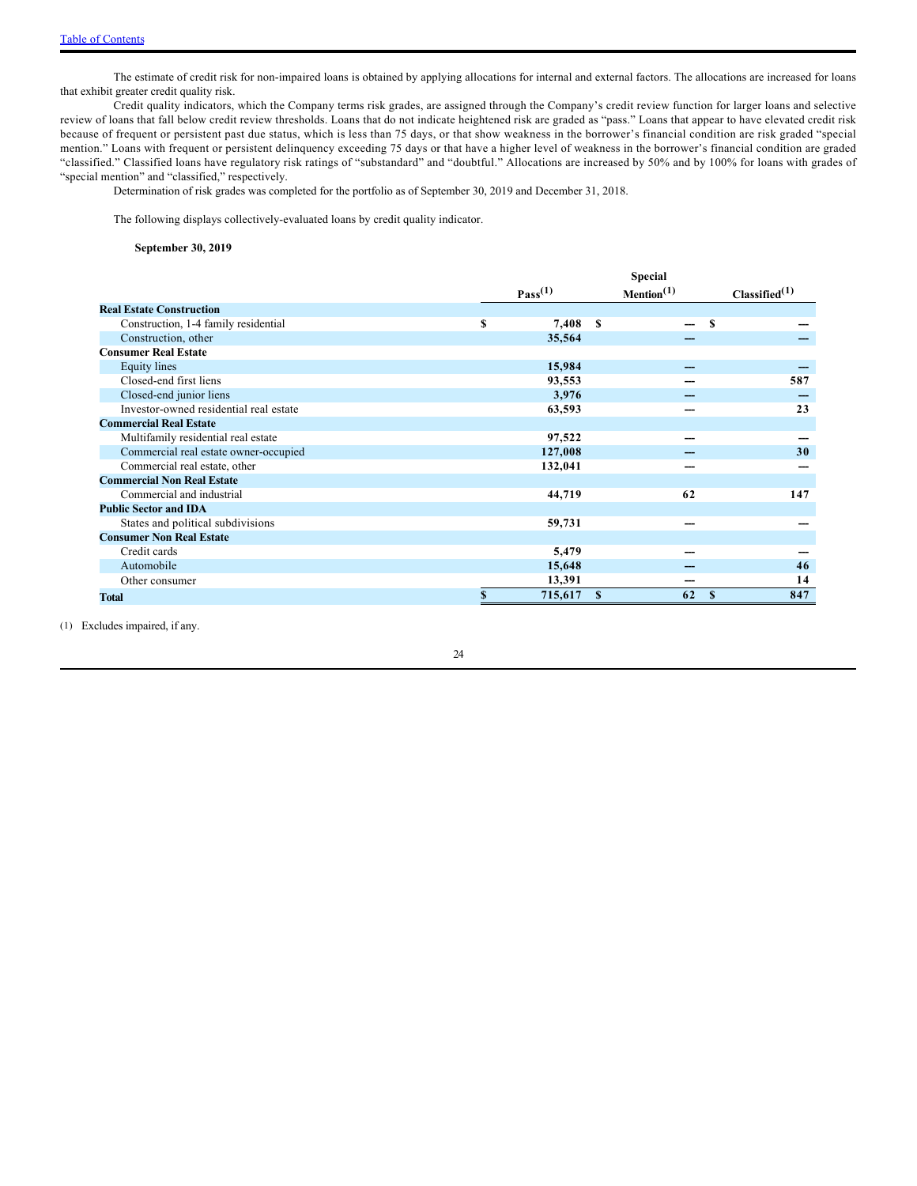The estimate of credit risk for non-impaired loans is obtained by applying allocations for internal and external factors. The allocations are increased for loans that exhibit greater credit quality risk.

Credit quality indicators, which the Company terms risk grades, are assigned through the Company's credit review function for larger loans and selective review of loans that fall below credit review thresholds. Loans that do not indicate heightened risk are graded as "pass." Loans that appear to have elevated credit risk because of frequent or persistent past due status, which is less than 75 days, or that show weakness in the borrower's financial condition are risk graded "special mention." Loans with frequent or persistent delinquency exceeding 75 days or that have a higher level of weakness in the borrower's financial condition are graded "classified." Classified loans have regulatory risk ratings of "substandard" and "doubtful." Allocations are increased by 50% and by 100% for loans with grades of "special mention" and "classified," respectively.

Determination of risk grades was completed for the portfolio as of September 30, 2019 and December 31, 2018.

The following displays collectively-evaluated loans by credit quality indicator.

**September 30, 2019**

|                                        | <b>Special</b> |                     |               |                        |   |                           |  |  |
|----------------------------------------|----------------|---------------------|---------------|------------------------|---|---------------------------|--|--|
|                                        |                | Pass <sup>(1)</sup> |               | Mention <sup>(1)</sup> |   | Classified <sup>(1)</sup> |  |  |
| <b>Real Estate Construction</b>        |                |                     |               |                        |   |                           |  |  |
| Construction, 1-4 family residential   | S              | 7,408               | S             |                        | S |                           |  |  |
| Construction, other                    |                | 35,564              |               |                        |   |                           |  |  |
| <b>Consumer Real Estate</b>            |                |                     |               |                        |   |                           |  |  |
| Equity lines                           |                | 15,984              |               |                        |   |                           |  |  |
| Closed-end first liens                 |                | 93,553              |               |                        |   | 587                       |  |  |
| Closed-end junior liens                |                | 3,976               |               |                        |   |                           |  |  |
| Investor-owned residential real estate |                | 63,593              |               |                        |   | 23                        |  |  |
| <b>Commercial Real Estate</b>          |                |                     |               |                        |   |                           |  |  |
| Multifamily residential real estate    |                | 97,522              |               |                        |   |                           |  |  |
| Commercial real estate owner-occupied  |                | 127,008             |               |                        |   | 30                        |  |  |
| Commercial real estate, other          |                | 132,041             |               |                        |   |                           |  |  |
| <b>Commercial Non Real Estate</b>      |                |                     |               |                        |   |                           |  |  |
| Commercial and industrial              |                | 44,719              |               | 62                     |   | 147                       |  |  |
| <b>Public Sector and IDA</b>           |                |                     |               |                        |   |                           |  |  |
| States and political subdivisions      |                | 59,731              |               |                        |   |                           |  |  |
| <b>Consumer Non Real Estate</b>        |                |                     |               |                        |   |                           |  |  |
| Credit cards                           |                | 5,479               |               |                        |   |                           |  |  |
| Automobile                             |                | 15,648              |               |                        |   | 46                        |  |  |
| Other consumer                         |                | 13,391              |               |                        |   | 14                        |  |  |
| Total                                  | \$             | 715,617             | <sup>\$</sup> | 62                     | S | 847                       |  |  |

(1) Excludes impaired, if any.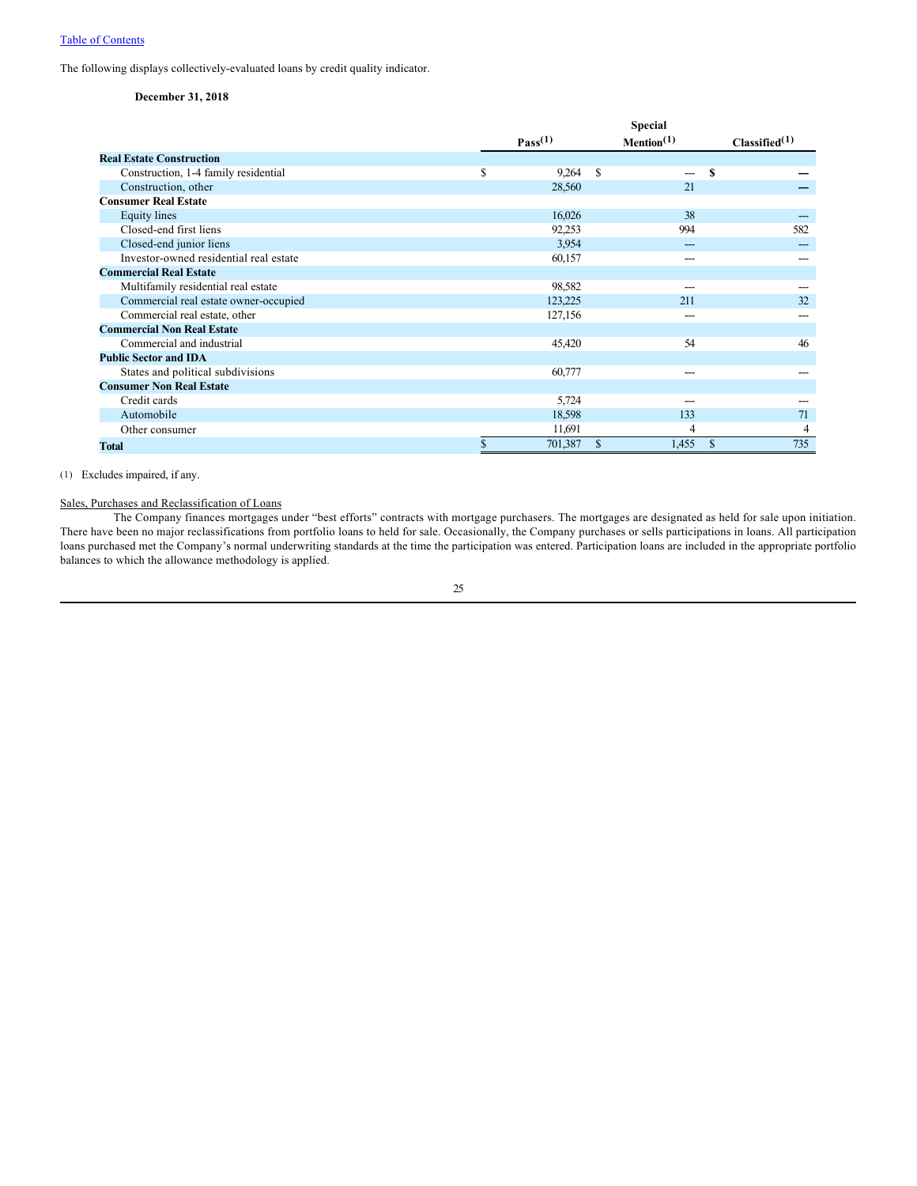### [Table of Contents](#page-1-0)

The following displays collectively-evaluated loans by credit quality indicator.

### **December 31, 2018**

|                                        | <b>Special</b> |              |               |                  |    |                           |  |  |
|----------------------------------------|----------------|--------------|---------------|------------------|----|---------------------------|--|--|
|                                        |                | $Pass^{(1)}$ |               | $M$ ention $(1)$ |    | Classified <sup>(1)</sup> |  |  |
| <b>Real Estate Construction</b>        |                |              |               |                  |    |                           |  |  |
| Construction, 1-4 family residential   | \$             | 9,264        | <sup>\$</sup> |                  | S  |                           |  |  |
| Construction, other                    |                | 28,560       |               | 21               |    |                           |  |  |
| <b>Consumer Real Estate</b>            |                |              |               |                  |    |                           |  |  |
| <b>Equity</b> lines                    |                | 16,026       |               | 38               |    |                           |  |  |
| Closed-end first liens                 |                | 92,253       |               | 994              |    | 582                       |  |  |
| Closed-end junior liens                |                | 3.954        |               |                  |    |                           |  |  |
| Investor-owned residential real estate |                | 60,157       |               |                  |    |                           |  |  |
| <b>Commercial Real Estate</b>          |                |              |               |                  |    |                           |  |  |
| Multifamily residential real estate    |                | 98,582       |               | ---              |    |                           |  |  |
| Commercial real estate owner-occupied  |                | 123,225      |               | 211              |    | 32                        |  |  |
| Commercial real estate, other          |                | 127,156      |               | ---              |    | ---                       |  |  |
| <b>Commercial Non Real Estate</b>      |                |              |               |                  |    |                           |  |  |
| Commercial and industrial              |                | 45,420       |               | 54               |    | 46                        |  |  |
| <b>Public Sector and IDA</b>           |                |              |               |                  |    |                           |  |  |
| States and political subdivisions      |                | 60,777       |               |                  |    |                           |  |  |
| <b>Consumer Non Real Estate</b>        |                |              |               |                  |    |                           |  |  |
| Credit cards                           |                | 5,724        |               | ---              |    |                           |  |  |
| Automobile                             |                | 18,598       |               | 133              |    | 71                        |  |  |
| Other consumer                         |                | 11,691       |               | 4                |    | 4                         |  |  |
| <b>Total</b>                           | \$             | 701,387      | \$            | 1,455            | \$ | 735                       |  |  |

#### (1) Excludes impaired, if any.

### Sales, Purchases and Reclassification of Loans

The Company finances mortgages under "best efforts" contracts with mortgage purchasers. The mortgages are designated as held for sale upon initiation. There have been no major reclassifications from portfolio loans to held for sale. Occasionally, the Company purchases or sells participations in loans. All participation loans purchased met the Company's normal underwriting standards at the time the participation was entered. Participation loans are included in the appropriate portfolio balances to which the allowance methodology is applied.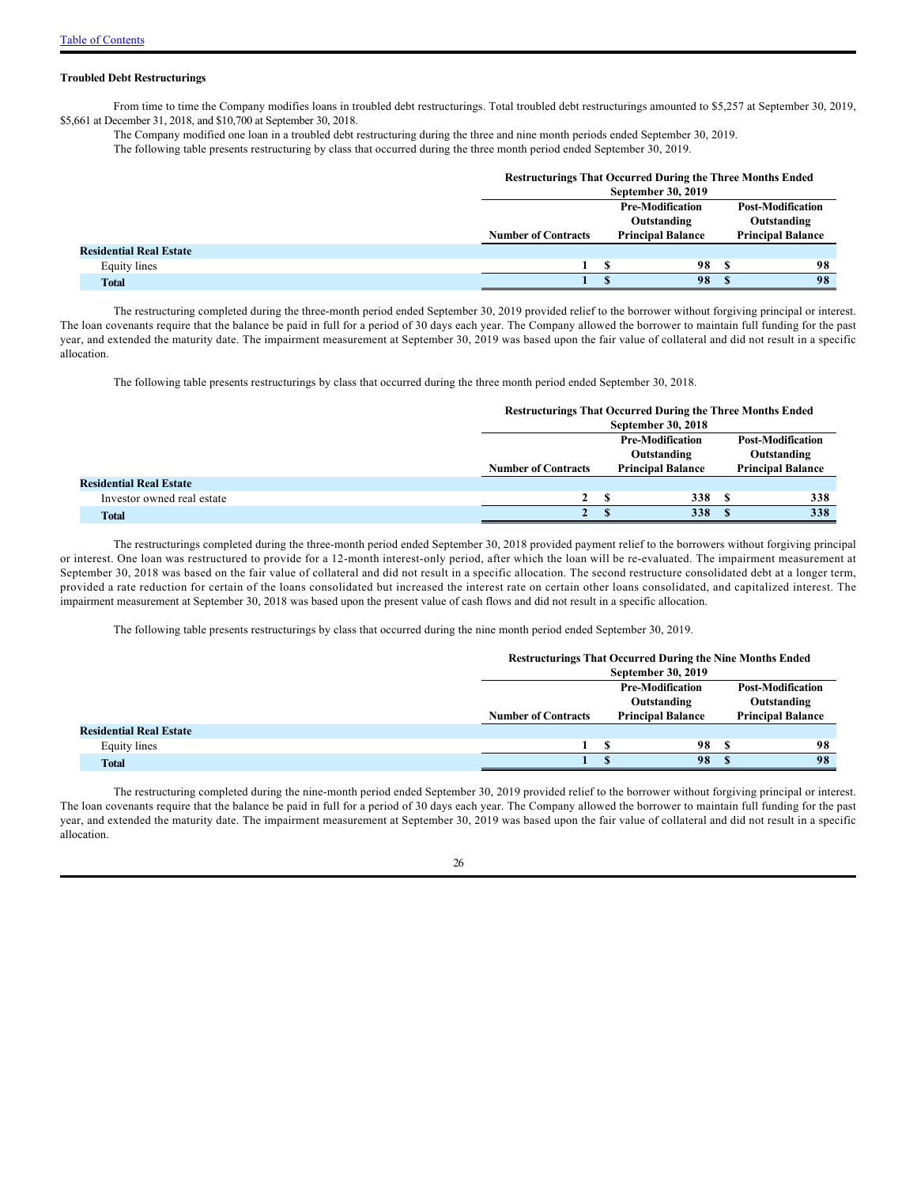#### **Troubled Debt Restructurings**

From time to time the Company modifies loans in troubled debt restructurings. Total troubled debt restructurings amounted to \$5,257 at September 30, 2019, \$5,661 at December 31, 2018, and \$10,700 at September 30, 2018.

The Company modified one loan in a troubled debt restructuring during the three and nine month periods ended September 30, 2019.

The following table presents restructuring by class that occurred during the three month period ended September 30, 2019.

|                                | <b>Restructurings That Occurred During the Three Months Ended</b> |                          |                                        |                                         |    |  |
|--------------------------------|-------------------------------------------------------------------|--------------------------|----------------------------------------|-----------------------------------------|----|--|
|                                | September 30, 2019                                                |                          |                                        |                                         |    |  |
|                                |                                                                   |                          | <b>Pre-Modification</b><br>Outstanding | <b>Post-Modification</b><br>Outstanding |    |  |
|                                | <b>Number of Contracts</b>                                        | <b>Principal Balance</b> |                                        | <b>Principal Balance</b>                |    |  |
| <b>Residential Real Estate</b> |                                                                   |                          |                                        |                                         |    |  |
| Equity lines                   |                                                                   |                          | 98                                     |                                         | 98 |  |
| <b>Total</b>                   |                                                                   |                          | 98                                     |                                         | 98 |  |

The restructuring completed during the three-month period ended September 30, 2019 provided relief to the borrower without forgiving principal or interest. The loan covenants require that the balance be paid in full for a period of 30 days each year. The Company allowed the borrower to maintain full funding for the past year, and extended the maturity date. The impairment measurement at September 30, 2019 was based upon the fair value of collateral and did not result in a specific allocation.

The following table presents restructurings by class that occurred during the three month period ended September 30, 2018.

### **Restructurings That Occurred During the Three Months Ended**

|                                | September 30, 2018         |  |                                        |                                         |                          |  |
|--------------------------------|----------------------------|--|----------------------------------------|-----------------------------------------|--------------------------|--|
|                                |                            |  | <b>Pre-Modification</b><br>Outstanding | <b>Post-Modification</b><br>Outstanding |                          |  |
|                                | <b>Number of Contracts</b> |  | <b>Principal Balance</b>               |                                         | <b>Principal Balance</b> |  |
| <b>Residential Real Estate</b> |                            |  |                                        |                                         |                          |  |
| Investor owned real estate     | 2 <sup>5</sup>             |  | 338                                    |                                         | 338                      |  |
| <b>Total</b>                   | $2^{\circ}$                |  | 338                                    |                                         | 338                      |  |

The restructurings completed during the three-month period ended September 30, 2018 provided payment relief to the borrowers without forgiving principal or interest. One loan was restructured to provide for a 12-month interest-only period, after which the loan will be re-evaluated. The impairment measurement at September 30, 2018 was based on the fair value of collateral and did not result in a specific allocation. The second restructure consolidated debt at a longer term, provided a rate reduction for certain of the loans consolidated but increased the interest rate on certain other loans consolidated, and capitalized interest. The impairment measurement at September 30, 2018 was based upon the present value of cash flows and did not result in a specific allocation.

The following table presents restructurings by class that occurred during the nine month period ended September 30, 2019.

### **Restructurings That Occurred During the Nine Months Ended**

|                                |                            | September 30, 2019       |                                        |                                         |    |  |
|--------------------------------|----------------------------|--------------------------|----------------------------------------|-----------------------------------------|----|--|
|                                |                            |                          | <b>Pre-Modification</b><br>Outstanding | <b>Post-Modification</b><br>Outstanding |    |  |
|                                | <b>Number of Contracts</b> | <b>Principal Balance</b> |                                        | <b>Principal Balance</b>                |    |  |
| <b>Residential Real Estate</b> |                            |                          |                                        |                                         |    |  |
| Equity lines                   |                            |                          | 98                                     |                                         | 98 |  |
| <b>Total</b>                   |                            |                          | 98                                     |                                         | 98 |  |

The restructuring completed during the nine-month period ended September 30, 2019 provided relief to the borrower without forgiving principal or interest. The loan covenants require that the balance be paid in full for a period of 30 days each year. The Company allowed the borrower to maintain full funding for the past year, and extended the maturity date. The impairment measurement at September 30, 2019 was based upon the fair value of collateral and did not result in a specific allocation.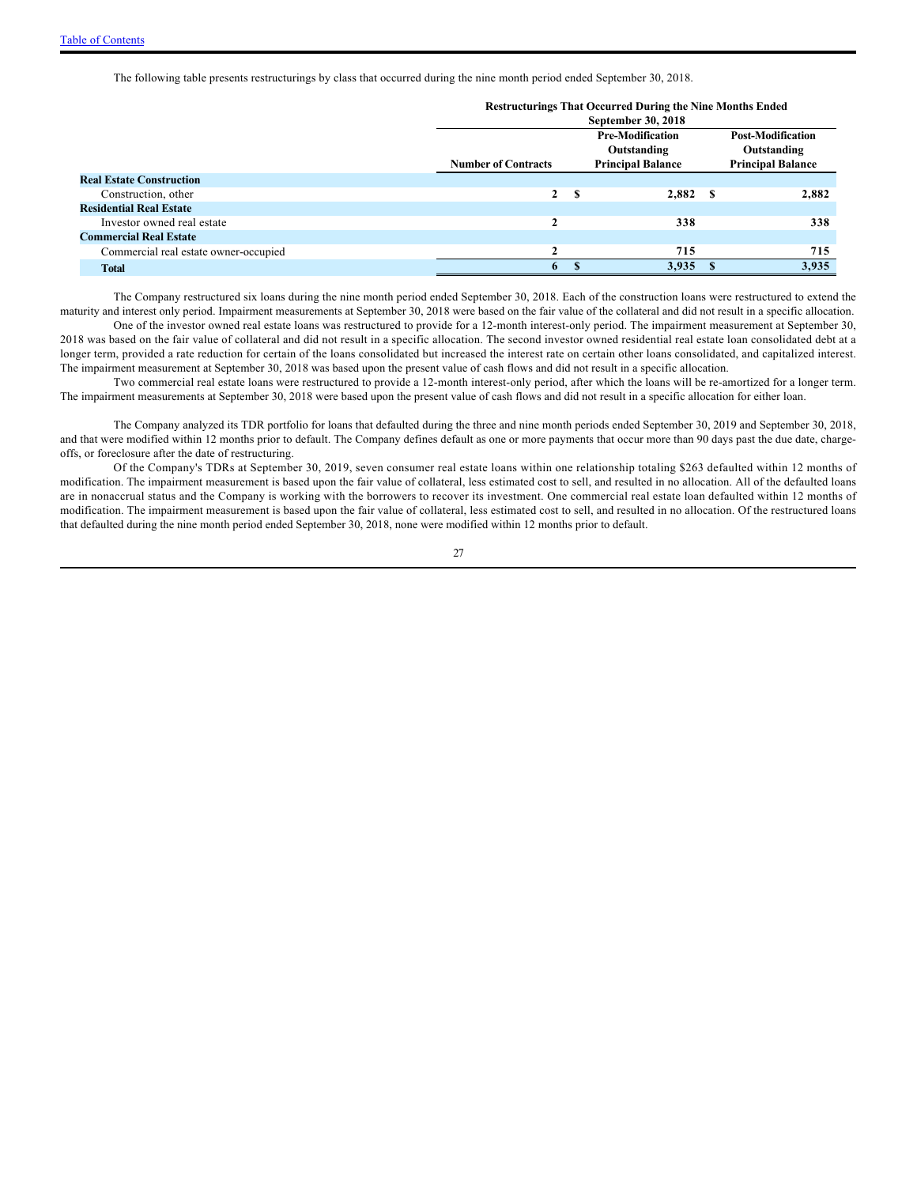The following table presents restructurings by class that occurred during the nine month period ended September 30, 2018.

|                                       | <b>Restructurings That Occurred During the Nine Months Ended</b> |              |                           |      |                          |  |  |  |  |  |
|---------------------------------------|------------------------------------------------------------------|--------------|---------------------------|------|--------------------------|--|--|--|--|--|
|                                       |                                                                  |              | <b>September 30, 2018</b> |      |                          |  |  |  |  |  |
|                                       |                                                                  |              | <b>Pre-Modification</b>   |      | <b>Post-Modification</b> |  |  |  |  |  |
|                                       |                                                                  |              | Outstanding               |      | Outstanding              |  |  |  |  |  |
|                                       | <b>Number of Contracts</b>                                       |              | <b>Principal Balance</b>  |      | <b>Principal Balance</b> |  |  |  |  |  |
| <b>Real Estate Construction</b>       |                                                                  |              |                           |      |                          |  |  |  |  |  |
| Construction, other                   | $\mathbf{2}$                                                     | S            | 2,882                     | - \$ | 2,882                    |  |  |  |  |  |
| <b>Residential Real Estate</b>        |                                                                  |              |                           |      |                          |  |  |  |  |  |
| Investor owned real estate            | ኅ                                                                |              | 338                       |      | 338                      |  |  |  |  |  |
| <b>Commercial Real Estate</b>         |                                                                  |              |                           |      |                          |  |  |  |  |  |
| Commercial real estate owner-occupied | ◠                                                                |              | 715                       |      | 715                      |  |  |  |  |  |
| <b>Total</b>                          | 6                                                                | $\mathbf{R}$ | 3,935                     | - 8  | 3,935                    |  |  |  |  |  |
|                                       |                                                                  |              |                           |      |                          |  |  |  |  |  |

The Company restructured six loans during the nine month period ended September 30, 2018. Each of the construction loans were restructured to extend the maturity and interest only period. Impairment measurements at September 30, 2018 were based on the fair value of the collateral and did not result in a specific allocation. One of the investor owned real estate loans was restructured to provide for a 12-month interest-only period. The impairment measurement at September 30, 2018 was based on the fair value of collateral and did not result in a specific allocation. The second investor owned residential real estate loan consolidated debt at a longer term, provided a rate reduction for certain of the loans consolidated but increased the interest rate on certain other loans consolidated, and capitalized interest. The impairment measurement at September 30, 2018 was based upon the present value of cash flows and did not result in a specific allocation.

Two commercial real estate loans were restructured to provide a 12-month interest-only period, after which the loans will be re-amortized for a longer term. The impairment measurements at September 30, 2018 were based upon the present value of cash flows and did not result in a specific allocation for either loan.

The Company analyzed its TDR portfolio for loans that defaulted during the three and nine month periods ended September 30, 2019 and September 30, 2018, and that were modified within 12 months prior to default. The Company defines default as one or more payments that occur more than 90 days past the due date, chargeoffs, or foreclosure after the date of restructuring.

Of the Company's TDRs at September 30, 2019, seven consumer real estate loans within one relationship totaling \$263 defaulted within 12 months of modification. The impairment measurement is based upon the fair value of collateral, less estimated cost to sell, and resulted in no allocation. All of the defaulted loans are in nonaccrual status and the Company is working with the borrowers to recover its investment. One commercial real estate loan defaulted within 12 months of modification. The impairment measurement is based upon the fair value of collateral, less estimated cost to sell, and resulted in no allocation. Of the restructured loans that defaulted during the nine month period ended September 30, 2018, none were modified within 12 months prior to default.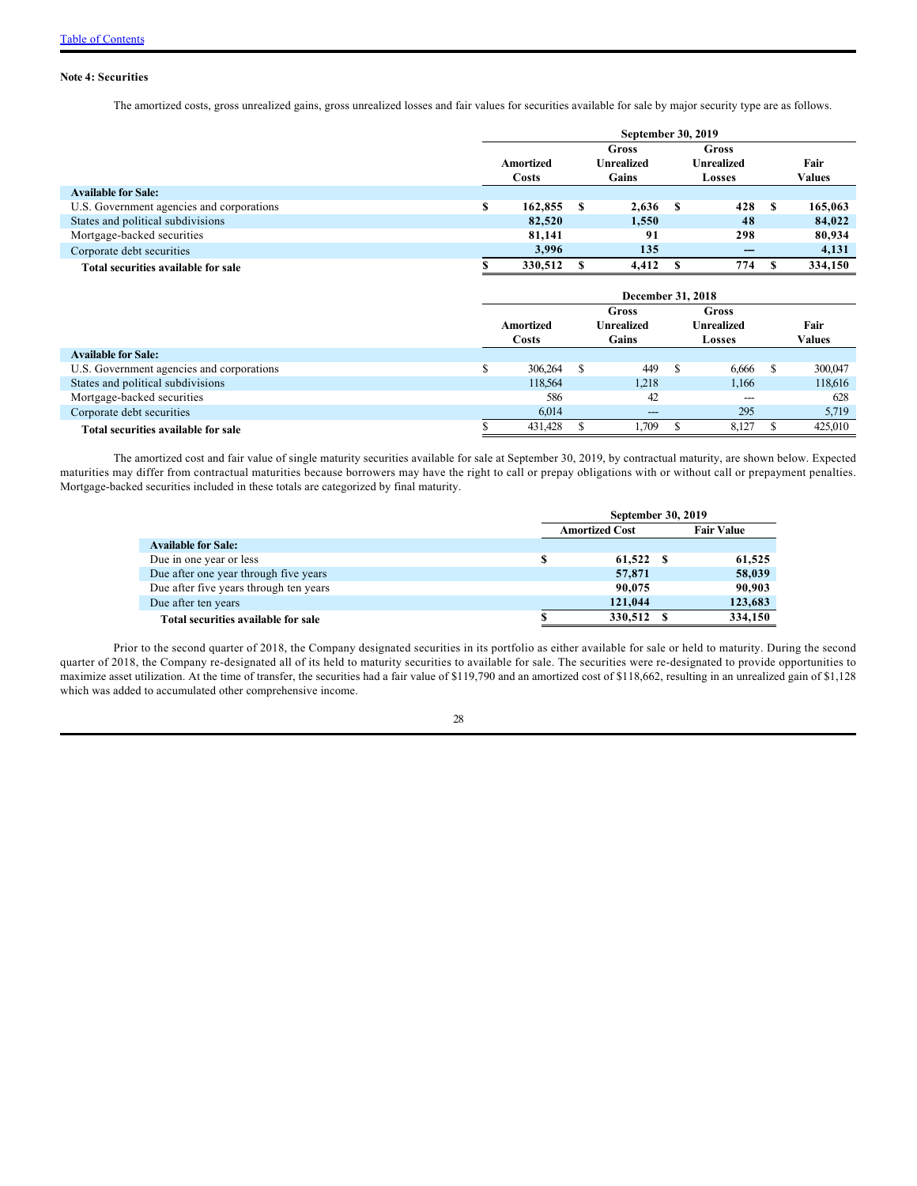### **Note 4: Securities**

The amortized costs, gross unrealized gains, gross unrealized losses and fair values for securities available for sale by major security type are as follows.

|                                           | <b>September 30, 2019</b> |           |      |            |     |            |  |         |  |  |  |
|-------------------------------------------|---------------------------|-----------|------|------------|-----|------------|--|---------|--|--|--|
|                                           |                           |           |      | Gross      |     | Gross      |  |         |  |  |  |
|                                           |                           | Amortized |      | Unrealized |     | Unrealized |  | Fair    |  |  |  |
|                                           |                           | Costs     |      | Gains      |     | Losses     |  | Values  |  |  |  |
| <b>Available for Sale:</b>                |                           |           |      |            |     |            |  |         |  |  |  |
| U.S. Government agencies and corporations | S                         | 162,855   | - \$ | 2.636      | - S | 428        |  | 165,063 |  |  |  |
| States and political subdivisions         |                           | 82,520    |      | 1,550      |     | 48         |  | 84,022  |  |  |  |
| Mortgage-backed securities                |                           | 81,141    |      | 91         |     | 298        |  | 80,934  |  |  |  |
| Corporate debt securities                 |                           | 3.996     |      | 135        |     | ---        |  | 4,131   |  |  |  |
| Total securities available for sale       |                           | 330,512   |      | 4.412      |     | 774        |  | 334,150 |  |  |  |

|                                           | December 31, 2018 |              |  |       |                                   |        |  |         |  |
|-------------------------------------------|-------------------|--------------|--|-------|-----------------------------------|--------|--|---------|--|
|                                           |                   |              |  | Gross | Gross<br>Unrealized<br>Unrealized |        |  |         |  |
|                                           |                   | Amortized    |  |       |                                   |        |  | Fair    |  |
|                                           |                   | <b>Costs</b> |  | Gains |                                   | Losses |  | Values  |  |
| <b>Available for Sale:</b>                |                   |              |  |       |                                   |        |  |         |  |
| U.S. Government agencies and corporations |                   | 306,264      |  | 449   |                                   | 6,666  |  | 300,047 |  |
| States and political subdivisions         |                   | 118,564      |  | 1,218 |                                   | 1,166  |  | 118,616 |  |
| Mortgage-backed securities                |                   | 586          |  | 42    |                                   | $---$  |  | 628     |  |
| Corporate debt securities                 |                   | 6,014        |  | $---$ |                                   | 295    |  | 5,719   |  |
| Total securities available for sale       |                   | 431,428      |  | .709  |                                   | 8.127  |  | 425,010 |  |

The amortized cost and fair value of single maturity securities available for sale at September 30, 2019, by contractual maturity, are shown below. Expected maturities may differ from contractual maturities because borrowers may have the right to call or prepay obligations with or without call or prepayment penalties. Mortgage-backed securities included in these totals are categorized by final maturity.

|                                        | <b>September 30, 2019</b> |                       |     |                   |  |  |  |  |  |
|----------------------------------------|---------------------------|-----------------------|-----|-------------------|--|--|--|--|--|
|                                        |                           | <b>Amortized Cost</b> |     | <b>Fair Value</b> |  |  |  |  |  |
| <b>Available for Sale:</b>             |                           |                       |     |                   |  |  |  |  |  |
| Due in one year or less                | S                         | 61,522                | - 8 | 61,525            |  |  |  |  |  |
| Due after one year through five years  |                           | 57,871                |     | 58,039            |  |  |  |  |  |
| Due after five years through ten years |                           | 90,075                |     | 90,903            |  |  |  |  |  |
| Due after ten years                    |                           | 121,044               |     | 123,683           |  |  |  |  |  |
| Total securities available for sale    |                           | 330,512               |     | 334,150           |  |  |  |  |  |

Prior to the second quarter of 2018, the Company designated securities in its portfolio as either available for sale or held to maturity. During the second quarter of 2018, the Company re-designated all of its held to maturity securities to available for sale. The securities were re-designated to provide opportunities to maximize asset utilization. At the time of transfer, the securities had a fair value of \$119,790 and an amortized cost of \$118,662, resulting in an unrealized gain of \$1,128 which was added to accumulated other comprehensive income.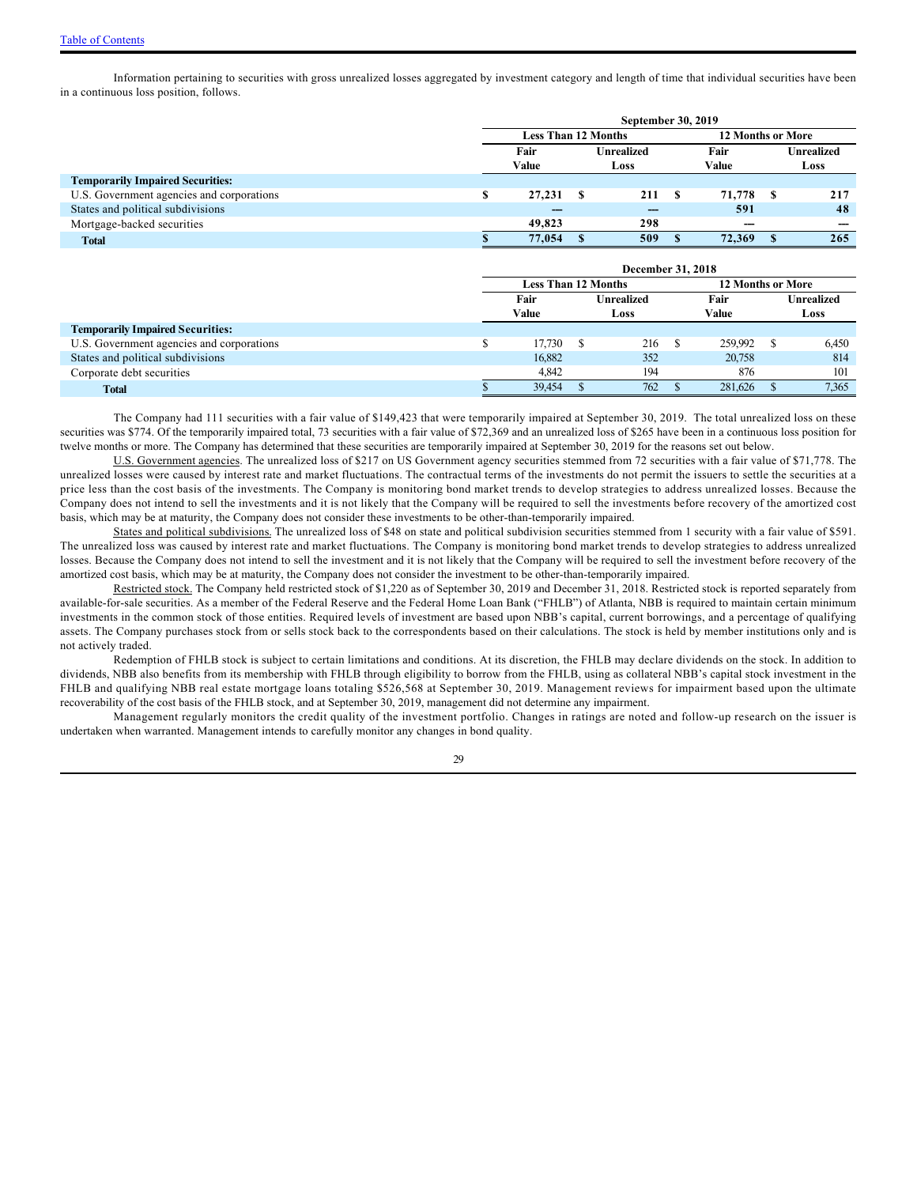Information pertaining to securities with gross unrealized losses aggregated by investment category and length of time that individual securities have been in a continuous loss position, follows.

|                                           | September 30, 2019 |                            |  |                          |       |        |                   |     |  |  |
|-------------------------------------------|--------------------|----------------------------|--|--------------------------|-------|--------|-------------------|-----|--|--|
|                                           |                    | <b>Less Than 12 Months</b> |  | <b>12 Months or More</b> |       |        |                   |     |  |  |
|                                           |                    | Fair                       |  | <b>Unrealized</b>        | Fair  |        | <b>Unrealized</b> |     |  |  |
|                                           |                    | Value                      |  | Loss                     | Value |        | Loss              |     |  |  |
| <b>Temporarily Impaired Securities:</b>   |                    |                            |  |                          |       |        |                   |     |  |  |
| U.S. Government agencies and corporations |                    | 27,231                     |  | 211 S                    |       | 71,778 |                   | 217 |  |  |
| States and political subdivisions         |                    | ---                        |  |                          |       | 591    |                   | 48  |  |  |
| Mortgage-backed securities                |                    | 49,823                     |  | 298                      |       | $- -$  |                   |     |  |  |
| <b>Total</b>                              |                    | 77,054                     |  | 509                      |       | 72,369 |                   | 265 |  |  |
|                                           |                    |                            |  |                          |       |        |                   |     |  |  |

|                                           | December 31, 2018 |                            |  |                   |  |                          |                   |       |  |  |
|-------------------------------------------|-------------------|----------------------------|--|-------------------|--|--------------------------|-------------------|-------|--|--|
|                                           |                   | <b>Less Than 12 Months</b> |  |                   |  | <b>12 Months or More</b> |                   |       |  |  |
|                                           |                   | Fair                       |  | <b>Unrealized</b> |  | Fair                     | <b>Unrealized</b> |       |  |  |
|                                           |                   | Value                      |  | Loss              |  | Value                    |                   | Loss  |  |  |
| <b>Temporarily Impaired Securities:</b>   |                   |                            |  |                   |  |                          |                   |       |  |  |
| U.S. Government agencies and corporations |                   | 17,730                     |  | 216               |  | 259,992                  |                   | 6,450 |  |  |
| States and political subdivisions         |                   | 16,882                     |  | 352               |  | 20,758                   |                   | 814   |  |  |
| Corporate debt securities                 |                   | 4.842                      |  | 194               |  | 876                      |                   | 101   |  |  |
| <b>Total</b>                              |                   | 39,454                     |  | 762               |  | 281,626                  |                   | 7,365 |  |  |

The Company had 111 securities with a fair value of \$149,423 that were temporarily impaired at September 30, 2019. The total unrealized loss on these securities was \$774. Of the temporarily impaired total, 73 securities with a fair value of \$72,369 and an unrealized loss of \$265 have been in a continuous loss position for twelve months or more. The Company has determined that these securities are temporarily impaired at September 30, 2019 for the reasons set out below.

U.S. Government agencies. The unrealized loss of \$217 on US Government agency securities stemmed from 72 securities with a fair value of \$71,778. The unrealized losses were caused by interest rate and market fluctuations. The contractual terms of the investments do not permit the issuers to settle the securities at a price less than the cost basis of the investments. The Company is monitoring bond market trends to develop strategies to address unrealized losses. Because the Company does not intend to sell the investments and it is not likely that the Company will be required to sell the investments before recovery of the amortized cost basis, which may be at maturity, the Company does not consider these investments to be other-than-temporarily impaired.

States and political subdivisions. The unrealized loss of \$48 on state and political subdivision securities stemmed from 1 security with a fair value of \$591. The unrealized loss was caused by interest rate and market fluctuations. The Company is monitoring bond market trends to develop strategies to address unrealized losses. Because the Company does not intend to sell the investment and it is not likely that the Company will be required to sell the investment before recovery of the amortized cost basis, which may be at maturity, the Company does not consider the investment to be other-than-temporarily impaired.

Restricted stock. The Company held restricted stock of \$1,220 as of September 30, 2019 and December 31, 2018. Restricted stock is reported separately from available-for-sale securities. As a member of the Federal Reserve and the Federal Home Loan Bank ("FHLB") of Atlanta, NBB is required to maintain certain minimum investments in the common stock of those entities. Required levels of investment are based upon NBB's capital, current borrowings, and a percentage of qualifying assets. The Company purchases stock from or sells stock back to the correspondents based on their calculations. The stock is held by member institutions only and is not actively traded.

Redemption of FHLB stock is subject to certain limitations and conditions. At its discretion, the FHLB may declare dividends on the stock. In addition to dividends, NBB also benefits from its membership with FHLB through eligibility to borrow from the FHLB, using as collateral NBB's capital stock investment in the FHLB and qualifying NBB real estate mortgage loans totaling \$526,568 at September 30, 2019. Management reviews for impairment based upon the ultimate recoverability of the cost basis of the FHLB stock, and at September 30, 2019, management did not determine any impairment.

Management regularly monitors the credit quality of the investment portfolio. Changes in ratings are noted and follow-up research on the issuer is undertaken when warranted. Management intends to carefully monitor any changes in bond quality.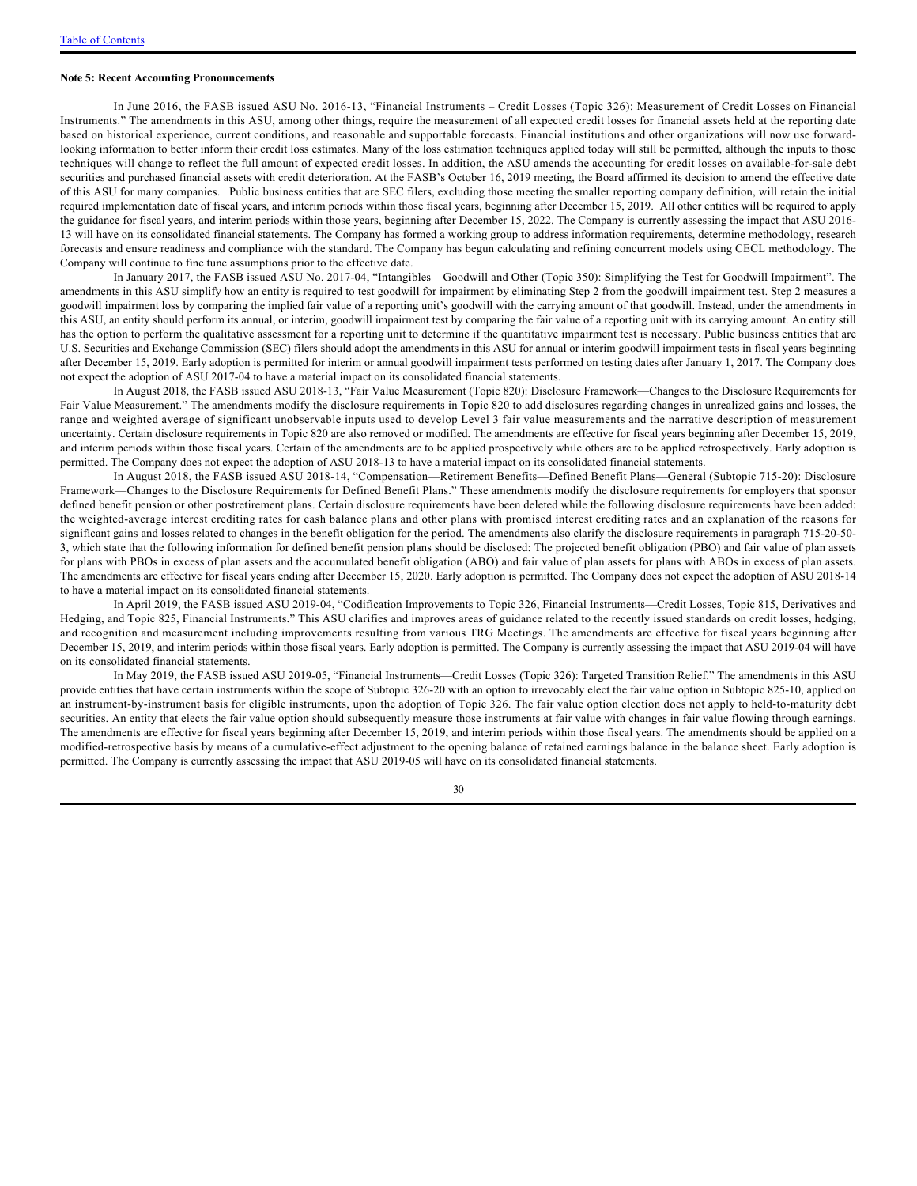#### **Note 5: Recent Accounting Pronouncements**

In June 2016, the FASB issued ASU No. 2016-13, "Financial Instruments – Credit Losses (Topic 326): Measurement of Credit Losses on Financial Instruments." The amendments in this ASU, among other things, require the measurement of all expected credit losses for financial assets held at the reporting date based on historical experience, current conditions, and reasonable and supportable forecasts. Financial institutions and other organizations will now use forwardlooking information to better inform their credit loss estimates. Many of the loss estimation techniques applied today will still be permitted, although the inputs to those techniques will change to reflect the full amount of expected credit losses. In addition, the ASU amends the accounting for credit losses on available-for-sale debt securities and purchased financial assets with credit deterioration. At the FASB's October 16, 2019 meeting, the Board affirmed its decision to amend the effective date of this ASU for many companies. Public business entities that are SEC filers, excluding those meeting the smaller reporting company definition, will retain the initial required implementation date of fiscal years, and interim periods within those fiscal years, beginning after December 15, 2019. All other entities will be required to apply the guidance for fiscal years, and interim periods within those years, beginning after December 15, 2022. The Company is currently assessing the impact that ASU 2016-13 will have on its consolidated financial statements. The Company has formed a working group to address information requirements, determine methodology, research forecasts and ensure readiness and compliance with the standard. The Company has begun calculating and refining concurrent models using CECL methodology. The Company will continue to fine tune assumptions prior to the effective date.

In January 2017, the FASB issued ASU No. 2017-04, "Intangibles – Goodwill and Other (Topic 350): Simplifying the Test for Goodwill Impairment". The amendments in this ASU simplify how an entity is required to test goodwill for impairment by eliminating Step 2 from the goodwill impairment test. Step 2 measures a goodwill impairment loss by comparing the implied fair value of a reporting unit's goodwill with the carrying amount of that goodwill. Instead, under the amendments in this ASU, an entity should perform its annual, or interim, goodwill impairment test by comparing the fair value of a reporting unit with its carrying amount. An entity still has the option to perform the qualitative assessment for a reporting unit to determine if the quantitative impairment test is necessary. Public business entities that are U.S. Securities and Exchange Commission (SEC) filers should adopt the amendments in this ASU for annual or interim goodwill impairment tests in fiscal years beginning after December 15, 2019. Early adoption is permitted for interim or annual goodwill impairment tests performed on testing dates after January 1, 2017. The Company does not expect the adoption of ASU 2017-04 to have a material impact on its consolidated financial statements.

In August 2018, the FASB issued ASU 2018-13, "Fair Value Measurement (Topic 820): Disclosure Framework—Changes to the Disclosure Requirements for Fair Value Measurement." The amendments modify the disclosure requirements in Topic 820 to add disclosures regarding changes in unrealized gains and losses, the range and weighted average of significant unobservable inputs used to develop Level 3 fair value measurements and the narrative description of measurement uncertainty. Certain disclosure requirements in Topic 820 are also removed or modified. The amendments are effective for fiscal years beginning after December 15, 2019, and interim periods within those fiscal years. Certain of the amendments are to be applied prospectively while others are to be applied retrospectively. Early adoption is permitted. The Company does not expect the adoption of ASU 2018-13 to have a material impact on its consolidated financial statements.

In August 2018, the FASB issued ASU 2018-14, "Compensation—Retirement Benefits—Defined Benefit Plans—General (Subtopic 715-20): Disclosure Framework—Changes to the Disclosure Requirements for Defined Benefit Plans." These amendments modify the disclosure requirements for employers that sponsor defined benefit pension or other postretirement plans. Certain disclosure requirements have been deleted while the following disclosure requirements have been added: the weighted-average interest crediting rates for cash balance plans and other plans with promised interest crediting rates and an explanation of the reasons for significant gains and losses related to changes in the benefit obligation for the period. The amendments also clarify the disclosure requirements in paragraph 715-20-50-3, which state that the following information for defined benefit pension plans should be disclosed: The projected benefit obligation (PBO) and fair value of plan assets for plans with PBOs in excess of plan assets and the accumulated benefit obligation (ABO) and fair value of plan assets for plans with ABOs in excess of plan assets. The amendments are effective for fiscal years ending after December 15, 2020. Early adoption is permitted. The Company does not expect the adoption of ASU 2018-14 to have a material impact on its consolidated financial statements.

In April 2019, the FASB issued ASU 2019-04, "Codification Improvements to Topic 326, Financial Instruments—Credit Losses, Topic 815, Derivatives and Hedging, and Topic 825, Financial Instruments." This ASU clarifies and improves areas of guidance related to the recently issued standards on credit losses, hedging, and recognition and measurement including improvements resulting from various TRG Meetings. The amendments are effective for fiscal years beginning after December 15, 2019, and interim periods within those fiscal years. Early adoption is permitted. The Company is currently assessing the impact that ASU 2019-04 will have on its consolidated financial statements.

In May 2019, the FASB issued ASU 2019-05, "Financial Instruments—Credit Losses (Topic 326): Targeted Transition Relief." The amendments in this ASU provide entities that have certain instruments within the scope of Subtopic 326-20 with an option to irrevocably elect the fair value option in Subtopic 825-10, applied on an instrument-by-instrument basis for eligible instruments, upon the adoption of Topic 326. The fair value option election does not apply to held-to-maturity debt securities. An entity that elects the fair value option should subsequently measure those instruments at fair value with changes in fair value flowing through earnings. The amendments are effective for fiscal years beginning after December 15, 2019, and interim periods within those fiscal years. The amendments should be applied on a modified-retrospective basis by means of a cumulative-effect adjustment to the opening balance of retained earnings balance in the balance sheet. Early adoption is permitted. The Company is currently assessing the impact that ASU 2019-05 will have on its consolidated financial statements.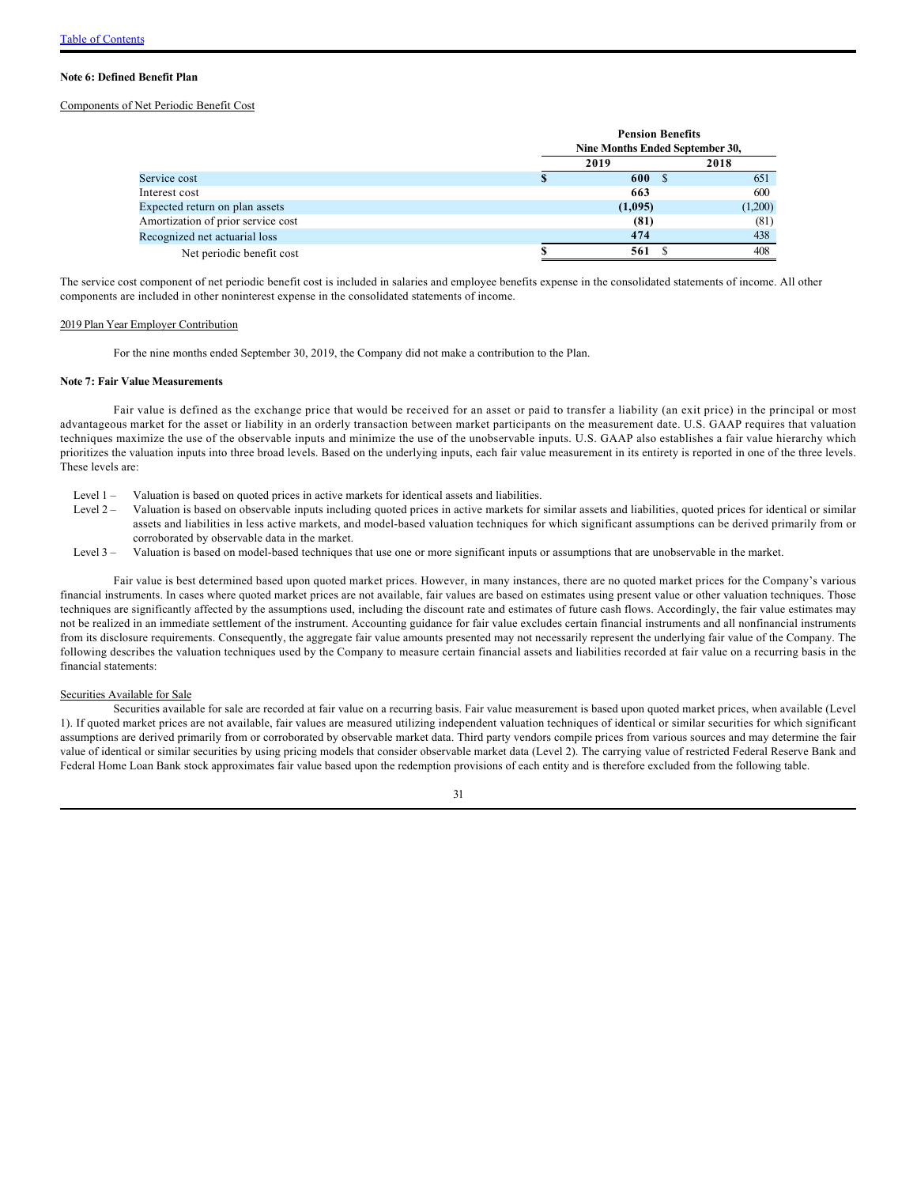#### **Note 6: Defined Benefit Plan**

### Components of Net Periodic Benefit Cost

|                                    | <b>Pension Benefits</b><br>Nine Months Ended September 30, |         |         |  |  |  |  |  |
|------------------------------------|------------------------------------------------------------|---------|---------|--|--|--|--|--|
|                                    |                                                            | 2019    | 2018    |  |  |  |  |  |
| Service cost                       |                                                            | 600     | 651     |  |  |  |  |  |
| Interest cost                      |                                                            | 663     | 600     |  |  |  |  |  |
| Expected return on plan assets     |                                                            | (1,095) | (1,200) |  |  |  |  |  |
| Amortization of prior service cost |                                                            | (81)    | (81)    |  |  |  |  |  |
| Recognized net actuarial loss      |                                                            | 474     | 438     |  |  |  |  |  |
| Net periodic benefit cost          |                                                            | 561     | 408     |  |  |  |  |  |

The service cost component of net periodic benefit cost is included in salaries and employee benefits expense in the consolidated statements of income. All other components are included in other noninterest expense in the consolidated statements of income.

#### 2019 Plan Year Employer Contribution

For the nine months ended September 30, 2019, the Company did not make a contribution to the Plan.

### **Note 7: Fair Value Measurements**

Fair value is defined as the exchange price that would be received for an asset or paid to transfer a liability (an exit price) in the principal or most advantageous market for the asset or liability in an orderly transaction between market participants on the measurement date. U.S. GAAP requires that valuation techniques maximize the use of the observable inputs and minimize the use of the unobservable inputs. U.S. GAAP also establishes a fair value hierarchy which prioritizes the valuation inputs into three broad levels. Based on the underlying inputs, each fair value measurement in its entirety is reported in one of the three levels. These levels are:

- Level 1 Valuation is based on quoted prices in active markets for identical assets and liabilities.
- Level 2 Valuation is based on observable inputs including quoted prices in active markets for similar assets and liabilities, quoted prices for identical or similar assets and liabilities in less active markets, and model-based valuation techniques for which significant assumptions can be derived primarily from or corroborated by observable data in the market.
- Level 3 Valuation is based on model-based techniques that use one or more significant inputs or assumptions that are unobservable in the market.

Fair value is best determined based upon quoted market prices. However, in many instances, there are no quoted market prices for the Company's various financial instruments. In cases where quoted market prices are not available, fair values are based on estimates using present value or other valuation techniques. Those techniques are significantly affected by the assumptions used, including the discount rate and estimates of future cash flows. Accordingly, the fair value estimates may not be realized in an immediate settlement of the instrument. Accounting guidance for fair value excludes certain financial instruments and all nonfinancial instruments from its disclosure requirements. Consequently, the aggregate fair value amounts presented may not necessarily represent the underlying fair value of the Company. The following describes the valuation techniques used by the Company to measure certain financial assets and liabilities recorded at fair value on a recurring basis in the financial statements:

#### Securities Available for Sale

Securities available for sale are recorded at fair value on a recurring basis. Fair value measurement is based upon quoted market prices, when available (Level 1). If quoted market prices are not available, fair values are measured utilizing independent valuation techniques of identical or similar securities for which significant assumptions are derived primarily from or corroborated by observable market data. Third party vendors compile prices from various sources and may determine the fair value of identical or similar securities by using pricing models that consider observable market data (Level 2). The carrying value of restricted Federal Reserve Bank and Federal Home Loan Bank stock approximates fair value based upon the redemption provisions of each entity and is therefore excluded from the following table.

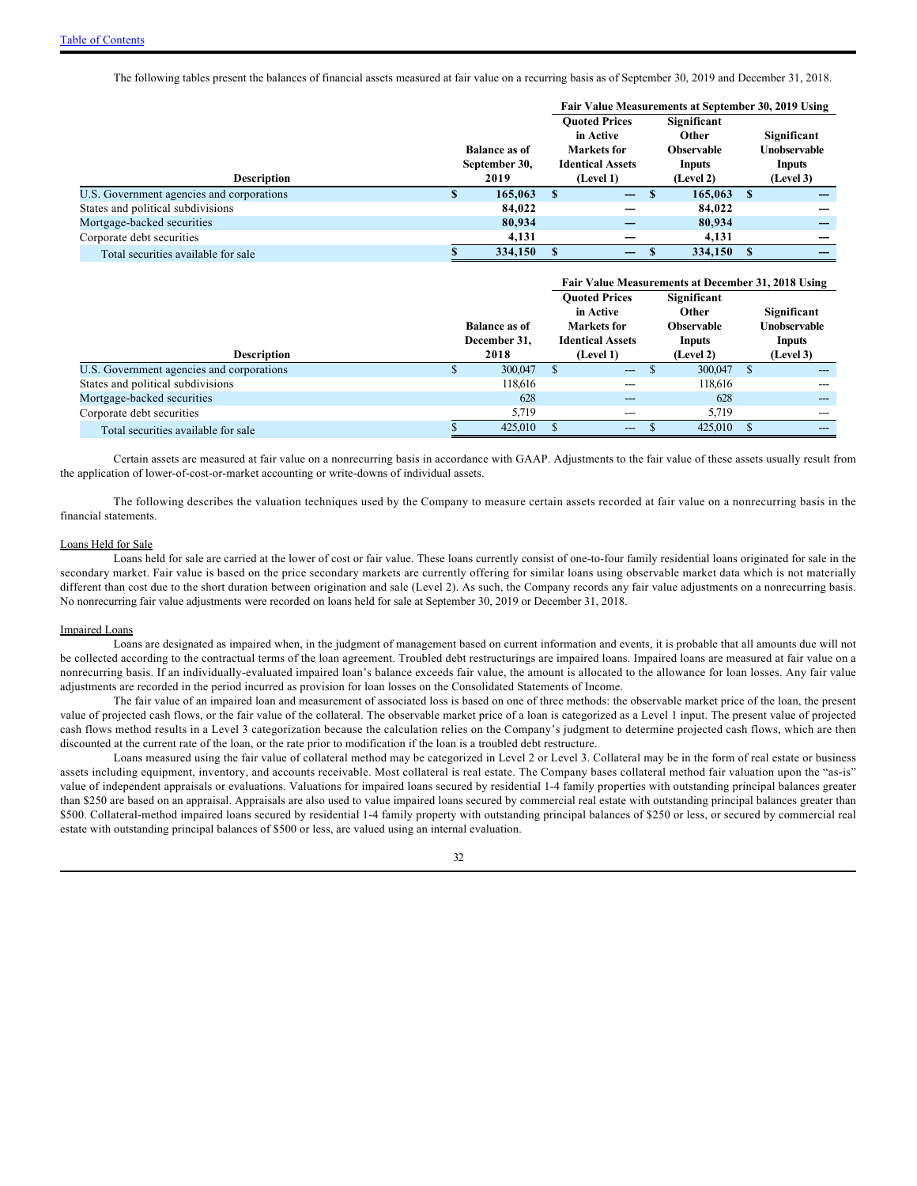The following tables present the balances of financial assets measured at fair value on a recurring basis as of September 30, 2019 and December 31, 2018.

|                                           |   |                                       | Fair Value Measurements at September 30, 2019 Using                         |                                                            |           |                                              |           |  |  |
|-------------------------------------------|---|---------------------------------------|-----------------------------------------------------------------------------|------------------------------------------------------------|-----------|----------------------------------------------|-----------|--|--|
|                                           |   | <b>Balance as of</b><br>September 30, | <b>Ouoted Prices</b><br>in Active<br>Markets for<br><b>Identical Assets</b> | Significant<br><b>Other</b><br><b>Observable</b><br>Inputs |           | Significant<br><b>Unobservable</b><br>Inputs |           |  |  |
| <b>Description</b>                        |   | 2019                                  | (Level 1)                                                                   |                                                            | (Level 2) |                                              | (Level 3) |  |  |
| U.S. Government agencies and corporations | æ | 165,063                               | -S<br>$\overline{\phantom{m}}$                                              | - \$                                                       | 165,063   | S                                            |           |  |  |
| States and political subdivisions         |   | 84,022                                |                                                                             |                                                            | 84,022    |                                              |           |  |  |
| Mortgage-backed securities                |   | 80,934                                | ---                                                                         |                                                            | 80,934    |                                              |           |  |  |
| Corporate debt securities                 |   | 4.131                                 |                                                                             |                                                            | 4.131     |                                              |           |  |  |
| Total securities available for sale       |   | 334,150                               | $-$                                                                         |                                                            | 334,150   |                                              |           |  |  |

|                                           |  |                                      |                                                                             |                         |  | Fair Value Measurements at December 31, 2018 Using  |                                              |       |
|-------------------------------------------|--|--------------------------------------|-----------------------------------------------------------------------------|-------------------------|--|-----------------------------------------------------|----------------------------------------------|-------|
|                                           |  | <b>Balance as of</b><br>December 31, | <b>Ouoted Prices</b><br>in Active<br>Markets for<br><b>Identical Assets</b> |                         |  | Significant<br>Other<br><b>Observable</b><br>Inputs | Significant<br>Unobservable<br><b>Inputs</b> |       |
| <b>Description</b>                        |  | 2018                                 |                                                                             | (Level 1)               |  | (Level 2)                                           | (Level 3)                                    |       |
| U.S. Government agencies and corporations |  | 300,047                              |                                                                             | $\qquad \qquad -\qquad$ |  | 300,047                                             | <b>S</b>                                     |       |
| States and political subdivisions         |  | 118,616                              |                                                                             | ---                     |  | 118,616                                             |                                              | ---   |
| Mortgage-backed securities                |  | 628                                  |                                                                             | $---$                   |  | 628                                                 |                                              | ---   |
| Corporate debt securities                 |  | 5,719                                |                                                                             | $---$                   |  | 5,719                                               |                                              | ---   |
| Total securities available for sale       |  | 425,010                              |                                                                             | $\qquad \qquad \cdots$  |  | 425,010                                             |                                              | $---$ |

Certain assets are measured at fair value on a nonrecurring basis in accordance with GAAP. Adjustments to the fair value of these assets usually result from the application of lower-of-cost-or-market accounting or write-downs of individual assets.

The following describes the valuation techniques used by the Company to measure certain assets recorded at fair value on a nonrecurring basis in the financial statements.

#### Loans Held for Sale

Loans held for sale are carried at the lower of cost or fair value. These loans currently consist of one-to-four family residential loans originated for sale in the secondary market. Fair value is based on the price secondary markets are currently offering for similar loans using observable market data which is not materially different than cost due to the short duration between origination and sale (Level 2). As such, the Company records any fair value adjustments on a nonrecurring basis. No nonrecurring fair value adjustments were recorded on loans held for sale at September 30, 2019 or December 31, 2018.

### Impaired Loans

Loans are designated as impaired when, in the judgment of management based on current information and events, it is probable that all amounts due will not be collected according to the contractual terms of the loan agreement. Troubled debt restructurings are impaired loans. Impaired loans are measured at fair value on a nonrecurring basis. If an individually-evaluated impaired loan's balance exceeds fair value, the amount is allocated to the allowance for loan losses. Any fair value adjustments are recorded in the period incurred as provision for loan losses on the Consolidated Statements of Income.

The fair value of an impaired loan and measurement of associated loss is based on one of three methods: the observable market price of the loan, the present value of projected cash flows, or the fair value of the collateral. The observable market price of a loan is categorized as a Level 1 input. The present value of projected cash flows method results in a Level 3 categorization because the calculation relies on the Company's judgment to determine projected cash flows, which are then discounted at the current rate of the loan, or the rate prior to modification if the loan is a troubled debt restructure.

Loans measured using the fair value of collateral method may be categorized in Level 2 or Level 3. Collateral may be in the form of real estate or business assets including equipment, inventory, and accounts receivable. Most collateral is real estate. The Company bases collateral method fair valuation upon the "as-is" value of independent appraisals or evaluations. Valuations for impaired loans secured by residential 1-4 family properties with outstanding principal balances greater than \$250 are based on an appraisal. Appraisals are also used to value impaired loans secured by commercial real estate with outstanding principal balances greater than \$500. Collateral-method impaired loans secured by residential 1-4 family property with outstanding principal balances of \$250 or less, or secured by commercial real estate with outstanding principal balances of \$500 or less, are valued using an internal evaluation.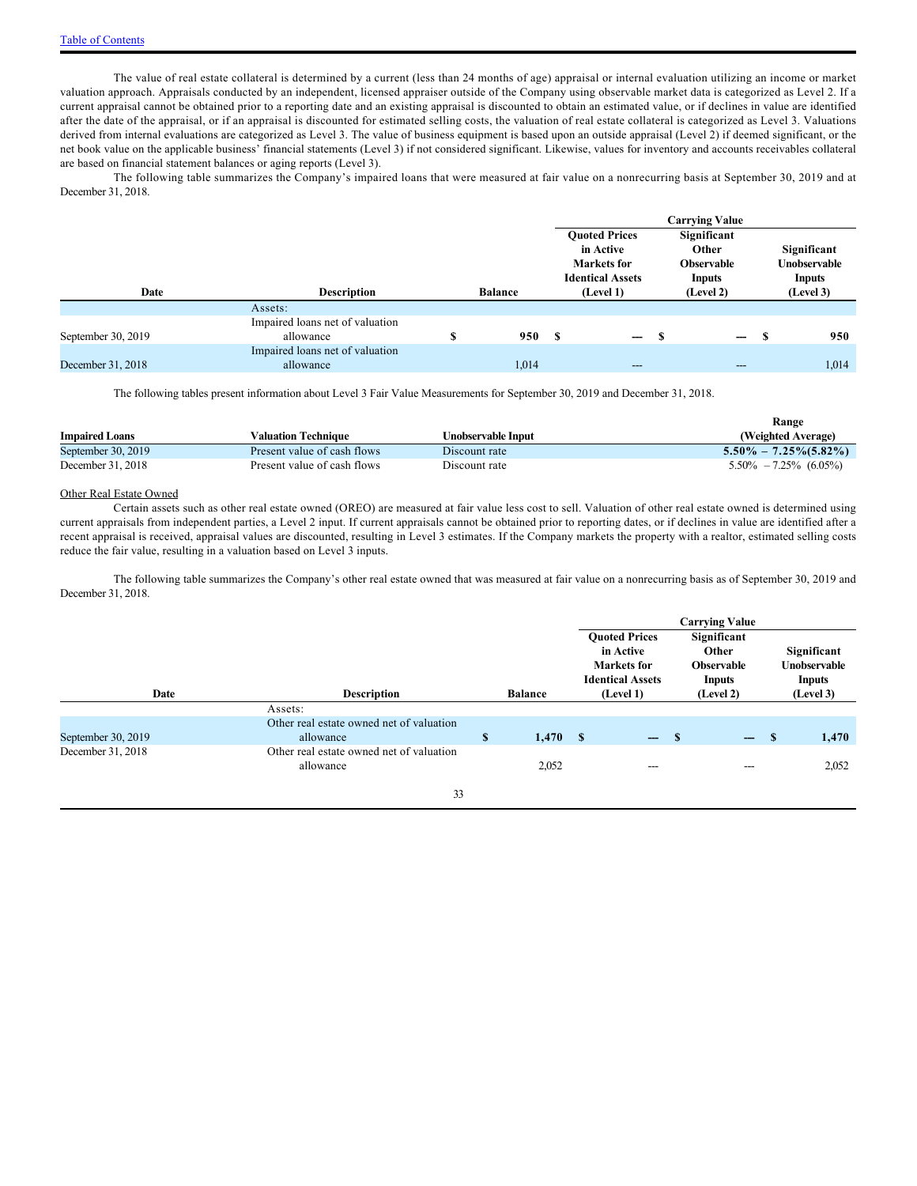The value of real estate collateral is determined by a current (less than 24 months of age) appraisal or internal evaluation utilizing an income or market valuation approach. Appraisals conducted by an independent, licensed appraiser outside of the Company using observable market data is categorized as Level 2. If a current appraisal cannot be obtained prior to a reporting date and an existing appraisal is discounted to obtain an estimated value, or if declines in value are identified after the date of the appraisal, or if an appraisal is discounted for estimated selling costs, the valuation of real estate collateral is categorized as Level 3. Valuations derived from internal evaluations are categorized as Level 3. The value of business equipment is based upon an outside appraisal (Level 2) if deemed significant, or the net book value on the applicable business' financial statements (Level 3) if not considered significant. Likewise, values for inventory and accounts receivables collateral are based on financial statement balances or aging reports (Level 3).

The following table summarizes the Company's impaired loans that were measured at fair value on a nonrecurring basis at September 30, 2019 and at December 31, 2018.

|                    |                                 |                | <b>Carrying Value</b> |                                                                                    |                                                                   |                   |   |                                              |  |
|--------------------|---------------------------------|----------------|-----------------------|------------------------------------------------------------------------------------|-------------------------------------------------------------------|-------------------|---|----------------------------------------------|--|
|                    |                                 |                |                       | <b>Ouoted Prices</b><br>in Active<br><b>Markets</b> for<br><b>Identical Assets</b> | Significant<br><b>Other</b><br><b>Observable</b><br><b>Inputs</b> |                   |   | Significant<br>Unobservable<br><b>Inputs</b> |  |
| Date               | <b>Description</b>              | <b>Balance</b> |                       | (Level 1)                                                                          |                                                                   | (Level 2)         |   | (Level 3)                                    |  |
|                    | Assets:                         |                |                       |                                                                                    |                                                                   |                   |   |                                              |  |
|                    | Impaired loans net of valuation |                |                       |                                                                                    |                                                                   |                   |   |                                              |  |
| September 30, 2019 | allowance                       | 950            | - 8                   | $\hspace{0.05cm}$                                                                  | S                                                                 | $\hspace{0.05cm}$ | ъ | 950                                          |  |
|                    | Impaired loans net of valuation |                |                       |                                                                                    |                                                                   |                   |   |                                              |  |
| December 31, 2018  | allowance                       | 1,014          |                       | $---$                                                                              |                                                                   | ---               |   | 1,014                                        |  |

The following tables present information about Level 3 Fair Value Measurements for September 30, 2019 and December 31, 2018.

|                       |                             |                    | Range                     |
|-----------------------|-----------------------------|--------------------|---------------------------|
| <b>Impaired Loans</b> | Valuation Technique         | Unobservable Input | (Weighted Average)        |
| September 30, $2019$  | Present value of cash flows | Discount rate      | $5.50\% - 7.25\%(5.82\%)$ |
| December 31, 2018     | Present value of cash flows | Discount rate      | $5.50\% - 7.25\%$ (6.05%) |

#### Other Real Estate Owned

Certain assets such as other real estate owned (OREO) are measured at fair value less cost to sell. Valuation of other real estate owned is determined using current appraisals from independent parties, a Level 2 input. If current appraisals cannot be obtained prior to reporting dates, or if declines in value are identified after a recent appraisal is received, appraisal values are discounted, resulting in Level 3 estimates. If the Company markets the property with a realtor, estimated selling costs reduce the fair value, resulting in a valuation based on Level 3 inputs.

The following table summarizes the Company's other real estate owned that was measured at fair value on a nonrecurring basis as of September 30, 2019 and December 31, 2018.

|                    |                                          |                                      |            | <b>Carrying Value</b>                                                                           |                   |                                                                         |                          |   |                                                    |  |
|--------------------|------------------------------------------|--------------------------------------|------------|-------------------------------------------------------------------------------------------------|-------------------|-------------------------------------------------------------------------|--------------------------|---|----------------------------------------------------|--|
| Date               |                                          | <b>Description</b><br><b>Balance</b> |            | <b>Ouoted Prices</b><br>in Active<br><b>Markets</b> for<br><b>Identical Assets</b><br>(Level 1) |                   | Significant<br>Other<br><b>Observable</b><br><b>Inputs</b><br>(Level 2) |                          |   | Significant<br>Unobservable<br>Inputs<br>(Level 3) |  |
|                    | Assets:                                  |                                      |            |                                                                                                 |                   |                                                                         |                          |   |                                                    |  |
|                    | Other real estate owned net of valuation |                                      |            |                                                                                                 |                   |                                                                         |                          |   |                                                    |  |
| September 30, 2019 | allowance                                | \$                                   | $1,470$ \$ |                                                                                                 | $\qquad \qquad -$ | - \$                                                                    | $\overline{\phantom{a}}$ | S | 1,470                                              |  |
| December 31, 2018  | Other real estate owned net of valuation |                                      |            |                                                                                                 |                   |                                                                         |                          |   |                                                    |  |
|                    | allowance                                |                                      | 2,052      |                                                                                                 | ---               |                                                                         | ---                      |   | 2,052                                              |  |
|                    | 33                                       |                                      |            |                                                                                                 |                   |                                                                         |                          |   |                                                    |  |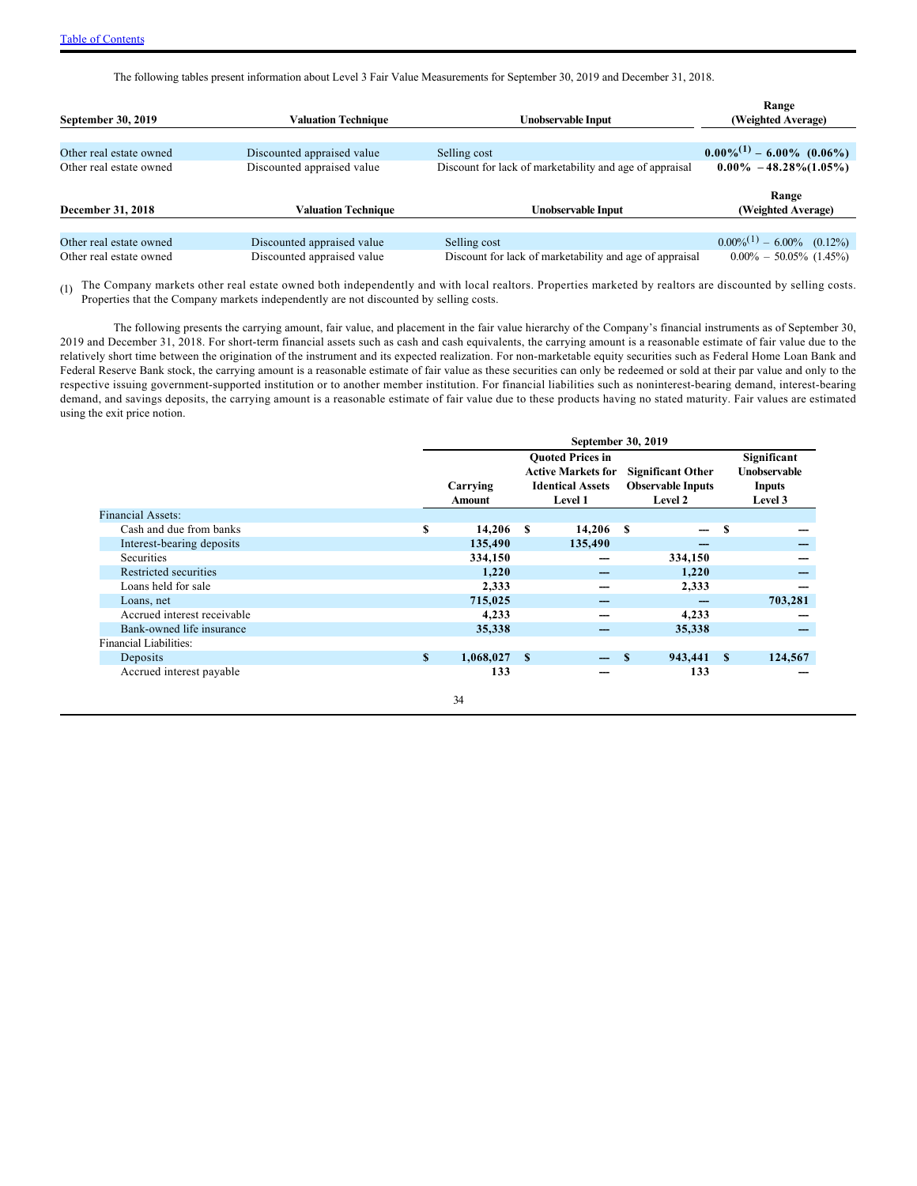The following tables present information about Level 3 Fair Value Measurements for September 30, 2019 and December 31, 2018.

| September 30, 2019      | <b>Valuation Technique</b> | Unobservable Input                                      | Range<br>(Weighted Average)     |
|-------------------------|----------------------------|---------------------------------------------------------|---------------------------------|
|                         |                            |                                                         |                                 |
| Other real estate owned | Discounted appraised value | Selling cost                                            | $0.00\%^{(1)} - 6.00\%$ (0.06%) |
| Other real estate owned | Discounted appraised value | Discount for lack of marketability and age of appraisal | $0.00\% - 48.28\%(1.05\%)$      |
|                         |                            |                                                         | Range                           |
| December 31, 2018       | <b>Valuation Technique</b> | Unobservable Input                                      | (Weighted Average)              |
|                         |                            |                                                         |                                 |
| Other real estate owned | Discounted appraised value | Selling cost                                            | $0.00\%^{(1)} - 6.00\%$ (0.12%) |
| Other real estate owned | Discounted appraised value | Discount for lack of marketability and age of appraisal | $0.00\% - 50.05\%$ (1.45%)      |

(1) The Company markets other real estate owned both independently and with local realtors. Properties marketed by realtors are discounted by selling costs. Properties that the Company markets independently are not discounted by selling costs.

The following presents the carrying amount, fair value, and placement in the fair value hierarchy of the Company's financial instruments as of September 30, 2019 and December 31, 2018. For short-term financial assets such as cash and cash equivalents, the carrying amount is a reasonable estimate of fair value due to the relatively short time between the origination of the instrument and its expected realization. For non-marketable equity securities such as Federal Home Loan Bank and Federal Reserve Bank stock, the carrying amount is a reasonable estimate of fair value as these securities can only be redeemed or sold at their par value and only to the respective issuing government-supported institution or to another member institution. For financial liabilities such as noninterest-bearing demand, interest-bearing demand, and savings deposits, the carrying amount is a reasonable estimate of fair value due to these products having no stated maturity. Fair values are estimated using the exit price notion.

|                             | September 30, 2019 |                         |                 |                           |                          |                          |    |                     |  |
|-----------------------------|--------------------|-------------------------|-----------------|---------------------------|--------------------------|--------------------------|----|---------------------|--|
|                             |                    | <b>Ouoted Prices in</b> |                 |                           |                          |                          |    | Significant         |  |
|                             |                    |                         |                 | <b>Active Markets for</b> | <b>Significant Other</b> |                          |    | <b>Unobservable</b> |  |
|                             |                    | Carrying                |                 | <b>Identical Assets</b>   | <b>Observable Inputs</b> |                          |    | <b>Inputs</b>       |  |
|                             |                    | <b>Amount</b>           |                 | <b>Level 1</b>            |                          | Level 2                  |    | Level 3             |  |
| Financial Assets:           |                    |                         |                 |                           |                          |                          |    |                     |  |
| Cash and due from banks     | S                  | $14,206$ \$             |                 | 14,206                    | S                        | $\overline{\phantom{m}}$ | S  |                     |  |
| Interest-bearing deposits   |                    | 135,490                 |                 | 135,490                   |                          |                          |    |                     |  |
| <b>Securities</b>           |                    | 334,150                 |                 |                           |                          | 334,150                  |    |                     |  |
| Restricted securities       |                    | 1,220                   |                 |                           |                          | 1,220                    |    |                     |  |
| Loans held for sale         |                    | 2.333                   |                 |                           |                          | 2,333                    |    |                     |  |
| Loans, net                  |                    | 715,025                 |                 | ---                       |                          |                          |    | 703,281             |  |
| Accrued interest receivable |                    | 4,233                   |                 |                           |                          | 4,233                    |    |                     |  |
| Bank-owned life insurance   |                    | 35,338                  |                 |                           |                          | 35,338                   |    |                     |  |
| Financial Liabilities:      |                    |                         |                 |                           |                          |                          |    |                     |  |
| Deposits                    | $\mathbf{s}$       | 1,068,027               | $\sim$ s $\sim$ | $\overline{\phantom{a}}$  | <b>S</b>                 | 943,441                  | -S | 124,567             |  |
| Accrued interest payable    |                    | 133                     |                 |                           |                          | 133                      |    |                     |  |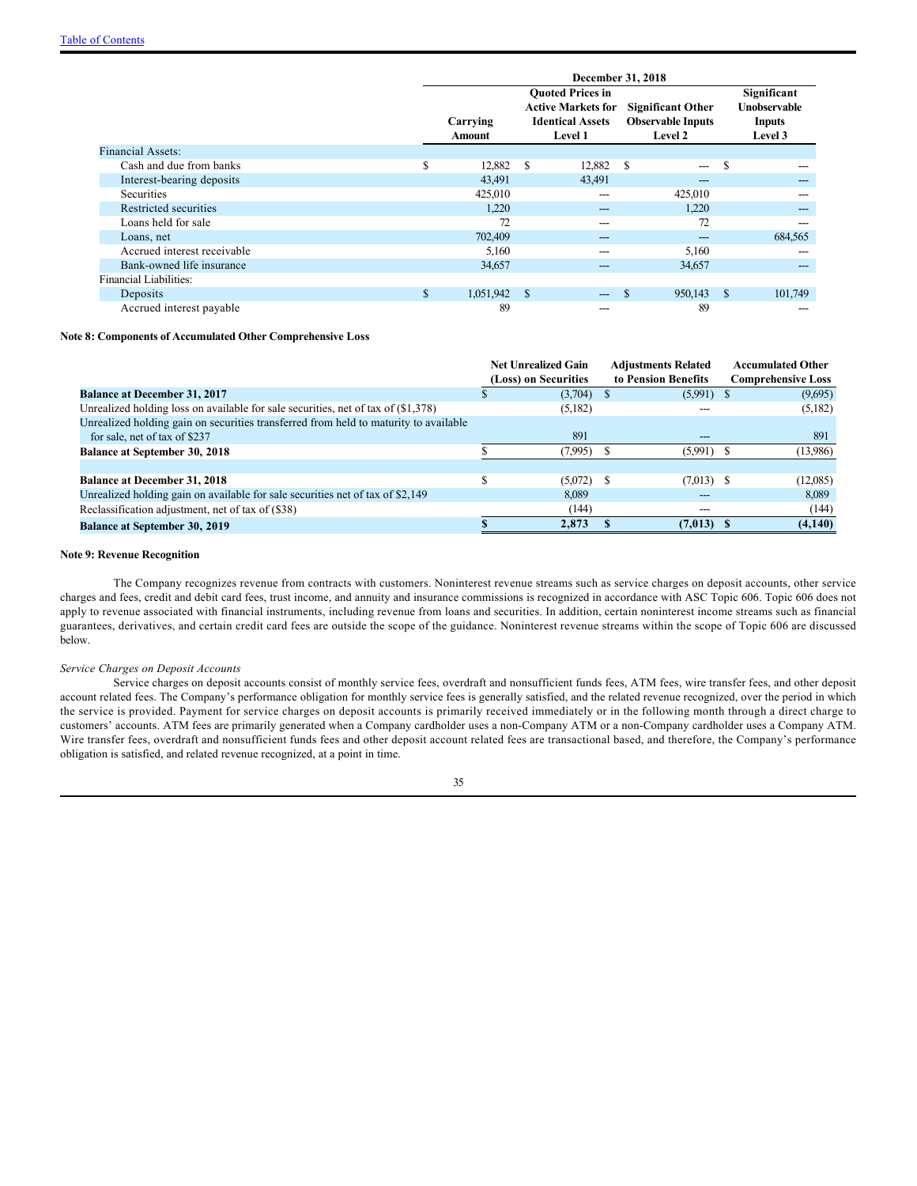|                             | December 31, 2018 |                    |               |                                                                                                   |                                                                 |               |                                                                |  |
|-----------------------------|-------------------|--------------------|---------------|---------------------------------------------------------------------------------------------------|-----------------------------------------------------------------|---------------|----------------------------------------------------------------|--|
|                             |                   | Carrying<br>Amount |               | <b>Ouoted Prices in</b><br><b>Active Markets for</b><br><b>Identical Assets</b><br><b>Level 1</b> | <b>Significant Other</b><br><b>Observable Inputs</b><br>Level 2 |               | Significant<br><b>Unobservable</b><br><b>Inputs</b><br>Level 3 |  |
| <b>Financial Assets:</b>    |                   |                    |               |                                                                                                   |                                                                 |               |                                                                |  |
| Cash and due from banks     | \$                | 12,882             | <sup>\$</sup> | 12,882                                                                                            | <sup>\$</sup><br>$---$                                          | \$            |                                                                |  |
| Interest-bearing deposits   |                   | 43,491             |               | 43,491                                                                                            | $---$                                                           |               | ---                                                            |  |
| Securities                  |                   | 425,010            |               | ---                                                                                               | 425,010                                                         |               |                                                                |  |
| Restricted securities       |                   | 1,220              |               | $---$                                                                                             | 1,220                                                           |               | ---                                                            |  |
| Loans held for sale         |                   | 72                 |               | ---                                                                                               | 72                                                              |               |                                                                |  |
| Loans, net                  |                   | 702,409            |               | ---                                                                                               |                                                                 |               | 684,565                                                        |  |
| Accrued interest receivable |                   | 5,160              |               | ---                                                                                               | 5,160                                                           |               |                                                                |  |
| Bank-owned life insurance   |                   | 34,657             |               | ---                                                                                               | 34,657                                                          |               | ---                                                            |  |
| Financial Liabilities:      |                   |                    |               |                                                                                                   |                                                                 |               |                                                                |  |
| Deposits                    | \$                | 1,051,942          | -S            | $---$                                                                                             | 950,143                                                         | <sup>\$</sup> | 101,749                                                        |  |
| Accrued interest payable    |                   | 89                 |               | ---                                                                                               | 89                                                              |               |                                                                |  |

#### **Note 8: Components of Accumulated Other Comprehensive Loss**

|                                                                                      | <b>Net Unrealized Gain</b> |              | <b>Adjustments Related</b> | <b>Accumulated Other</b>  |
|--------------------------------------------------------------------------------------|----------------------------|--------------|----------------------------|---------------------------|
|                                                                                      | (Loss) on Securities       |              | to Pension Benefits        | <b>Comprehensive Loss</b> |
| <b>Balance at December 31, 2017</b>                                                  | (3,704)                    | <sup>S</sup> | $(5,991)$ \$               | (9,695)                   |
| Unrealized holding loss on available for sale securities, net of tax of $(\$1,378)$  | (5,182)                    |              |                            | (5,182)                   |
| Unrealized holding gain on securities transferred from held to maturity to available |                            |              |                            |                           |
| for sale, net of tax of \$237                                                        | 891                        |              |                            | 891                       |
| <b>Balance at September 30, 2018</b>                                                 | (7.995)                    | .Ъ           | (5.991)                    | (13,986)                  |
|                                                                                      |                            |              |                            |                           |
| <b>Balance at December 31, 2018</b>                                                  | (5,072)                    | S            | $(7.013)$ \$               | (12,085)                  |
| Unrealized holding gain on available for sale securities net of tax of \$2,149       | 8.089                      |              |                            | 8,089                     |
| Reclassification adjustment, net of tax of (\$38)                                    | (144)                      |              |                            | (144)                     |
| <b>Balance at September 30, 2019</b>                                                 | 2.873                      |              | $(7,013)$ \$               | (4,140)                   |

#### **Note 9: Revenue Recognition**

The Company recognizes revenue from contracts with customers. Noninterest revenue streams such as service charges on deposit accounts, other service charges and fees, credit and debit card fees, trust income, and annuity and insurance commissions is recognized in accordance with ASC Topic 606. Topic 606 does not apply to revenue associated with financial instruments, including revenue from loans and securities. In addition, certain noninterest income streams such as financial guarantees, derivatives, and certain credit card fees are outside the scope of the guidance. Noninterest revenue streams within the scope of Topic 606 are discussed below.

#### *Service Charges on Deposit Accounts*

Service charges on deposit accounts consist of monthly service fees, overdraft and nonsufficient funds fees, ATM fees, wire transfer fees, and other deposit account related fees. The Company's performance obligation for monthly service fees is generally satisfied, and the related revenue recognized, over the period in which the service is provided. Payment for service charges on deposit accounts is primarily received immediately or in the following month through a direct charge to customers' accounts. ATM fees are primarily generated when a Company cardholder uses a non-Company ATM or a non-Company cardholder uses a Company ATM. Wire transfer fees, overdraft and nonsufficient funds fees and other deposit account related fees are transactional based, and therefore, the Company's performance obligation is satisfied, and related revenue recognized, at a point in time.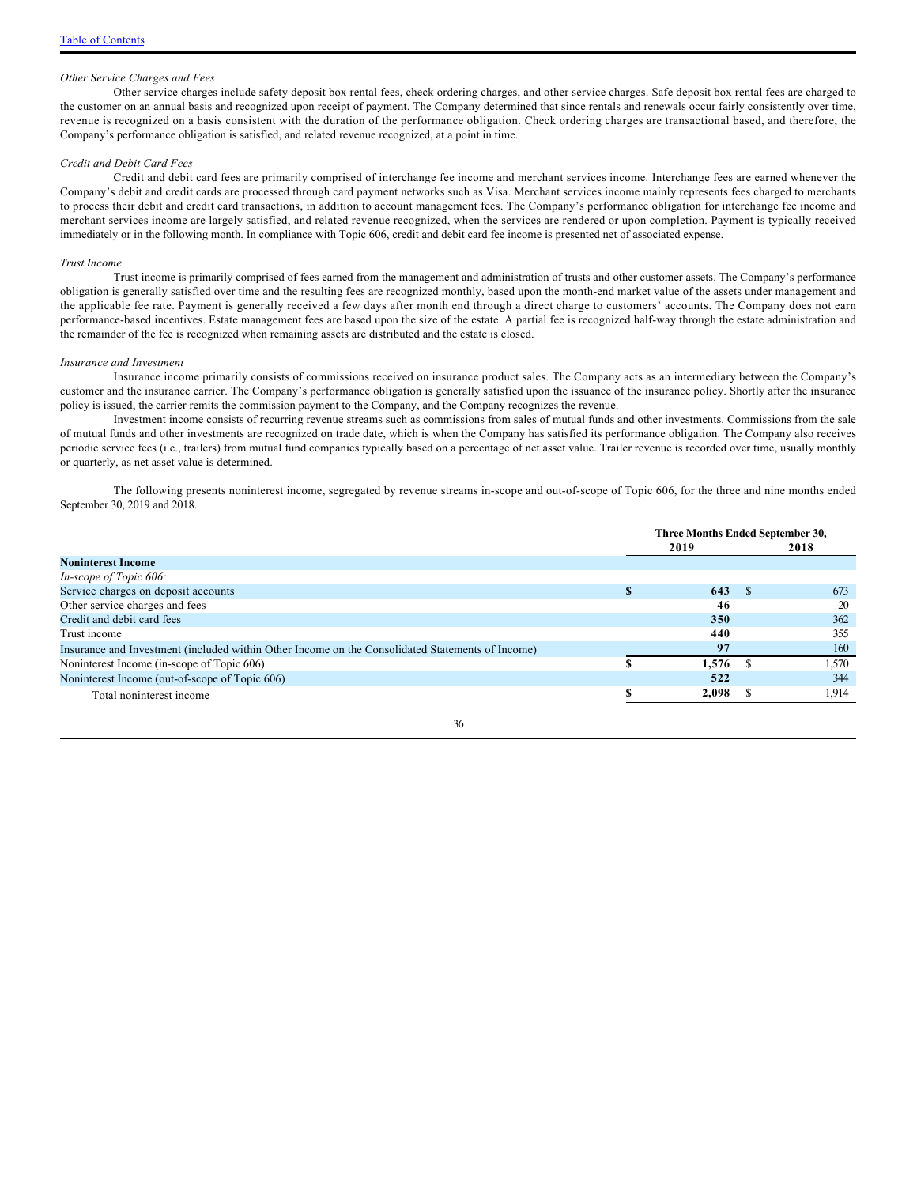#### *Other Service Charges and Fees*

Other service charges include safety deposit box rental fees, check ordering charges, and other service charges. Safe deposit box rental fees are charged to the customer on an annual basis and recognized upon receipt of payment. The Company determined that since rentals and renewals occur fairly consistently over time, revenue is recognized on a basis consistent with the duration of the performance obligation. Check ordering charges are transactional based, and therefore, the Company's performance obligation is satisfied, and related revenue recognized, at a point in time.

#### *Credit and Debit Card Fees*

Credit and debit card fees are primarily comprised of interchange fee income and merchant services income. Interchange fees are earned whenever the Company's debit and credit cards are processed through card payment networks such as Visa. Merchant services income mainly represents fees charged to merchants to process their debit and credit card transactions, in addition to account management fees. The Company's performance obligation for interchange fee income and merchant services income are largely satisfied, and related revenue recognized, when the services are rendered or upon completion. Payment is typically received immediately or in the following month. In compliance with Topic 606, credit and debit card fee income is presented net of associated expense.

#### *Trust Income*

Trust income is primarily comprised of fees earned from the management and administration of trusts and other customer assets. The Company's performance obligation is generally satisfied over time and the resulting fees are recognized monthly, based upon the month-end market value of the assets under management and the applicable fee rate. Payment is generally received a few days after month end through a direct charge to customers' accounts. The Company does not earn performance-based incentives. Estate management fees are based upon the size of the estate. A partial fee is recognized half-way through the estate administration and the remainder of the fee is recognized when remaining assets are distributed and the estate is closed.

#### *Insurance and Investment*

Insurance income primarily consists of commissions received on insurance product sales. The Company acts as an intermediary between the Company's customer and the insurance carrier. The Company's performance obligation is generally satisfied upon the issuance of the insurance policy. Shortly after the insurance policy is issued, the carrier remits the commission payment to the Company, and the Company recognizes the revenue.

Investment income consists of recurring revenue streams such as commissions from sales of mutual funds and other investments. Commissions from the sale of mutual funds and other investments are recognized on trade date, which is when the Company has satisfied its performance obligation. The Company also receives periodic service fees (i.e., trailers) from mutual fund companies typically based on a percentage of net asset value. Trailer revenue is recorded over time, usually monthly or quarterly, as net asset value is determined.

The following presents noninterest income, segregated by revenue streams in-scope and out-of-scope of Topic 606, for the three and nine months ended September 30, 2019 and 2018.

|                                                                                                  |   | Three Months Ended September 30, |  |       |  |
|--------------------------------------------------------------------------------------------------|---|----------------------------------|--|-------|--|
|                                                                                                  |   | 2019                             |  | 2018  |  |
| <b>Noninterest Income</b>                                                                        |   |                                  |  |       |  |
| In-scope of Topic 606:                                                                           |   |                                  |  |       |  |
| Service charges on deposit accounts                                                              | S | 643                              |  | 673   |  |
| Other service charges and fees                                                                   |   | 46                               |  | 20    |  |
| Credit and debit card fees                                                                       |   | 350                              |  | 362   |  |
| Trust income                                                                                     |   | 440                              |  | 355   |  |
| Insurance and Investment (included within Other Income on the Consolidated Statements of Income) |   | 97                               |  | 160   |  |
| Noninterest Income (in-scope of Topic 606)                                                       |   | 1,576                            |  | 1,570 |  |
| Noninterest Income (out-of-scope of Topic 606)                                                   |   | 522                              |  | 344   |  |
| Total noninterest income                                                                         |   | 2.098                            |  | 1.914 |  |
|                                                                                                  |   |                                  |  |       |  |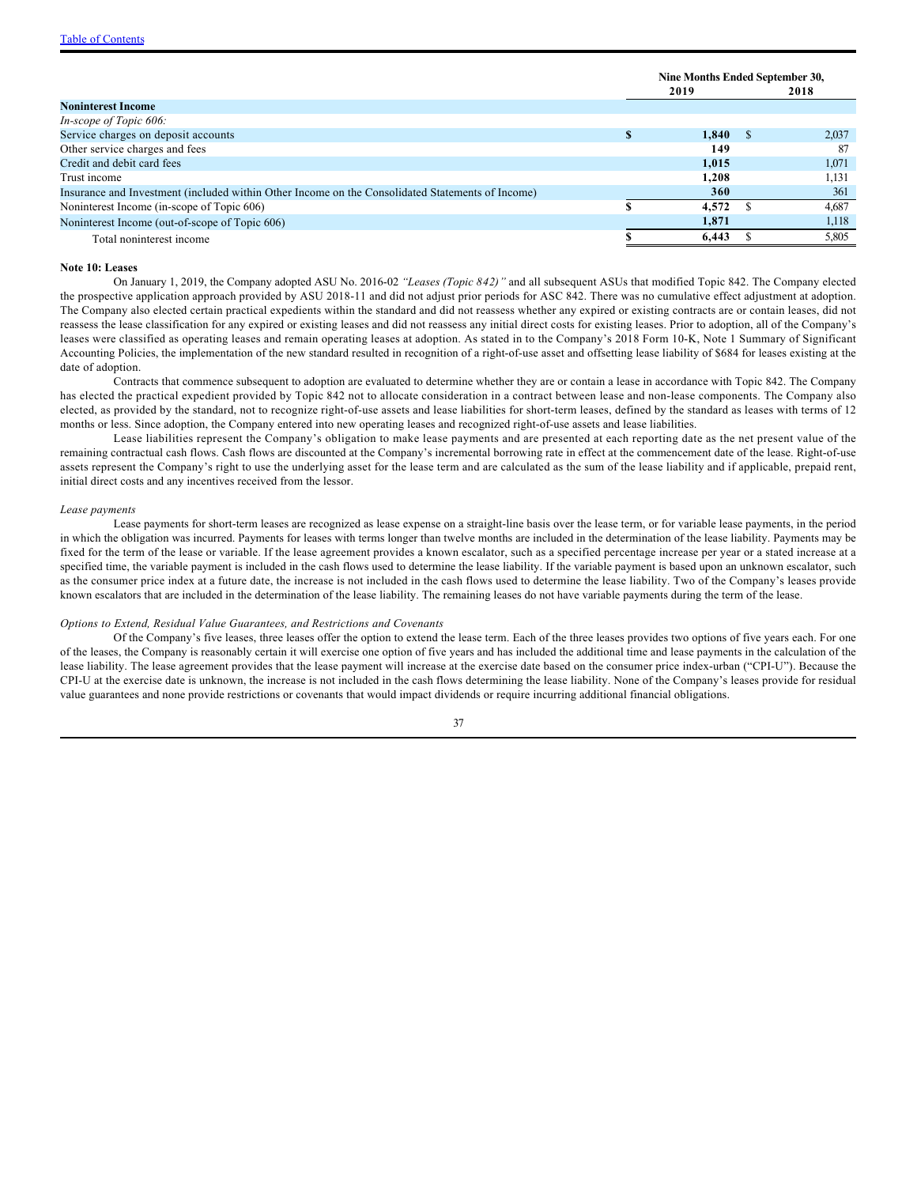|                                                                                                  | Nine Months Ended September 30,<br>2019<br>2018 |  |       |
|--------------------------------------------------------------------------------------------------|-------------------------------------------------|--|-------|
| <b>Noninterest Income</b>                                                                        |                                                 |  |       |
| In-scope of Topic 606:                                                                           |                                                 |  |       |
| Service charges on deposit accounts                                                              | 1.840                                           |  | 2,037 |
| Other service charges and fees                                                                   | 149                                             |  | -87   |
| Credit and debit card fees                                                                       | 1.015                                           |  | 1,071 |
| Trust income                                                                                     | 1.208                                           |  | 1,131 |
| Insurance and Investment (included within Other Income on the Consolidated Statements of Income) | <b>360</b>                                      |  | 361   |
| Noninterest Income (in-scope of Topic 606)                                                       | $4,572$ \$                                      |  | 4,687 |
| Noninterest Income (out-of-scope of Topic 606)                                                   | 1,871                                           |  | 1,118 |
| Total noninterest income                                                                         | 6.443                                           |  | 5,805 |

#### **Note 10: Leases**

On January 1, 2019, the Company adopted ASU No. 2016-02 *"Leases (Topic 842)"* and all subsequent ASUs that modified Topic 842. The Company elected the prospective application approach provided by ASU 2018-11 and did not adjust prior periods for ASC 842. There was no cumulative effect adjustment at adoption. The Company also elected certain practical expedients within the standard and did not reassess whether any expired or existing contracts are or contain leases, did not reassess the lease classification for any expired or existing leases and did not reassess any initial direct costs for existing leases. Prior to adoption, all of the Company's leases were classified as operating leases and remain operating leases at adoption. As stated in to the Company's 2018 Form 10-K, Note 1 Summary of Significant Accounting Policies, the implementation of the new standard resulted in recognition of a right-of-use asset and offsetting lease liability of \$684 for leases existing at the date of adoption.

Contracts that commence subsequent to adoption are evaluated to determine whether they are or contain a lease in accordance with Topic 842. The Company has elected the practical expedient provided by Topic 842 not to allocate consideration in a contract between lease and non-lease components. The Company also elected, as provided by the standard, not to recognize right-of-use assets and lease liabilities for short-term leases, defined by the standard as leases with terms of 12 months or less. Since adoption, the Company entered into new operating leases and recognized right-of-use assets and lease liabilities.

Lease liabilities represent the Company's obligation to make lease payments and are presented at each reporting date as the net present value of the remaining contractual cash flows. Cash flows are discounted at the Company's incremental borrowing rate in effect at the commencement date of the lease. Right-of-use assets represent the Company's right to use the underlying asset for the lease term and are calculated as the sum of the lease liability and if applicable, prepaid rent, initial direct costs and any incentives received from the lessor.

#### *Lease payments*

Lease payments for short-term leases are recognized as lease expense on a straight-line basis over the lease term, or for variable lease payments, in the period in which the obligation was incurred. Payments for leases with terms longer than twelve months are included in the determination of the lease liability. Payments may be fixed for the term of the lease or variable. If the lease agreement provides a known escalator, such as a specified percentage increase per year or a stated increase at a specified time, the variable payment is included in the cash flows used to determine the lease liability. If the variable payment is based upon an unknown escalator, such as the consumer price index at a future date, the increase is not included in the cash flows used to determine the lease liability. Two of the Company's leases provide known escalators that are included in the determination of the lease liability. The remaining leases do not have variable payments during the term of the lease.

#### *Options to Extend, Residual Value Guarantees, and Restrictions and Covenants*

Of the Company's five leases, three leases offer the option to extend the lease term. Each of the three leases provides two options of five years each. For one of the leases, the Company is reasonably certain it will exercise one option of five years and has included the additional time and lease payments in the calculation of the lease liability. The lease agreement provides that the lease payment will increase at the exercise date based on the consumer price index-urban ("CPI-U"). Because the CPI-U at the exercise date is unknown, the increase is not included in the cash flows determining the lease liability. None of the Company's leases provide for residual value guarantees and none provide restrictions or covenants that would impact dividends or require incurring additional financial obligations.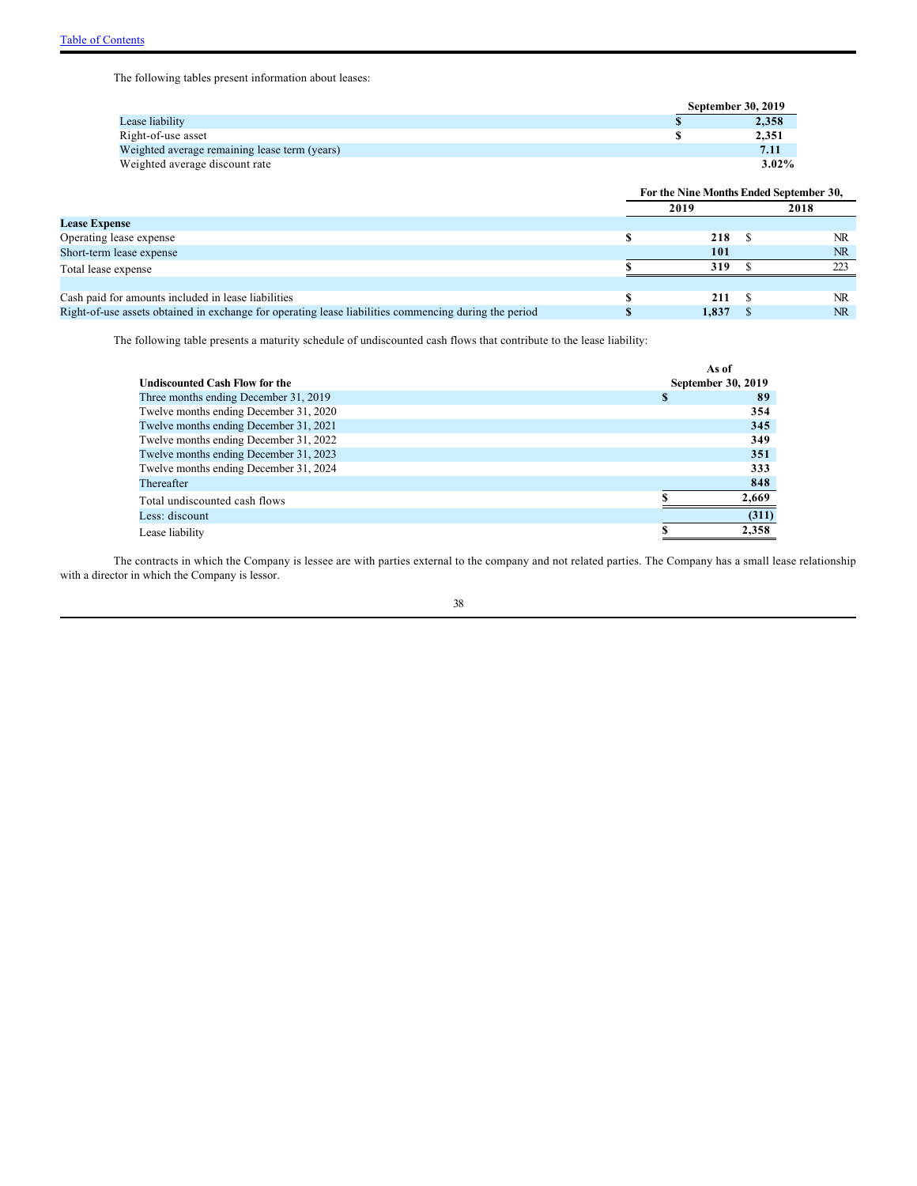The following tables present information about leases:

|                                               | <b>September 30, 2019</b> |
|-----------------------------------------------|---------------------------|
| Lease liability                               | 2,358                     |
| Right-of-use asset                            | 2.351                     |
| Weighted average remaining lease term (years) | 7.11                      |
| Weighted average discount rate                | $3.02\%$                  |

|                                                                                                       | For the Nine Months Ended September 30, |  |           |  |
|-------------------------------------------------------------------------------------------------------|-----------------------------------------|--|-----------|--|
|                                                                                                       | 2019                                    |  | 2018      |  |
| <b>Lease Expense</b>                                                                                  |                                         |  |           |  |
| Operating lease expense                                                                               | 218                                     |  | NR        |  |
| Short-term lease expense                                                                              | 101                                     |  | <b>NR</b> |  |
| Total lease expense                                                                                   | 319                                     |  | 223       |  |
|                                                                                                       |                                         |  |           |  |
| Cash paid for amounts included in lease liabilities                                                   | 211                                     |  | NR        |  |
| Right-of-use assets obtained in exchange for operating lease liabilities commencing during the period | 1.837                                   |  | NR.       |  |

The following table presents a maturity schedule of undiscounted cash flows that contribute to the lease liability:

|                                        | As of              |       |
|----------------------------------------|--------------------|-------|
| Undiscounted Cash Flow for the         | September 30, 2019 |       |
| Three months ending December 31, 2019  | S                  | 89    |
| Twelve months ending December 31, 2020 |                    | 354   |
| Twelve months ending December 31, 2021 |                    | 345   |
| Twelve months ending December 31, 2022 |                    | 349   |
| Twelve months ending December 31, 2023 |                    | 351   |
| Twelve months ending December 31, 2024 |                    | 333   |
| Thereafter                             |                    | 848   |
| Total undiscounted cash flows          |                    | 2,669 |
| Less: discount                         |                    | (311) |
| Lease liability                        |                    | 2,358 |

The contracts in which the Company is lessee are with parties external to the company and not related parties. The Company has a small lease relationship with a director in which the Company is lessor.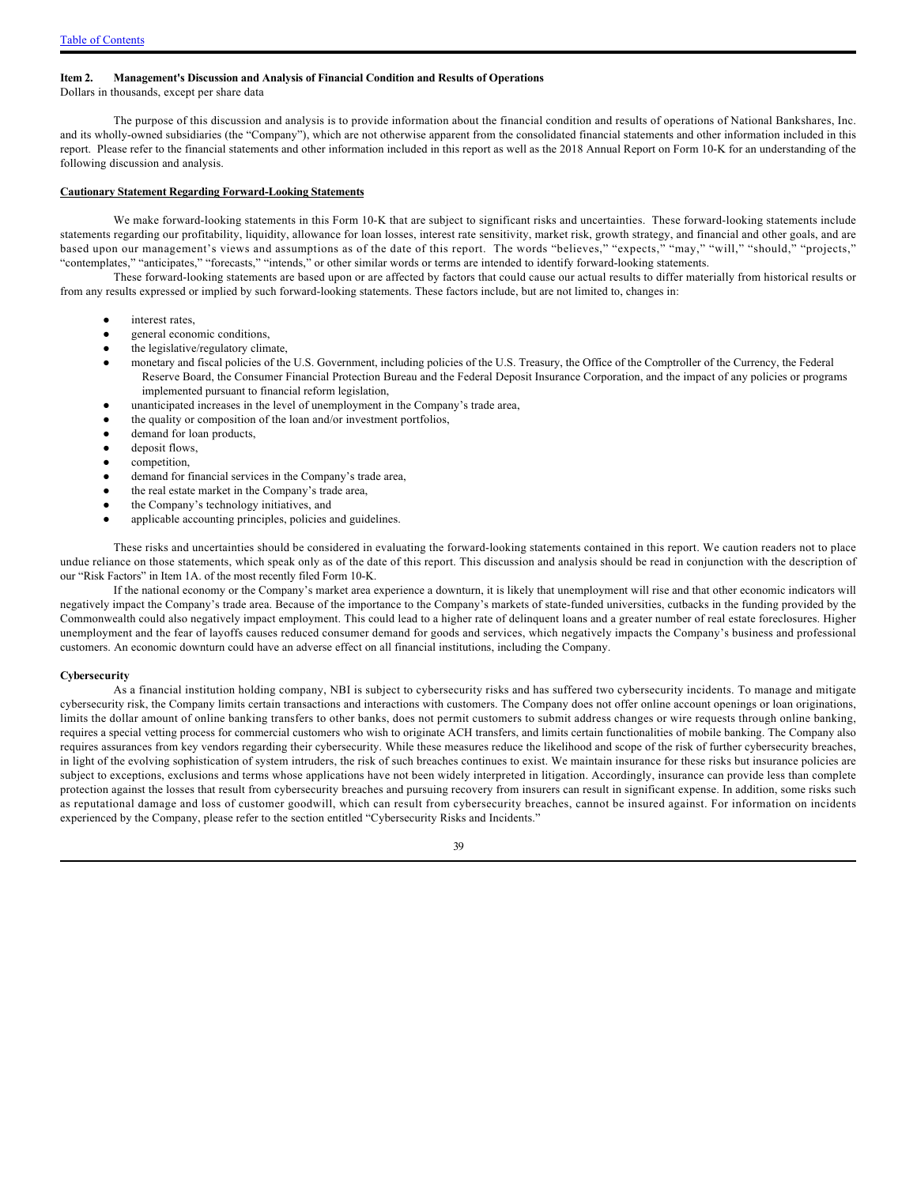#### <span id="page-38-0"></span>**Item 2. Management's Discussion and Analysis of Financial Condition and Results of Operations**

Dollars in thousands, except per share data

The purpose of this discussion and analysis is to provide information about the financial condition and results of operations of National Bankshares, Inc. and its wholly-owned subsidiaries (the "Company"), which are not otherwise apparent from the consolidated financial statements and other information included in this report. Please refer to the financial statements and other information included in this report as well as the 2018 Annual Report on Form 10-K for an understanding of the following discussion and analysis.

#### **Cautionary Statement Regarding Forward-Looking Statements**

We make forward-looking statements in this Form 10-K that are subject to significant risks and uncertainties. These forward-looking statements include statements regarding our profitability, liquidity, allowance for loan losses, interest rate sensitivity, market risk, growth strategy, and financial and other goals, and are based upon our management's views and assumptions as of the date of this report. The words "believes," "expects," "may," "will," "should," "projects," "contemplates," "anticipates," "forecasts," "intends," or other similar words or terms are intended to identify forward-looking statements.

These forward-looking statements are based upon or are affected by factors that could cause our actual results to differ materially from historical results or from any results expressed or implied by such forward-looking statements. These factors include, but are not limited to, changes in:

- interest rates,
- general economic conditions,
- the legislative/regulatory climate,
- monetary and fiscal policies of the U.S. Government, including policies of the U.S. Treasury, the Office of the Comptroller of the Currency, the Federal Reserve Board, the Consumer Financial Protection Bureau and the Federal Deposit Insurance Corporation, and the impact of any policies or programs implemented pursuant to financial reform legislation,
- unanticipated increases in the level of unemployment in the Company's trade area,
- the quality or composition of the loan and/or investment portfolios,
- demand for loan products,
- deposit flows,
- competition,
- demand for financial services in the Company's trade area,
- the real estate market in the Company's trade area,
- the Company's technology initiatives, and
- applicable accounting principles, policies and guidelines.

These risks and uncertainties should be considered in evaluating the forward-looking statements contained in this report. We caution readers not to place undue reliance on those statements, which speak only as of the date of this report. This discussion and analysis should be read in conjunction with the description of our "Risk Factors" in Item 1A. of the most recently filed Form 10-K.

If the national economy or the Company's market area experience a downturn, it is likely that unemployment will rise and that other economic indicators will negatively impact the Company's trade area. Because of the importance to the Company's markets of state-funded universities, cutbacks in the funding provided by the Commonwealth could also negatively impact employment. This could lead to a higher rate of delinquent loans and a greater number of real estate foreclosures. Higher unemployment and the fear of layoffs causes reduced consumer demand for goods and services, which negatively impacts the Company's business and professional customers. An economic downturn could have an adverse effect on all financial institutions, including the Company.

#### **Cybersecurity**

As a financial institution holding company, NBI is subject to cybersecurity risks and has suffered two cybersecurity incidents. To manage and mitigate cybersecurity risk, the Company limits certain transactions and interactions with customers. The Company does not offer online account openings or loan originations, limits the dollar amount of online banking transfers to other banks, does not permit customers to submit address changes or wire requests through online banking, requires a special vetting process for commercial customers who wish to originate ACH transfers, and limits certain functionalities of mobile banking. The Company also requires assurances from key vendors regarding their cybersecurity. While these measures reduce the likelihood and scope of the risk of further cybersecurity breaches, in light of the evolving sophistication of system intruders, the risk of such breaches continues to exist. We maintain insurance for these risks but insurance policies are subject to exceptions, exclusions and terms whose applications have not been widely interpreted in litigation. Accordingly, insurance can provide less than complete protection against the losses that result from cybersecurity breaches and pursuing recovery from insurers can result in significant expense. In addition, some risks such as reputational damage and loss of customer goodwill, which can result from cybersecurity breaches, cannot be insured against. For information on incidents experienced by the Company, please refer to the section entitled "Cybersecurity Risks and Incidents."

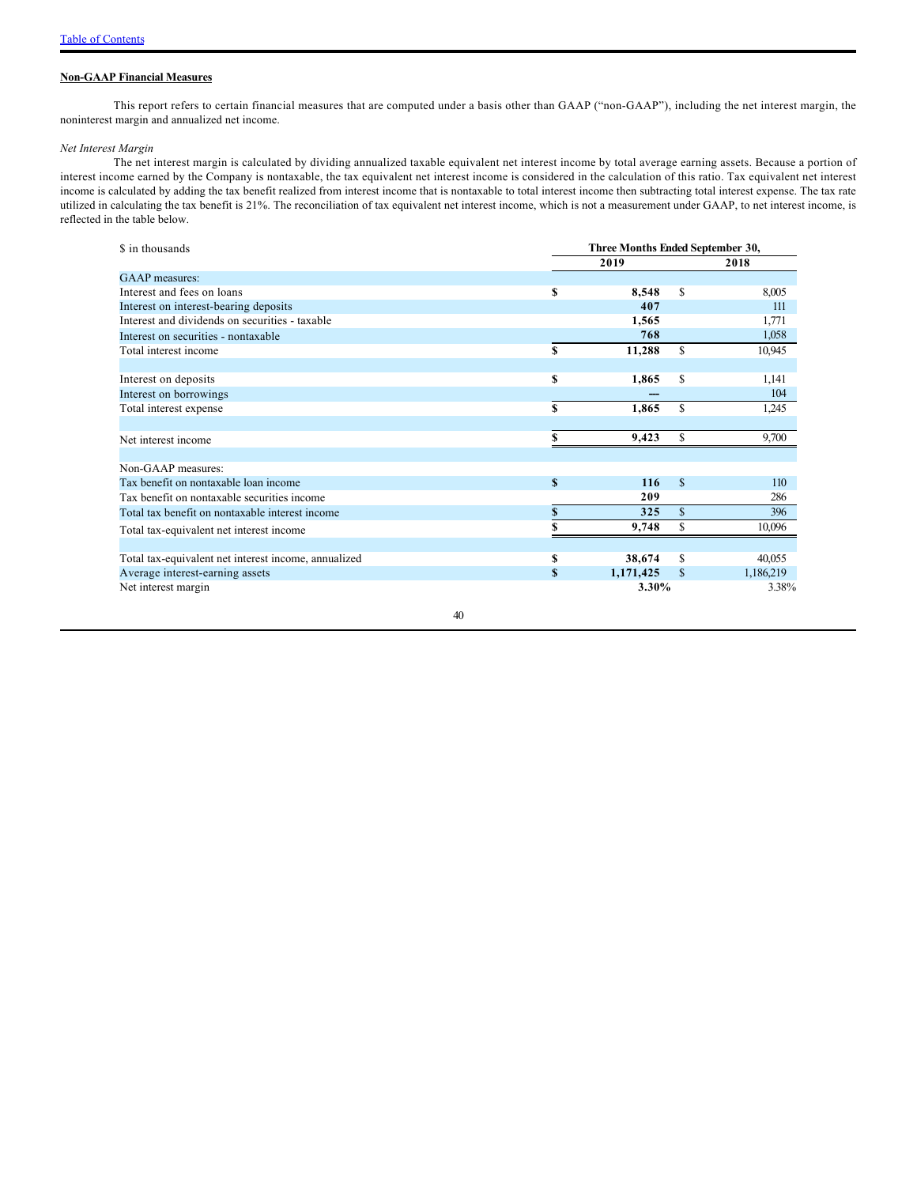### **Non-GAAP Financial Measures**

This report refers to certain financial measures that are computed under a basis other than GAAP ("non-GAAP"), including the net interest margin, the noninterest margin and annualized net income.

### *Net Interest Margin*

The net interest margin is calculated by dividing annualized taxable equivalent net interest income by total average earning assets. Because a portion of interest income earned by the Company is nontaxable, the tax equivalent net interest income is considered in the calculation of this ratio. Tax equivalent net interest income is calculated by adding the tax benefit realized from interest income that is nontaxable to total interest income then subtracting total interest expense. The tax rate utilized in calculating the tax benefit is 21%. The reconciliation of tax equivalent net interest income, which is not a measurement under GAAP, to net interest income, is reflected in the table below.

| \$ in thousands                                      |             | Three Months Ended September 30, |               |           |  |  |  |  |
|------------------------------------------------------|-------------|----------------------------------|---------------|-----------|--|--|--|--|
|                                                      |             | 2019                             |               | 2018      |  |  |  |  |
| GAAP measures:                                       |             |                                  |               |           |  |  |  |  |
| Interest and fees on loans                           | S           | 8,548                            | \$            | 8,005     |  |  |  |  |
| Interest on interest-bearing deposits                |             | 407                              |               | 111       |  |  |  |  |
| Interest and dividends on securities - taxable       |             | 1,565                            |               | 1,771     |  |  |  |  |
| Interest on securities - nontaxable                  |             | 768                              |               | 1,058     |  |  |  |  |
| Total interest income                                | S           | 11,288                           | \$            | 10,945    |  |  |  |  |
| Interest on deposits                                 | S           | 1,865                            | \$            | 1,141     |  |  |  |  |
| Interest on borrowings                               |             |                                  |               | 104       |  |  |  |  |
| Total interest expense                               | $\mathbf S$ | 1,865                            | <sup>\$</sup> | 1,245     |  |  |  |  |
|                                                      |             |                                  |               |           |  |  |  |  |
| Net interest income                                  | S           | 9,423                            | \$            | 9,700     |  |  |  |  |
| Non-GAAP measures:                                   |             |                                  |               |           |  |  |  |  |
| Tax benefit on nontaxable loan income                | $\mathbf S$ | 116                              | $\mathbf S$   | 110       |  |  |  |  |
| Tax benefit on nontaxable securities income          |             | 209                              |               | 286       |  |  |  |  |
| Total tax benefit on nontaxable interest income      | S           | 325                              | \$            | 396       |  |  |  |  |
| Total tax-equivalent net interest income             |             | 9,748                            | \$            | 10,096    |  |  |  |  |
|                                                      |             |                                  |               |           |  |  |  |  |
| Total tax-equivalent net interest income, annualized | S           | 38,674                           | \$            | 40,055    |  |  |  |  |
| Average interest-earning assets                      | S           | 1,171,425                        | \$            | 1,186,219 |  |  |  |  |
| Net interest margin                                  |             | 3.30%                            |               | 3.38%     |  |  |  |  |
| 40                                                   |             |                                  |               |           |  |  |  |  |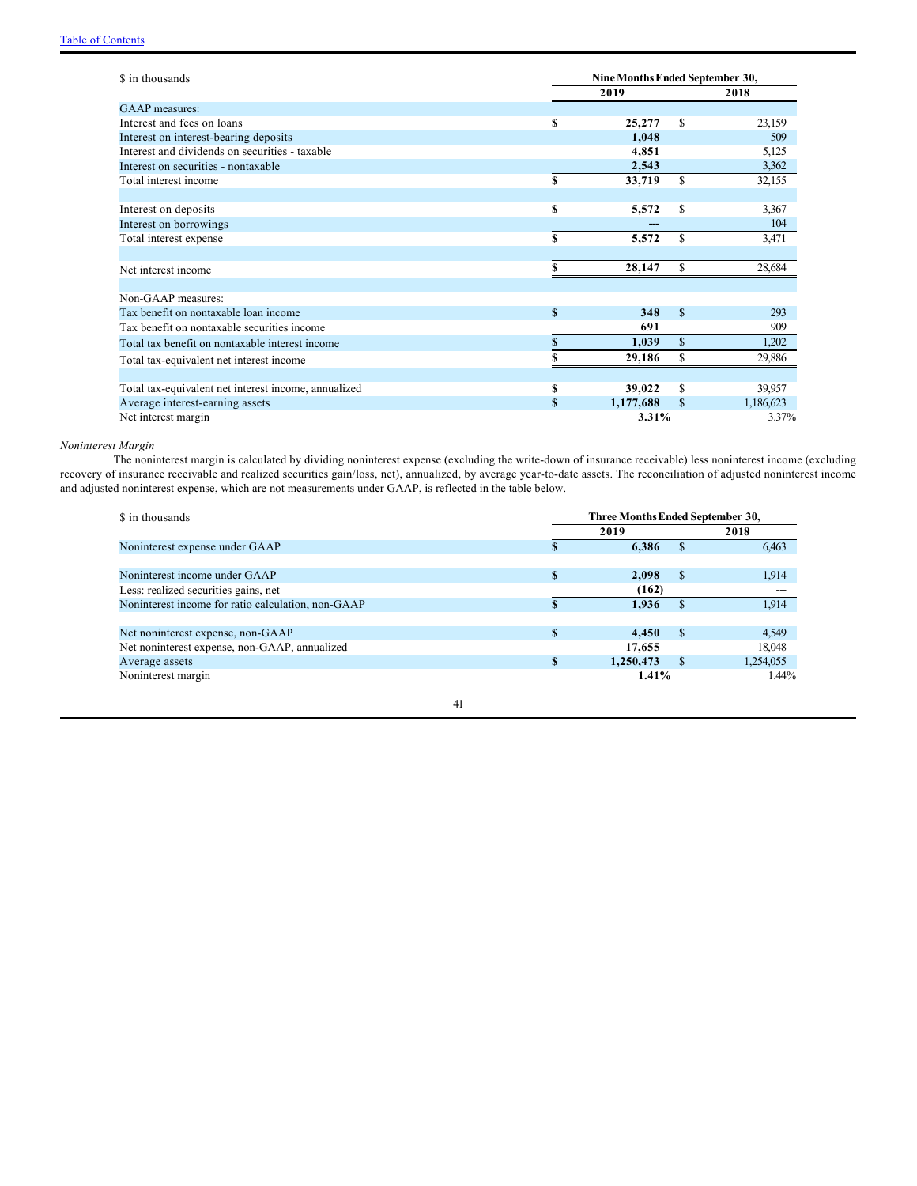| \$ in thousands                                      |              | Nine Months Ended September 30, |              |           |  |  |  |  |  |
|------------------------------------------------------|--------------|---------------------------------|--------------|-----------|--|--|--|--|--|
|                                                      |              | 2019                            |              | 2018      |  |  |  |  |  |
| GAAP measures:                                       |              |                                 |              |           |  |  |  |  |  |
| Interest and fees on loans                           | S            | 25,277                          | \$           | 23,159    |  |  |  |  |  |
| Interest on interest-bearing deposits                |              | 1,048                           |              | 509       |  |  |  |  |  |
| Interest and dividends on securities - taxable       |              | 4,851                           |              | 5,125     |  |  |  |  |  |
| Interest on securities - nontaxable                  |              | 2,543                           |              | 3,362     |  |  |  |  |  |
| Total interest income                                | S            | 33,719                          | \$           | 32,155    |  |  |  |  |  |
|                                                      |              |                                 |              |           |  |  |  |  |  |
| Interest on deposits                                 | S            | 5,572                           | \$           | 3,367     |  |  |  |  |  |
| Interest on borrowings                               |              |                                 |              | 104       |  |  |  |  |  |
| Total interest expense                               | S            | 5,572                           | \$           | 3,471     |  |  |  |  |  |
|                                                      |              |                                 |              |           |  |  |  |  |  |
| Net interest income                                  | S            | 28,147                          | $\mathbb{S}$ | 28,684    |  |  |  |  |  |
|                                                      |              |                                 |              |           |  |  |  |  |  |
| Non-GAAP measures:                                   |              |                                 |              |           |  |  |  |  |  |
| Tax benefit on nontaxable loan income                | $\mathbf S$  | 348                             | $\mathbf S$  | 293       |  |  |  |  |  |
| Tax benefit on nontaxable securities income          |              | 691                             |              | 909       |  |  |  |  |  |
| Total tax benefit on nontaxable interest income      | S            | 1,039                           | $\mathbf S$  | 1,202     |  |  |  |  |  |
| Total tax-equivalent net interest income             |              | 29,186                          | \$           | 29,886    |  |  |  |  |  |
|                                                      |              |                                 |              |           |  |  |  |  |  |
| Total tax-equivalent net interest income, annualized | S            | 39,022                          | \$           | 39,957    |  |  |  |  |  |
| Average interest-earning assets                      | $\mathbf{s}$ | 1,177,688                       | \$           | 1,186,623 |  |  |  |  |  |
| Net interest margin                                  |              | 3.31%                           |              | 3.37%     |  |  |  |  |  |

### *Noninterest Margin*

The noninterest margin is calculated by dividing noninterest expense (excluding the write-down of insurance receivable) less noninterest income (excluding recovery of insurance receivable and realized securities gain/loss, net), annualized, by average year-to-date assets. The reconciliation of adjusted noninterest income and adjusted noninterest expense, which are not measurements under GAAP, is reflected in the table below.

| \$ in thousands                                    | Three Months Ended September 30, |           |               |           |  |  |  |  |
|----------------------------------------------------|----------------------------------|-----------|---------------|-----------|--|--|--|--|
|                                                    |                                  | 2019      |               | 2018      |  |  |  |  |
| Noninterest expense under GAAP                     |                                  | 6,386     | \$.           | 6,463     |  |  |  |  |
|                                                    |                                  |           |               |           |  |  |  |  |
| Noninterest income under GAAP                      | $\mathbf{s}$                     | 2.098     | <sup>\$</sup> | 1,914     |  |  |  |  |
| Less: realized securities gains, net               |                                  | (162)     |               | ---       |  |  |  |  |
| Noninterest income for ratio calculation, non-GAAP |                                  | 1,936     | \$.           | 1,914     |  |  |  |  |
|                                                    |                                  |           |               |           |  |  |  |  |
| Net noninterest expense, non-GAAP                  | S                                | 4.450     | <sup>\$</sup> | 4,549     |  |  |  |  |
| Net noninterest expense, non-GAAP, annualized      |                                  | 17.655    |               | 18.048    |  |  |  |  |
| Average assets                                     | S                                | 1,250,473 | \$.           | 1,254,055 |  |  |  |  |
| Noninterest margin                                 |                                  | 1.41%     |               | $1.44\%$  |  |  |  |  |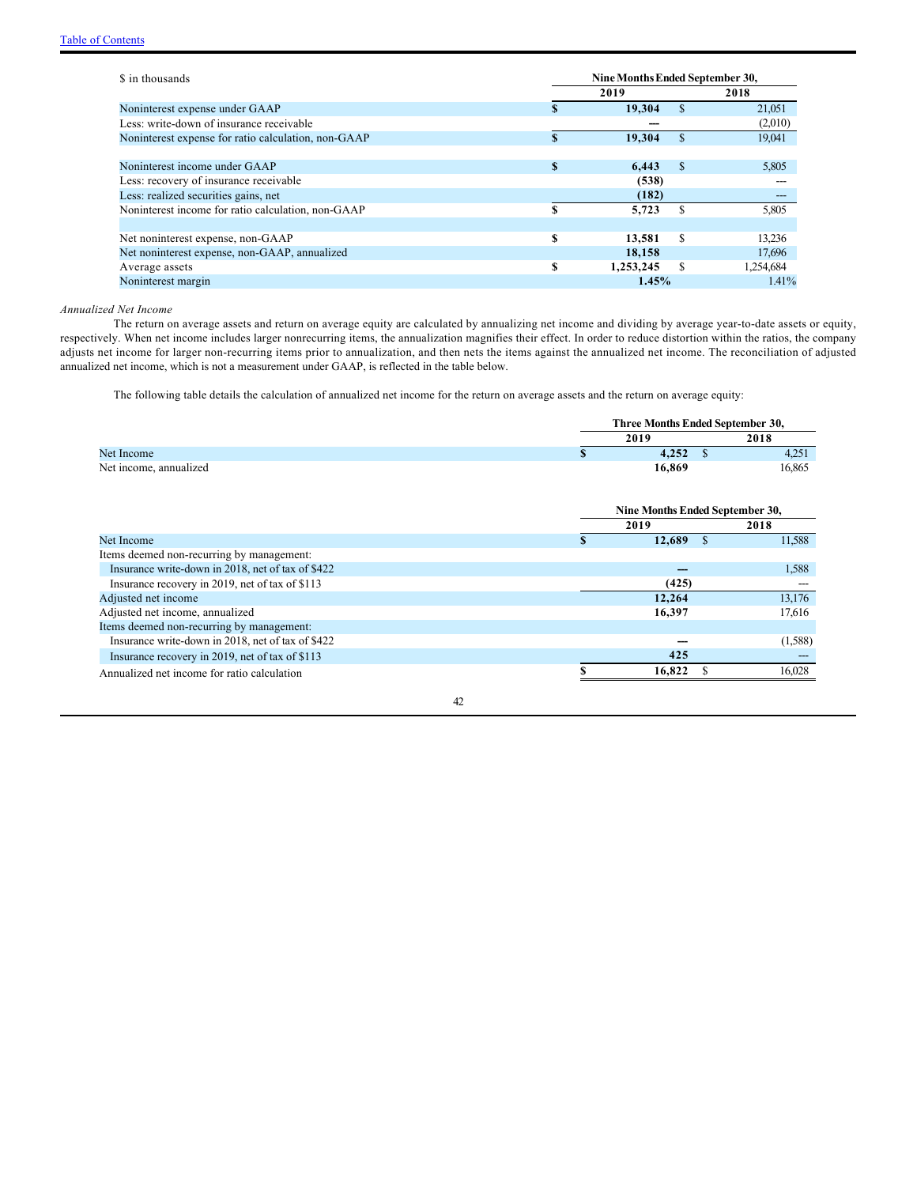| \$ in thousands                                     | Nine Months Ended September 30, |           |               |           |  |
|-----------------------------------------------------|---------------------------------|-----------|---------------|-----------|--|
|                                                     |                                 | 2019      |               | 2018      |  |
| Noninterest expense under GAAP                      |                                 | 19,304    | $\mathcal{S}$ | 21,051    |  |
| Less: write-down of insurance receivable            |                                 |           |               | (2,010)   |  |
| Noninterest expense for ratio calculation, non-GAAP | $\mathbf{S}$                    | 19,304    | $\mathbf{\$}$ | 19,041    |  |
|                                                     |                                 |           |               |           |  |
| Noninterest income under GAAP                       | S                               | 6.443     | <b>S</b>      | 5,805     |  |
| Less: recovery of insurance receivable              |                                 | (538)     |               |           |  |
| Less: realized securities gains, net                |                                 | (182)     |               | ---       |  |
| Noninterest income for ratio calculation, non-GAAP  | S                               | 5.723     | S             | 5,805     |  |
|                                                     |                                 |           |               |           |  |
| Net noninterest expense, non-GAAP                   | S                               | 13.581    | \$.           | 13.236    |  |
| Net noninterest expense, non-GAAP, annualized       |                                 | 18.158    |               | 17,696    |  |
| Average assets                                      | S                               | 1,253,245 | \$.           | 1,254,684 |  |
| Noninterest margin                                  |                                 | 1.45%     |               | 1.41%     |  |

*Annualized Net Income*

The return on average assets and return on average equity are calculated by annualizing net income and dividing by average year-to-date assets or equity, respectively. When net income includes larger nonrecurring items, the annualization magnifies their effect. In order to reduce distortion within the ratios, the company adjusts net income for larger non-recurring items prior to annualization, and then nets the items against the annualized net income. The reconciliation of adjusted annualized net income, which is not a measurement under GAAP, is reflected in the table below.

The following table details the calculation of annualized net income for the return on average assets and the return on average equity:

|                                                   |    | Three Months Ended September 30, |               |         |  |  |
|---------------------------------------------------|----|----------------------------------|---------------|---------|--|--|
|                                                   |    | 2019                             |               | 2018    |  |  |
| Net Income                                        | \$ | 4,252                            | - \$          | 4,251   |  |  |
| Net income, annualized                            |    | 16,869                           |               | 16,865  |  |  |
|                                                   |    | Nine Months Ended September 30,  |               |         |  |  |
|                                                   |    | 2019                             |               | 2018    |  |  |
| Net Income                                        | S  | 12,689                           | <sup>\$</sup> | 11,588  |  |  |
| Items deemed non-recurring by management:         |    |                                  |               |         |  |  |
| Insurance write-down in 2018, net of tax of \$422 |    |                                  |               | 1,588   |  |  |
| Insurance recovery in 2019, net of tax of \$113   |    | (425)                            |               |         |  |  |
| Adjusted net income                               |    | 12,264                           |               | 13,176  |  |  |
| Adjusted net income, annualized                   |    | 16,397                           |               | 17,616  |  |  |
| Items deemed non-recurring by management:         |    |                                  |               |         |  |  |
| Insurance write-down in 2018, net of tax of \$422 |    |                                  |               | (1,588) |  |  |
| Insurance recovery in 2019, net of tax of \$113   |    | 425                              |               |         |  |  |
| Annualized net income for ratio calculation       |    | 16,822                           |               | 16,028  |  |  |
| 42                                                |    |                                  |               |         |  |  |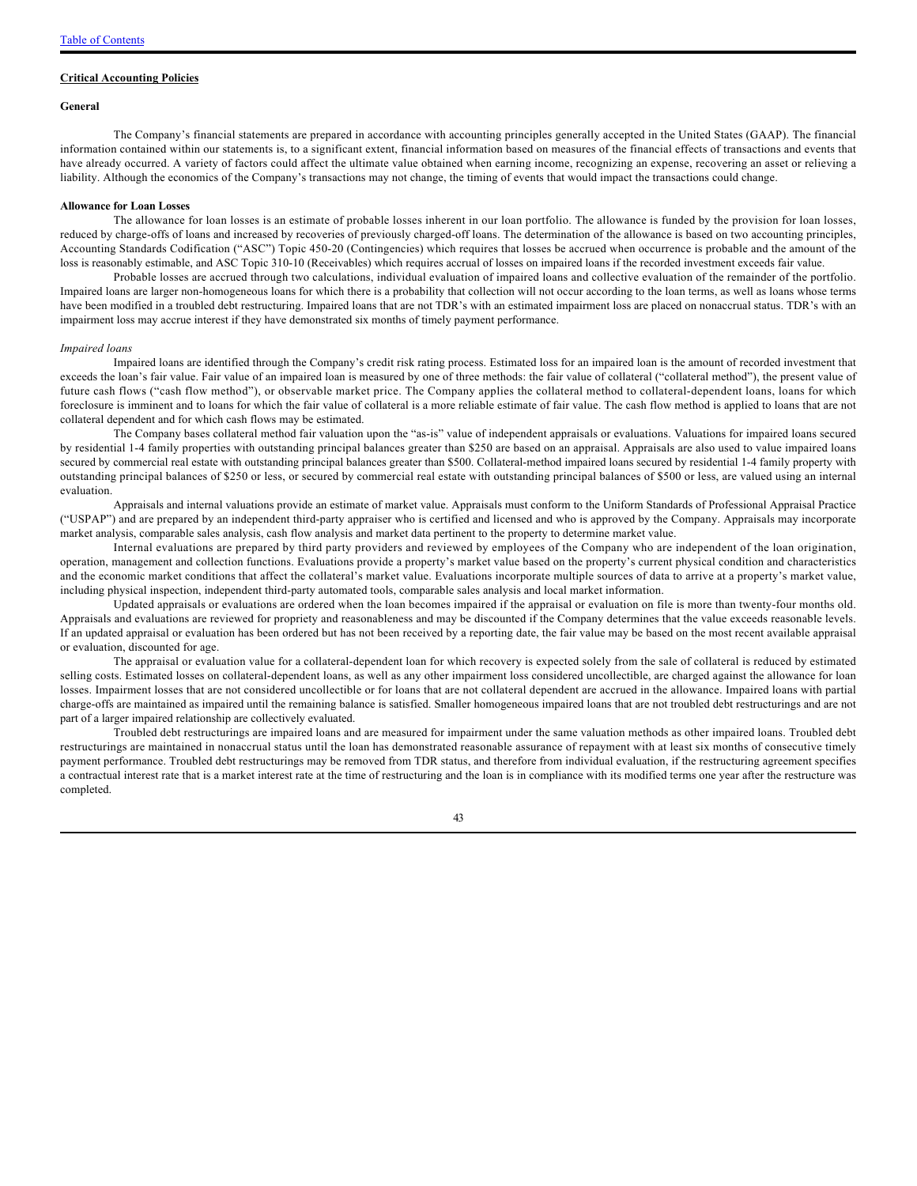#### **Critical Accounting Policies**

#### **General**

The Company's financial statements are prepared in accordance with accounting principles generally accepted in the United States (GAAP). The financial information contained within our statements is, to a significant extent, financial information based on measures of the financial effects of transactions and events that have already occurred. A variety of factors could affect the ultimate value obtained when earning income, recognizing an expense, recovering an asset or relieving a liability. Although the economics of the Company's transactions may not change, the timing of events that would impact the transactions could change.

#### **Allowance for Loan Losses**

The allowance for loan losses is an estimate of probable losses inherent in our loan portfolio. The allowance is funded by the provision for loan losses, reduced by charge-offs of loans and increased by recoveries of previously charged-off loans. The determination of the allowance is based on two accounting principles, Accounting Standards Codification ("ASC") Topic 450-20 (Contingencies) which requires that losses be accrued when occurrence is probable and the amount of the loss is reasonably estimable, and ASC Topic 310-10 (Receivables) which requires accrual of losses on impaired loans if the recorded investment exceeds fair value.

Probable losses are accrued through two calculations, individual evaluation of impaired loans and collective evaluation of the remainder of the portfolio. Impaired loans are larger non-homogeneous loans for which there is a probability that collection will not occur according to the loan terms, as well as loans whose terms have been modified in a troubled debt restructuring. Impaired loans that are not TDR's with an estimated impairment loss are placed on nonaccrual status. TDR's with an impairment loss may accrue interest if they have demonstrated six months of timely payment performance.

#### *Impaired loans*

Impaired loans are identified through the Company's credit risk rating process. Estimated loss for an impaired loan is the amount of recorded investment that exceeds the loan's fair value. Fair value of an impaired loan is measured by one of three methods: the fair value of collateral ("collateral method"), the present value of future cash flows ("cash flow method"), or observable market price. The Company applies the collateral method to collateral-dependent loans, loans for which foreclosure is imminent and to loans for which the fair value of collateral is a more reliable estimate of fair value. The cash flow method is applied to loans that are not collateral dependent and for which cash flows may be estimated.

The Company bases collateral method fair valuation upon the "as-is" value of independent appraisals or evaluations. Valuations for impaired loans secured by residential 1-4 family properties with outstanding principal balances greater than \$250 are based on an appraisal. Appraisals are also used to value impaired loans secured by commercial real estate with outstanding principal balances greater than \$500. Collateral-method impaired loans secured by residential 1-4 family property with outstanding principal balances of \$250 or less, or secured by commercial real estate with outstanding principal balances of \$500 or less, are valued using an internal evaluation.

Appraisals and internal valuations provide an estimate of market value. Appraisals must conform to the Uniform Standards of Professional Appraisal Practice ("USPAP") and are prepared by an independent third-party appraiser who is certified and licensed and who is approved by the Company. Appraisals may incorporate market analysis, comparable sales analysis, cash flow analysis and market data pertinent to the property to determine market value.

Internal evaluations are prepared by third party providers and reviewed by employees of the Company who are independent of the loan origination, operation, management and collection functions. Evaluations provide a property's market value based on the property's current physical condition and characteristics and the economic market conditions that affect the collateral's market value. Evaluations incorporate multiple sources of data to arrive at a property's market value, including physical inspection, independent third-party automated tools, comparable sales analysis and local market information.

Updated appraisals or evaluations are ordered when the loan becomes impaired if the appraisal or evaluation on file is more than twenty-four months old. Appraisals and evaluations are reviewed for propriety and reasonableness and may be discounted if the Company determines that the value exceeds reasonable levels. If an updated appraisal or evaluation has been ordered but has not been received by a reporting date, the fair value may be based on the most recent available appraisal or evaluation, discounted for age.

The appraisal or evaluation value for a collateral-dependent loan for which recovery is expected solely from the sale of collateral is reduced by estimated selling costs. Estimated losses on collateral-dependent loans, as well as any other impairment loss considered uncollectible, are charged against the allowance for loan losses. Impairment losses that are not considered uncollectible or for loans that are not collateral dependent are accrued in the allowance. Impaired loans with partial charge-offs are maintained as impaired until the remaining balance is satisfied. Smaller homogeneous impaired loans that are not troubled debt restructurings and are not part of a larger impaired relationship are collectively evaluated.

Troubled debt restructurings are impaired loans and are measured for impairment under the same valuation methods as other impaired loans. Troubled debt restructurings are maintained in nonaccrual status until the loan has demonstrated reasonable assurance of repayment with at least six months of consecutive timely payment performance. Troubled debt restructurings may be removed from TDR status, and therefore from individual evaluation, if the restructuring agreement specifies a contractual interest rate that is a market interest rate at the time of restructuring and the loan is in compliance with its modified terms one year after the restructure was completed.

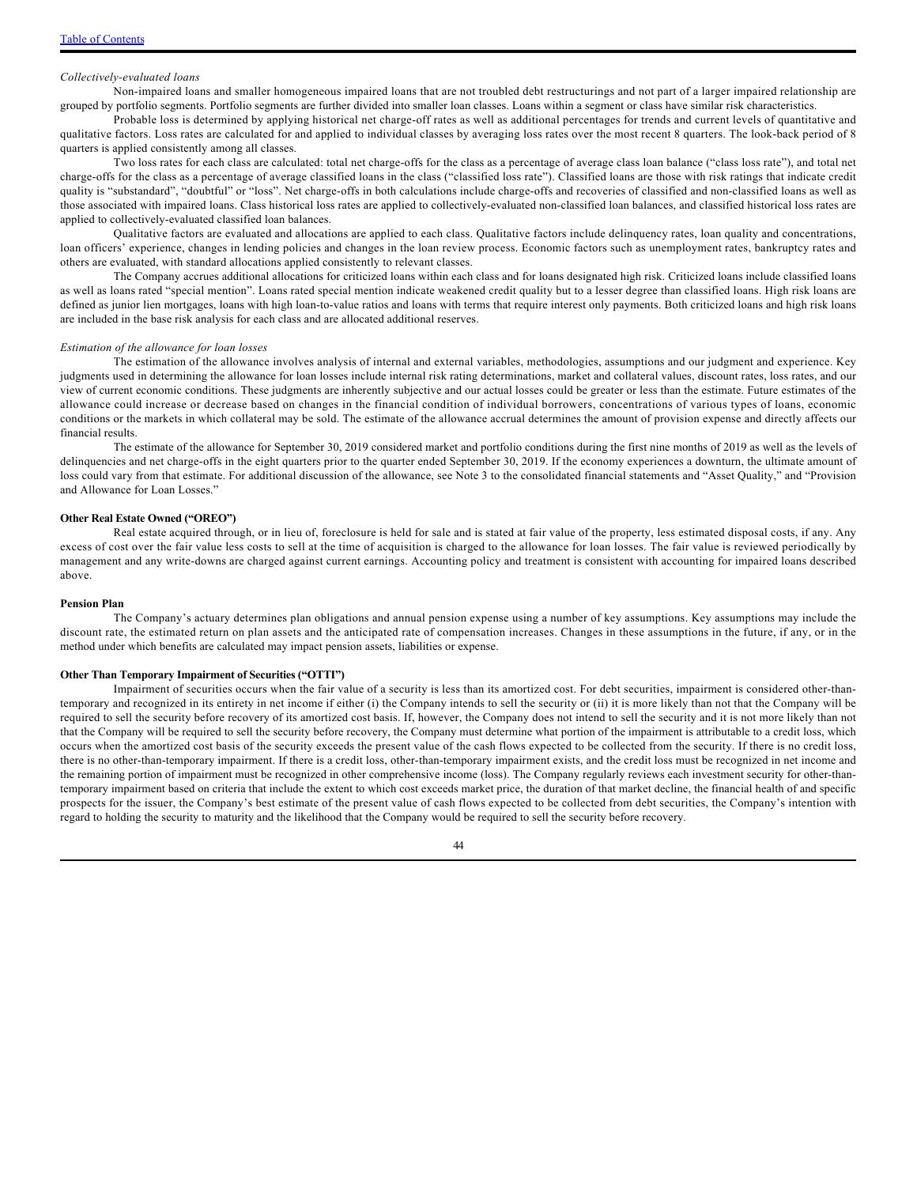### *Collectively-evaluated loans*

Non-impaired loans and smaller homogeneous impaired loans that are not troubled debt restructurings and not part of a larger impaired relationship are grouped by portfolio segments. Portfolio segments are further divided into smaller loan classes. Loans within a segment or class have similar risk characteristics.

Probable loss is determined by applying historical net charge-off rates as well as additional percentages for trends and current levels of quantitative and qualitative factors. Loss rates are calculated for and applied to individual classes by averaging loss rates over the most recent 8 quarters. The look-back period of 8 quarters is applied consistently among all classes.

Two loss rates for each class are calculated: total net charge-offs for the class as a percentage of average class loan balance ("class loss rate"), and total net charge-offs for the class as a percentage of average classified loans in the class ("classified loss rate"). Classified loans are those with risk ratings that indicate credit quality is "substandard", "doubtful" or "loss". Net charge-offs in both calculations include charge-offs and recoveries of classified and non-classified loans as well as those associated with impaired loans. Class historical loss rates are applied to collectively-evaluated non-classified loan balances, and classified historical loss rates are applied to collectively-evaluated classified loan balances.

Qualitative factors are evaluated and allocations are applied to each class. Qualitative factors include delinquency rates, loan quality and concentrations, loan officers' experience, changes in lending policies and changes in the loan review process. Economic factors such as unemployment rates, bankruptcy rates and others are evaluated, with standard allocations applied consistently to relevant classes.

The Company accrues additional allocations for criticized loans within each class and for loans designated high risk. Criticized loans include classified loans as well as loans rated "special mention". Loans rated special mention indicate weakened credit quality but to a lesser degree than classified loans. High risk loans are defined as junior lien mortgages, loans with high loan-to-value ratios and loans with terms that require interest only payments. Both criticized loans and high risk loans are included in the base risk analysis for each class and are allocated additional reserves.

#### *Estimation of the allowance for loan losses*

The estimation of the allowance involves analysis of internal and external variables, methodologies, assumptions and our judgment and experience. Key judgments used in determining the allowance for loan losses include internal risk rating determinations, market and collateral values, discount rates, loss rates, and our view of current economic conditions. These judgments are inherently subjective and our actual losses could be greater or less than the estimate. Future estimates of the allowance could increase or decrease based on changes in the financial condition of individual borrowers, concentrations of various types of loans, economic conditions or the markets in which collateral may be sold. The estimate of the allowance accrual determines the amount of provision expense and directly affects our financial results.

The estimate of the allowance for September 30, 2019 considered market and portfolio conditions during the first nine months of 2019 as well as the levels of delinquencies and net charge-offs in the eight quarters prior to the quarter ended September 30, 2019. If the economy experiences a downturn, the ultimate amount of loss could vary from that estimate. For additional discussion of the allowance, see Note 3 to the consolidated financial statements and "Asset Quality," and "Provision and Allowance for Loan Losses."

#### **Other Real Estate Owned ("OREO")**

Real estate acquired through, or in lieu of, foreclosure is held for sale and is stated at fair value of the property, less estimated disposal costs, if any. Any excess of cost over the fair value less costs to sell at the time of acquisition is charged to the allowance for loan losses. The fair value is reviewed periodically by management and any write-downs are charged against current earnings. Accounting policy and treatment is consistent with accounting for impaired loans described above.

#### **Pension Plan**

The Company's actuary determines plan obligations and annual pension expense using a number of key assumptions. Key assumptions may include the discount rate, the estimated return on plan assets and the anticipated rate of compensation increases. Changes in these assumptions in the future, if any, or in the method under which benefits are calculated may impact pension assets, liabilities or expense.

#### **Other Than Temporary Impairment of Securities ("OTTI")**

Impairment of securities occurs when the fair value of a security is less than its amortized cost. For debt securities, impairment is considered other-thantemporary and recognized in its entirety in net income if either (i) the Company intends to sell the security or (ii) it is more likely than not that the Company will be required to sell the security before recovery of its amortized cost basis. If, however, the Company does not intend to sell the security and it is not more likely than not that the Company will be required to sell the security before recovery, the Company must determine what portion of the impairment is attributable to a credit loss, which occurs when the amortized cost basis of the security exceeds the present value of the cash flows expected to be collected from the security. If there is no credit loss, there is no other-than-temporary impairment. If there is a credit loss, other-than-temporary impairment exists, and the credit loss must be recognized in net income and the remaining portion of impairment must be recognized in other comprehensive income (loss). The Company regularly reviews each investment security for other-thantemporary impairment based on criteria that include the extent to which cost exceeds market price, the duration of that market decline, the financial health of and specific prospects for the issuer, the Company's best estimate of the present value of cash flows expected to be collected from debt securities, the Company's intention with regard to holding the security to maturity and the likelihood that the Company would be required to sell the security before recovery.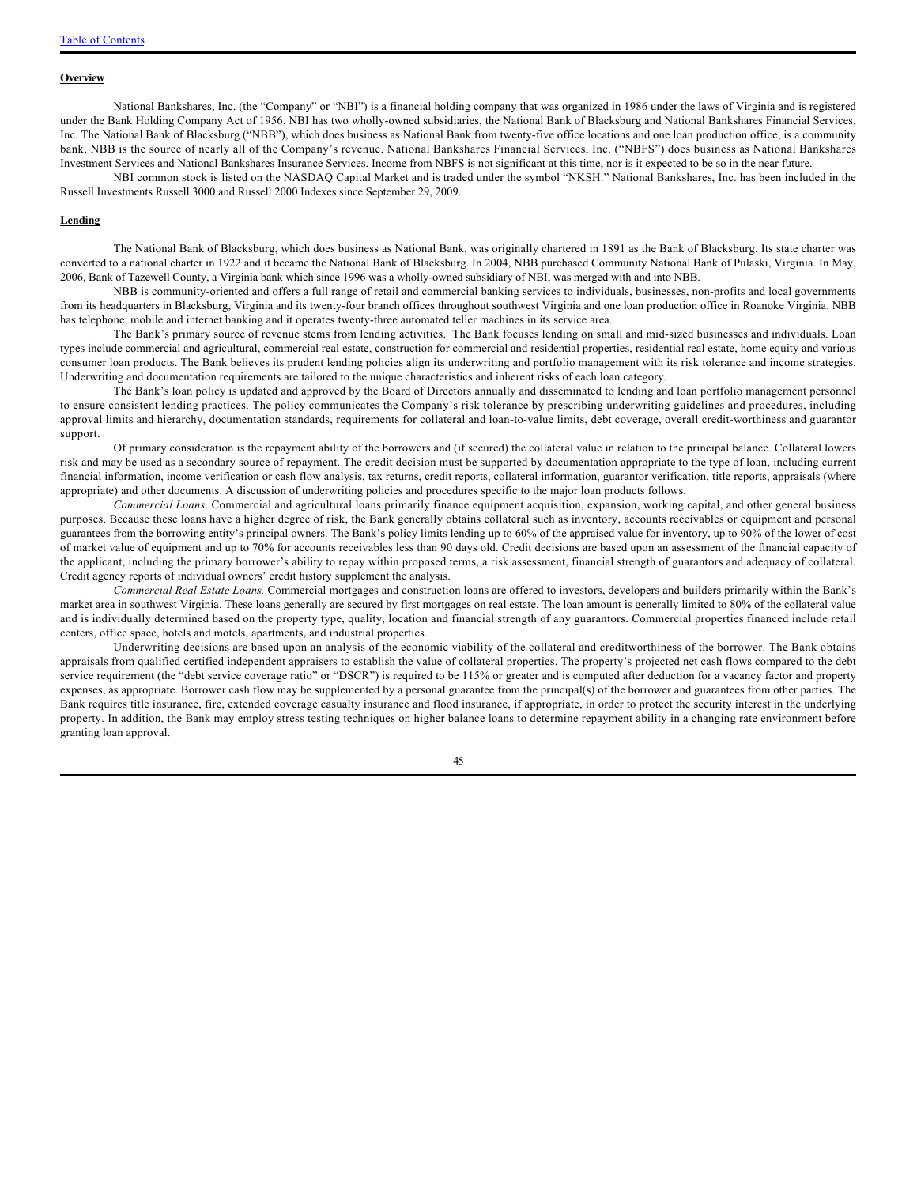#### **Overview**

National Bankshares, Inc. (the "Company" or "NBI") is a financial holding company that was organized in 1986 under the laws of Virginia and is registered under the Bank Holding Company Act of 1956. NBI has two wholly-owned subsidiaries, the National Bank of Blacksburg and National Bankshares Financial Services, Inc. The National Bank of Blacksburg ("NBB"), which does business as National Bank from twenty-five office locations and one loan production office, is a community bank. NBB is the source of nearly all of the Company's revenue. National Bankshares Financial Services, Inc. ("NBFS") does business as National Bankshares Investment Services and National Bankshares Insurance Services. Income from NBFS is not significant at this time, nor is it expected to be so in the near future.

NBI common stock is listed on the NASDAQ Capital Market and is traded under the symbol "NKSH." National Bankshares, Inc. has been included in the Russell Investments Russell 3000 and Russell 2000 Indexes since September 29, 2009.

#### **Lending**

The National Bank of Blacksburg, which does business as National Bank, was originally chartered in 1891 as the Bank of Blacksburg. Its state charter was converted to a national charter in 1922 and it became the National Bank of Blacksburg. In 2004, NBB purchased Community National Bank of Pulaski, Virginia. In May, 2006, Bank of Tazewell County, a Virginia bank which since 1996 was a wholly-owned subsidiary of NBI, was merged with and into NBB.

NBB is community-oriented and offers a full range of retail and commercial banking services to individuals, businesses, non-profits and local governments from its headquarters in Blacksburg, Virginia and its twenty-four branch offices throughout southwest Virginia and one loan production office in Roanoke Virginia. NBB has telephone, mobile and internet banking and it operates twenty-three automated teller machines in its service area.

The Bank's primary source of revenue stems from lending activities. The Bank focuses lending on small and mid-sized businesses and individuals. Loan types include commercial and agricultural, commercial real estate, construction for commercial and residential properties, residential real estate, home equity and various consumer loan products. The Bank believes its prudent lending policies align its underwriting and portfolio management with its risk tolerance and income strategies. Underwriting and documentation requirements are tailored to the unique characteristics and inherent risks of each loan category.

The Bank's loan policy is updated and approved by the Board of Directors annually and disseminated to lending and loan portfolio management personnel to ensure consistent lending practices. The policy communicates the Company's risk tolerance by prescribing underwriting guidelines and procedures, including approval limits and hierarchy, documentation standards, requirements for collateral and loan-to-value limits, debt coverage, overall credit-worthiness and guarantor support.

Of primary consideration is the repayment ability of the borrowers and (if secured) the collateral value in relation to the principal balance. Collateral lowers risk and may be used as a secondary source of repayment. The credit decision must be supported by documentation appropriate to the type of loan, including current financial information, income verification or cash flow analysis, tax returns, credit reports, collateral information, guarantor verification, title reports, appraisals (where appropriate) and other documents. A discussion of underwriting policies and procedures specific to the major loan products follows.

*Commercial Loans*. Commercial and agricultural loans primarily finance equipment acquisition, expansion, working capital, and other general business purposes. Because these loans have a higher degree of risk, the Bank generally obtains collateral such as inventory, accounts receivables or equipment and personal guarantees from the borrowing entity's principal owners. The Bank's policy limits lending up to 60% of the appraised value for inventory, up to 90% of the lower of cost of market value of equipment and up to 70% for accounts receivables less than 90 days old. Credit decisions are based upon an assessment of the financial capacity of the applicant, including the primary borrower's ability to repay within proposed terms, a risk assessment, financial strength of guarantors and adequacy of collateral. Credit agency reports of individual owners' credit history supplement the analysis.

*Commercial Real Estate Loans.* Commercial mortgages and construction loans are offered to investors, developers and builders primarily within the Bank's market area in southwest Virginia. These loans generally are secured by first mortgages on real estate. The loan amount is generally limited to 80% of the collateral value and is individually determined based on the property type, quality, location and financial strength of any guarantors. Commercial properties financed include retail centers, office space, hotels and motels, apartments, and industrial properties.

Underwriting decisions are based upon an analysis of the economic viability of the collateral and creditworthiness of the borrower. The Bank obtains appraisals from qualified certified independent appraisers to establish the value of collateral properties. The property's projected net cash flows compared to the debt service requirement (the "debt service coverage ratio" or "DSCR") is required to be 115% or greater and is computed after deduction for a vacancy factor and property expenses, as appropriate. Borrower cash flow may be supplemented by a personal guarantee from the principal(s) of the borrower and guarantees from other parties. The Bank requires title insurance, fire, extended coverage casualty insurance and flood insurance, if appropriate, in order to protect the security interest in the underlying property. In addition, the Bank may employ stress testing techniques on higher balance loans to determine repayment ability in a changing rate environment before granting loan approval.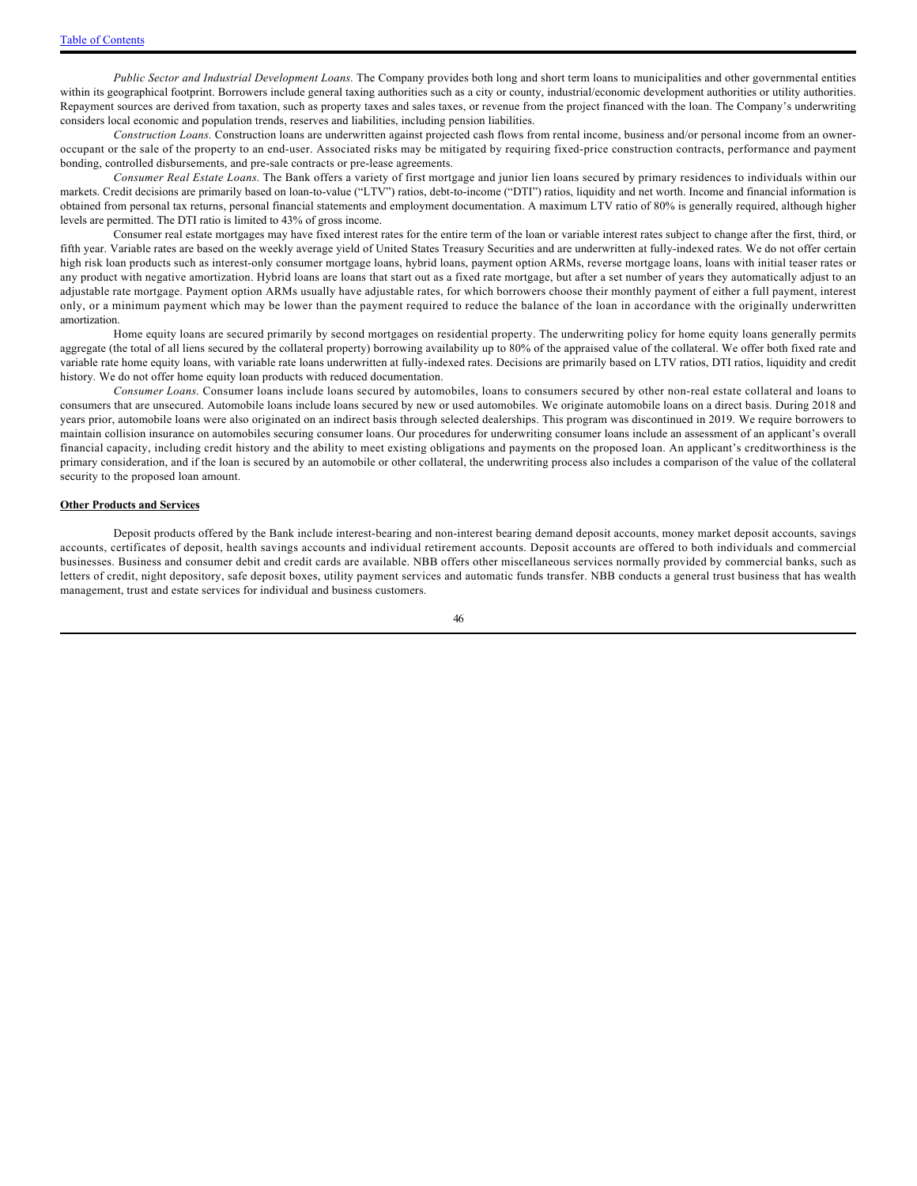*Public Sector and Industrial Development Loans.* The Company provides both long and short term loans to municipalities and other governmental entities within its geographical footprint. Borrowers include general taxing authorities such as a city or county, industrial/economic development authorities or utility authorities. Repayment sources are derived from taxation, such as property taxes and sales taxes, or revenue from the project financed with the loan. The Company's underwriting considers local economic and population trends, reserves and liabilities, including pension liabilities.

*Construction Loans.* Construction loans are underwritten against projected cash flows from rental income, business and/or personal income from an owneroccupant or the sale of the property to an end-user. Associated risks may be mitigated by requiring fixed-price construction contracts, performance and payment bonding, controlled disbursements, and pre-sale contracts or pre-lease agreements.

*Consumer Real Estate Loans*. The Bank offers a variety of first mortgage and junior lien loans secured by primary residences to individuals within our markets. Credit decisions are primarily based on loan-to-value ("LTV") ratios, debt-to-income ("DTI") ratios, liquidity and net worth. Income and financial information is obtained from personal tax returns, personal financial statements and employment documentation. A maximum LTV ratio of 80% is generally required, although higher levels are permitted. The DTI ratio is limited to 43% of gross income.

Consumer real estate mortgages may have fixed interest rates for the entire term of the loan or variable interest rates subject to change after the first, third, or fifth year. Variable rates are based on the weekly average yield of United States Treasury Securities and are underwritten at fully-indexed rates. We do not offer certain high risk loan products such as interest-only consumer mortgage loans, hybrid loans, payment option ARMs, reverse mortgage loans, loans with initial teaser rates or any product with negative amortization. Hybrid loans are loans that start out as a fixed rate mortgage, but after a set number of years they automatically adjust to an adjustable rate mortgage. Payment option ARMs usually have adjustable rates, for which borrowers choose their monthly payment of either a full payment, interest only, or a minimum payment which may be lower than the payment required to reduce the balance of the loan in accordance with the originally underwritten amortization.

Home equity loans are secured primarily by second mortgages on residential property. The underwriting policy for home equity loans generally permits aggregate (the total of all liens secured by the collateral property) borrowing availability up to 80% of the appraised value of the collateral. We offer both fixed rate and variable rate home equity loans, with variable rate loans underwritten at fully-indexed rates. Decisions are primarily based on LTV ratios, DTI ratios, liquidity and credit history. We do not offer home equity loan products with reduced documentation.

*Consumer Loans*. Consumer loans include loans secured by automobiles, loans to consumers secured by other non-real estate collateral and loans to consumers that are unsecured. Automobile loans include loans secured by new or used automobiles. We originate automobile loans on a direct basis. During 2018 and years prior, automobile loans were also originated on an indirect basis through selected dealerships. This program was discontinued in 2019. We require borrowers to maintain collision insurance on automobiles securing consumer loans. Our procedures for underwriting consumer loans include an assessment of an applicant's overall financial capacity, including credit history and the ability to meet existing obligations and payments on the proposed loan. An applicant's creditworthiness is the primary consideration, and if the loan is secured by an automobile or other collateral, the underwriting process also includes a comparison of the value of the collateral security to the proposed loan amount.

#### **Other Products and Services**

Deposit products offered by the Bank include interest-bearing and non-interest bearing demand deposit accounts, money market deposit accounts, savings accounts, certificates of deposit, health savings accounts and individual retirement accounts. Deposit accounts are offered to both individuals and commercial businesses. Business and consumer debit and credit cards are available. NBB offers other miscellaneous services normally provided by commercial banks, such as letters of credit, night depository, safe deposit boxes, utility payment services and automatic funds transfer. NBB conducts a general trust business that has wealth management, trust and estate services for individual and business customers.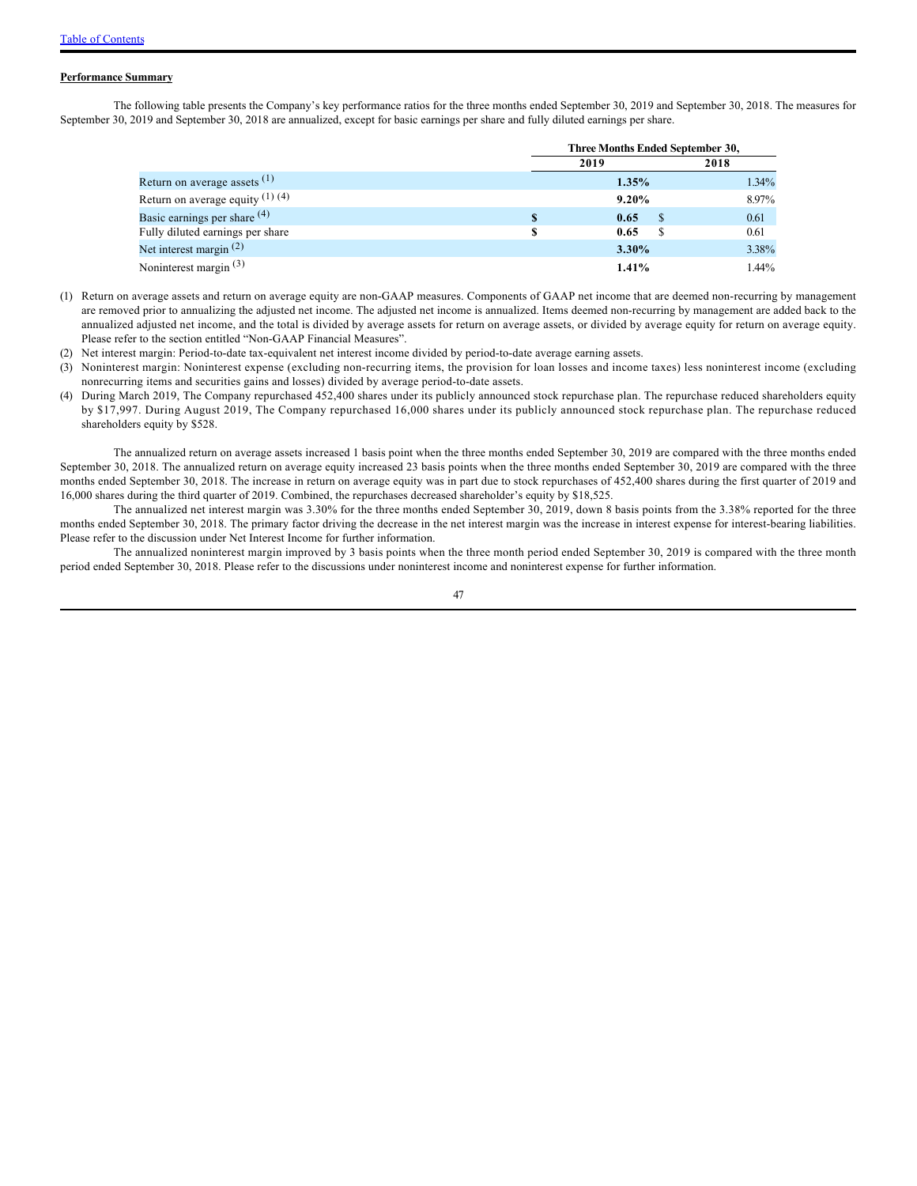#### **Performance Summary**

The following table presents the Company's key performance ratios for the three months ended September 30, 2019 and September 30, 2018. The measures for September 30, 2019 and September 30, 2018 are annualized, except for basic earnings per share and fully diluted earnings per share.

|                                         |   | Three Months Ended September 30, |      |       |  |  |
|-----------------------------------------|---|----------------------------------|------|-------|--|--|
|                                         |   | 2019                             | 2018 |       |  |  |
| Return on average assets $(1)$          |   | 1.35%                            |      | 1.34% |  |  |
| Return on average equity $(1)$ $(4)$    |   | 9.20%                            |      | 8.97% |  |  |
| Basic earnings per share <sup>(4)</sup> | S | 0.65                             | -S   | 0.61  |  |  |
| Fully diluted earnings per share        |   | 0.65                             |      | 0.61  |  |  |
| Net interest margin $(2)$               |   | 3.30%                            |      | 3.38% |  |  |
| Noninterest margin $(3)$                |   | 1.41%                            |      | 1.44% |  |  |

- (1) Return on average assets and return on average equity are non-GAAP measures. Components of GAAP net income that are deemed non-recurring by management are removed prior to annualizing the adjusted net income. The adjusted net income is annualized. Items deemed non-recurring by management are added back to the annualized adjusted net income, and the total is divided by average assets for return on average assets, or divided by average equity for return on average equity. Please refer to the section entitled "Non-GAAP Financial Measures".
- (2) Net interest margin: Period-to-date tax-equivalent net interest income divided by period-to-date average earning assets.
- (3) Noninterest margin: Noninterest expense (excluding non-recurring items, the provision for loan losses and income taxes) less noninterest income (excluding nonrecurring items and securities gains and losses) divided by average period-to-date assets.
- (4) During March 2019, The Company repurchased 452,400 shares under its publicly announced stock repurchase plan. The repurchase reduced shareholders equity by \$17,997. During August 2019, The Company repurchased 16,000 shares under its publicly announced stock repurchase plan. The repurchase reduced shareholders equity by \$528.

The annualized return on average assets increased 1 basis point when the three months ended September 30, 2019 are compared with the three months ended September 30, 2018. The annualized return on average equity increased 23 basis points when the three months ended September 30, 2019 are compared with the three months ended September 30, 2018. The increase in return on average equity was in part due to stock repurchases of 452,400 shares during the first quarter of 2019 and 16,000 shares during the third quarter of 2019. Combined, the repurchases decreased shareholder's equity by \$18,525.

The annualized net interest margin was 3.30% for the three months ended September 30, 2019, down 8 basis points from the 3.38% reported for the three months ended September 30, 2018. The primary factor driving the decrease in the net interest margin was the increase in interest expense for interest-bearing liabilities. Please refer to the discussion under Net Interest Income for further information.

The annualized noninterest margin improved by 3 basis points when the three month period ended September 30, 2019 is compared with the three month period ended September 30, 2018. Please refer to the discussions under noninterest income and noninterest expense for further information.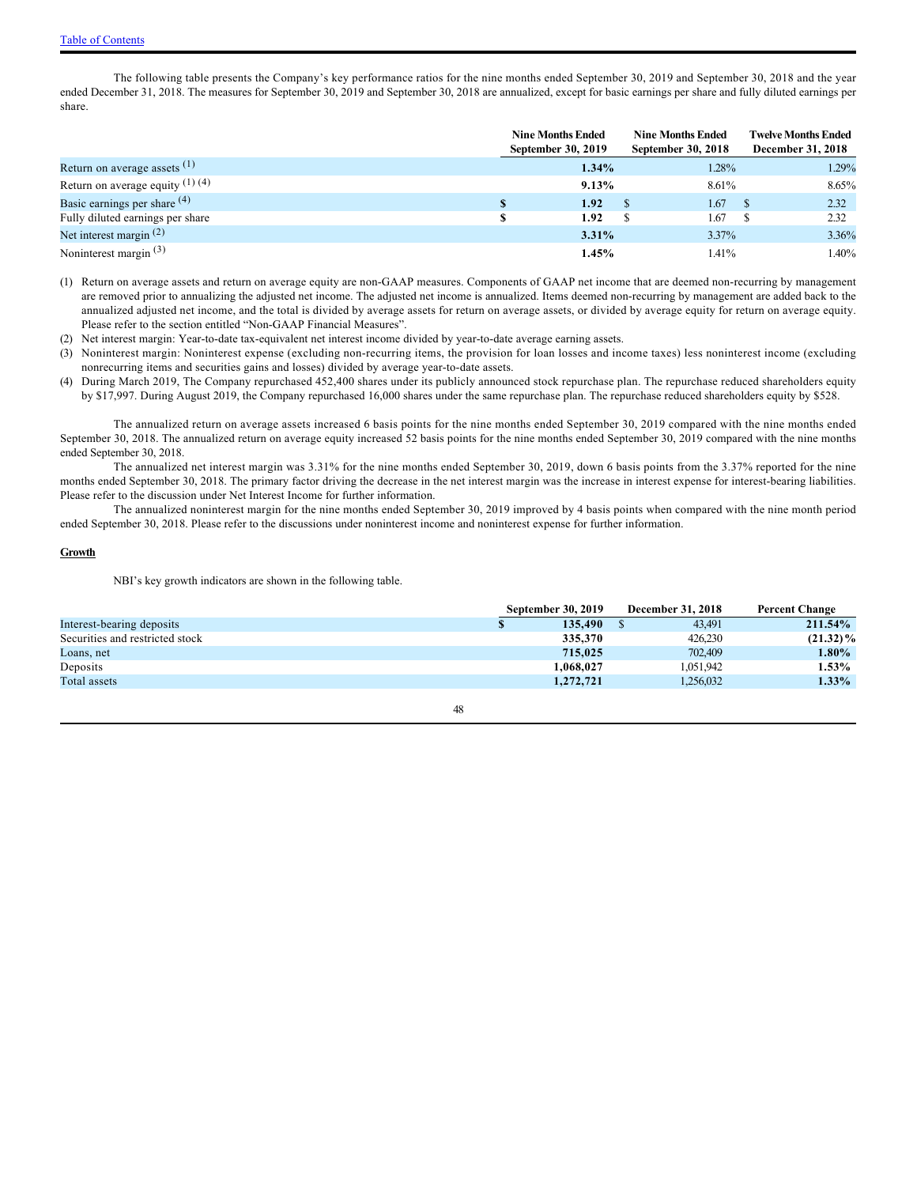The following table presents the Company's key performance ratios for the nine months ended September 30, 2019 and September 30, 2018 and the year ended December 31, 2018. The measures for September 30, 2019 and September 30, 2018 are annualized, except for basic earnings per share and fully diluted earnings per share.

|                                      | <b>Nine Months Ended</b><br>September 30, 2019 | <b>Nine Months Ended</b><br><b>September 30, 2018</b> |       | <b>Twelve Months Ended</b><br>December 31, 2018 |       |
|--------------------------------------|------------------------------------------------|-------------------------------------------------------|-------|-------------------------------------------------|-------|
| Return on average assets $(1)$       | 1.34%                                          |                                                       | 1.28% |                                                 | 1.29% |
| Return on average equity $(1)$ $(4)$ | 9.13%                                          |                                                       | 8.61% |                                                 | 8.65% |
| Basic earnings per share $(4)$       | 1.92                                           |                                                       | 1.67  |                                                 | 2.32  |
| Fully diluted earnings per share     | 1.92                                           |                                                       | 1.67  |                                                 | 2.32  |
| Net interest margin $(2)$            | 3.31%                                          |                                                       | 3.37% |                                                 | 3.36% |
| Noninterest margin $(3)$             | 1.45%                                          |                                                       | 1.41% |                                                 | 1.40% |

- (1) Return on average assets and return on average equity are non-GAAP measures. Components of GAAP net income that are deemed non-recurring by management are removed prior to annualizing the adjusted net income. The adjusted net income is annualized. Items deemed non-recurring by management are added back to the annualized adjusted net income, and the total is divided by average assets for return on average assets, or divided by average equity for return on average equity. Please refer to the section entitled "Non-GAAP Financial Measures".
- (2) Net interest margin: Year-to-date tax-equivalent net interest income divided by year-to-date average earning assets.
- (3) Noninterest margin: Noninterest expense (excluding non-recurring items, the provision for loan losses and income taxes) less noninterest income (excluding nonrecurring items and securities gains and losses) divided by average year-to-date assets.
- (4) During March 2019, The Company repurchased 452,400 shares under its publicly announced stock repurchase plan. The repurchase reduced shareholders equity by \$17,997. During August 2019, the Company repurchased 16,000 shares under the same repurchase plan. The repurchase reduced shareholders equity by \$528.

The annualized return on average assets increased 6 basis points for the nine months ended September 30, 2019 compared with the nine months ended September 30, 2018. The annualized return on average equity increased 52 basis points for the nine months ended September 30, 2019 compared with the nine months ended September 30, 2018.

The annualized net interest margin was 3.31% for the nine months ended September 30, 2019, down 6 basis points from the 3.37% reported for the nine months ended September 30, 2018. The primary factor driving the decrease in the net interest margin was the increase in interest expense for interest-bearing liabilities. Please refer to the discussion under Net Interest Income for further information.

The annualized noninterest margin for the nine months ended September 30, 2019 improved by 4 basis points when compared with the nine month period ended September 30, 2018. Please refer to the discussions under noninterest income and noninterest expense for further information.

#### **Growth**

NBI's key growth indicators are shown in the following table.

|                                 | <b>September 30, 2019</b> | December 31, 2018 | <b>Percent Change</b> |
|---------------------------------|---------------------------|-------------------|-----------------------|
| Interest-bearing deposits       | 135,490                   | 43.491            | 211.54%               |
| Securities and restricted stock | 335,370                   | 426,230           | $(21.32)\%$           |
| Loans, net                      | 715,025                   | 702,409           | 1.80%                 |
| Deposits                        | 1.068.027                 | 1.051.942         | 1.53%                 |
| Total assets                    | 1,272,721                 | 1,256,032         | $1.33\%$              |
|                                 |                           |                   |                       |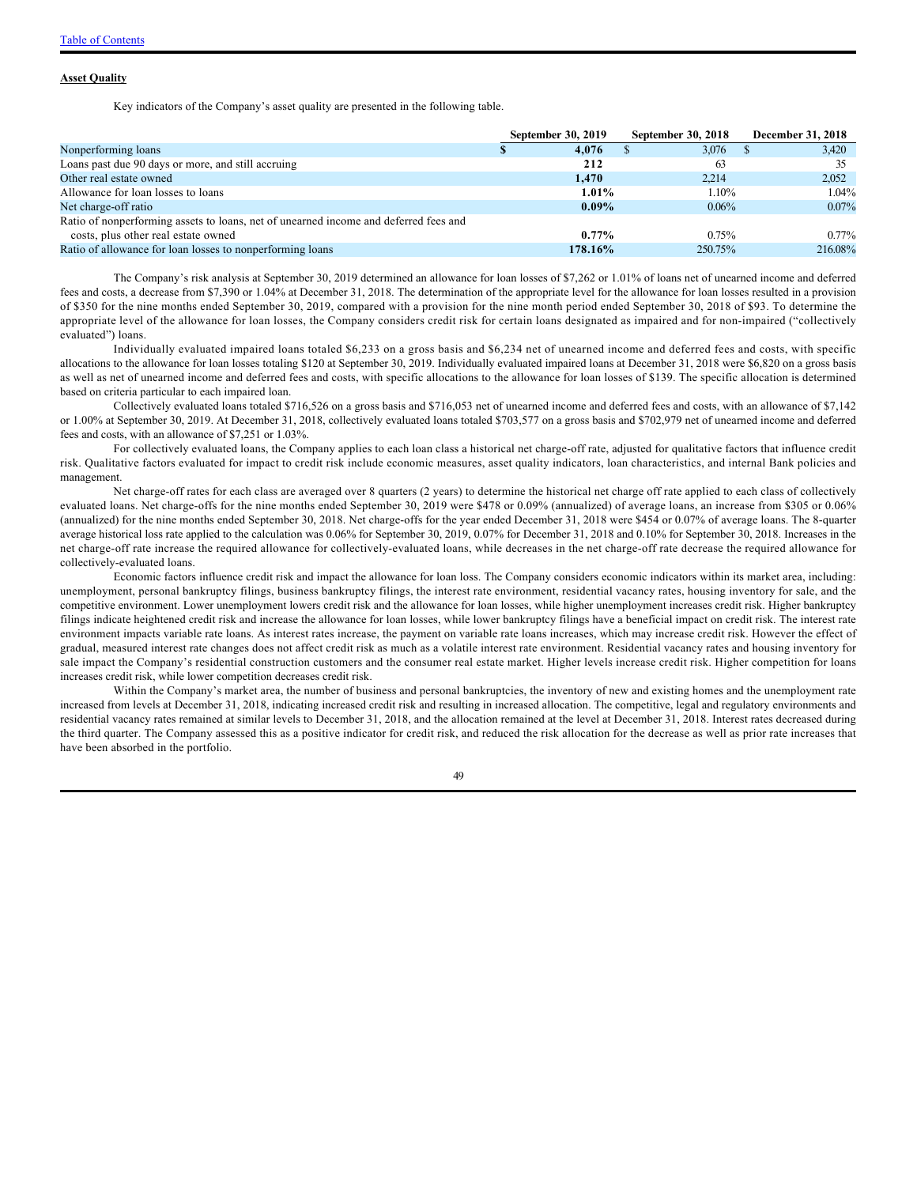#### **Asset Quality**

Key indicators of the Company's asset quality are presented in the following table.

|                                                                                      | <b>September 30, 2019</b> | September 30, 2018 | December 31, 2018 |
|--------------------------------------------------------------------------------------|---------------------------|--------------------|-------------------|
| Nonperforming loans                                                                  | 4.076                     | 3,076              | 3,420             |
| Loans past due 90 days or more, and still accruing                                   | 212                       | 63                 | 35                |
| Other real estate owned                                                              | 1.470                     | 2.214              | 2,052             |
| Allowance for loan losses to loans                                                   | $1.01\%$                  | 1.10%              | $1.04\%$          |
| Net charge-off ratio                                                                 | $0.09\%$                  | $0.06\%$           | $0.07\%$          |
| Ratio of nonperforming assets to loans, net of unearned income and deferred fees and |                           |                    |                   |
| costs, plus other real estate owned                                                  | $0.77\%$                  | 0.75%              | $0.77\%$          |
| Ratio of allowance for loan losses to nonperforming loans                            | 178.16%                   | 250.75%            | 216.08%           |

The Company's risk analysis at September 30, 2019 determined an allowance for loan losses of \$7,262 or 1.01% of loans net of unearned income and deferred fees and costs, a decrease from \$7,390 or 1.04% at December 31, 2018. The determination of the appropriate level for the allowance for loan losses resulted in a provision of \$350 for the nine months ended September 30, 2019, compared with a provision for the nine month period ended September 30, 2018 of \$93. To determine the appropriate level of the allowance for loan losses, the Company considers credit risk for certain loans designated as impaired and for non-impaired ("collectively evaluated") loans.

Individually evaluated impaired loans totaled \$6,233 on a gross basis and \$6,234 net of unearned income and deferred fees and costs, with specific allocations to the allowance for loan losses totaling \$120 at September 30, 2019. Individually evaluated impaired loans at December 31, 2018 were \$6,820 on a gross basis as well as net of unearned income and deferred fees and costs, with specific allocations to the allowance for loan losses of \$139. The specific allocation is determined based on criteria particular to each impaired loan.

Collectively evaluated loans totaled \$716,526 on a gross basis and \$716,053 net of unearned income and deferred fees and costs, with an allowance of \$7,142 or 1.00% at September 30, 2019. At December 31, 2018, collectively evaluated loans totaled \$703,577 on a gross basis and \$702,979 net of unearned income and deferred fees and costs, with an allowance of \$7,251 or 1.03%.

For collectively evaluated loans, the Company applies to each loan class a historical net charge-off rate, adjusted for qualitative factors that influence credit risk. Qualitative factors evaluated for impact to credit risk include economic measures, asset quality indicators, loan characteristics, and internal Bank policies and management.

Net charge-off rates for each class are averaged over 8 quarters (2 years) to determine the historical net charge off rate applied to each class of collectively evaluated loans. Net charge-offs for the nine months ended September 30, 2019 were \$478 or 0.09% (annualized) of average loans, an increase from \$305 or 0.06% (annualized) for the nine months ended September 30, 2018. Net charge-offs for the year ended December 31, 2018 were \$454 or 0.07% of average loans. The 8-quarter average historical loss rate applied to the calculation was 0.06% for September 30, 2019, 0.07% for December 31, 2018 and 0.10% for September 30, 2018. Increases in the net charge-off rate increase the required allowance for collectively-evaluated loans, while decreases in the net charge-off rate decrease the required allowance for collectively-evaluated loans.

Economic factors influence credit risk and impact the allowance for loan loss. The Company considers economic indicators within its market area, including: unemployment, personal bankruptcy filings, business bankruptcy filings, the interest rate environment, residential vacancy rates, housing inventory for sale, and the competitive environment. Lower unemployment lowers credit risk and the allowance for loan losses, while higher unemployment increases credit risk. Higher bankruptcy filings indicate heightened credit risk and increase the allowance for loan losses, while lower bankruptcy filings have a beneficial impact on credit risk. The interest rate environment impacts variable rate loans. As interest rates increase, the payment on variable rate loans increases, which may increase credit risk. However the effect of gradual, measured interest rate changes does not affect credit risk as much as a volatile interest rate environment. Residential vacancy rates and housing inventory for sale impact the Company's residential construction customers and the consumer real estate market. Higher levels increase credit risk. Higher competition for loans increases credit risk, while lower competition decreases credit risk.

Within the Company's market area, the number of business and personal bankruptcies, the inventory of new and existing homes and the unemployment rate increased from levels at December 31, 2018, indicating increased credit risk and resulting in increased allocation. The competitive, legal and regulatory environments and residential vacancy rates remained at similar levels to December 31, 2018, and the allocation remained at the level at December 31, 2018. Interest rates decreased during the third quarter. The Company assessed this as a positive indicator for credit risk, and reduced the risk allocation for the decrease as well as prior rate increases that have been absorbed in the portfolio.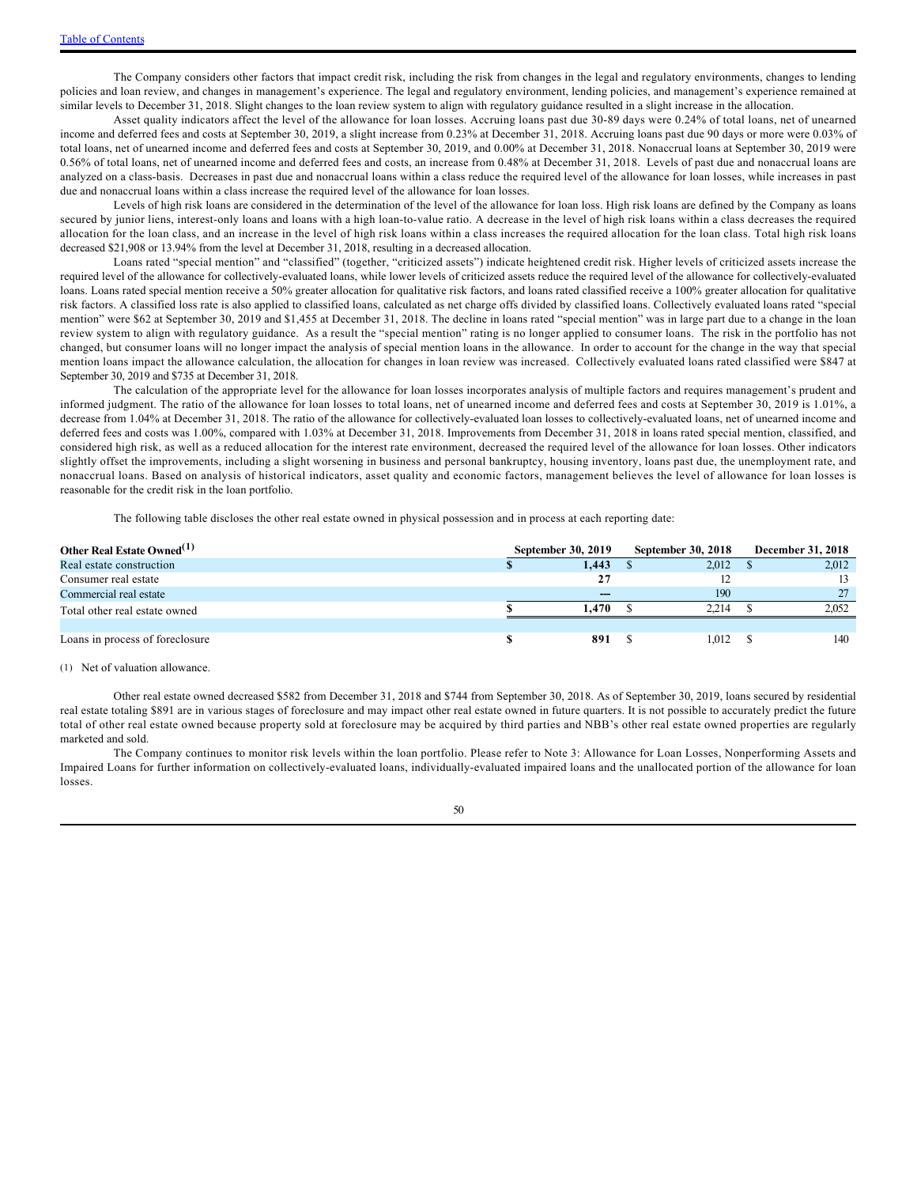The Company considers other factors that impact credit risk, including the risk from changes in the legal and regulatory environments, changes to lending policies and loan review, and changes in management's experience. The legal and regulatory environment, lending policies, and management's experience remained at similar levels to December 31, 2018. Slight changes to the loan review system to align with regulatory guidance resulted in a slight increase in the allocation.

Asset quality indicators affect the level of the allowance for loan losses. Accruing loans past due 30-89 days were 0.24% of total loans, net of unearned income and deferred fees and costs at September 30, 2019, a slight increase from 0.23% at December 31, 2018. Accruing loans past due 90 days or more were 0.03% of total loans, net of unearned income and deferred fees and costs at September 30, 2019, and 0.00% at December 31, 2018. Nonaccrual loans at September 30, 2019 were 0.56% of total loans, net of unearned income and deferred fees and costs, an increase from 0.48% at December 31, 2018. Levels of past due and nonaccrual loans are analyzed on a class-basis. Decreases in past due and nonaccrual loans within a class reduce the required level of the allowance for loan losses, while increases in past due and nonaccrual loans within a class increase the required level of the allowance for loan losses.

Levels of high risk loans are considered in the determination of the level of the allowance for loan loss. High risk loans are defined by the Company as loans secured by junior liens, interest-only loans and loans with a high loan-to-value ratio. A decrease in the level of high risk loans within a class decreases the required allocation for the loan class, and an increase in the level of high risk loans within a class increases the required allocation for the loan class. Total high risk loans decreased \$21,908 or 13.94% from the level at December 31, 2018, resulting in a decreased allocation.

Loans rated "special mention" and "classified" (together, "criticized assets") indicate heightened credit risk. Higher levels of criticized assets increase the required level of the allowance for collectively-evaluated loans, while lower levels of criticized assets reduce the required level of the allowance for collectively-evaluated loans. Loans rated special mention receive a 50% greater allocation for qualitative risk factors, and loans rated classified receive a 100% greater allocation for qualitative risk factors. A classified loss rate is also applied to classified loans, calculated as net charge offs divided by classified loans. Collectively evaluated loans rated "special mention" were \$62 at September 30, 2019 and \$1,455 at December 31, 2018. The decline in loans rated "special mention" was in large part due to a change in the loan review system to align with regulatory guidance. As a result the "special mention" rating is no longer applied to consumer loans. The risk in the portfolio has not changed, but consumer loans will no longer impact the analysis of special mention loans in the allowance. In order to account for the change in the way that special mention loans impact the allowance calculation, the allocation for changes in loan review was increased. Collectively evaluated loans rated classified were \$847 at September 30, 2019 and \$735 at December 31, 2018.

The calculation of the appropriate level for the allowance for loan losses incorporates analysis of multiple factors and requires management's prudent and informed judgment. The ratio of the allowance for loan losses to total loans, net of unearned income and deferred fees and costs at September 30, 2019 is 1.01%, a decrease from 1.04% at December 31, 2018. The ratio of the allowance for collectively-evaluated loan losses to collectively-evaluated loans, net of unearned income and deferred fees and costs was 1.00%, compared with 1.03% at December 31, 2018. Improvements from December 31, 2018 in loans rated special mention, classified, and considered high risk, as well as a reduced allocation for the interest rate environment, decreased the required level of the allowance for loan losses. Other indicators slightly offset the improvements, including a slight worsening in business and personal bankruptcy, housing inventory, loans past due, the unemployment rate, and nonaccrual loans. Based on analysis of historical indicators, asset quality and economic factors, management believes the level of allowance for loan losses is reasonable for the credit risk in the loan portfolio.

The following table discloses the other real estate owned in physical possession and in process at each reporting date:

| Other Real Estate Owned <sup>(1)</sup> | September 30, 2019 | <b>September 30, 2018</b> | <b>December 31, 2018</b> |
|----------------------------------------|--------------------|---------------------------|--------------------------|
| Real estate construction               | 1.443              | 2,012                     | 2,012                    |
| Consumer real estate                   |                    |                           | 13                       |
| Commercial real estate                 | ---                | 190                       | 27                       |
| Total other real estate owned          | 1.470              | 2.214                     | 2.052                    |
|                                        |                    |                           |                          |
| Loans in process of foreclosure        | 891                | 1.012                     | 140                      |

#### (1) Net of valuation allowance.

Other real estate owned decreased \$582 from December 31, 2018 and \$744 from September 30, 2018. As of September 30, 2019, loans secured by residential real estate totaling \$891 are in various stages of foreclosure and may impact other real estate owned in future quarters. It is not possible to accurately predict the future total of other real estate owned because property sold at foreclosure may be acquired by third parties and NBB's other real estate owned properties are regularly marketed and sold.

The Company continues to monitor risk levels within the loan portfolio. Please refer to Note 3: Allowance for Loan Losses, Nonperforming Assets and Impaired Loans for further information on collectively-evaluated loans, individually-evaluated impaired loans and the unallocated portion of the allowance for loan losses.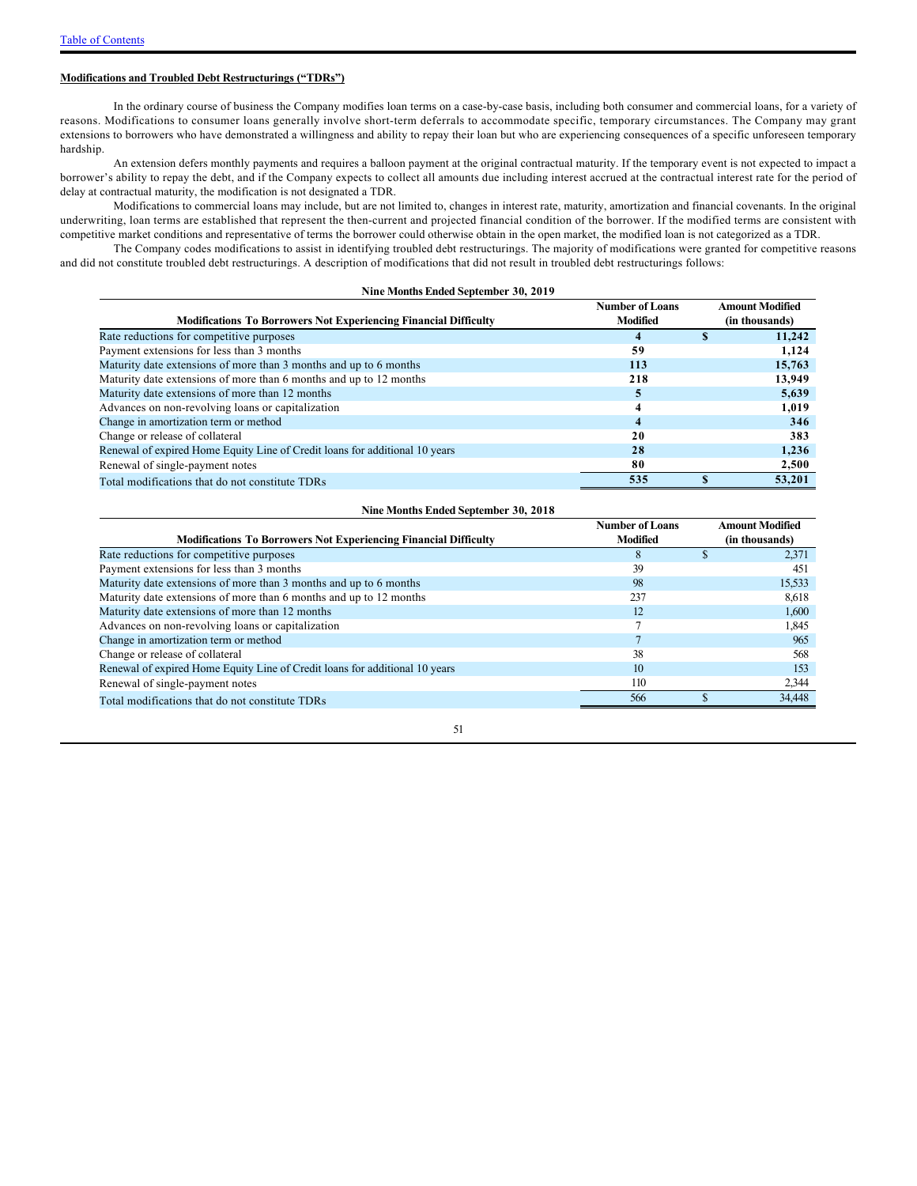### **Modifications and Troubled Debt Restructurings ("TDRs")**

In the ordinary course of business the Company modifies loan terms on a case-by-case basis, including both consumer and commercial loans, for a variety of reasons. Modifications to consumer loans generally involve short-term deferrals to accommodate specific, temporary circumstances. The Company may grant extensions to borrowers who have demonstrated a willingness and ability to repay their loan but who are experiencing consequences of a specific unforeseen temporary hardship.

An extension defers monthly payments and requires a balloon payment at the original contractual maturity. If the temporary event is not expected to impact a borrower's ability to repay the debt, and if the Company expects to collect all amounts due including interest accrued at the contractual interest rate for the period of delay at contractual maturity, the modification is not designated a TDR.

Modifications to commercial loans may include, but are not limited to, changes in interest rate, maturity, amortization and financial covenants. In the original underwriting, loan terms are established that represent the then-current and projected financial condition of the borrower. If the modified terms are consistent with competitive market conditions and representative of terms the borrower could otherwise obtain in the open market, the modified loan is not categorized as a TDR.

The Company codes modifications to assist in identifying troubled debt restructurings. The majority of modifications were granted for competitive reasons and did not constitute troubled debt restructurings. A description of modifications that did not result in troubled debt restructurings follows:

| Nine Months Ended September 30, 2019 |  |  |  |
|--------------------------------------|--|--|--|
|                                      |  |  |  |

|                                                                             | <b>Number of Loans</b> | <b>Amount Modified</b> |
|-----------------------------------------------------------------------------|------------------------|------------------------|
| <b>Modifications To Borrowers Not Experiencing Financial Difficulty</b>     | Modified               | (in thousands)         |
| Rate reductions for competitive purposes                                    | 4                      | 11.242                 |
| Payment extensions for less than 3 months                                   | 59                     | 1.124                  |
| Maturity date extensions of more than 3 months and up to 6 months           | 113                    | 15,763                 |
| Maturity date extensions of more than 6 months and up to 12 months          | 218                    | 13,949                 |
| Maturity date extensions of more than 12 months                             | 5                      | 5,639                  |
| Advances on non-revolving loans or capitalization                           | 4                      | 1,019                  |
| Change in amortization term or method                                       | 4                      | 346                    |
| Change or release of collateral                                             | 20                     | 383                    |
| Renewal of expired Home Equity Line of Credit loans for additional 10 years | 28                     | 1.236                  |
| Renewal of single-payment notes                                             | 80                     | 2,500                  |
| Total modifications that do not constitute TDRs                             | 535                    | 53,201                 |

| Nine Months Ended September 30, 2018                                        |                                           |                                          |  |  |  |  |  |  |
|-----------------------------------------------------------------------------|-------------------------------------------|------------------------------------------|--|--|--|--|--|--|
| <b>Modifications To Borrowers Not Experiencing Financial Difficulty</b>     | <b>Number of Loans</b><br><b>Modified</b> | <b>Amount Modified</b><br>(in thousands) |  |  |  |  |  |  |
| Rate reductions for competitive purposes                                    | 8                                         | 2.371                                    |  |  |  |  |  |  |
| Payment extensions for less than 3 months                                   | 39                                        | 451                                      |  |  |  |  |  |  |
| Maturity date extensions of more than 3 months and up to 6 months           | 98                                        | 15,533                                   |  |  |  |  |  |  |
| Maturity date extensions of more than 6 months and up to 12 months          | 237                                       | 8.618                                    |  |  |  |  |  |  |
| Maturity date extensions of more than 12 months                             | 12                                        | 1,600                                    |  |  |  |  |  |  |
| Advances on non-revolving loans or capitalization                           |                                           | 1,845                                    |  |  |  |  |  |  |
| Change in amortization term or method                                       |                                           | 965                                      |  |  |  |  |  |  |
| Change or release of collateral                                             | 38                                        | 568                                      |  |  |  |  |  |  |
| Renewal of expired Home Equity Line of Credit loans for additional 10 years | 10                                        | 153                                      |  |  |  |  |  |  |
| Renewal of single-payment notes                                             | 110                                       | 2,344                                    |  |  |  |  |  |  |
| Total modifications that do not constitute TDRs                             | 566                                       | 34,448                                   |  |  |  |  |  |  |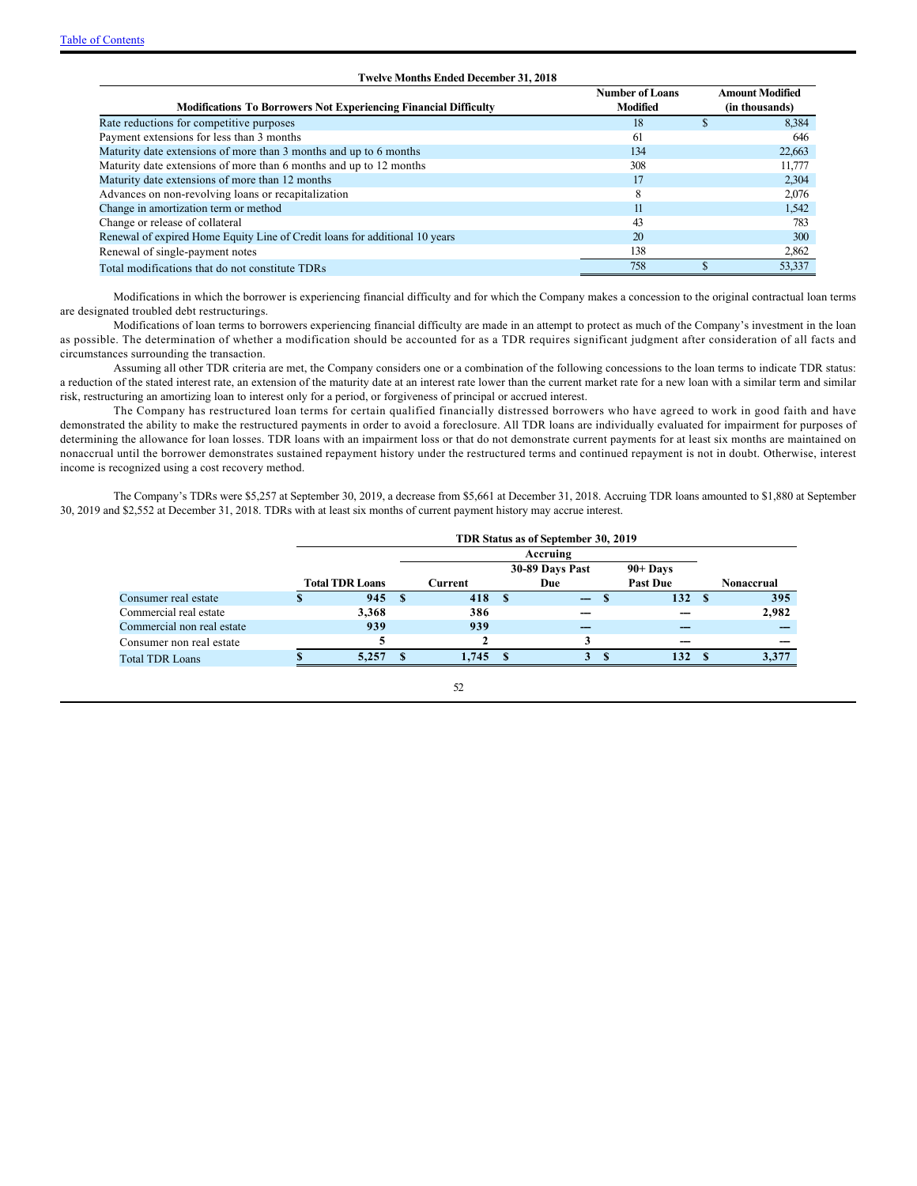| <b>Modifications To Borrowers Not Experiencing Financial Difficulty</b>     | <b>Number of Loans</b><br>Modified | <b>Amount Modified</b><br>(in thousands) |
|-----------------------------------------------------------------------------|------------------------------------|------------------------------------------|
| Rate reductions for competitive purposes                                    | 18                                 | 8.384                                    |
| Payment extensions for less than 3 months                                   | 61                                 | 646                                      |
| Maturity date extensions of more than 3 months and up to 6 months           | 134                                | 22,663                                   |
| Maturity date extensions of more than 6 months and up to 12 months          | 308                                | 11,777                                   |
| Maturity date extensions of more than 12 months                             | 17                                 | 2,304                                    |
| Advances on non-revolving loans or recapitalization                         | 8                                  | 2,076                                    |
| Change in amortization term or method                                       | 11                                 | 1,542                                    |
| Change or release of collateral                                             | 43                                 | 783                                      |
| Renewal of expired Home Equity Line of Credit loans for additional 10 years | 20                                 | 300                                      |
| Renewal of single-payment notes                                             | 138                                | 2,862                                    |
| Total modifications that do not constitute TDRs                             | 758                                | 53,337                                   |

**Twelve Months Ended December 31, 2018**

Modifications in which the borrower is experiencing financial difficulty and for which the Company makes a concession to the original contractual loan terms are designated troubled debt restructurings.

Modifications of loan terms to borrowers experiencing financial difficulty are made in an attempt to protect as much of the Company's investment in the loan as possible. The determination of whether a modification should be accounted for as a TDR requires significant judgment after consideration of all facts and circumstances surrounding the transaction.

Assuming all other TDR criteria are met, the Company considers one or a combination of the following concessions to the loan terms to indicate TDR status: a reduction of the stated interest rate, an extension of the maturity date at an interest rate lower than the current market rate for a new loan with a similar term and similar risk, restructuring an amortizing loan to interest only for a period, or forgiveness of principal or accrued interest.

The Company has restructured loan terms for certain qualified financially distressed borrowers who have agreed to work in good faith and have demonstrated the ability to make the restructured payments in order to avoid a foreclosure. All TDR loans are individually evaluated for impairment for purposes of determining the allowance for loan losses. TDR loans with an impairment loss or that do not demonstrate current payments for at least six months are maintained on nonaccrual until the borrower demonstrates sustained repayment history under the restructured terms and continued repayment is not in doubt. Otherwise, interest income is recognized using a cost recovery method.

The Company's TDRs were \$5,257 at September 30, 2019, a decrease from \$5,661 at December 31, 2018. Accruing TDR loans amounted to \$1,880 at September 30, 2019 and \$2,552 at December 31, 2018. TDRs with at least six months of current payment history may accrue interest.

|                            | TDR Status as of September 30, 2019 |      |                               |     |                          |  |                 |      |                   |  |
|----------------------------|-------------------------------------|------|-------------------------------|-----|--------------------------|--|-----------------|------|-------------------|--|
|                            | Accruing                            |      |                               |     |                          |  |                 |      |                   |  |
|                            |                                     |      | 30-89 Days Past<br>$90+$ Days |     |                          |  |                 |      |                   |  |
|                            | <b>Total TDR Loans</b><br>Current   |      |                               | Due |                          |  | <b>Past Due</b> |      | <b>Nonaccrual</b> |  |
| Consumer real estate       | 945                                 | - \$ | 418 \$                        |     | $\overline{\phantom{a}}$ |  | 132S            |      | 395               |  |
| Commercial real estate     | 3.368                               |      | 386                           |     |                          |  |                 |      | 2,982             |  |
| Commercial non real estate | 939                                 |      | 939                           |     |                          |  |                 |      |                   |  |
| Consumer non real estate   |                                     |      |                               |     |                          |  |                 |      |                   |  |
| <b>Total TDR Loans</b>     | 5.257                               |      | 1.745 S                       |     | 3                        |  | 132             | - \$ | 3.377             |  |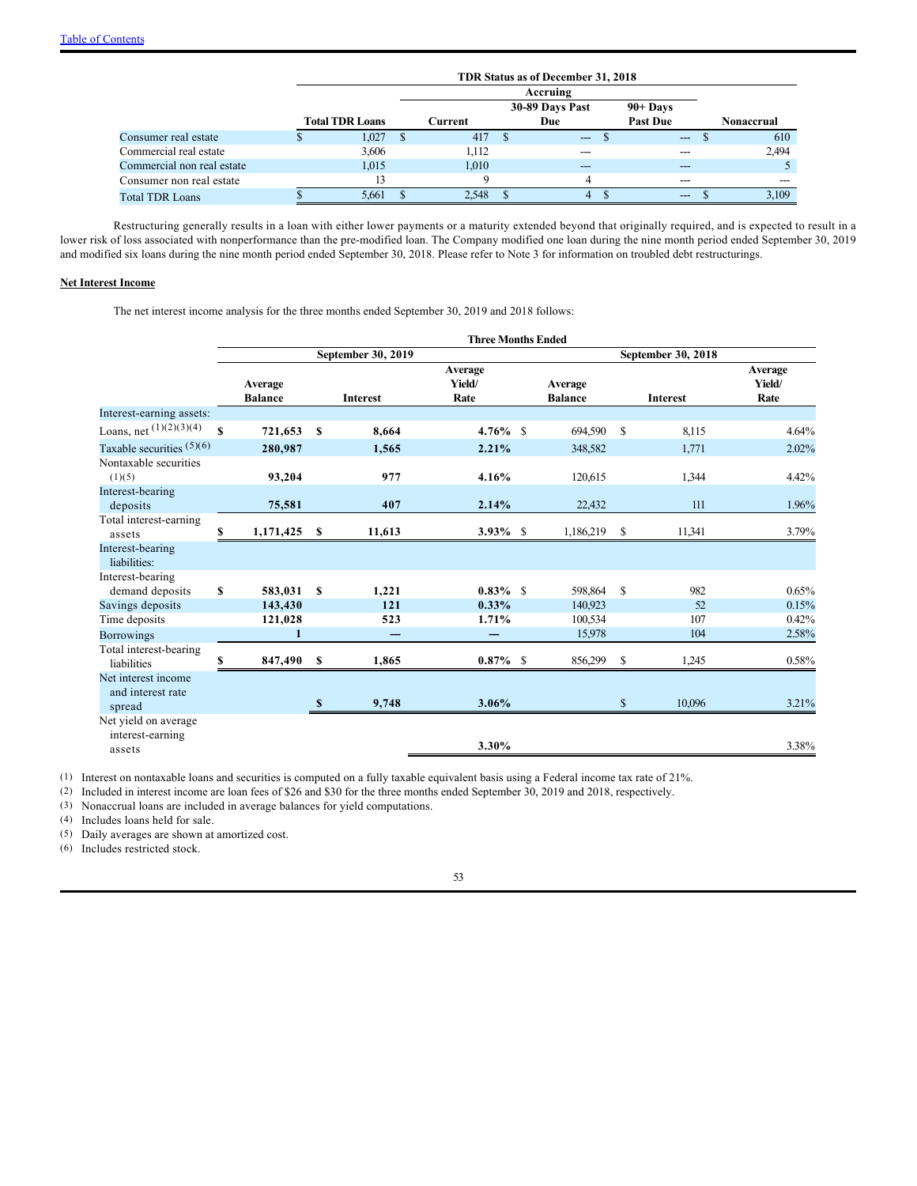|                            |                        |         | TDR Status as of December 31, 2018 |                 |                   |
|----------------------------|------------------------|---------|------------------------------------|-----------------|-------------------|
|                            |                        |         | Accruing                           |                 |                   |
|                            |                        |         | 30-89 Days Past                    | $90 +$ Days     |                   |
|                            | <b>Total TDR Loans</b> | Current | Due                                | <b>Past Due</b> | <b>Nonaccrual</b> |
| Consumer real estate       | 1.027                  | 417     | $---$                              | ---             | 610               |
| Commercial real estate     | 3,606                  | 1.112   |                                    | ---             | 2,494             |
| Commercial non real estate | 1.015                  | 1,010   | ---                                | $- - -$         |                   |
| Consumer non real estate   |                        |         | 4                                  | ---             |                   |
| <b>Total TDR Loans</b>     | 5,661                  | 2.548   | 4                                  | $---$           | 3,109             |

Restructuring generally results in a loan with either lower payments or a maturity extended beyond that originally required, and is expected to result in a lower risk of loss associated with nonperformance than the pre-modified loan. The Company modified one loan during the nine month period ended September 30, 2019 and modified six loans during the nine month period ended September 30, 2018. Please refer to Note 3 for information on troubled debt restructurings.

### **Net Interest Income**

The net interest income analysis for the three months ended September 30, 2019 and 2018 follows:

|                                                    |              |                           |              |                    | <b>Three Months Ended</b> |                           |               |                 |                           |
|----------------------------------------------------|--------------|---------------------------|--------------|--------------------|---------------------------|---------------------------|---------------|-----------------|---------------------------|
|                                                    |              |                           |              | September 30, 2019 |                           |                           |               |                 |                           |
|                                                    |              | Average<br><b>Balance</b> |              | <b>Interest</b>    | Average<br>Yield/<br>Rate | Average<br><b>Balance</b> |               | <b>Interest</b> | Average<br>Yield/<br>Rate |
| Interest-earning assets:                           |              |                           |              |                    |                           |                           |               |                 |                           |
| Loans, net $(1)(2)(3)(4)$                          | $\mathbf{s}$ | 721,653                   | $\mathbf S$  | 8,664              | $4.76\%$ \$               | 694,590                   | \$            | 8,115           | 4.64%                     |
| Taxable securities $(5)(6)$                        |              | 280,987                   |              | 1,565              | 2.21%                     | 348,582                   |               | 1,771           | 2.02%                     |
| Nontaxable securities<br>(1)(5)                    |              | 93,204                    |              | 977                | 4.16%                     | 120,615                   |               | 1,344           | 4.42%                     |
| Interest-bearing<br>deposits                       |              | 75,581                    |              | 407                | 2.14%                     | 22,432                    |               | 111             | 1.96%                     |
| Total interest-earning<br>assets                   | S            | 1,171,425                 | <b>S</b>     | 11,613             | $3.93\%$ \$               | 1,186,219                 | S             | 11,341          | 3.79%                     |
| Interest-bearing<br>liabilities:                   |              |                           |              |                    |                           |                           |               |                 |                           |
| Interest-bearing<br>demand deposits                | \$           | 583,031                   | S            | 1,221              | $0.83\%$ \$               | 598,864                   | \$            | 982             | 0.65%                     |
| Savings deposits                                   |              | 143,430                   |              | 121                | 0.33%                     | 140,923                   |               | 52              | 0.15%                     |
| Time deposits                                      |              | 121,028                   |              | 523                | 1.71%                     | 100,534                   |               | 107             | 0.42%                     |
| <b>Borrowings</b>                                  |              | $\mathbf{1}$              |              |                    |                           | 15,978                    |               | 104             | 2.58%                     |
| Total interest-bearing<br>liabilities              | \$           | 847,490                   | <b>S</b>     | 1,865              | $0.87\%$ \$               | 856,299                   | <sup>\$</sup> | 1,245           | 0.58%                     |
| Net interest income<br>and interest rate<br>spread |              |                           | $\mathbf{s}$ | 9,748              | 3.06%                     |                           | \$            | 10,096          | 3.21%                     |
| Net yield on average<br>interest-earning<br>assets |              |                           |              |                    | 3.30%                     |                           |               |                 | 3.38%                     |

(1) Interest on nontaxable loans and securities is computed on a fully taxable equivalent basis using a Federal income tax rate of 21%.

(2) Included in interest income are loan fees of \$26 and \$30 for the three months ended September 30, 2019 and 2018, respectively.

(3) Nonaccrual loans are included in average balances for yield computations.

(4) Includes loans held for sale.

(5) Daily averages are shown at amortized cost.

(6) Includes restricted stock.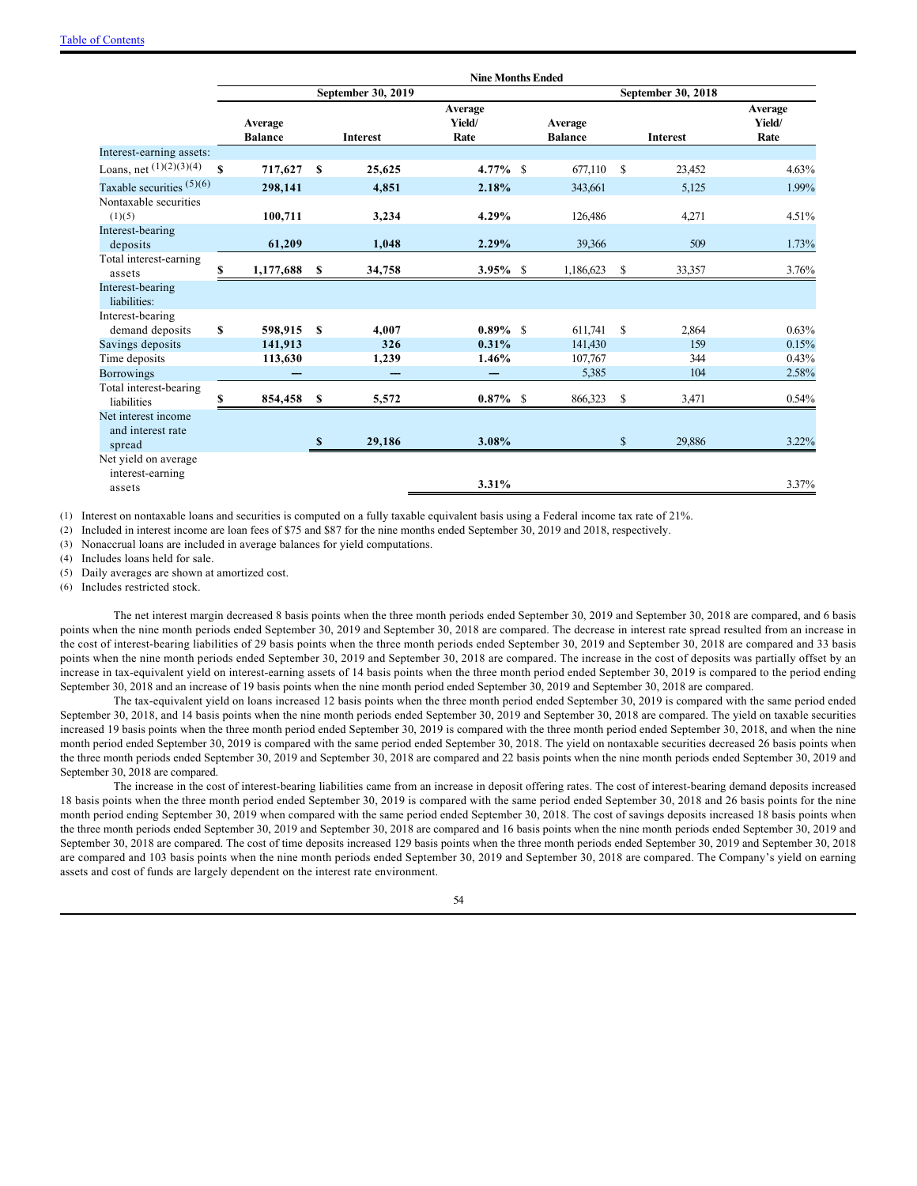|                                          |    |                           |               |                    | <b>Nine Months Ended</b>  |                           |    |                    |                           |
|------------------------------------------|----|---------------------------|---------------|--------------------|---------------------------|---------------------------|----|--------------------|---------------------------|
|                                          |    |                           |               | September 30, 2019 |                           |                           |    | September 30, 2018 |                           |
|                                          |    | Average<br><b>Balance</b> |               | <b>Interest</b>    | Average<br>Yield/<br>Rate | Average<br><b>Balance</b> |    | <b>Interest</b>    | Average<br>Yield/<br>Rate |
| Interest-earning assets:                 |    |                           |               |                    |                           |                           |    |                    |                           |
| Loans, net $(1)(2)(3)(4)$                | \$ | 717,627                   | S             | 25,625             | $4.77\%$ \$               | 677,110                   | S  | 23,452             | 4.63%                     |
| Taxable securities $(5)(6)$              |    | 298,141                   |               | 4,851              | 2.18%                     | 343,661                   |    | 5,125              | 1.99%                     |
| Nontaxable securities<br>(1)(5)          |    | 100,711                   |               | 3,234              | 4.29%                     | 126,486                   |    | 4,271              | 4.51%                     |
| Interest-bearing<br>deposits             |    | 61,209                    |               | 1,048              | 2.29%                     | 39,366                    |    | 509                | 1.73%                     |
| Total interest-earning<br>assets         | S  | 1,177,688                 | S             | 34,758             | $3.95\%$ \$               | 1,186,623                 | S  | 33,357             | 3.76%                     |
| Interest-bearing<br>liabilities:         |    |                           |               |                    |                           |                           |    |                    |                           |
| Interest-bearing                         |    |                           |               |                    |                           |                           |    |                    |                           |
| demand deposits                          | \$ | 598,915                   | <b>S</b>      | 4,007              | $0.89\%$ \$               | 611,741                   | S  | 2,864              | 0.63%                     |
| Savings deposits<br>Time deposits        |    | 141,913<br>113,630        |               | 326<br>1,239       | 0.31%<br>1.46%            | 141,430<br>107,767        |    | 159<br>344         | 0.15%<br>0.43%            |
| <b>Borrowings</b>                        |    |                           |               |                    |                           | 5,385                     |    | 104                | 2.58%                     |
| Total interest-bearing                   |    |                           |               |                    |                           |                           |    |                    |                           |
| liabilities                              | S  | 854,458 \$                |               | 5,572              | $0.87\%$ \$               | 866,323                   | -S | 3,471              | 0.54%                     |
| Net interest income<br>and interest rate |    |                           | <sup>\$</sup> | 29,186             | 3.08%                     |                           | \$ | 29,886             | 3.22%                     |
| spread                                   |    |                           |               |                    |                           |                           |    |                    |                           |
| Net yield on average<br>interest-earning |    |                           |               |                    |                           |                           |    |                    |                           |
| assets                                   |    |                           |               |                    | 3.31%                     |                           |    |                    | 3.37%                     |

(1) Interest on nontaxable loans and securities is computed on a fully taxable equivalent basis using a Federal income tax rate of 21%.

(2) Included in interest income are loan fees of \$75 and \$87 for the nine months ended September 30, 2019 and 2018, respectively.

(3) Nonaccrual loans are included in average balances for yield computations.

(4) Includes loans held for sale.

(5) Daily averages are shown at amortized cost.

(6) Includes restricted stock.

The net interest margin decreased 8 basis points when the three month periods ended September 30, 2019 and September 30, 2018 are compared, and 6 basis points when the nine month periods ended September 30, 2019 and September 30, 2018 are compared. The decrease in interest rate spread resulted from an increase in the cost of interest-bearing liabilities of 29 basis points when the three month periods ended September 30, 2019 and September 30, 2018 are compared and 33 basis points when the nine month periods ended September 30, 2019 and September 30, 2018 are compared. The increase in the cost of deposits was partially offset by an increase in tax-equivalent yield on interest-earning assets of 14 basis points when the three month period ended September 30, 2019 is compared to the period ending September 30, 2018 and an increase of 19 basis points when the nine month period ended September 30, 2019 and September 30, 2018 are compared.

The tax-equivalent yield on loans increased 12 basis points when the three month period ended September 30, 2019 is compared with the same period ended September 30, 2018, and 14 basis points when the nine month periods ended September 30, 2019 and September 30, 2018 are compared. The yield on taxable securities increased 19 basis points when the three month period ended September 30, 2019 is compared with the three month period ended September 30, 2018, and when the nine month period ended September 30, 2019 is compared with the same period ended September 30, 2018. The yield on nontaxable securities decreased 26 basis points when the three month periods ended September 30, 2019 and September 30, 2018 are compared and 22 basis points when the nine month periods ended September 30, 2019 and September 30, 2018 are compared.

The increase in the cost of interest-bearing liabilities came from an increase in deposit offering rates. The cost of interest-bearing demand deposits increased 18 basis points when the three month period ended September 30, 2019 is compared with the same period ended September 30, 2018 and 26 basis points for the nine month period ending September 30, 2019 when compared with the same period ended September 30, 2018. The cost of savings deposits increased 18 basis points when the three month periods ended September 30, 2019 and September 30, 2018 are compared and 16 basis points when the nine month periods ended September 30, 2019 and September 30, 2018 are compared. The cost of time deposits increased 129 basis points when the three month periods ended September 30, 2019 and September 30, 2018 are compared and 103 basis points when the nine month periods ended September 30, 2019 and September 30, 2018 are compared. The Company's yield on earning assets and cost of funds are largely dependent on the interest rate environment.

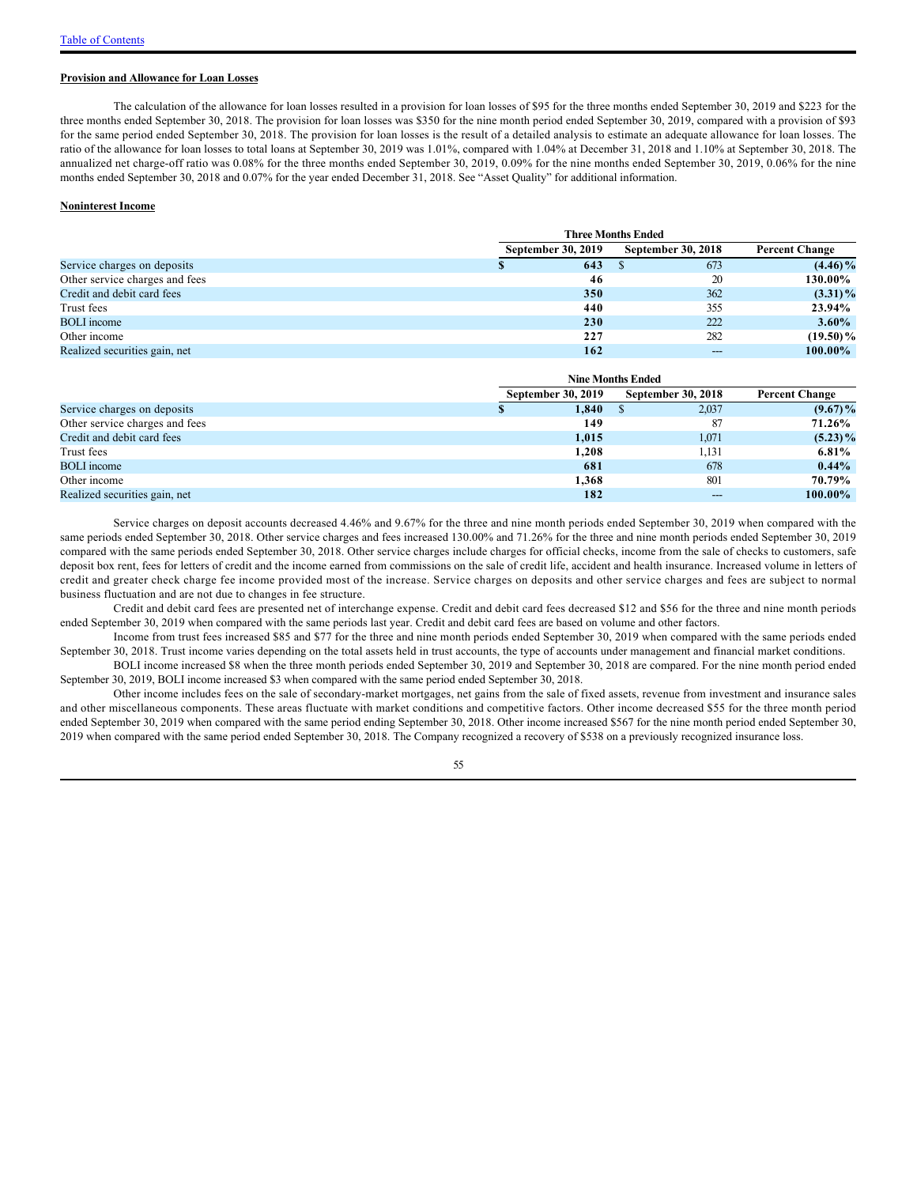### **Provision and Allowance for Loan Losses**

The calculation of the allowance for loan losses resulted in a provision for loan losses of \$95 for the three months ended September 30, 2019 and \$223 for the three months ended September 30, 2018. The provision for loan losses was \$350 for the nine month period ended September 30, 2019, compared with a provision of \$93 for the same period ended September 30, 2018. The provision for loan losses is the result of a detailed analysis to estimate an adequate allowance for loan losses. The ratio of the allowance for loan losses to total loans at September 30, 2019 was 1.01%, compared with 1.04% at December 31, 2018 and 1.10% at September 30, 2018. The annualized net charge-off ratio was 0.08% for the three months ended September 30, 2019, 0.09% for the nine months ended September 30, 2019, 0.06% for the nine months ended September 30, 2018 and 0.07% for the year ended December 31, 2018. See "Asset Quality" for additional information.

#### **Noninterest Income**

|                                | <b>Three Months Ended</b> |                           |                       |  |  |  |  |
|--------------------------------|---------------------------|---------------------------|-----------------------|--|--|--|--|
|                                | <b>September 30, 2019</b> | <b>September 30, 2018</b> | <b>Percent Change</b> |  |  |  |  |
| Service charges on deposits    | 643                       | 673                       | $(4.46)\%$            |  |  |  |  |
| Other service charges and fees | 46                        | 20                        | 130.00%               |  |  |  |  |
| Credit and debit card fees     | 350                       | 362                       | $(3.31)\%$            |  |  |  |  |
| Trust fees                     | 440                       | 355                       | 23.94%                |  |  |  |  |
| <b>BOLI</b> income             | 230                       | 222                       | $3.60\%$              |  |  |  |  |
| Other income                   | 227                       | 282                       | $(19.50)\%$           |  |  |  |  |
| Realized securities gain, net  | 162                       | ---                       | $100.00\%$            |  |  |  |  |

|                                |                           | <b>Nine Months Ended</b>  | <b>Percent Change</b> |  |
|--------------------------------|---------------------------|---------------------------|-----------------------|--|
|                                | <b>September 30, 2019</b> | <b>September 30, 2018</b> |                       |  |
| Service charges on deposits    | 1,840                     | 2,037                     | $(9.67)\%$            |  |
| Other service charges and fees | 149                       | 87                        | 71.26%                |  |
| Credit and debit card fees     | 1,015                     | 1,071                     | $(5.23)\%$            |  |
| Trust fees                     | 1,208                     | 1,131                     | 6.81%                 |  |
| <b>BOLI</b> income             | 681                       | 678                       | $0.44\%$              |  |
| Other income                   | 1,368                     | 801                       | 70.79%                |  |
| Realized securities gain, net  | 182                       | ---                       | $100.00\%$            |  |

Service charges on deposit accounts decreased 4.46% and 9.67% for the three and nine month periods ended September 30, 2019 when compared with the same periods ended September 30, 2018. Other service charges and fees increased 130.00% and 71.26% for the three and nine month periods ended September 30, 2019 compared with the same periods ended September 30, 2018. Other service charges include charges for official checks, income from the sale of checks to customers, safe deposit box rent, fees for letters of credit and the income earned from commissions on the sale of credit life, accident and health insurance. Increased volume in letters of credit and greater check charge fee income provided most of the increase. Service charges on deposits and other service charges and fees are subject to normal business fluctuation and are not due to changes in fee structure.

Credit and debit card fees are presented net of interchange expense. Credit and debit card fees decreased \$12 and \$56 for the three and nine month periods ended September 30, 2019 when compared with the same periods last year. Credit and debit card fees are based on volume and other factors.

Income from trust fees increased \$85 and \$77 for the three and nine month periods ended September 30, 2019 when compared with the same periods ended September 30, 2018. Trust income varies depending on the total assets held in trust accounts, the type of accounts under management and financial market conditions.

BOLI income increased \$8 when the three month periods ended September 30, 2019 and September 30, 2018 are compared. For the nine month period ended September 30, 2019, BOLI income increased \$3 when compared with the same period ended September 30, 2018.

Other income includes fees on the sale of secondary-market mortgages, net gains from the sale of fixed assets, revenue from investment and insurance sales and other miscellaneous components. These areas fluctuate with market conditions and competitive factors. Other income decreased \$55 for the three month period ended September 30, 2019 when compared with the same period ending September 30, 2018. Other income increased \$567 for the nine month period ended September 30, 2019 when compared with the same period ended September 30, 2018. The Company recognized a recovery of \$538 on a previously recognized insurance loss.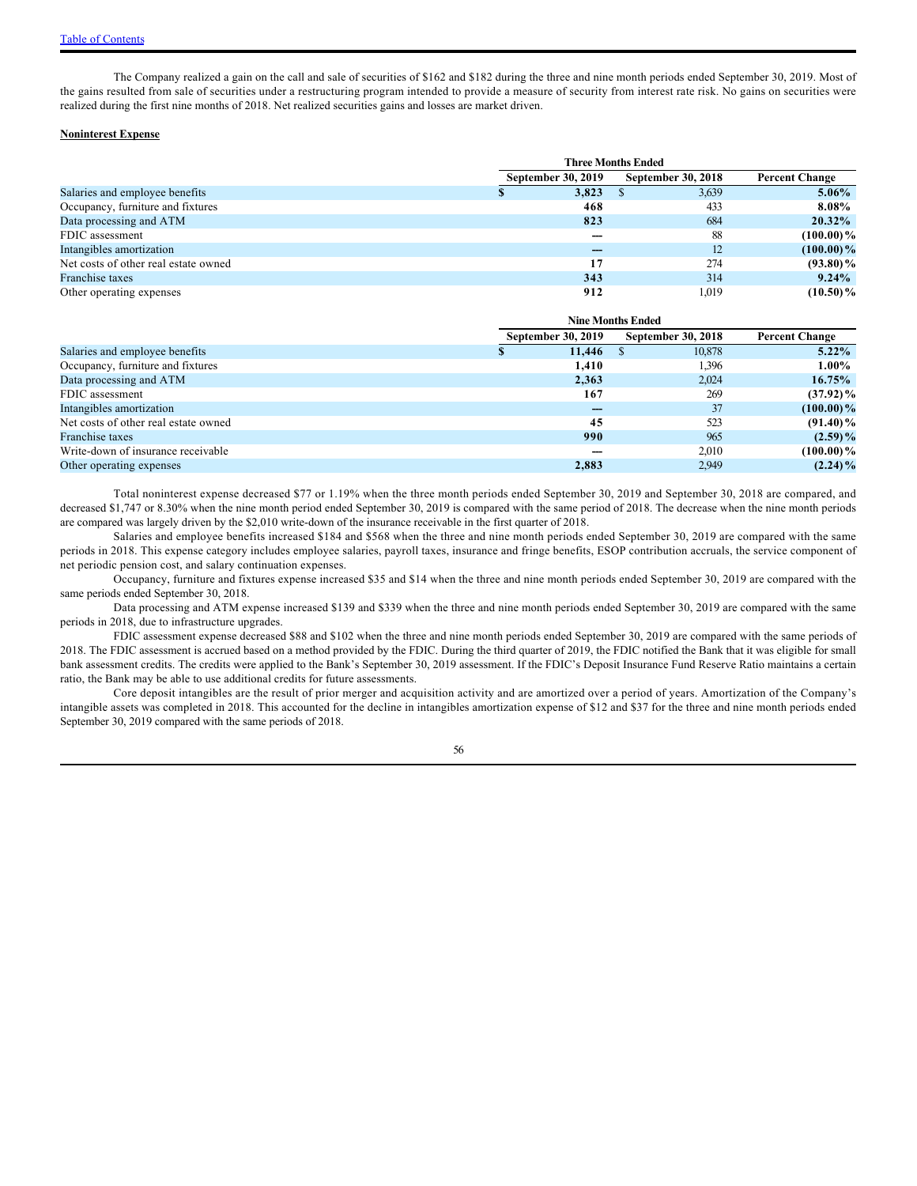The Company realized a gain on the call and sale of securities of \$162 and \$182 during the three and nine month periods ended September 30, 2019. Most of the gains resulted from sale of securities under a restructuring program intended to provide a measure of security from interest rate risk. No gains on securities were realized during the first nine months of 2018. Net realized securities gains and losses are market driven.

### **Noninterest Expense**

|                                      |  | <b>September 30, 2019</b> | <b>September 30, 2018</b> | <b>Percent Change</b> |
|--------------------------------------|--|---------------------------|---------------------------|-----------------------|
| Salaries and employee benefits       |  | 3,823                     | 3,639                     | 5.06%                 |
| Occupancy, furniture and fixtures    |  | 468                       | 433                       | 8.08%                 |
| Data processing and ATM              |  | 823                       | 684                       | $20.32\%$             |
| FDIC assessment                      |  |                           | 88                        | $(100.00)\%$          |
| Intangibles amortization             |  |                           | 12                        | $(100.00)\%$          |
| Net costs of other real estate owned |  | 17                        | 274                       | $(93.80)\%$           |
| Franchise taxes                      |  | 343                       | 314                       | $9.24\%$              |
| Other operating expenses             |  | 912                       | 1,019                     | $(10.50)\%$           |

|                                      | <b>Nine Months Ended</b>  |                           |                       |  |  |  |  |
|--------------------------------------|---------------------------|---------------------------|-----------------------|--|--|--|--|
|                                      | <b>September 30, 2019</b> | <b>September 30, 2018</b> | <b>Percent Change</b> |  |  |  |  |
| Salaries and employee benefits       | 11,446                    | 10,878                    | $5.22\%$              |  |  |  |  |
| Occupancy, furniture and fixtures    | 1,410                     | 1,396                     | $1.00\%$              |  |  |  |  |
| Data processing and ATM              | 2,363                     | 2,024                     | 16.75%                |  |  |  |  |
| FDIC assessment                      | 167                       | 269                       | $(37.92)\%$           |  |  |  |  |
| Intangibles amortization             |                           | 37                        | $(100.00)\%$          |  |  |  |  |
| Net costs of other real estate owned | 45                        | 523                       | $(91.40)\%$           |  |  |  |  |
| Franchise taxes                      | 990                       | 965                       | $(2.59)\%$            |  |  |  |  |
| Write-down of insurance receivable   |                           | 2,010                     | $(100.00)\%$          |  |  |  |  |
| Other operating expenses             | 2,883                     | 2,949                     | $(2.24)\%$            |  |  |  |  |

Total noninterest expense decreased \$77 or 1.19% when the three month periods ended September 30, 2019 and September 30, 2018 are compared, and decreased \$1,747 or 8.30% when the nine month period ended September 30, 2019 is compared with the same period of 2018. The decrease when the nine month periods are compared was largely driven by the \$2,010 write-down of the insurance receivable in the first quarter of 2018.

Salaries and employee benefits increased \$184 and \$568 when the three and nine month periods ended September 30, 2019 are compared with the same periods in 2018. This expense category includes employee salaries, payroll taxes, insurance and fringe benefits, ESOP contribution accruals, the service component of net periodic pension cost, and salary continuation expenses.

Occupancy, furniture and fixtures expense increased \$35 and \$14 when the three and nine month periods ended September 30, 2019 are compared with the same periods ended September 30, 2018.

Data processing and ATM expense increased \$139 and \$339 when the three and nine month periods ended September 30, 2019 are compared with the same periods in 2018, due to infrastructure upgrades.

FDIC assessment expense decreased \$88 and \$102 when the three and nine month periods ended September 30, 2019 are compared with the same periods of 2018. The FDIC assessment is accrued based on a method provided by the FDIC. During the third quarter of 2019, the FDIC notified the Bank that it was eligible for small bank assessment credits. The credits were applied to the Bank's September 30, 2019 assessment. If the FDIC's Deposit Insurance Fund Reserve Ratio maintains a certain ratio, the Bank may be able to use additional credits for future assessments.

Core deposit intangibles are the result of prior merger and acquisition activity and are amortized over a period of years. Amortization of the Company's intangible assets was completed in 2018. This accounted for the decline in intangibles amortization expense of \$12 and \$37 for the three and nine month periods ended September 30, 2019 compared with the same periods of 2018.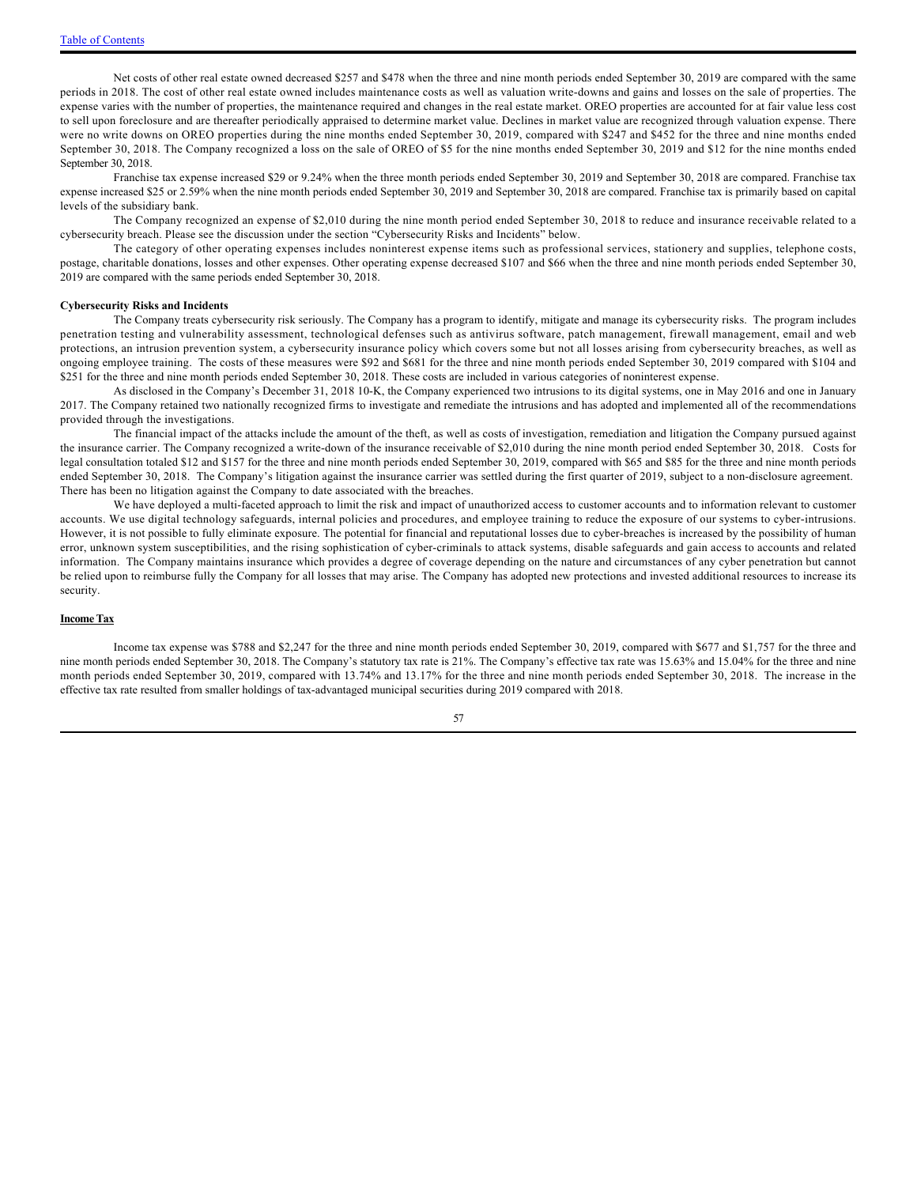Net costs of other real estate owned decreased \$257 and \$478 when the three and nine month periods ended September 30, 2019 are compared with the same periods in 2018. The cost of other real estate owned includes maintenance costs as well as valuation write-downs and gains and losses on the sale of properties. The expense varies with the number of properties, the maintenance required and changes in the real estate market. OREO properties are accounted for at fair value less cost to sell upon foreclosure and are thereafter periodically appraised to determine market value. Declines in market value are recognized through valuation expense. There were no write downs on OREO properties during the nine months ended September 30, 2019, compared with \$247 and \$452 for the three and nine months ended September 30, 2018. The Company recognized a loss on the sale of OREO of \$5 for the nine months ended September 30, 2019 and \$12 for the nine months ended September 30, 2018.

Franchise tax expense increased \$29 or 9.24% when the three month periods ended September 30, 2019 and September 30, 2018 are compared. Franchise tax expense increased \$25 or 2.59% when the nine month periods ended September 30, 2019 and September 30, 2018 are compared. Franchise tax is primarily based on capital levels of the subsidiary bank.

The Company recognized an expense of \$2,010 during the nine month period ended September 30, 2018 to reduce and insurance receivable related to a cybersecurity breach. Please see the discussion under the section "Cybersecurity Risks and Incidents" below.

The category of other operating expenses includes noninterest expense items such as professional services, stationery and supplies, telephone costs, postage, charitable donations, losses and other expenses. Other operating expense decreased \$107 and \$66 when the three and nine month periods ended September 30, 2019 are compared with the same periods ended September 30, 2018.

#### **Cybersecurity Risks and Incidents**

The Company treats cybersecurity risk seriously. The Company has a program to identify, mitigate and manage its cybersecurity risks. The program includes penetration testing and vulnerability assessment, technological defenses such as antivirus software, patch management, firewall management, email and web protections, an intrusion prevention system, a cybersecurity insurance policy which covers some but not all losses arising from cybersecurity breaches, as well as ongoing employee training. The costs of these measures were \$92 and \$681 for the three and nine month periods ended September 30, 2019 compared with \$104 and \$251 for the three and nine month periods ended September 30, 2018. These costs are included in various categories of noninterest expense.

As disclosed in the Company's December 31, 2018 10-K, the Company experienced two intrusions to its digital systems, one in May 2016 and one in January 2017. The Company retained two nationally recognized firms to investigate and remediate the intrusions and has adopted and implemented all of the recommendations provided through the investigations.

The financial impact of the attacks include the amount of the theft, as well as costs of investigation, remediation and litigation the Company pursued against the insurance carrier. The Company recognized a write-down of the insurance receivable of \$2,010 during the nine month period ended September 30, 2018. Costs for legal consultation totaled \$12 and \$157 for the three and nine month periods ended September 30, 2019, compared with \$65 and \$85 for the three and nine month periods ended September 30, 2018. The Company's litigation against the insurance carrier was settled during the first quarter of 2019, subject to a non-disclosure agreement. There has been no litigation against the Company to date associated with the breaches.

We have deployed a multi-faceted approach to limit the risk and impact of unauthorized access to customer accounts and to information relevant to customer accounts. We use digital technology safeguards, internal policies and procedures, and employee training to reduce the exposure of our systems to cyber-intrusions. However, it is not possible to fully eliminate exposure. The potential for financial and reputational losses due to cyber-breaches is increased by the possibility of human error, unknown system susceptibilities, and the rising sophistication of cyber-criminals to attack systems, disable safeguards and gain access to accounts and related information. The Company maintains insurance which provides a degree of coverage depending on the nature and circumstances of any cyber penetration but cannot be relied upon to reimburse fully the Company for all losses that may arise. The Company has adopted new protections and invested additional resources to increase its security.

#### **Income Tax**

Income tax expense was \$788 and \$2,247 for the three and nine month periods ended September 30, 2019, compared with \$677 and \$1,757 for the three and nine month periods ended September 30, 2018. The Company's statutory tax rate is 21%. The Company's effective tax rate was 15.63% and 15.04% for the three and nine month periods ended September 30, 2019, compared with 13.74% and 13.17% for the three and nine month periods ended September 30, 2018. The increase in the effective tax rate resulted from smaller holdings of tax-advantaged municipal securities during 2019 compared with 2018.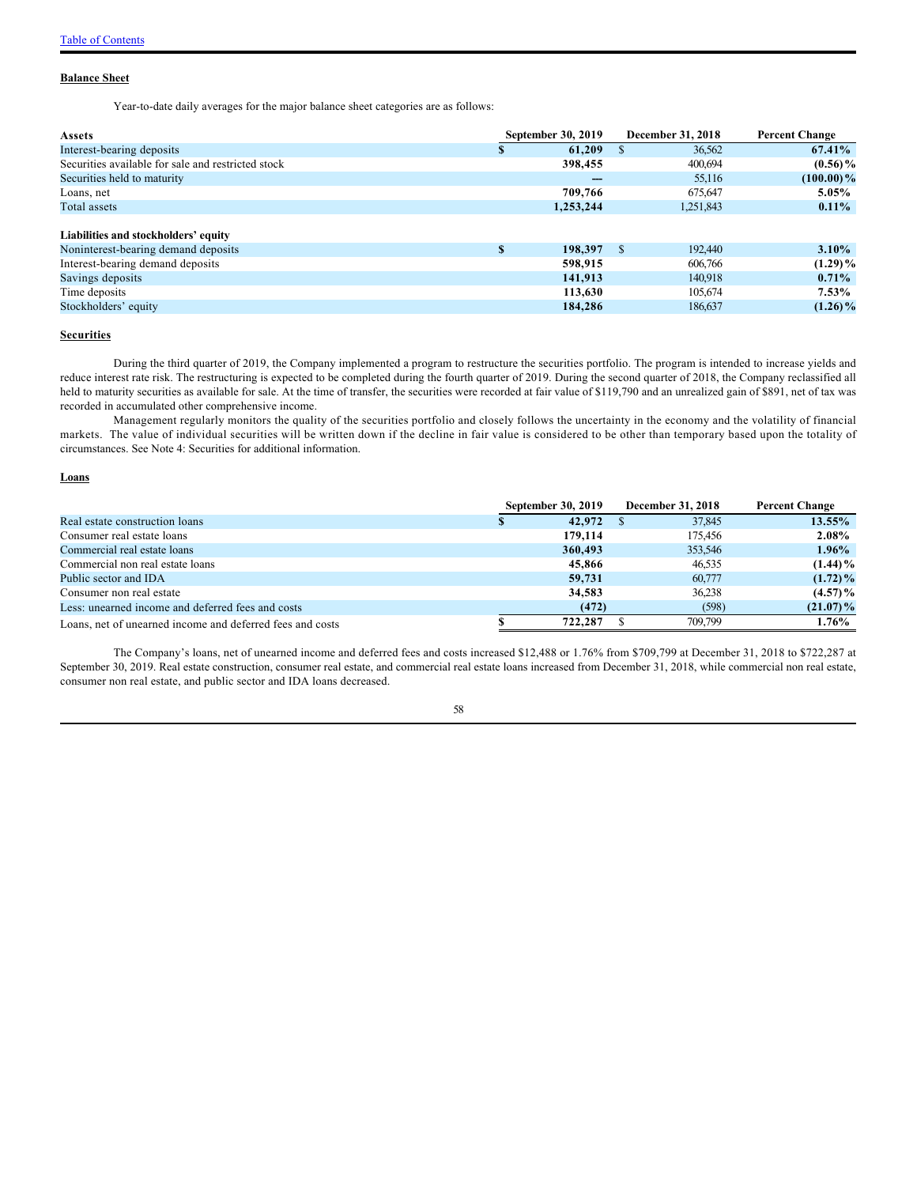#### **Balance Sheet**

Year-to-date daily averages for the major balance sheet categories are as follows:

| <b>Assets</b>                                      |              | <b>September 30, 2019</b> | December 31, 2018 |           | <b>Percent Change</b> |  |
|----------------------------------------------------|--------------|---------------------------|-------------------|-----------|-----------------------|--|
| Interest-bearing deposits                          |              | 61,209                    | <b>S</b>          | 36,562    | 67.41%                |  |
| Securities available for sale and restricted stock |              | 398,455                   |                   | 400,694   | $(0.56)\%$            |  |
| Securities held to maturity                        |              |                           |                   | 55,116    | $(100.00)\%$          |  |
| Loans, net                                         |              | 709,766                   |                   | 675.647   | 5.05%                 |  |
| Total assets                                       |              | 1.253.244                 |                   | 1,251,843 | $0.11\%$              |  |
| Liabilities and stockholders' equity               |              |                           |                   |           |                       |  |
| Noninterest-bearing demand deposits                | $\mathbf{s}$ | 198,397                   | <sup>\$</sup>     | 192,440   | $3.10\%$              |  |
| Interest-bearing demand deposits                   |              | 598,915                   |                   | 606,766   | $(1.29)\%$            |  |
| Savings deposits                                   |              | 141.913                   |                   | 140,918   | $0.71\%$              |  |
| Time deposits                                      |              | 113,630                   |                   | 105,674   | $7.53\%$              |  |
| Stockholders' equity                               |              | 184,286                   |                   | 186,637   | $(1.26)\%$            |  |

### **Securities**

During the third quarter of 2019, the Company implemented a program to restructure the securities portfolio. The program is intended to increase yields and reduce interest rate risk. The restructuring is expected to be completed during the fourth quarter of 2019. During the second quarter of 2018, the Company reclassified all held to maturity securities as available for sale. At the time of transfer, the securities were recorded at fair value of \$119,790 and an unrealized gain of \$891, net of tax was recorded in accumulated other comprehensive income.

Management regularly monitors the quality of the securities portfolio and closely follows the uncertainty in the economy and the volatility of financial markets. The value of individual securities will be written down if the decline in fair value is considered to be other than temporary based upon the totality of circumstances. See Note 4: Securities for additional information.

#### **Loans**

|                                                           | September 30, 2019 | December 31, 2018 | <b>Percent Change</b> |
|-----------------------------------------------------------|--------------------|-------------------|-----------------------|
| Real estate construction loans                            | 42,972             | 37,845            | 13.55%                |
| Consumer real estate loans                                | 179,114            | 175,456           | 2.08%                 |
| Commercial real estate loans                              | 360,493            | 353,546           | $1.96\%$              |
| Commercial non real estate loans                          | 45,866             | 46,535            | $(1.44)\%$            |
| Public sector and IDA                                     | 59,731             | 60,777            | $(1.72)\%$            |
| Consumer non real estate                                  | 34,583             | 36,238            | $(4.57)\%$            |
| Less: unearned income and deferred fees and costs         | (472)              | (598)             | $(21.07)\%$           |
| Loans, net of unearned income and deferred fees and costs | 722,287            | 709.799           | 1.76%                 |

The Company's loans, net of unearned income and deferred fees and costs increased \$12,488 or 1.76% from \$709,799 at December 31, 2018 to \$722,287 at September 30, 2019. Real estate construction, consumer real estate, and commercial real estate loans increased from December 31, 2018, while commercial non real estate, consumer non real estate, and public sector and IDA loans decreased.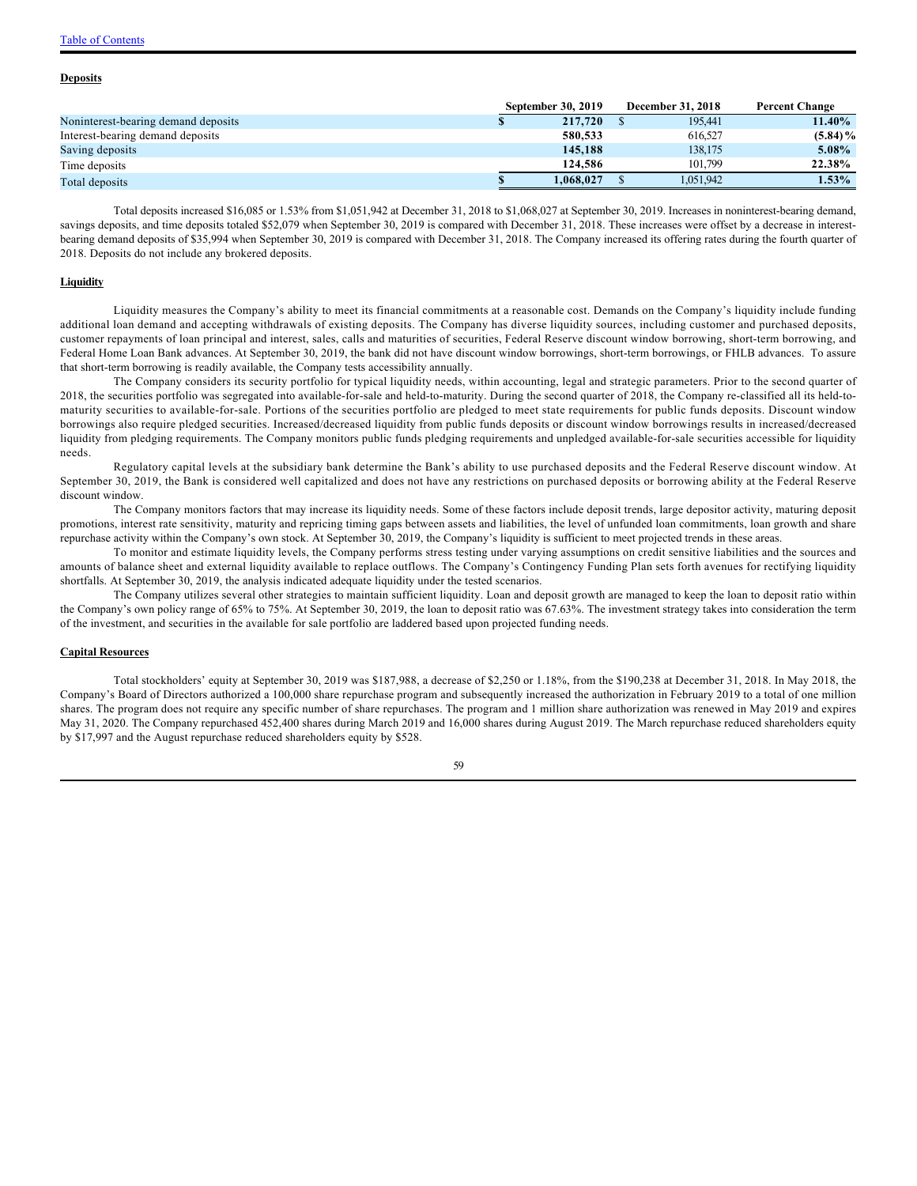### [Table of Contents](#page-1-0)

#### **Deposits**

|                                     | <b>September 30, 2019</b> | <b>December 31, 2018</b> | <b>Percent Change</b> |  |
|-------------------------------------|---------------------------|--------------------------|-----------------------|--|
| Noninterest-bearing demand deposits | 217,720                   | 195.441                  | 11.40%                |  |
| Interest-bearing demand deposits    | 580,533                   | 616,527                  | $(5.84)\%$            |  |
| Saving deposits                     | 145,188                   | 138.175                  | 5.08%                 |  |
| Time deposits                       | 124,586                   | 101.799                  | 22.38%                |  |
| Total deposits                      | 1.068.027                 | 1.051.942                | $1.53\%$              |  |

Total deposits increased \$16,085 or 1.53% from \$1,051,942 at December 31, 2018 to \$1,068,027 at September 30, 2019. Increases in noninterest-bearing demand, savings deposits, and time deposits totaled \$52,079 when September 30, 2019 is compared with December 31, 2018. These increases were offset by a decrease in interestbearing demand deposits of \$35,994 when September 30, 2019 is compared with December 31, 2018. The Company increased its offering rates during the fourth quarter of 2018. Deposits do not include any brokered deposits.

### **Liquidity**

Liquidity measures the Company's ability to meet its financial commitments at a reasonable cost. Demands on the Company's liquidity include funding additional loan demand and accepting withdrawals of existing deposits. The Company has diverse liquidity sources, including customer and purchased deposits, customer repayments of loan principal and interest, sales, calls and maturities of securities, Federal Reserve discount window borrowing, short-term borrowing, and Federal Home Loan Bank advances. At September 30, 2019, the bank did not have discount window borrowings, short-term borrowings, or FHLB advances. To assure that short-term borrowing is readily available, the Company tests accessibility annually.

The Company considers its security portfolio for typical liquidity needs, within accounting, legal and strategic parameters. Prior to the second quarter of 2018, the securities portfolio was segregated into available-for-sale and held-to-maturity. During the second quarter of 2018, the Company re-classified all its held-tomaturity securities to available-for-sale. Portions of the securities portfolio are pledged to meet state requirements for public funds deposits. Discount window borrowings also require pledged securities. Increased/decreased liquidity from public funds deposits or discount window borrowings results in increased/decreased liquidity from pledging requirements. The Company monitors public funds pledging requirements and unpledged available-for-sale securities accessible for liquidity needs.

Regulatory capital levels at the subsidiary bank determine the Bank's ability to use purchased deposits and the Federal Reserve discount window. At September 30, 2019, the Bank is considered well capitalized and does not have any restrictions on purchased deposits or borrowing ability at the Federal Reserve discount window.

The Company monitors factors that may increase its liquidity needs. Some of these factors include deposit trends, large depositor activity, maturing deposit promotions, interest rate sensitivity, maturity and repricing timing gaps between assets and liabilities, the level of unfunded loan commitments, loan growth and share repurchase activity within the Company's own stock. At September 30, 2019, the Company's liquidity is sufficient to meet projected trends in these areas.

To monitor and estimate liquidity levels, the Company performs stress testing under varying assumptions on credit sensitive liabilities and the sources and amounts of balance sheet and external liquidity available to replace outflows. The Company's Contingency Funding Plan sets forth avenues for rectifying liquidity shortfalls. At September 30, 2019, the analysis indicated adequate liquidity under the tested scenarios.

The Company utilizes several other strategies to maintain sufficient liquidity. Loan and deposit growth are managed to keep the loan to deposit ratio within the Company's own policy range of 65% to 75%. At September 30, 2019, the loan to deposit ratio was 67.63%. The investment strategy takes into consideration the term of the investment, and securities in the available for sale portfolio are laddered based upon projected funding needs.

#### **Capital Resources**

Total stockholders' equity at September 30, 2019 was \$187,988, a decrease of \$2,250 or 1.18%, from the \$190,238 at December 31, 2018. In May 2018, the Company's Board of Directors authorized a 100,000 share repurchase program and subsequently increased the authorization in February 2019 to a total of one million shares. The program does not require any specific number of share repurchases. The program and 1 million share authorization was renewed in May 2019 and expires May 31, 2020. The Company repurchased 452,400 shares during March 2019 and 16,000 shares during August 2019. The March repurchase reduced shareholders equity by \$17,997 and the August repurchase reduced shareholders equity by \$528.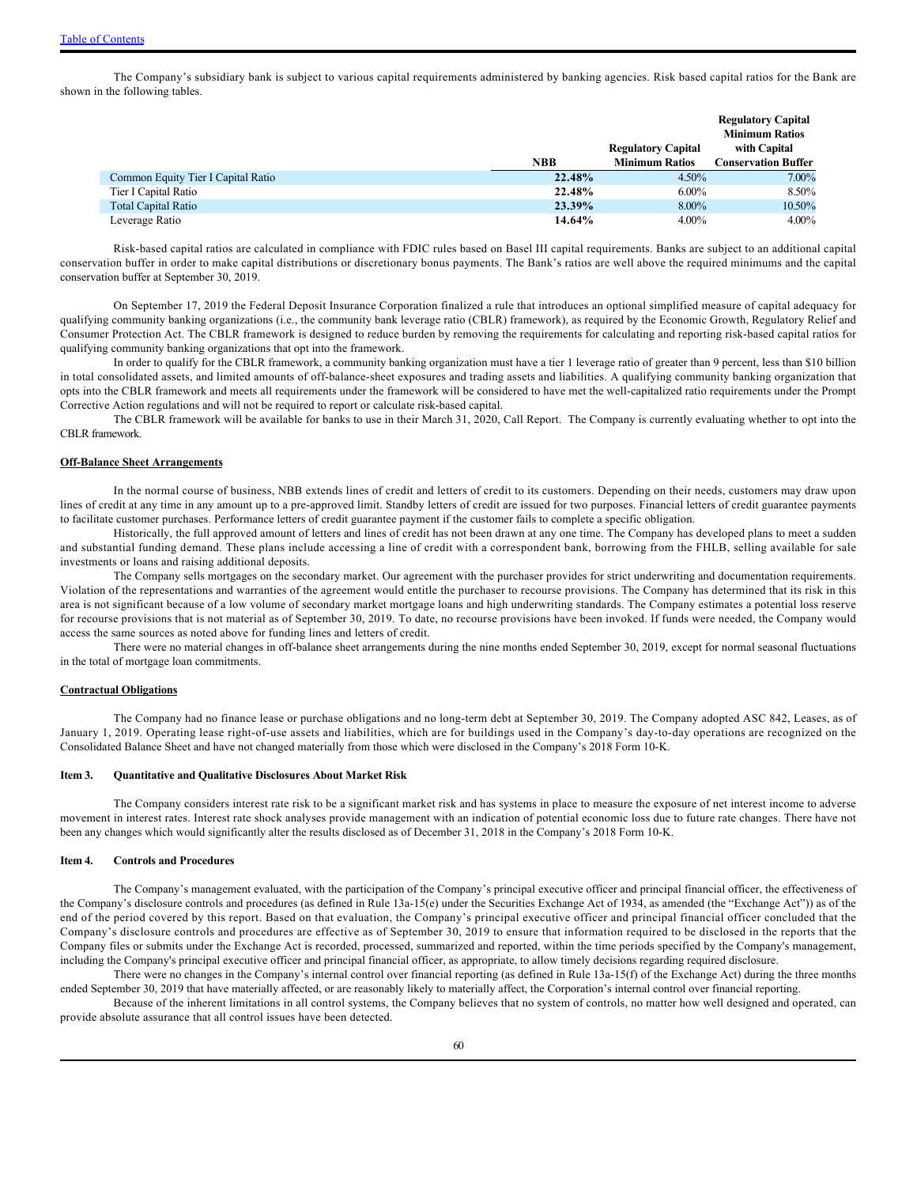The Company's subsidiary bank is subject to various capital requirements administered by banking agencies. Risk based capital ratios for the Bank are shown in the following tables.

|                                    |            |                           | <b>Regulatory Capital</b>  |
|------------------------------------|------------|---------------------------|----------------------------|
|                                    |            |                           | <b>Minimum Ratios</b>      |
|                                    |            | <b>Regulatory Capital</b> | with Capital               |
|                                    | <b>NBB</b> | <b>Minimum Ratios</b>     | <b>Conservation Buffer</b> |
| Common Equity Tier I Capital Ratio | 22.48%     | $4.50\%$                  | 7.00%                      |
| Tier I Capital Ratio               | 22.48%     | $6.00\%$                  | 8.50%                      |
| <b>Total Capital Ratio</b>         | 23.39%     | $8.00\%$                  | 10.50%                     |
| Leverage Ratio                     | 14.64%     | $4.00\%$                  | $4.00\%$                   |

Risk-based capital ratios are calculated in compliance with FDIC rules based on Basel III capital requirements. Banks are subject to an additional capital conservation buffer in order to make capital distributions or discretionary bonus payments. The Bank's ratios are well above the required minimums and the capital conservation buffer at September 30, 2019.

On September 17, 2019 the Federal Deposit Insurance Corporation finalized a rule that introduces an optional simplified measure of capital adequacy for qualifying community banking organizations (i.e., the community bank leverage ratio (CBLR) framework), as required by the Economic Growth, Regulatory Relief and Consumer Protection Act. The CBLR framework is designed to reduce burden by removing the requirements for calculating and reporting risk-based capital ratios for qualifying community banking organizations that opt into the framework.

In order to qualify for the CBLR framework, a community banking organization must have a tier 1 leverage ratio of greater than 9 percent, less than \$10 billion in total consolidated assets, and limited amounts of off-balance-sheet exposures and trading assets and liabilities. A qualifying community banking organization that opts into the CBLR framework and meets all requirements under the framework will be considered to have met the well-capitalized ratio requirements under the Prompt Corrective Action regulations and will not be required to report or calculate risk-based capital.

The CBLR framework will be available for banks to use in their March 31, 2020, Call Report. The Company is currently evaluating whether to opt into the CBLR framework.

#### **Off-Balance Sheet Arrangements**

In the normal course of business, NBB extends lines of credit and letters of credit to its customers. Depending on their needs, customers may draw upon lines of credit at any time in any amount up to a pre-approved limit. Standby letters of credit are issued for two purposes. Financial letters of credit guarantee payments to facilitate customer purchases. Performance letters of credit guarantee payment if the customer fails to complete a specific obligation.

Historically, the full approved amount of letters and lines of credit has not been drawn at any one time. The Company has developed plans to meet a sudden and substantial funding demand. These plans include accessing a line of credit with a correspondent bank, borrowing from the FHLB, selling available for sale investments or loans and raising additional deposits.

The Company sells mortgages on the secondary market. Our agreement with the purchaser provides for strict underwriting and documentation requirements. Violation of the representations and warranties of the agreement would entitle the purchaser to recourse provisions. The Company has determined that its risk in this area is not significant because of a low volume of secondary market mortgage loans and high underwriting standards. The Company estimates a potential loss reserve for recourse provisions that is not material as of September 30, 2019. To date, no recourse provisions have been invoked. If funds were needed, the Company would access the same sources as noted above for funding lines and letters of credit.

There were no material changes in off-balance sheet arrangements during the nine months ended September 30, 2019, except for normal seasonal fluctuations in the total of mortgage loan commitments.

#### **Contractual Obligations**

The Company had no finance lease or purchase obligations and no long-term debt at September 30, 2019. The Company adopted ASC 842, Leases, as of January 1, 2019. Operating lease right-of-use assets and liabilities, which are for buildings used in the Company's day-to-day operations are recognized on the Consolidated Balance Sheet and have not changed materially from those which were disclosed in the Company's 2018 Form 10-K.

#### <span id="page-59-0"></span>**Item 3. Quantitative and Qualitative Disclosures About Market Risk**

The Company considers interest rate risk to be a significant market risk and has systems in place to measure the exposure of net interest income to adverse movement in interest rates. Interest rate shock analyses provide management with an indication of potential economic loss due to future rate changes. There have not been any changes which would significantly alter the results disclosed as of December 31, 2018 in the Company's 2018 Form 10-K.

#### <span id="page-59-1"></span>**Item 4. Controls and Procedures**

The Company's management evaluated, with the participation of the Company's principal executive officer and principal financial officer, the effectiveness of the Company's disclosure controls and procedures (as defined in Rule 13a-15(e) under the Securities Exchange Act of 1934, as amended (the "Exchange Act")) as of the end of the period covered by this report. Based on that evaluation, the Company's principal executive officer and principal financial officer concluded that the Company's disclosure controls and procedures are effective as of September 30, 2019 to ensure that information required to be disclosed in the reports that the Company files or submits under the Exchange Act is recorded, processed, summarized and reported, within the time periods specified by the Company's management, including the Company's principal executive officer and principal financial officer, as appropriate, to allow timely decisions regarding required disclosure.

There were no changes in the Company's internal control over financial reporting (as defined in Rule 13a-15(f) of the Exchange Act) during the three months ended September 30, 2019 that have materially affected, or are reasonably likely to materially affect, the Corporation's internal control over financial reporting.

Because of the inherent limitations in all control systems, the Company believes that no system of controls, no matter how well designed and operated, can provide absolute assurance that all control issues have been detected.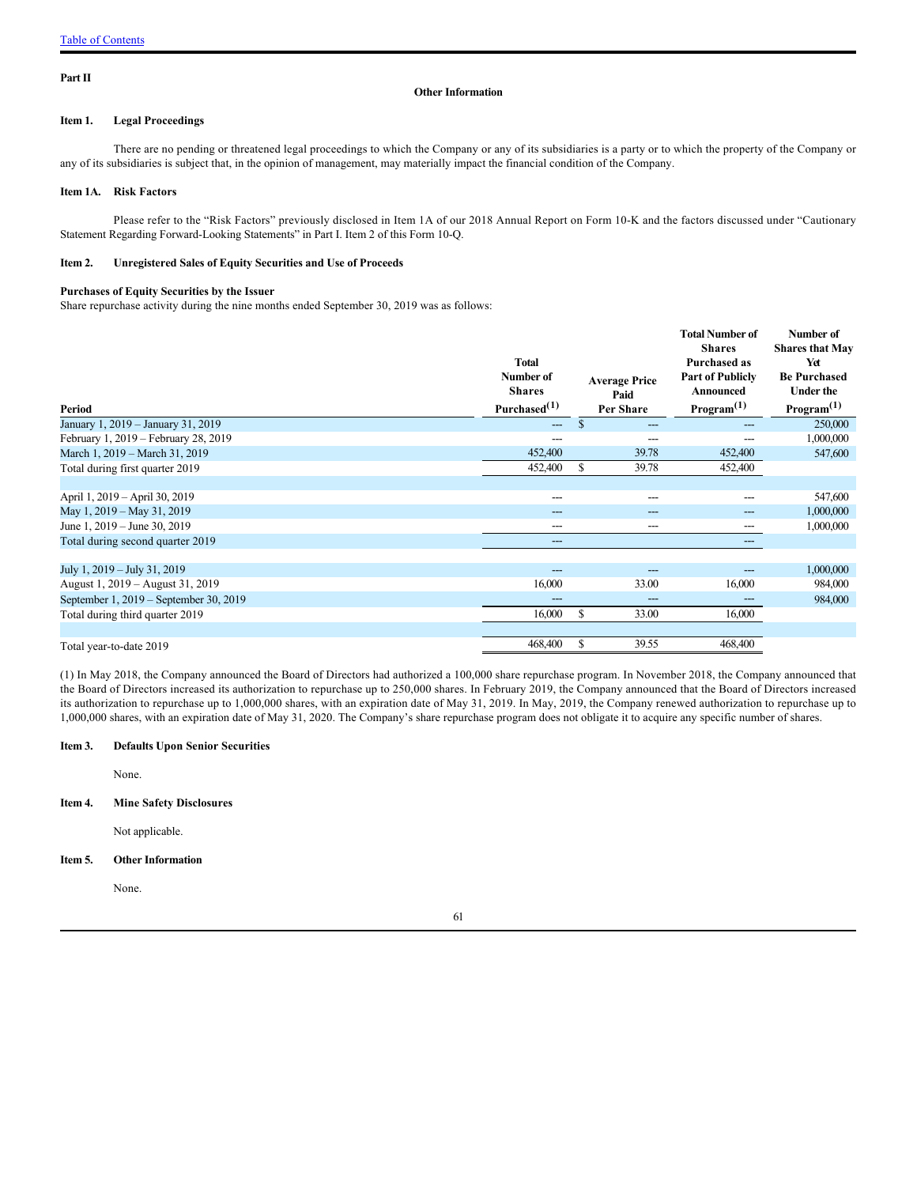#### <span id="page-60-0"></span>**Part II**

#### **Other Information**

### <span id="page-60-1"></span>**Item 1. Legal Proceedings**

There are no pending or threatened legal proceedings to which the Company or any of its subsidiaries is a party or to which the property of the Company or any of its subsidiaries is subject that, in the opinion of management, may materially impact the financial condition of the Company.

#### <span id="page-60-2"></span>**Item 1A. Risk Factors**

Please refer to the "Risk Factors" previously disclosed in Item 1A of our 2018 Annual Report on Form 10-K and the factors discussed under "Cautionary Statement Regarding Forward-Looking Statements" in Part I. Item 2 of this Form 10-Q.

### <span id="page-60-3"></span>**Item 2. Unregistered Sales of Equity Securities and Use of Proceeds**

#### **Purchases of Equity Securities by the Issuer**

Share repurchase activity during the nine months ended September 30, 2019 was as follows:

| Period                                 | <b>Total</b><br>Number of<br><b>Shares</b><br>Purchased $(1)$ | <b>Average Price</b><br>Paid<br>Per Share | <b>Total Number of</b><br><b>Shares</b><br><b>Purchased as</b><br><b>Part of Publicly</b><br>Announced<br>Program <sup>(1)</sup> | Number of<br><b>Shares that May</b><br>Yet<br><b>Be Purchased</b><br><b>Under the</b><br>Program <sup>(1)</sup> |
|----------------------------------------|---------------------------------------------------------------|-------------------------------------------|----------------------------------------------------------------------------------------------------------------------------------|-----------------------------------------------------------------------------------------------------------------|
| January 1, 2019 - January 31, 2019     | $---$                                                         | \$                                        |                                                                                                                                  | 250,000                                                                                                         |
| February 1, 2019 - February 28, 2019   |                                                               |                                           |                                                                                                                                  | 1,000,000                                                                                                       |
| March 1, 2019 – March 31, 2019         | 452,400                                                       | 39.78                                     | 452,400                                                                                                                          | 547,600                                                                                                         |
| Total during first quarter 2019        | 452,400                                                       | \$<br>39.78                               | 452,400                                                                                                                          |                                                                                                                 |
|                                        |                                                               |                                           |                                                                                                                                  |                                                                                                                 |
| April 1, 2019 - April 30, 2019         |                                                               |                                           |                                                                                                                                  | 547,600                                                                                                         |
| May 1, 2019 – May 31, 2019             | ---                                                           | ---                                       | ---                                                                                                                              | 1,000,000                                                                                                       |
| June 1, 2019 – June 30, 2019           |                                                               | ---                                       |                                                                                                                                  | 1,000,000                                                                                                       |
| Total during second quarter 2019       | ---                                                           |                                           | ---                                                                                                                              |                                                                                                                 |
|                                        |                                                               |                                           |                                                                                                                                  |                                                                                                                 |
| July 1, 2019 – July 31, 2019           |                                                               |                                           |                                                                                                                                  | 1,000,000                                                                                                       |
| August 1, 2019 – August 31, 2019       | 16,000                                                        | 33.00                                     | 16,000                                                                                                                           | 984,000                                                                                                         |
| September 1, 2019 – September 30, 2019 | ---                                                           | ---                                       | ---                                                                                                                              | 984,000                                                                                                         |
| Total during third quarter 2019        | 16,000                                                        | \$<br>33.00                               | 16,000                                                                                                                           |                                                                                                                 |
|                                        |                                                               |                                           |                                                                                                                                  |                                                                                                                 |
| Total year-to-date 2019                | 468,400                                                       | \$<br>39.55                               | 468,400                                                                                                                          |                                                                                                                 |

(1) In May 2018, the Company announced the Board of Directors had authorized a 100,000 share repurchase program. In November 2018, the Company announced that the Board of Directors increased its authorization to repurchase up to 250,000 shares. In February 2019, the Company announced that the Board of Directors increased its authorization to repurchase up to 1,000,000 shares, with an expiration date of May 31, 2019. In May, 2019, the Company renewed authorization to repurchase up to 1,000,000 shares, with an expiration date of May 31, 2020. The Company's share repurchase program does not obligate it to acquire any specific number of shares.

#### <span id="page-60-4"></span>**Item 3. Defaults Upon Senior Securities**

None.

<span id="page-60-5"></span>**Item 4. Mine Safety Disclosures**

Not applicable.

#### <span id="page-60-6"></span>**Item 5. Other Information**

None.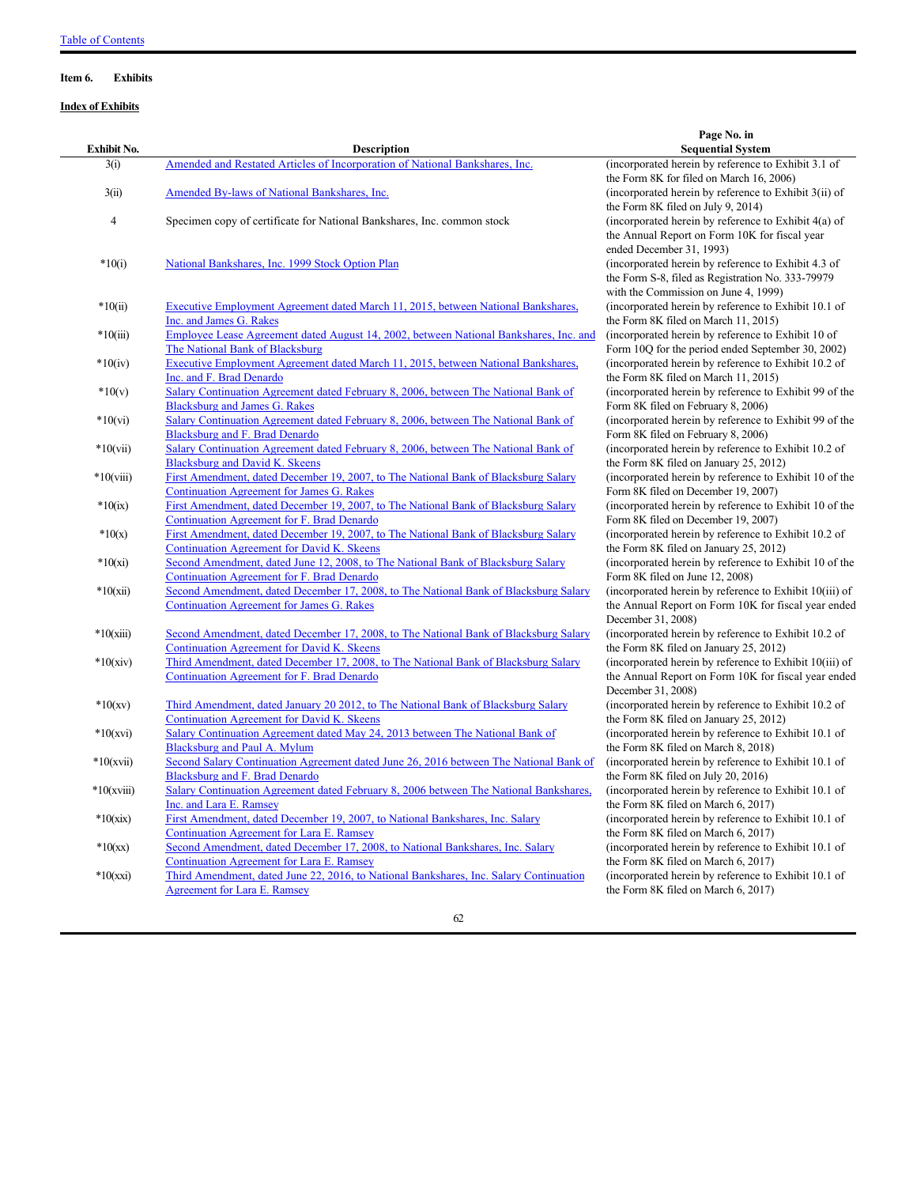### <span id="page-61-0"></span>**Item 6. Exhibits**

### **Index of Exhibits**

|                |                                                                                                                                         | Page No. in                                                                                                                                                                  |
|----------------|-----------------------------------------------------------------------------------------------------------------------------------------|------------------------------------------------------------------------------------------------------------------------------------------------------------------------------|
| Exhibit No.    | <b>Description</b>                                                                                                                      | <b>Sequential System</b>                                                                                                                                                     |
| 3(i)           | Amended and Restated Articles of Incorporation of National Bankshares, Inc.                                                             | (incorporated herein by reference to Exhibit 3.1 of<br>the Form 8K for filed on March 16, 2006)                                                                              |
| 3(ii)          | <b>Amended By-laws of National Bankshares, Inc.</b>                                                                                     | (incorporated herein by reference to Exhibit 3(ii) of<br>the Form 8K filed on July 9, 2014)                                                                                  |
| $\overline{4}$ | Specimen copy of certificate for National Bankshares, Inc. common stock                                                                 | (incorporated herein by reference to Exhibit 4(a) of<br>the Annual Report on Form 10K for fiscal year                                                                        |
| $*10(i)$       | National Bankshares, Inc. 1999 Stock Option Plan                                                                                        | ended December 31, 1993)<br>(incorporated herein by reference to Exhibit 4.3 of<br>the Form S-8, filed as Registration No. 333-79979<br>with the Commission on June 4, 1999) |
| $*10(ii)$      | Executive Employment Agreement dated March 11, 2015, between National Bankshares,<br>Inc. and James G. Rakes                            | (incorporated herein by reference to Exhibit 10.1 of<br>the Form 8K filed on March 11, 2015)                                                                                 |
| $*10(iii)$     | Employee Lease Agreement dated August 14, 2002, between National Bankshares, Inc. and<br>The National Bank of Blacksburg                | (incorporated herein by reference to Exhibit 10 of<br>Form 10Q for the period ended September 30, 2002)                                                                      |
| $*10(iv)$      | Executive Employment Agreement dated March 11, 2015, between National Bankshares,<br>Inc. and F. Brad Denardo                           | (incorporated herein by reference to Exhibit 10.2 of<br>the Form 8K filed on March 11, 2015)                                                                                 |
| $*10(v)$       | Salary Continuation Agreement dated February 8, 2006, between The National Bank of<br><b>Blacksburg and James G. Rakes</b>              | (incorporated herein by reference to Exhibit 99 of the<br>Form 8K filed on February 8, 2006)                                                                                 |
| $*10(vi)$      | Salary Continuation Agreement dated February 8, 2006, between The National Bank of<br><b>Blacksburg and F. Brad Denardo</b>             | (incorporated herein by reference to Exhibit 99 of the<br>Form 8K filed on February 8, 2006)                                                                                 |
| $*10(vii)$     | Salary Continuation Agreement dated February 8, 2006, between The National Bank of<br><b>Blacksburg and David K. Skeens</b>             | (incorporated herein by reference to Exhibit 10.2 of<br>the Form 8K filed on January 25, 2012)                                                                               |
| $*10(viii)$    | First Amendment, dated December 19, 2007, to The National Bank of Blacksburg Salary<br><b>Continuation Agreement for James G. Rakes</b> | (incorporated herein by reference to Exhibit 10 of the<br>Form 8K filed on December 19, 2007)                                                                                |
| $*10(ix)$      | First Amendment, dated December 19, 2007, to The National Bank of Blacksburg Salary<br>Continuation Agreement for F. Brad Denardo       | (incorporated herein by reference to Exhibit 10 of the<br>Form 8K filed on December 19, 2007)                                                                                |
| $*10(x)$       | First Amendment, dated December 19, 2007, to The National Bank of Blacksburg Salary<br>Continuation Agreement for David K. Skeens       | (incorporated herein by reference to Exhibit 10.2 of<br>the Form 8K filed on January 25, 2012)                                                                               |
| $*10(xi)$      | Second Amendment, dated June 12, 2008, to The National Bank of Blacksburg Salary<br>Continuation Agreement for F. Brad Denardo          | (incorporated herein by reference to Exhibit 10 of the<br>Form 8K filed on June 12, 2008)                                                                                    |
| $*10(xii)$     | Second Amendment, dated December 17, 2008, to The National Bank of Blacksburg Salary<br>Continuation Agreement for James G. Rakes       | (incorporated herein by reference to Exhibit 10(iii) of<br>the Annual Report on Form 10K for fiscal year ended<br>December 31, 2008)                                         |
| $*10(xiii)$    | Second Amendment, dated December 17, 2008, to The National Bank of Blacksburg Salary<br>Continuation Agreement for David K. Skeens      | (incorporated herein by reference to Exhibit 10.2 of<br>the Form 8K filed on January 25, 2012)                                                                               |
| $*10(xiv)$     | Third Amendment, dated December 17, 2008, to The National Bank of Blacksburg Salary<br>Continuation Agreement for F. Brad Denardo       | (incorporated herein by reference to Exhibit 10(iii) of<br>the Annual Report on Form 10K for fiscal year ended<br>December 31, 2008)                                         |
| $*10(xv)$      | Third Amendment, dated January 20 2012, to The National Bank of Blacksburg Salary<br>Continuation Agreement for David K. Skeens         | (incorporated herein by reference to Exhibit 10.2 of<br>the Form 8K filed on January 25, 2012)                                                                               |
| $*10(xvi)$     | Salary Continuation Agreement dated May 24, 2013 between The National Bank of<br><b>Blacksburg and Paul A. Mylum</b>                    | (incorporated herein by reference to Exhibit 10.1 of<br>the Form 8K filed on March 8, 2018)                                                                                  |
| $*10(xvii)$    | Second Salary Continuation Agreement dated June 26, 2016 between The National Bank of<br>Blacksburg and F. Brad Denardo                 | (incorporated herein by reference to Exhibit 10.1 of<br>the Form 8K filed on July 20, 2016)                                                                                  |
| $*10(xviii)$   | Salary Continuation Agreement dated February 8, 2006 between The National Bankshares,<br>Inc. and Lara E. Ramsey                        | (incorporated herein by reference to Exhibit 10.1 of<br>the Form 8K filed on March 6, 2017)                                                                                  |
| $*10(xix)$     | First Amendment, dated December 19, 2007, to National Bankshares, Inc. Salary<br><b>Continuation Agreement for Lara E. Ramsey</b>       | (incorporated herein by reference to Exhibit 10.1 of<br>the Form 8K filed on March 6, 2017)                                                                                  |
| $*10(xx)$      | Second Amendment, dated December 17, 2008, to National Bankshares, Inc. Salary<br>Continuation Agreement for Lara E. Ramsey             | (incorporated herein by reference to Exhibit 10.1 of<br>the Form 8K filed on March 6, 2017)                                                                                  |
| $*10(xxi)$     | Third Amendment, dated June 22, 2016, to National Bankshares, Inc. Salary Continuation<br><b>Agreement for Lara E. Ramsey</b>           | (incorporated herein by reference to Exhibit 10.1 of<br>the Form 8K filed on March 6, 2017)                                                                                  |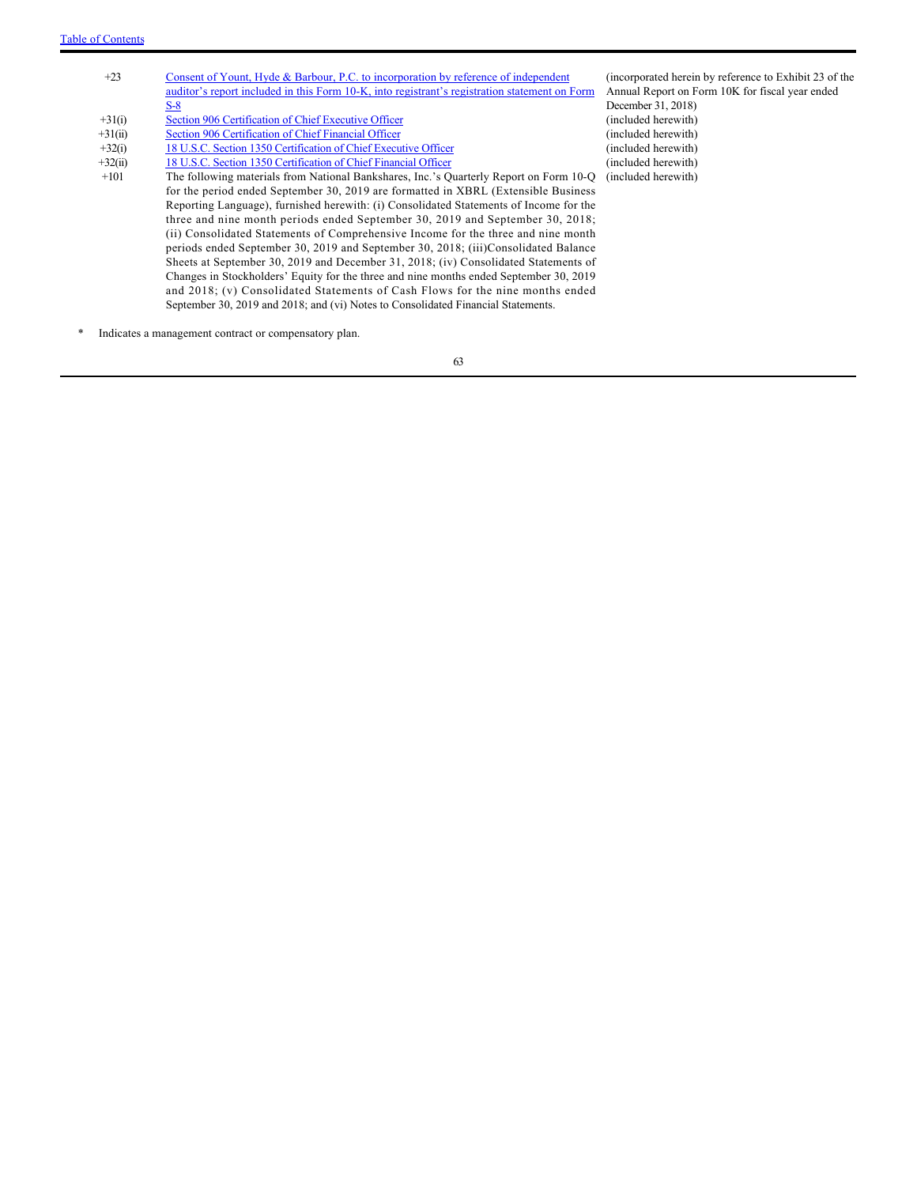| $+23$     | Consent of Yount, Hyde & Barbour, P.C. to incorporation by reference of independent<br>auditor's report included in this Form 10-K, into registrant's registration statement on Form | (incorporated herein by reference to Exhibit 23 of the<br>Annual Report on Form 10K for fiscal year ended<br>December 31, 2018) |
|-----------|--------------------------------------------------------------------------------------------------------------------------------------------------------------------------------------|---------------------------------------------------------------------------------------------------------------------------------|
|           | <u>S-8</u>                                                                                                                                                                           |                                                                                                                                 |
| $+31(i)$  | Section 906 Certification of Chief Executive Officer                                                                                                                                 | (included herewith)                                                                                                             |
| $+31(ii)$ | Section 906 Certification of Chief Financial Officer                                                                                                                                 | (included herewith)                                                                                                             |
| $+32(i)$  | 18 U.S.C. Section 1350 Certification of Chief Executive Officer                                                                                                                      | (included herewith)                                                                                                             |
| $+32(ii)$ | 18 U.S.C. Section 1350 Certification of Chief Financial Officer                                                                                                                      | (included herewith)                                                                                                             |
| $+101$    | The following materials from National Bankshares, Inc.'s Quarterly Report on Form 10-Q                                                                                               | (included herewith)                                                                                                             |
|           | for the period ended September 30, 2019 are formatted in XBRL (Extensible Business)                                                                                                  |                                                                                                                                 |
|           | Reporting Language), furnished herewith: (i) Consolidated Statements of Income for the                                                                                               |                                                                                                                                 |
|           | three and nine month periods ended September 30, 2019 and September 30, 2018;                                                                                                        |                                                                                                                                 |
|           | (ii) Consolidated Statements of Comprehensive Income for the three and nine month                                                                                                    |                                                                                                                                 |
|           | periods ended September 30, 2019 and September 30, 2018; (iii)Consolidated Balance                                                                                                   |                                                                                                                                 |
|           | Sheets at September 30, 2019 and December 31, 2018; (iv) Consolidated Statements of                                                                                                  |                                                                                                                                 |
|           | Changes in Stockholders' Equity for the three and nine months ended September 30, 2019                                                                                               |                                                                                                                                 |
|           | and 2018; (v) Consolidated Statements of Cash Flows for the nine months ended                                                                                                        |                                                                                                                                 |
|           | September 30, 2019 and 2018; and (vi) Notes to Consolidated Financial Statements.                                                                                                    |                                                                                                                                 |

\* Indicates a management contract or compensatory plan.